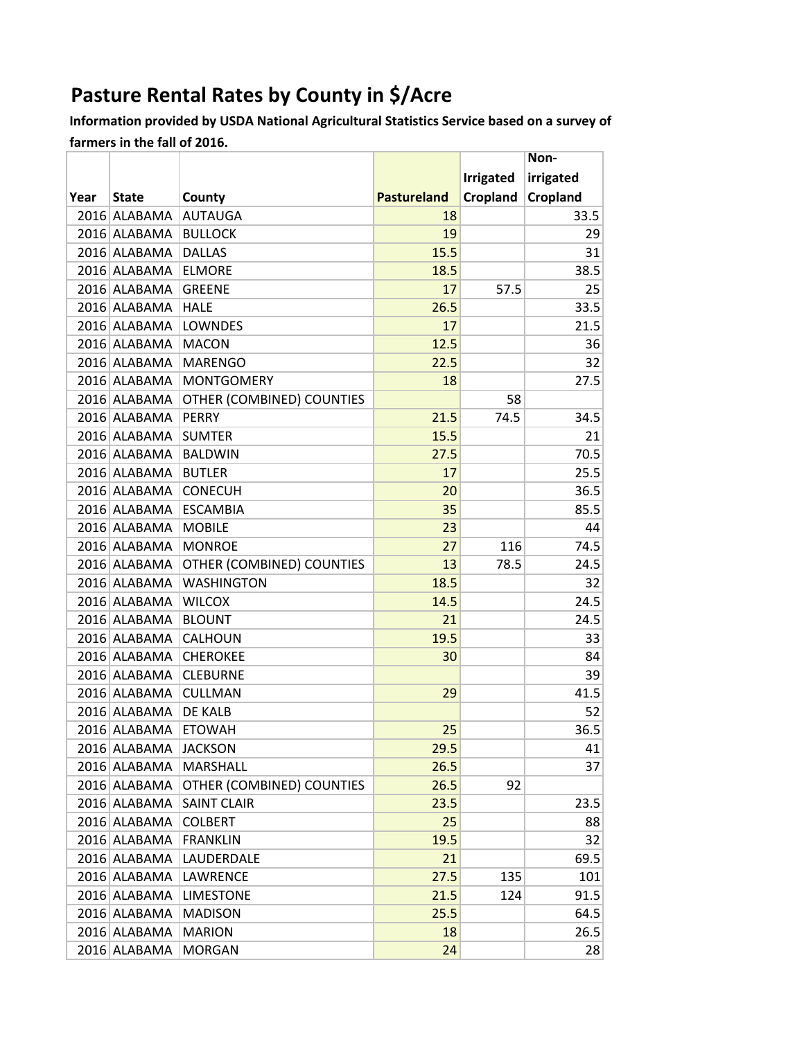## **Pasture Rental Rates by County in \$/Acre**

Information provided by USDA National Agricultural Statistics Service based on a survey of farmers in the fall of 2016.

| irrigated<br><b>Irrigated</b><br>Cropland<br>Cropland<br><b>Pastureland</b><br>Year<br><b>State</b><br>County<br>2016 ALABAMA<br><b>AUTAUGA</b><br>33.5<br>18<br>2016 ALABAMA<br><b>BULLOCK</b><br>19<br>29<br>15.5<br>2016 ALABAMA<br><b>DALLAS</b><br>31<br>2016 ALABAMA<br><b>ELMORE</b><br>38.5<br>18.5<br><b>GREENE</b><br>17<br>57.5<br>2016 ALABAMA<br>25<br>33.5<br><b>HALE</b><br>26.5<br>2016 ALABAMA<br>2016 ALABAMA<br>LOWNDES<br>17<br>21.5<br>2016 ALABAMA<br><b>MACON</b><br>12.5<br>36<br>22.5<br>2016 ALABAMA<br><b>MARENGO</b><br>32<br>2016 ALABAMA<br><b>MONTGOMERY</b><br>18<br>27.5<br>OTHER (COMBINED) COUNTIES<br>2016 ALABAMA<br>58<br>21.5<br>2016 ALABAMA<br><b>PERRY</b><br>74.5<br>34.5<br>2016 ALABAMA<br><b>SUMTER</b><br>21<br>15.5<br>70.5<br>2016 ALABAMA<br><b>BALDWIN</b><br>27.5<br>25.5<br>2016 ALABAMA<br><b>BUTLER</b><br>17<br>2016 ALABAMA<br>36.5<br><b>CONECUH</b><br>20<br>35<br>85.5<br>2016 ALABAMA<br><b>ESCAMBIA</b><br>23<br>2016 ALABAMA<br><b>MOBILE</b><br>44<br>116<br>74.5<br>2016 ALABAMA<br><b>MONROE</b><br>27 |
|--------------------------------------------------------------------------------------------------------------------------------------------------------------------------------------------------------------------------------------------------------------------------------------------------------------------------------------------------------------------------------------------------------------------------------------------------------------------------------------------------------------------------------------------------------------------------------------------------------------------------------------------------------------------------------------------------------------------------------------------------------------------------------------------------------------------------------------------------------------------------------------------------------------------------------------------------------------------------------------------------------------------------------------------------------------------------|
|                                                                                                                                                                                                                                                                                                                                                                                                                                                                                                                                                                                                                                                                                                                                                                                                                                                                                                                                                                                                                                                                          |
|                                                                                                                                                                                                                                                                                                                                                                                                                                                                                                                                                                                                                                                                                                                                                                                                                                                                                                                                                                                                                                                                          |
|                                                                                                                                                                                                                                                                                                                                                                                                                                                                                                                                                                                                                                                                                                                                                                                                                                                                                                                                                                                                                                                                          |
|                                                                                                                                                                                                                                                                                                                                                                                                                                                                                                                                                                                                                                                                                                                                                                                                                                                                                                                                                                                                                                                                          |
|                                                                                                                                                                                                                                                                                                                                                                                                                                                                                                                                                                                                                                                                                                                                                                                                                                                                                                                                                                                                                                                                          |
|                                                                                                                                                                                                                                                                                                                                                                                                                                                                                                                                                                                                                                                                                                                                                                                                                                                                                                                                                                                                                                                                          |
|                                                                                                                                                                                                                                                                                                                                                                                                                                                                                                                                                                                                                                                                                                                                                                                                                                                                                                                                                                                                                                                                          |
|                                                                                                                                                                                                                                                                                                                                                                                                                                                                                                                                                                                                                                                                                                                                                                                                                                                                                                                                                                                                                                                                          |
|                                                                                                                                                                                                                                                                                                                                                                                                                                                                                                                                                                                                                                                                                                                                                                                                                                                                                                                                                                                                                                                                          |
|                                                                                                                                                                                                                                                                                                                                                                                                                                                                                                                                                                                                                                                                                                                                                                                                                                                                                                                                                                                                                                                                          |
|                                                                                                                                                                                                                                                                                                                                                                                                                                                                                                                                                                                                                                                                                                                                                                                                                                                                                                                                                                                                                                                                          |
|                                                                                                                                                                                                                                                                                                                                                                                                                                                                                                                                                                                                                                                                                                                                                                                                                                                                                                                                                                                                                                                                          |
|                                                                                                                                                                                                                                                                                                                                                                                                                                                                                                                                                                                                                                                                                                                                                                                                                                                                                                                                                                                                                                                                          |
|                                                                                                                                                                                                                                                                                                                                                                                                                                                                                                                                                                                                                                                                                                                                                                                                                                                                                                                                                                                                                                                                          |
|                                                                                                                                                                                                                                                                                                                                                                                                                                                                                                                                                                                                                                                                                                                                                                                                                                                                                                                                                                                                                                                                          |
|                                                                                                                                                                                                                                                                                                                                                                                                                                                                                                                                                                                                                                                                                                                                                                                                                                                                                                                                                                                                                                                                          |
|                                                                                                                                                                                                                                                                                                                                                                                                                                                                                                                                                                                                                                                                                                                                                                                                                                                                                                                                                                                                                                                                          |
|                                                                                                                                                                                                                                                                                                                                                                                                                                                                                                                                                                                                                                                                                                                                                                                                                                                                                                                                                                                                                                                                          |
|                                                                                                                                                                                                                                                                                                                                                                                                                                                                                                                                                                                                                                                                                                                                                                                                                                                                                                                                                                                                                                                                          |
|                                                                                                                                                                                                                                                                                                                                                                                                                                                                                                                                                                                                                                                                                                                                                                                                                                                                                                                                                                                                                                                                          |
|                                                                                                                                                                                                                                                                                                                                                                                                                                                                                                                                                                                                                                                                                                                                                                                                                                                                                                                                                                                                                                                                          |
| OTHER (COMBINED) COUNTIES<br>13<br>2016 ALABAMA<br>78.5<br>24.5                                                                                                                                                                                                                                                                                                                                                                                                                                                                                                                                                                                                                                                                                                                                                                                                                                                                                                                                                                                                          |
| <b>WASHINGTON</b><br>18.5<br>2016 ALABAMA<br>32                                                                                                                                                                                                                                                                                                                                                                                                                                                                                                                                                                                                                                                                                                                                                                                                                                                                                                                                                                                                                          |
| 24.5<br>2016 ALABAMA<br>14.5<br><b>WILCOX</b>                                                                                                                                                                                                                                                                                                                                                                                                                                                                                                                                                                                                                                                                                                                                                                                                                                                                                                                                                                                                                            |
| 21<br>2016 ALABAMA<br><b>BLOUNT</b><br>24.5                                                                                                                                                                                                                                                                                                                                                                                                                                                                                                                                                                                                                                                                                                                                                                                                                                                                                                                                                                                                                              |
| 19.5<br>2016 ALABAMA CALHOUN<br>33                                                                                                                                                                                                                                                                                                                                                                                                                                                                                                                                                                                                                                                                                                                                                                                                                                                                                                                                                                                                                                       |
| 2016 ALABAMA<br><b>CHEROKEE</b><br>84<br>30                                                                                                                                                                                                                                                                                                                                                                                                                                                                                                                                                                                                                                                                                                                                                                                                                                                                                                                                                                                                                              |
| 2016 ALABAMA<br><b>CLEBURNE</b><br>39                                                                                                                                                                                                                                                                                                                                                                                                                                                                                                                                                                                                                                                                                                                                                                                                                                                                                                                                                                                                                                    |
| 41.5<br>2016 ALABAMA<br><b>CULLMAN</b><br>29                                                                                                                                                                                                                                                                                                                                                                                                                                                                                                                                                                                                                                                                                                                                                                                                                                                                                                                                                                                                                             |
| 2016 ALABAMA<br>DE KALB<br>52                                                                                                                                                                                                                                                                                                                                                                                                                                                                                                                                                                                                                                                                                                                                                                                                                                                                                                                                                                                                                                            |
| 25<br>36.5<br>2016 ALABAMA<br><b>ETOWAH</b>                                                                                                                                                                                                                                                                                                                                                                                                                                                                                                                                                                                                                                                                                                                                                                                                                                                                                                                                                                                                                              |
| 29.5<br>2016 ALABAMA JACKSON<br>41                                                                                                                                                                                                                                                                                                                                                                                                                                                                                                                                                                                                                                                                                                                                                                                                                                                                                                                                                                                                                                       |
| 2016 ALABAMA<br><b>MARSHALL</b><br>26.5<br>37                                                                                                                                                                                                                                                                                                                                                                                                                                                                                                                                                                                                                                                                                                                                                                                                                                                                                                                                                                                                                            |
| OTHER (COMBINED) COUNTIES<br>2016 ALABAMA<br>26.5<br>92                                                                                                                                                                                                                                                                                                                                                                                                                                                                                                                                                                                                                                                                                                                                                                                                                                                                                                                                                                                                                  |
| 2016 ALABAMA SAINT CLAIR<br>23.5<br>23.5                                                                                                                                                                                                                                                                                                                                                                                                                                                                                                                                                                                                                                                                                                                                                                                                                                                                                                                                                                                                                                 |
| 2016 ALABAMA<br><b>COLBERT</b><br>25<br>88                                                                                                                                                                                                                                                                                                                                                                                                                                                                                                                                                                                                                                                                                                                                                                                                                                                                                                                                                                                                                               |
| 2016 ALABAMA<br><b>FRANKLIN</b><br>19.5<br>32                                                                                                                                                                                                                                                                                                                                                                                                                                                                                                                                                                                                                                                                                                                                                                                                                                                                                                                                                                                                                            |
| 69.5<br>2016 ALABAMA<br>LAUDERDALE<br>21                                                                                                                                                                                                                                                                                                                                                                                                                                                                                                                                                                                                                                                                                                                                                                                                                                                                                                                                                                                                                                 |
| 2016 ALABAMA<br>LAWRENCE<br>27.5<br>135<br>101                                                                                                                                                                                                                                                                                                                                                                                                                                                                                                                                                                                                                                                                                                                                                                                                                                                                                                                                                                                                                           |
| 91.5<br>2016 ALABAMA<br><b>LIMESTONE</b><br>21.5<br>124                                                                                                                                                                                                                                                                                                                                                                                                                                                                                                                                                                                                                                                                                                                                                                                                                                                                                                                                                                                                                  |
| 25.5<br>64.5<br>2016 ALABAMA<br><b>MADISON</b>                                                                                                                                                                                                                                                                                                                                                                                                                                                                                                                                                                                                                                                                                                                                                                                                                                                                                                                                                                                                                           |
| 2016 ALABAMA<br><b>MARION</b><br>18<br>26.5                                                                                                                                                                                                                                                                                                                                                                                                                                                                                                                                                                                                                                                                                                                                                                                                                                                                                                                                                                                                                              |
| 2016 ALABAMA<br><b>MORGAN</b><br>24<br>28                                                                                                                                                                                                                                                                                                                                                                                                                                                                                                                                                                                                                                                                                                                                                                                                                                                                                                                                                                                                                                |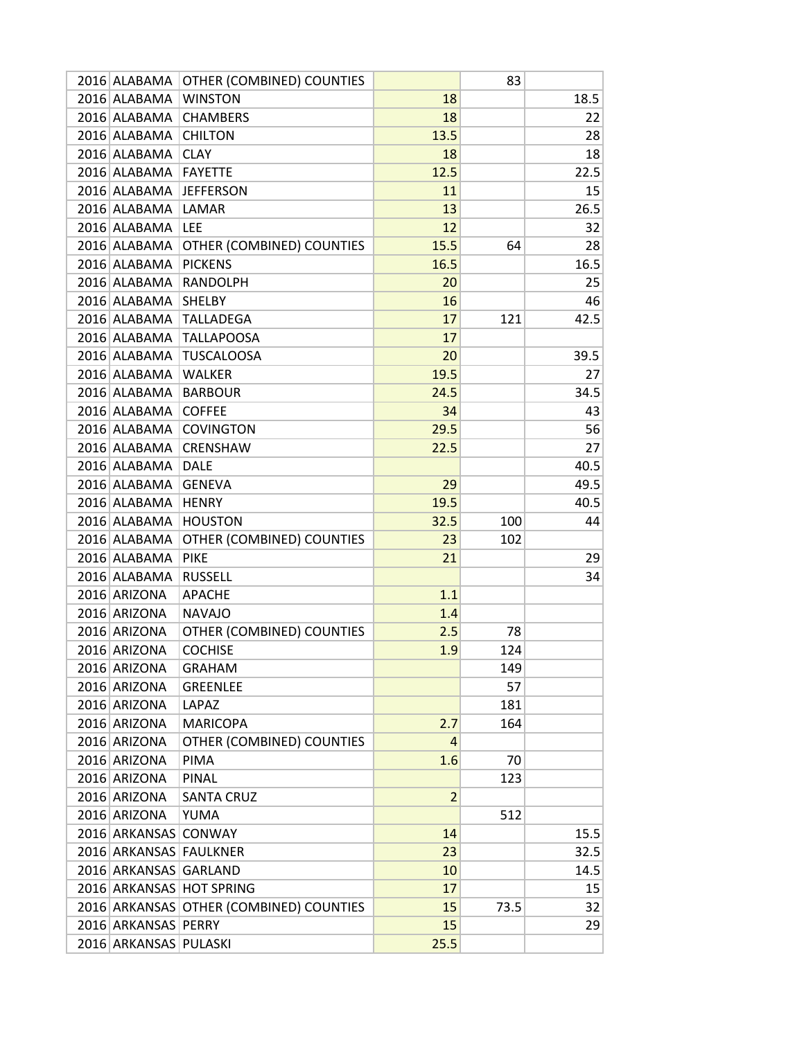| 2016 ALABAMA           | OTHER (COMBINED) COUNTIES               |                | 83   |      |
|------------------------|-----------------------------------------|----------------|------|------|
| 2016 ALABAMA           | <b>WINSTON</b>                          | 18             |      | 18.5 |
| 2016 ALABAMA           | <b>CHAMBERS</b>                         | 18             |      | 22   |
| 2016 ALABAMA           | <b>CHILTON</b>                          | 13.5           |      | 28   |
| 2016 ALABAMA           | <b>CLAY</b>                             | 18             |      | 18   |
| 2016 ALABAMA           | <b>FAYETTE</b>                          | 12.5           |      | 22.5 |
| 2016 ALABAMA           | <b>JEFFERSON</b>                        | 11             |      | 15   |
| 2016 ALABAMA           | LAMAR                                   | 13             |      | 26.5 |
| 2016 ALABAMA           | <b>LEE</b>                              | 12             |      | 32   |
| 2016 ALABAMA           | OTHER (COMBINED) COUNTIES               | 15.5           | 64   | 28   |
| 2016 ALABAMA           | <b>PICKENS</b>                          | 16.5           |      | 16.5 |
| 2016 ALABAMA           | <b>RANDOLPH</b>                         | 20             |      | 25   |
| 2016 ALABAMA           | <b>SHELBY</b>                           | 16             |      | 46   |
| 2016 ALABAMA           | <b>TALLADEGA</b>                        | 17             | 121  | 42.5 |
| 2016 ALABAMA           | <b>TALLAPOOSA</b>                       | 17             |      |      |
| 2016 ALABAMA           | <b>TUSCALOOSA</b>                       | 20             |      | 39.5 |
| 2016 ALABAMA           | <b>WALKER</b>                           | 19.5           |      | 27   |
| 2016 ALABAMA           | <b>BARBOUR</b>                          | 24.5           |      | 34.5 |
| 2016 ALABAMA           | <b>COFFEE</b>                           | 34             |      | 43   |
| 2016 ALABAMA           | <b>COVINGTON</b>                        | 29.5           |      | 56   |
| 2016 ALABAMA           | <b>CRENSHAW</b>                         | 22.5           |      | 27   |
| 2016 ALABAMA           | <b>DALE</b>                             |                |      | 40.5 |
| 2016 ALABAMA           | <b>GENEVA</b>                           | 29             |      | 49.5 |
| 2016 ALABAMA           | <b>HENRY</b>                            | 19.5           |      | 40.5 |
| 2016 ALABAMA           | <b>HOUSTON</b>                          | 32.5           | 100  | 44   |
| 2016 ALABAMA           | OTHER (COMBINED) COUNTIES               | 23             | 102  |      |
| 2016 ALABAMA           | <b>PIKE</b>                             | 21             |      | 29   |
| 2016 ALABAMA           | <b>RUSSELL</b>                          |                |      | 34   |
| 2016 ARIZONA           | <b>APACHE</b>                           | 1.1            |      |      |
| 2016 ARIZONA           | <b>NAVAJO</b>                           | 1.4            |      |      |
| 2016 ARIZONA           | OTHER (COMBINED) COUNTIES               | 2.5            | 78   |      |
| 2016 ARIZONA           | <b>COCHISE</b>                          | 1.9            | 124  |      |
| 2016 ARIZONA           | <b>GRAHAM</b>                           |                | 149  |      |
| 2016 ARIZONA           | <b>GREENLEE</b>                         |                | 57   |      |
| 2016 ARIZONA           | LAPAZ                                   |                | 181  |      |
| 2016 ARIZONA           | <b>MARICOPA</b>                         | 2.7            | 164  |      |
| 2016 ARIZONA           | OTHER (COMBINED) COUNTIES               | 4              |      |      |
| 2016 ARIZONA           | <b>PIMA</b>                             | 1.6            | 70   |      |
| 2016 ARIZONA           | <b>PINAL</b>                            |                | 123  |      |
| 2016 ARIZONA           | <b>SANTA CRUZ</b>                       | $\overline{2}$ |      |      |
| 2016 ARIZONA           | YUMA                                    |                | 512  |      |
| 2016 ARKANSAS CONWAY   |                                         | 14             |      | 15.5 |
| 2016 ARKANSAS FAULKNER |                                         | 23             |      | 32.5 |
| 2016 ARKANSAS GARLAND  |                                         | 10             |      | 14.5 |
|                        | 2016 ARKANSAS HOT SPRING                | 17             |      | 15   |
|                        | 2016 ARKANSAS OTHER (COMBINED) COUNTIES | 15             | 73.5 | 32   |
| 2016 ARKANSAS PERRY    |                                         | 15             |      | 29   |
| 2016 ARKANSAS PULASKI  |                                         | 25.5           |      |      |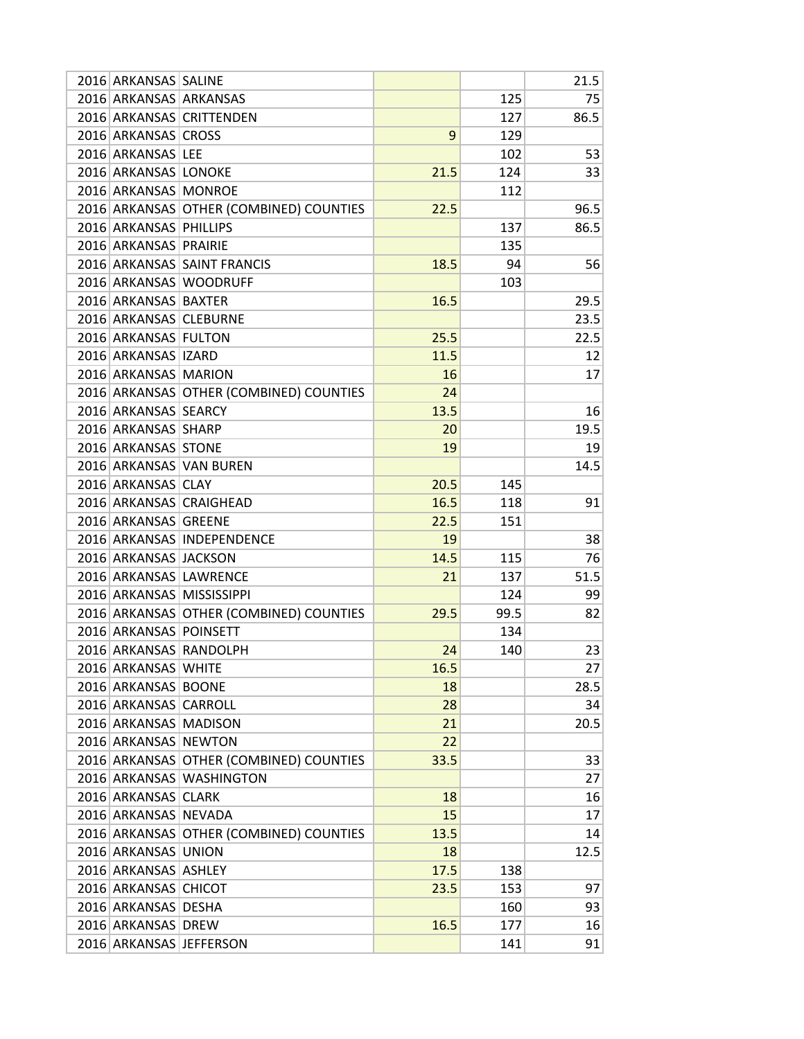| 2016 ARKANSAS SALINE   |                                         |      |      | 21.5 |
|------------------------|-----------------------------------------|------|------|------|
| 2016 ARKANSAS ARKANSAS |                                         |      | 125  | 75   |
|                        | 2016 ARKANSAS CRITTENDEN                |      | 127  | 86.5 |
| 2016 ARKANSAS CROSS    |                                         | 9    | 129  |      |
| 2016 ARKANSAS LEE      |                                         |      | 102  | 53   |
| 2016 ARKANSAS LONOKE   |                                         | 21.5 | 124  | 33   |
| 2016 ARKANSAS MONROE   |                                         |      | 112  |      |
|                        | 2016 ARKANSAS OTHER (COMBINED) COUNTIES | 22.5 |      | 96.5 |
| 2016 ARKANSAS PHILLIPS |                                         |      | 137  | 86.5 |
| 2016 ARKANSAS PRAIRIE  |                                         |      | 135  |      |
|                        | 2016 ARKANSAS SAINT FRANCIS             | 18.5 | 94   | 56   |
|                        | 2016 ARKANSAS WOODRUFF                  |      | 103  |      |
| 2016 ARKANSAS BAXTER   |                                         | 16.5 |      | 29.5 |
| 2016 ARKANSAS CLEBURNE |                                         |      |      | 23.5 |
| 2016 ARKANSAS FULTON   |                                         | 25.5 |      | 22.5 |
| 2016 ARKANSAS IZARD    |                                         | 11.5 |      | 12   |
| 2016 ARKANSAS MARION   |                                         | 16   |      | 17   |
|                        | 2016 ARKANSAS OTHER (COMBINED) COUNTIES | 24   |      |      |
| 2016 ARKANSAS SEARCY   |                                         | 13.5 |      | 16   |
| 2016 ARKANSAS SHARP    |                                         | 20   |      | 19.5 |
| 2016 ARKANSAS STONE    |                                         | 19   |      | 19   |
|                        | 2016 ARKANSAS VAN BUREN                 |      |      | 14.5 |
| 2016 ARKANSAS CLAY     |                                         | 20.5 | 145  |      |
|                        | 2016 ARKANSAS CRAIGHEAD                 | 16.5 | 118  | 91   |
| 2016 ARKANSAS GREENE   |                                         | 22.5 | 151  |      |
|                        | 2016 ARKANSAS INDEPENDENCE              | 19   |      | 38   |
| 2016 ARKANSAS JACKSON  |                                         | 14.5 | 115  | 76   |
|                        | 2016 ARKANSAS LAWRENCE                  | 21   | 137  | 51.5 |
|                        | 2016 ARKANSAS MISSISSIPPI               |      | 124  | 99   |
|                        | 2016 ARKANSAS OTHER (COMBINED) COUNTIES | 29.5 | 99.5 | 82   |
| 2016 ARKANSAS POINSETT |                                         |      | 134  |      |
|                        | 2016 ARKANSAS RANDOLPH                  | 24   | 140  | 23   |
| 2016 ARKANSAS WHITE    |                                         | 16.5 |      | 27   |
| 2016 ARKANSAS BOONE    |                                         | 18   |      | 28.5 |
| 2016 ARKANSAS CARROLL  |                                         | 28   |      | 34   |
| 2016 ARKANSAS MADISON  |                                         | 21   |      | 20.5 |
| 2016 ARKANSAS NEWTON   |                                         | 22   |      |      |
|                        | 2016 ARKANSAS OTHER (COMBINED) COUNTIES | 33.5 |      | 33   |
|                        | 2016 ARKANSAS WASHINGTON                |      |      | 27   |
| 2016 ARKANSAS CLARK    |                                         | 18   |      | 16   |
| 2016 ARKANSAS NEVADA   |                                         | 15   |      | 17   |
|                        | 2016 ARKANSAS OTHER (COMBINED) COUNTIES | 13.5 |      | 14   |
| 2016 ARKANSAS UNION    |                                         | 18   |      | 12.5 |
| 2016 ARKANSAS ASHLEY   |                                         | 17.5 | 138  |      |
| 2016 ARKANSAS CHICOT   |                                         | 23.5 | 153  | 97   |
| 2016 ARKANSAS DESHA    |                                         |      | 160  | 93   |
| 2016 ARKANSAS DREW     |                                         | 16.5 | 177  | 16   |
|                        | 2016 ARKANSAS JEFFERSON                 |      | 141  | 91   |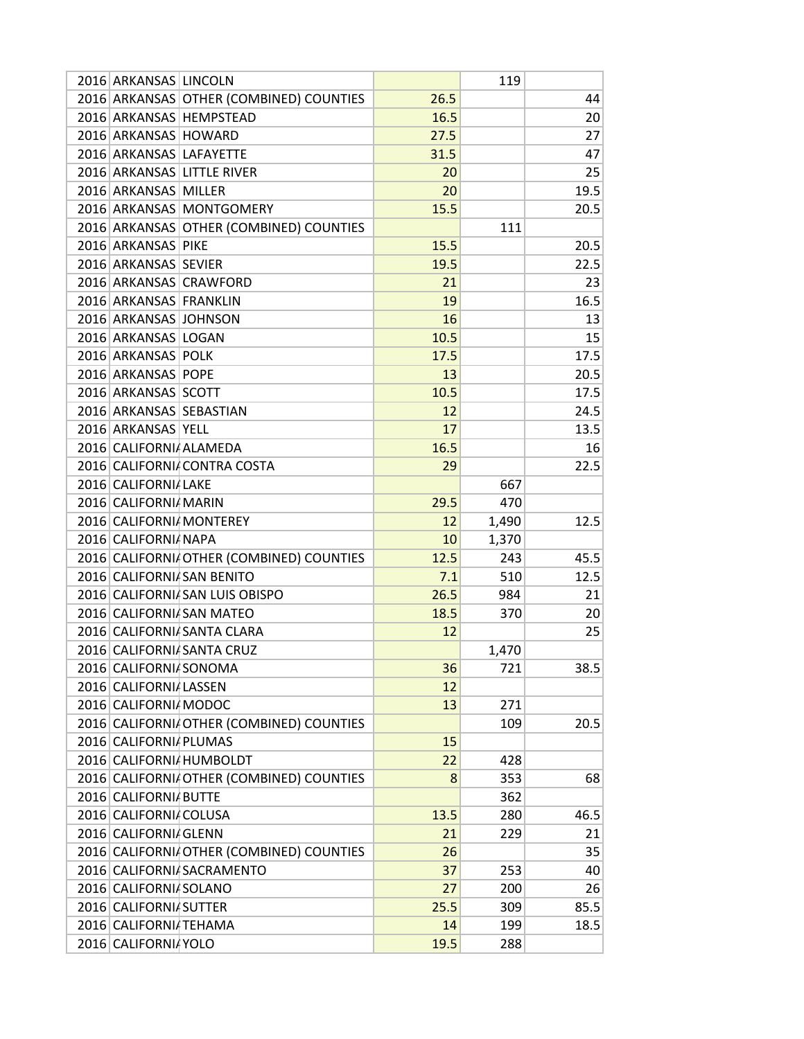| 2016 ARKANSAS LINCOLN       |                                          |      | 119   |      |
|-----------------------------|------------------------------------------|------|-------|------|
|                             | 2016 ARKANSAS OTHER (COMBINED) COUNTIES  | 26.5 |       | 44   |
| 2016 ARKANSAS HEMPSTEAD     |                                          | 16.5 |       | 20   |
| 2016 ARKANSAS HOWARD        |                                          | 27.5 |       | 27   |
| 2016 ARKANSAS LAFAYETTE     |                                          | 31.5 |       | 47   |
| 2016 ARKANSAS LITTLE RIVER  |                                          | 20   |       | 25   |
| 2016 ARKANSAS MILLER        |                                          | 20   |       | 19.5 |
| 2016 ARKANSAS MONTGOMERY    |                                          | 15.5 |       | 20.5 |
|                             | 2016 ARKANSAS OTHER (COMBINED) COUNTIES  |      | 111   |      |
| 2016 ARKANSAS PIKE          |                                          | 15.5 |       | 20.5 |
| 2016 ARKANSAS SEVIER        |                                          | 19.5 |       | 22.5 |
| 2016 ARKANSAS CRAWFORD      |                                          | 21   |       | 23   |
| 2016 ARKANSAS FRANKLIN      |                                          | 19   |       | 16.5 |
| 2016 ARKANSAS JOHNSON       |                                          | 16   |       | 13   |
| 2016 ARKANSAS LOGAN         |                                          | 10.5 |       | 15   |
| 2016 ARKANSAS POLK          |                                          | 17.5 |       | 17.5 |
| 2016 ARKANSAS POPE          |                                          | 13   |       | 20.5 |
| 2016 ARKANSAS SCOTT         |                                          | 10.5 |       | 17.5 |
| 2016 ARKANSAS SEBASTIAN     |                                          | 12   |       | 24.5 |
| 2016 ARKANSAS YELL          |                                          | 17   |       | 13.5 |
| 2016 CALIFORNIA ALAMEDA     |                                          | 16.5 |       | 16   |
| 2016 CALIFORNI CONTRA COSTA |                                          | 29   |       | 22.5 |
| 2016 CALIFORNIA LAKE        |                                          |      | 667   |      |
| 2016 CALIFORNI MARIN        |                                          | 29.5 | 470   |      |
| 2016 CALIFORNI MONTEREY     |                                          | 12   | 1,490 | 12.5 |
| 2016 CALIFORNIA NAPA        |                                          | 10   | 1,370 |      |
|                             | 2016 CALIFORNI OTHER (COMBINED) COUNTIES | 12.5 | 243   | 45.5 |
| 2016 CALIFORNI SAN BENITO   |                                          | 7.1  | 510   | 12.5 |
|                             | 2016 CALIFORNIA SAN LUIS OBISPO          | 26.5 | 984   | 21   |
| 2016 CALIFORNIA SAN MATEO   |                                          | 18.5 | 370   | 20   |
| 2016 CALIFORNI SANTA CLARA  |                                          | 12   |       | 25   |
| 2016 CALIFORNI SANTA CRUZ   |                                          |      |       |      |
| 2016 CALIFORNIA SONOMA      |                                          |      | 1,470 |      |
|                             |                                          | 36   | 721   | 38.5 |
| 2016 CALIFORNI LASSEN       |                                          | 12   |       |      |
| 2016 CALIFORNI MODOC        |                                          | 13   | 271   |      |
|                             | 2016 CALIFORNI OTHER (COMBINED) COUNTIES |      | 109   | 20.5 |
| 2016 CALIFORNIA PLUMAS      |                                          | 15   |       |      |
| 2016 CALIFORNI HUMBOLDT     |                                          | 22   | 428   |      |
|                             | 2016 CALIFORNI OTHER (COMBINED) COUNTIES | 8    | 353   | 68   |
| 2016 CALIFORNI BUTTE        |                                          |      | 362   |      |
| 2016 CALIFORNI COLUSA       |                                          | 13.5 | 280   | 46.5 |
| 2016 CALIFORNIA GLENN       |                                          | 21   | 229   | 21   |
|                             | 2016 CALIFORNI OTHER (COMBINED) COUNTIES | 26   |       | 35   |
| 2016 CALIFORNI SACRAMENTO   |                                          | 37   | 253   | 40   |
| 2016 CALIFORNIA SOLANO      |                                          | 27   | 200   | 26   |
| 2016 CALIFORNI SUTTER       |                                          | 25.5 | 309   | 85.5 |
| 2016 CALIFORNI TEHAMA       |                                          | 14   | 199   | 18.5 |
| 2016 CALIFORNI YOLO         |                                          | 19.5 | 288   |      |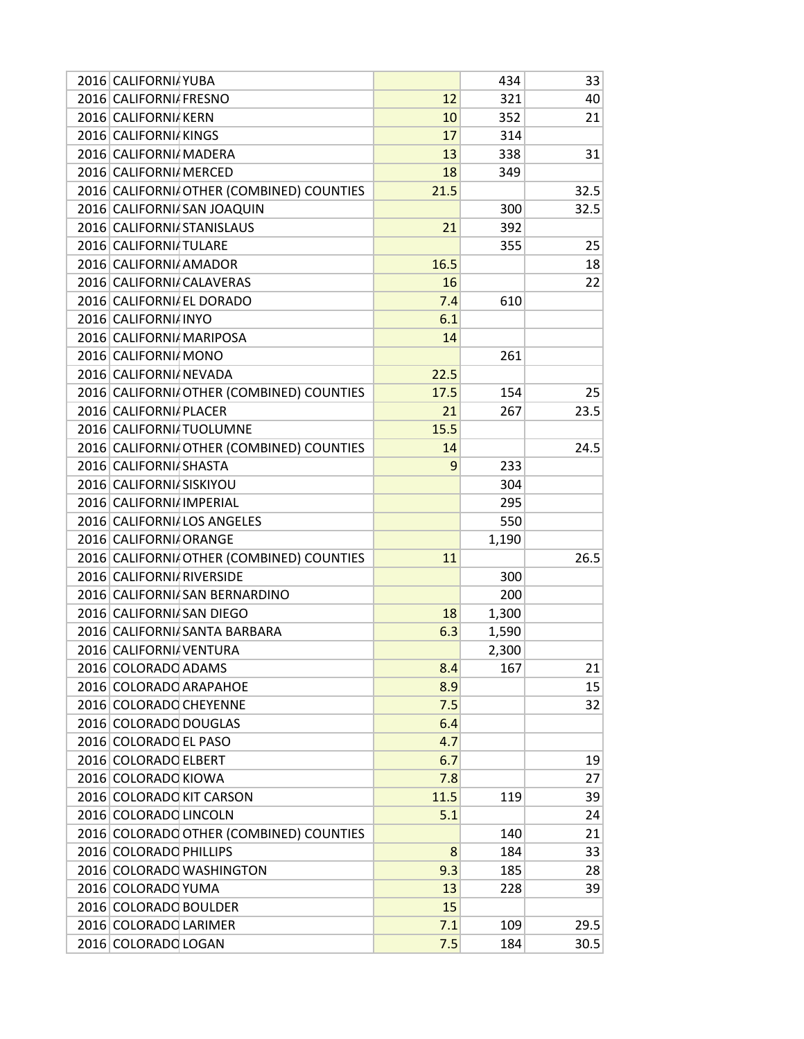| 2016 CALIFORNIA YUBA                     |      | 434   | 33   |
|------------------------------------------|------|-------|------|
| 2016 CALIFORNIA FRESNO                   | 12   | 321   | 40   |
| 2016 CALIFORNIA KERN                     | 10   | 352   | 21   |
| 2016 CALIFORNIA KINGS                    | 17   | 314   |      |
| 2016 CALIFORNI MADERA                    | 13   | 338   | 31   |
| 2016 CALIFORNIA MERCED                   | 18   | 349   |      |
| 2016 CALIFORNI OTHER (COMBINED) COUNTIES | 21.5 |       | 32.5 |
| 2016 CALIFORNI SAN JOAQUIN               |      | 300   | 32.5 |
| 2016 CALIFORNIA STANISLAUS               | 21   | 392   |      |
| 2016 CALIFORNI TULARE                    |      | 355   | 25   |
| 2016 CALIFORNIA AMADOR                   | 16.5 |       | 18   |
| 2016 CALIFORNI CALAVERAS                 | 16   |       | 22   |
| 2016 CALIFORNIA EL DORADO                | 7.4  | 610   |      |
| 2016 CALIFORNI INYO                      | 6.1  |       |      |
| 2016 CALIFORNI MARIPOSA                  | 14   |       |      |
| 2016 CALIFORNIA MONO                     |      | 261   |      |
| 2016 CALIFORNIA NEVADA                   | 22.5 |       |      |
| 2016 CALIFORNI OTHER (COMBINED) COUNTIES | 17.5 | 154   | 25   |
| 2016 CALIFORNIA PLACER                   | 21   | 267   | 23.5 |
| 2016 CALIFORNI TUOLUMNE                  | 15.5 |       |      |
| 2016 CALIFORNI OTHER (COMBINED) COUNTIES | 14   |       | 24.5 |
| 2016 CALIFORNIA SHASTA                   | 9    | 233   |      |
| 2016 CALIFORNIA SISKIYOU                 |      | 304   |      |
| 2016 CALIFORNI IMPERIAL                  |      | 295   |      |
| 2016 CALIFORNIALOS ANGELES               |      | 550   |      |
| 2016 CALIFORNI ORANGE                    |      | 1,190 |      |
| 2016 CALIFORNI OTHER (COMBINED) COUNTIES | 11   |       | 26.5 |
| 2016 CALIFORNI RIVERSIDE                 |      | 300   |      |
| 2016 CALIFORNI SAN BERNARDINO            |      | 200   |      |
| 2016 CALIFORNI SAN DIEGO                 | 18   | 1,300 |      |
| 2016 CALIFORNI SANTA BARBARA             | 6.3  | 1,590 |      |
| 2016 CALIFORNIA VENTURA                  |      | 2,300 |      |
| 2016 COLORADO ADAMS                      | 8.4  | 167   | 21   |
| 2016 COLORADO ARAPAHOE                   | 8.9  |       | 15   |
| 2016 COLORADO CHEYENNE                   | 7.5  |       | 32   |
| 2016 COLORADO DOUGLAS                    | 6.4  |       |      |
| 2016 COLORADO EL PASO                    | 4.7  |       |      |
| 2016 COLORADO ELBERT                     | 6.7  |       | 19   |
| 2016 COLORADO KIOWA                      | 7.8  |       | 27   |
| 2016 COLORADO KIT CARSON                 | 11.5 | 119   | 39   |
| 2016 COLORADO LINCOLN                    | 5.1  |       | 24   |
| 2016 COLORADO OTHER (COMBINED) COUNTIES  |      | 140   | 21   |
| 2016 COLORADO PHILLIPS                   | 8    | 184   | 33   |
| 2016 COLORADO WASHINGTON                 | 9.3  | 185   | 28   |
| 2016 COLORADO YUMA                       | 13   | 228   | 39   |
| 2016 COLORADO BOULDER                    | 15   |       |      |
| 2016 COLORADO LARIMER                    | 7.1  | 109   | 29.5 |
| 2016 COLORADO LOGAN                      | 7.5  | 184   | 30.5 |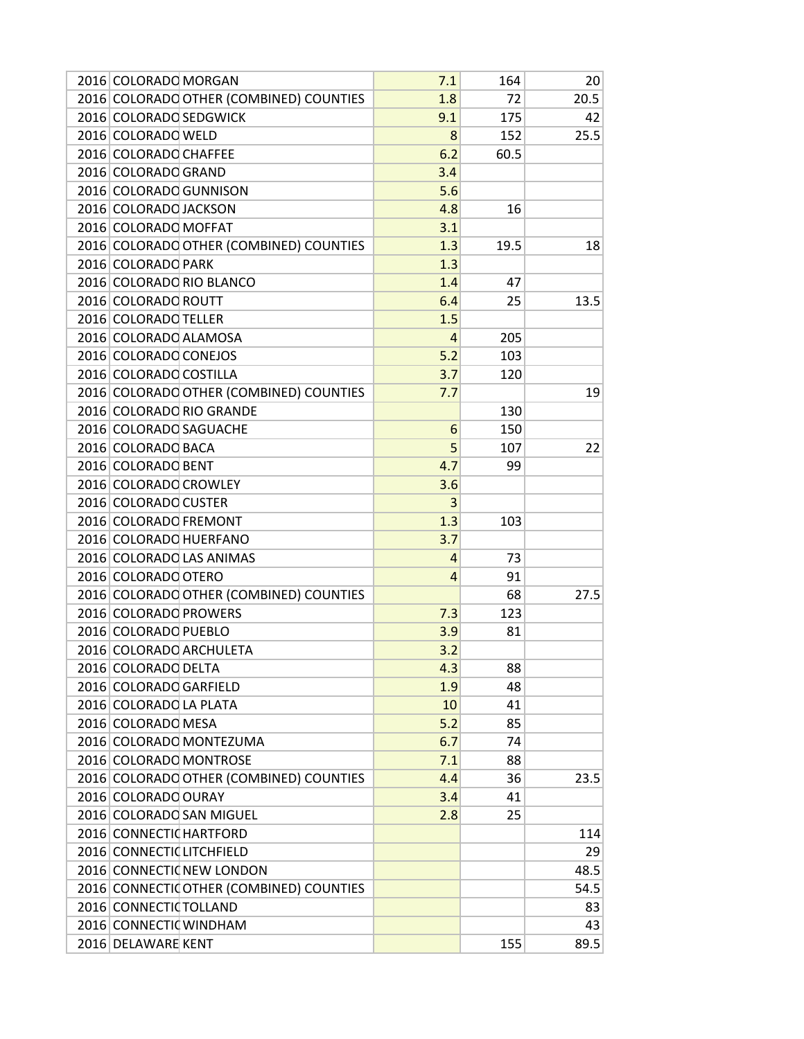| 2016 COLORADO OTHER (COMBINED) COUNTIES<br>72<br>20.5<br>1.8<br>2016 COLORADO SEDGWICK<br>9.1<br>175<br>42<br>2016 COLORADO WELD<br>25.5<br>8<br>152<br>2016 COLORADO CHAFFEE<br>6.2<br>60.5<br>2016 COLORADO GRAND<br>3.4<br>2016 COLORADO GUNNISON<br>5.6<br>2016 COLORADO JACKSON<br>4.8<br>16<br>2016 COLORADO MOFFAT<br>3.1<br>2016 COLORADO OTHER (COMBINED) COUNTIES<br>1.3<br>19.5<br>18<br>2016 COLORADO PARK<br>1.3<br>2016 COLORADO RIO BLANCO<br>1.4<br>47<br>2016 COLORADO ROUTT<br>13.5<br>6.4<br>25<br>2016 COLORADO TELLER<br>1.5<br>2016 COLORADO ALAMOSA<br>$\overline{4}$<br>205<br>2016 COLORADO CONEJOS<br>5.2<br>103<br>2016 COLORADO COSTILLA<br>3.7<br>120<br>2016 COLORADO OTHER (COMBINED) COUNTIES<br>19<br>7.7<br>2016 COLORADO RIO GRANDE<br>130<br>2016 COLORADO SAGUACHE<br>150<br>6<br>5<br>2016 COLORADO BACA<br>107<br>22<br>2016 COLORADO BENT<br>4.7<br>99<br>2016 COLORADO CROWLEY<br>3.6<br>2016 COLORADO CUSTER<br>3<br>2016 COLORADO FREMONT<br>1.3<br>103<br>2016 COLORADO HUERFANO<br>3.7<br>2016 COLORADO LAS ANIMAS<br>4<br>73<br>2016 COLORADO OTERO<br>91<br>4<br>2016 COLORADO OTHER (COMBINED) COUNTIES<br>68<br>27.5<br>2016 COLORADO PROWERS<br>7.3<br>123<br>2016 COLORADO PUEBLO<br>3.9<br>81<br>2016 COLORADO ARCHULETA<br>3.2<br>2016 COLORADO DELTA<br>4.3<br>88<br>2016 COLORADO GARFIELD<br>48<br>1.9<br>2016 COLORADO LA PLATA<br>10<br>41<br>5.2<br>2016 COLORADO MESA<br>85<br>2016 COLORADO MONTEZUMA<br>74<br>6.7<br>2016 COLORADO MONTROSE<br>7.1<br>88<br>2016 COLORADO OTHER (COMBINED) COUNTIES<br>23.5<br>4.4<br>36<br>2016 COLORADO OURAY<br>41<br>3.4<br>2016 COLORADO SAN MIGUEL<br>2.8<br>25<br>2016 CONNECTION HARTFORD<br>114<br>2016 CONNECTIC LITCHFIELD<br>29<br>2016 CONNECTIONER LONDON<br>48.5<br>2016 CONNECTIO OTHER (COMBINED) COUNTIES<br>54.5<br>2016 CONNECTIO TOLLAND<br>83<br>2016 CONNECTIO WINDHAM<br>43<br>155<br>89.5<br>2016 DELAWARE KENT | 2016 COLORADO MORGAN | 7.1 | 164 | 20 |
|----------------------------------------------------------------------------------------------------------------------------------------------------------------------------------------------------------------------------------------------------------------------------------------------------------------------------------------------------------------------------------------------------------------------------------------------------------------------------------------------------------------------------------------------------------------------------------------------------------------------------------------------------------------------------------------------------------------------------------------------------------------------------------------------------------------------------------------------------------------------------------------------------------------------------------------------------------------------------------------------------------------------------------------------------------------------------------------------------------------------------------------------------------------------------------------------------------------------------------------------------------------------------------------------------------------------------------------------------------------------------------------------------------------------------------------------------------------------------------------------------------------------------------------------------------------------------------------------------------------------------------------------------------------------------------------------------------------------------------------------------------------------------------------------------------------------------------------------------------------------------------------------------------------------------------------|----------------------|-----|-----|----|
|                                                                                                                                                                                                                                                                                                                                                                                                                                                                                                                                                                                                                                                                                                                                                                                                                                                                                                                                                                                                                                                                                                                                                                                                                                                                                                                                                                                                                                                                                                                                                                                                                                                                                                                                                                                                                                                                                                                                        |                      |     |     |    |
|                                                                                                                                                                                                                                                                                                                                                                                                                                                                                                                                                                                                                                                                                                                                                                                                                                                                                                                                                                                                                                                                                                                                                                                                                                                                                                                                                                                                                                                                                                                                                                                                                                                                                                                                                                                                                                                                                                                                        |                      |     |     |    |
|                                                                                                                                                                                                                                                                                                                                                                                                                                                                                                                                                                                                                                                                                                                                                                                                                                                                                                                                                                                                                                                                                                                                                                                                                                                                                                                                                                                                                                                                                                                                                                                                                                                                                                                                                                                                                                                                                                                                        |                      |     |     |    |
|                                                                                                                                                                                                                                                                                                                                                                                                                                                                                                                                                                                                                                                                                                                                                                                                                                                                                                                                                                                                                                                                                                                                                                                                                                                                                                                                                                                                                                                                                                                                                                                                                                                                                                                                                                                                                                                                                                                                        |                      |     |     |    |
|                                                                                                                                                                                                                                                                                                                                                                                                                                                                                                                                                                                                                                                                                                                                                                                                                                                                                                                                                                                                                                                                                                                                                                                                                                                                                                                                                                                                                                                                                                                                                                                                                                                                                                                                                                                                                                                                                                                                        |                      |     |     |    |
|                                                                                                                                                                                                                                                                                                                                                                                                                                                                                                                                                                                                                                                                                                                                                                                                                                                                                                                                                                                                                                                                                                                                                                                                                                                                                                                                                                                                                                                                                                                                                                                                                                                                                                                                                                                                                                                                                                                                        |                      |     |     |    |
|                                                                                                                                                                                                                                                                                                                                                                                                                                                                                                                                                                                                                                                                                                                                                                                                                                                                                                                                                                                                                                                                                                                                                                                                                                                                                                                                                                                                                                                                                                                                                                                                                                                                                                                                                                                                                                                                                                                                        |                      |     |     |    |
|                                                                                                                                                                                                                                                                                                                                                                                                                                                                                                                                                                                                                                                                                                                                                                                                                                                                                                                                                                                                                                                                                                                                                                                                                                                                                                                                                                                                                                                                                                                                                                                                                                                                                                                                                                                                                                                                                                                                        |                      |     |     |    |
|                                                                                                                                                                                                                                                                                                                                                                                                                                                                                                                                                                                                                                                                                                                                                                                                                                                                                                                                                                                                                                                                                                                                                                                                                                                                                                                                                                                                                                                                                                                                                                                                                                                                                                                                                                                                                                                                                                                                        |                      |     |     |    |
|                                                                                                                                                                                                                                                                                                                                                                                                                                                                                                                                                                                                                                                                                                                                                                                                                                                                                                                                                                                                                                                                                                                                                                                                                                                                                                                                                                                                                                                                                                                                                                                                                                                                                                                                                                                                                                                                                                                                        |                      |     |     |    |
|                                                                                                                                                                                                                                                                                                                                                                                                                                                                                                                                                                                                                                                                                                                                                                                                                                                                                                                                                                                                                                                                                                                                                                                                                                                                                                                                                                                                                                                                                                                                                                                                                                                                                                                                                                                                                                                                                                                                        |                      |     |     |    |
|                                                                                                                                                                                                                                                                                                                                                                                                                                                                                                                                                                                                                                                                                                                                                                                                                                                                                                                                                                                                                                                                                                                                                                                                                                                                                                                                                                                                                                                                                                                                                                                                                                                                                                                                                                                                                                                                                                                                        |                      |     |     |    |
|                                                                                                                                                                                                                                                                                                                                                                                                                                                                                                                                                                                                                                                                                                                                                                                                                                                                                                                                                                                                                                                                                                                                                                                                                                                                                                                                                                                                                                                                                                                                                                                                                                                                                                                                                                                                                                                                                                                                        |                      |     |     |    |
|                                                                                                                                                                                                                                                                                                                                                                                                                                                                                                                                                                                                                                                                                                                                                                                                                                                                                                                                                                                                                                                                                                                                                                                                                                                                                                                                                                                                                                                                                                                                                                                                                                                                                                                                                                                                                                                                                                                                        |                      |     |     |    |
|                                                                                                                                                                                                                                                                                                                                                                                                                                                                                                                                                                                                                                                                                                                                                                                                                                                                                                                                                                                                                                                                                                                                                                                                                                                                                                                                                                                                                                                                                                                                                                                                                                                                                                                                                                                                                                                                                                                                        |                      |     |     |    |
|                                                                                                                                                                                                                                                                                                                                                                                                                                                                                                                                                                                                                                                                                                                                                                                                                                                                                                                                                                                                                                                                                                                                                                                                                                                                                                                                                                                                                                                                                                                                                                                                                                                                                                                                                                                                                                                                                                                                        |                      |     |     |    |
|                                                                                                                                                                                                                                                                                                                                                                                                                                                                                                                                                                                                                                                                                                                                                                                                                                                                                                                                                                                                                                                                                                                                                                                                                                                                                                                                                                                                                                                                                                                                                                                                                                                                                                                                                                                                                                                                                                                                        |                      |     |     |    |
|                                                                                                                                                                                                                                                                                                                                                                                                                                                                                                                                                                                                                                                                                                                                                                                                                                                                                                                                                                                                                                                                                                                                                                                                                                                                                                                                                                                                                                                                                                                                                                                                                                                                                                                                                                                                                                                                                                                                        |                      |     |     |    |
|                                                                                                                                                                                                                                                                                                                                                                                                                                                                                                                                                                                                                                                                                                                                                                                                                                                                                                                                                                                                                                                                                                                                                                                                                                                                                                                                                                                                                                                                                                                                                                                                                                                                                                                                                                                                                                                                                                                                        |                      |     |     |    |
|                                                                                                                                                                                                                                                                                                                                                                                                                                                                                                                                                                                                                                                                                                                                                                                                                                                                                                                                                                                                                                                                                                                                                                                                                                                                                                                                                                                                                                                                                                                                                                                                                                                                                                                                                                                                                                                                                                                                        |                      |     |     |    |
|                                                                                                                                                                                                                                                                                                                                                                                                                                                                                                                                                                                                                                                                                                                                                                                                                                                                                                                                                                                                                                                                                                                                                                                                                                                                                                                                                                                                                                                                                                                                                                                                                                                                                                                                                                                                                                                                                                                                        |                      |     |     |    |
|                                                                                                                                                                                                                                                                                                                                                                                                                                                                                                                                                                                                                                                                                                                                                                                                                                                                                                                                                                                                                                                                                                                                                                                                                                                                                                                                                                                                                                                                                                                                                                                                                                                                                                                                                                                                                                                                                                                                        |                      |     |     |    |
|                                                                                                                                                                                                                                                                                                                                                                                                                                                                                                                                                                                                                                                                                                                                                                                                                                                                                                                                                                                                                                                                                                                                                                                                                                                                                                                                                                                                                                                                                                                                                                                                                                                                                                                                                                                                                                                                                                                                        |                      |     |     |    |
|                                                                                                                                                                                                                                                                                                                                                                                                                                                                                                                                                                                                                                                                                                                                                                                                                                                                                                                                                                                                                                                                                                                                                                                                                                                                                                                                                                                                                                                                                                                                                                                                                                                                                                                                                                                                                                                                                                                                        |                      |     |     |    |
|                                                                                                                                                                                                                                                                                                                                                                                                                                                                                                                                                                                                                                                                                                                                                                                                                                                                                                                                                                                                                                                                                                                                                                                                                                                                                                                                                                                                                                                                                                                                                                                                                                                                                                                                                                                                                                                                                                                                        |                      |     |     |    |
|                                                                                                                                                                                                                                                                                                                                                                                                                                                                                                                                                                                                                                                                                                                                                                                                                                                                                                                                                                                                                                                                                                                                                                                                                                                                                                                                                                                                                                                                                                                                                                                                                                                                                                                                                                                                                                                                                                                                        |                      |     |     |    |
|                                                                                                                                                                                                                                                                                                                                                                                                                                                                                                                                                                                                                                                                                                                                                                                                                                                                                                                                                                                                                                                                                                                                                                                                                                                                                                                                                                                                                                                                                                                                                                                                                                                                                                                                                                                                                                                                                                                                        |                      |     |     |    |
|                                                                                                                                                                                                                                                                                                                                                                                                                                                                                                                                                                                                                                                                                                                                                                                                                                                                                                                                                                                                                                                                                                                                                                                                                                                                                                                                                                                                                                                                                                                                                                                                                                                                                                                                                                                                                                                                                                                                        |                      |     |     |    |
|                                                                                                                                                                                                                                                                                                                                                                                                                                                                                                                                                                                                                                                                                                                                                                                                                                                                                                                                                                                                                                                                                                                                                                                                                                                                                                                                                                                                                                                                                                                                                                                                                                                                                                                                                                                                                                                                                                                                        |                      |     |     |    |
|                                                                                                                                                                                                                                                                                                                                                                                                                                                                                                                                                                                                                                                                                                                                                                                                                                                                                                                                                                                                                                                                                                                                                                                                                                                                                                                                                                                                                                                                                                                                                                                                                                                                                                                                                                                                                                                                                                                                        |                      |     |     |    |
|                                                                                                                                                                                                                                                                                                                                                                                                                                                                                                                                                                                                                                                                                                                                                                                                                                                                                                                                                                                                                                                                                                                                                                                                                                                                                                                                                                                                                                                                                                                                                                                                                                                                                                                                                                                                                                                                                                                                        |                      |     |     |    |
|                                                                                                                                                                                                                                                                                                                                                                                                                                                                                                                                                                                                                                                                                                                                                                                                                                                                                                                                                                                                                                                                                                                                                                                                                                                                                                                                                                                                                                                                                                                                                                                                                                                                                                                                                                                                                                                                                                                                        |                      |     |     |    |
|                                                                                                                                                                                                                                                                                                                                                                                                                                                                                                                                                                                                                                                                                                                                                                                                                                                                                                                                                                                                                                                                                                                                                                                                                                                                                                                                                                                                                                                                                                                                                                                                                                                                                                                                                                                                                                                                                                                                        |                      |     |     |    |
|                                                                                                                                                                                                                                                                                                                                                                                                                                                                                                                                                                                                                                                                                                                                                                                                                                                                                                                                                                                                                                                                                                                                                                                                                                                                                                                                                                                                                                                                                                                                                                                                                                                                                                                                                                                                                                                                                                                                        |                      |     |     |    |
|                                                                                                                                                                                                                                                                                                                                                                                                                                                                                                                                                                                                                                                                                                                                                                                                                                                                                                                                                                                                                                                                                                                                                                                                                                                                                                                                                                                                                                                                                                                                                                                                                                                                                                                                                                                                                                                                                                                                        |                      |     |     |    |
|                                                                                                                                                                                                                                                                                                                                                                                                                                                                                                                                                                                                                                                                                                                                                                                                                                                                                                                                                                                                                                                                                                                                                                                                                                                                                                                                                                                                                                                                                                                                                                                                                                                                                                                                                                                                                                                                                                                                        |                      |     |     |    |
|                                                                                                                                                                                                                                                                                                                                                                                                                                                                                                                                                                                                                                                                                                                                                                                                                                                                                                                                                                                                                                                                                                                                                                                                                                                                                                                                                                                                                                                                                                                                                                                                                                                                                                                                                                                                                                                                                                                                        |                      |     |     |    |
|                                                                                                                                                                                                                                                                                                                                                                                                                                                                                                                                                                                                                                                                                                                                                                                                                                                                                                                                                                                                                                                                                                                                                                                                                                                                                                                                                                                                                                                                                                                                                                                                                                                                                                                                                                                                                                                                                                                                        |                      |     |     |    |
|                                                                                                                                                                                                                                                                                                                                                                                                                                                                                                                                                                                                                                                                                                                                                                                                                                                                                                                                                                                                                                                                                                                                                                                                                                                                                                                                                                                                                                                                                                                                                                                                                                                                                                                                                                                                                                                                                                                                        |                      |     |     |    |
|                                                                                                                                                                                                                                                                                                                                                                                                                                                                                                                                                                                                                                                                                                                                                                                                                                                                                                                                                                                                                                                                                                                                                                                                                                                                                                                                                                                                                                                                                                                                                                                                                                                                                                                                                                                                                                                                                                                                        |                      |     |     |    |
|                                                                                                                                                                                                                                                                                                                                                                                                                                                                                                                                                                                                                                                                                                                                                                                                                                                                                                                                                                                                                                                                                                                                                                                                                                                                                                                                                                                                                                                                                                                                                                                                                                                                                                                                                                                                                                                                                                                                        |                      |     |     |    |
|                                                                                                                                                                                                                                                                                                                                                                                                                                                                                                                                                                                                                                                                                                                                                                                                                                                                                                                                                                                                                                                                                                                                                                                                                                                                                                                                                                                                                                                                                                                                                                                                                                                                                                                                                                                                                                                                                                                                        |                      |     |     |    |
|                                                                                                                                                                                                                                                                                                                                                                                                                                                                                                                                                                                                                                                                                                                                                                                                                                                                                                                                                                                                                                                                                                                                                                                                                                                                                                                                                                                                                                                                                                                                                                                                                                                                                                                                                                                                                                                                                                                                        |                      |     |     |    |
|                                                                                                                                                                                                                                                                                                                                                                                                                                                                                                                                                                                                                                                                                                                                                                                                                                                                                                                                                                                                                                                                                                                                                                                                                                                                                                                                                                                                                                                                                                                                                                                                                                                                                                                                                                                                                                                                                                                                        |                      |     |     |    |
|                                                                                                                                                                                                                                                                                                                                                                                                                                                                                                                                                                                                                                                                                                                                                                                                                                                                                                                                                                                                                                                                                                                                                                                                                                                                                                                                                                                                                                                                                                                                                                                                                                                                                                                                                                                                                                                                                                                                        |                      |     |     |    |
|                                                                                                                                                                                                                                                                                                                                                                                                                                                                                                                                                                                                                                                                                                                                                                                                                                                                                                                                                                                                                                                                                                                                                                                                                                                                                                                                                                                                                                                                                                                                                                                                                                                                                                                                                                                                                                                                                                                                        |                      |     |     |    |
|                                                                                                                                                                                                                                                                                                                                                                                                                                                                                                                                                                                                                                                                                                                                                                                                                                                                                                                                                                                                                                                                                                                                                                                                                                                                                                                                                                                                                                                                                                                                                                                                                                                                                                                                                                                                                                                                                                                                        |                      |     |     |    |
|                                                                                                                                                                                                                                                                                                                                                                                                                                                                                                                                                                                                                                                                                                                                                                                                                                                                                                                                                                                                                                                                                                                                                                                                                                                                                                                                                                                                                                                                                                                                                                                                                                                                                                                                                                                                                                                                                                                                        |                      |     |     |    |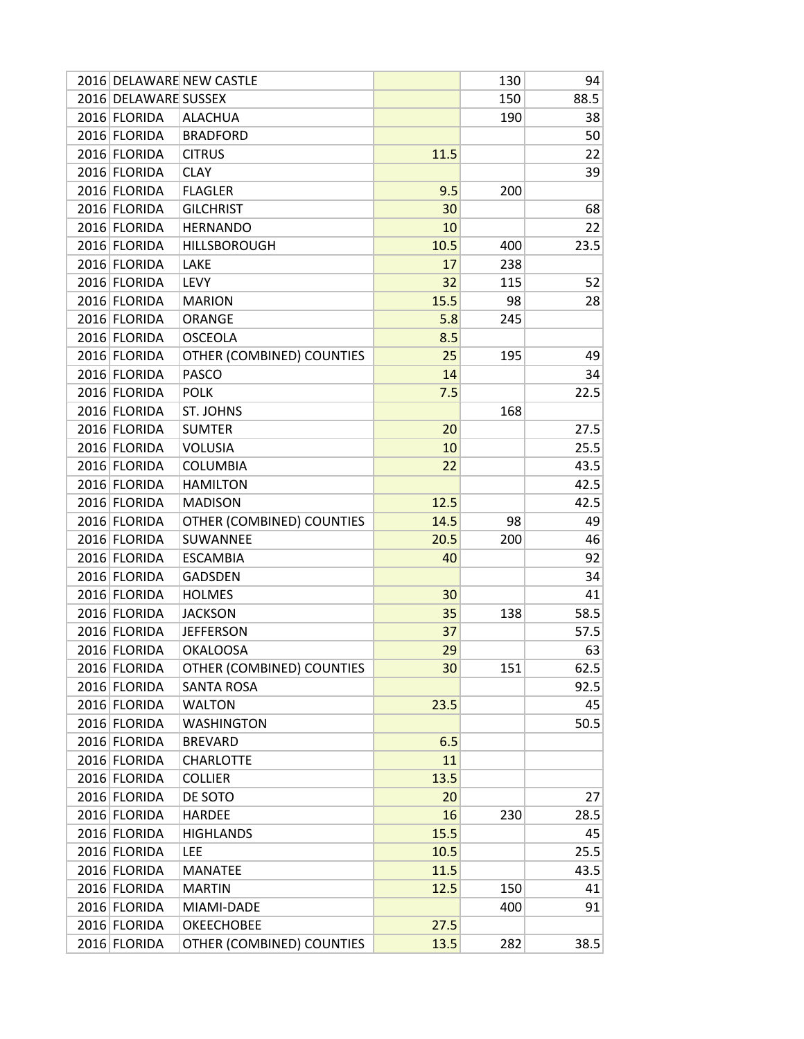|                      | 2016 DELAWARE NEW CASTLE  |      | 130 | 94   |
|----------------------|---------------------------|------|-----|------|
| 2016 DELAWARE SUSSEX |                           |      | 150 | 88.5 |
| 2016 FLORIDA         | <b>ALACHUA</b>            |      | 190 | 38   |
| 2016 FLORIDA         | <b>BRADFORD</b>           |      |     | 50   |
| 2016 FLORIDA         | <b>CITRUS</b>             | 11.5 |     | 22   |
| 2016 FLORIDA         | <b>CLAY</b>               |      |     | 39   |
| 2016 FLORIDA         | <b>FLAGLER</b>            | 9.5  | 200 |      |
| 2016 FLORIDA         | <b>GILCHRIST</b>          | 30   |     | 68   |
| 2016 FLORIDA         | <b>HERNANDO</b>           | 10   |     | 22   |
| 2016 FLORIDA         | <b>HILLSBOROUGH</b>       | 10.5 | 400 | 23.5 |
| 2016 FLORIDA         | LAKE                      | 17   | 238 |      |
| 2016 FLORIDA         | <b>LEVY</b>               | 32   | 115 | 52   |
| 2016 FLORIDA         | <b>MARION</b>             | 15.5 | 98  | 28   |
| 2016 FLORIDA         | ORANGE                    | 5.8  | 245 |      |
| 2016 FLORIDA         | <b>OSCEOLA</b>            | 8.5  |     |      |
| 2016 FLORIDA         | OTHER (COMBINED) COUNTIES | 25   | 195 | 49   |
| 2016 FLORIDA         | PASCO                     | 14   |     | 34   |
| 2016 FLORIDA         | <b>POLK</b>               | 7.5  |     | 22.5 |
| 2016 FLORIDA         | ST. JOHNS                 |      | 168 |      |
| 2016 FLORIDA         | <b>SUMTER</b>             | 20   |     | 27.5 |
| 2016 FLORIDA         | <b>VOLUSIA</b>            | 10   |     | 25.5 |
| 2016 FLORIDA         | <b>COLUMBIA</b>           | 22   |     | 43.5 |
| 2016 FLORIDA         | <b>HAMILTON</b>           |      |     | 42.5 |
| 2016 FLORIDA         | <b>MADISON</b>            | 12.5 |     | 42.5 |
| 2016 FLORIDA         | OTHER (COMBINED) COUNTIES | 14.5 | 98  | 49   |
| 2016 FLORIDA         | SUWANNEE                  | 20.5 | 200 | 46   |
| 2016 FLORIDA         | <b>ESCAMBIA</b>           | 40   |     | 92   |
| 2016 FLORIDA         | <b>GADSDEN</b>            |      |     | 34   |
| 2016 FLORIDA         | <b>HOLMES</b>             | 30   |     | 41   |
| 2016 FLORIDA         | <b>JACKSON</b>            | 35   | 138 | 58.5 |
| 2016 FLORIDA         | <b>JEFFERSON</b>          | 37   |     | 57.5 |
| 2016 FLORIDA         | <b>OKALOOSA</b>           | 29   |     | 63   |
| 2016 FLORIDA         | OTHER (COMBINED) COUNTIES | 30   | 151 | 62.5 |
| 2016 FLORIDA         | <b>SANTA ROSA</b>         |      |     | 92.5 |
| 2016 FLORIDA         | <b>WALTON</b>             | 23.5 |     | 45   |
| 2016 FLORIDA         | <b>WASHINGTON</b>         |      |     | 50.5 |
| 2016 FLORIDA         | <b>BREVARD</b>            | 6.5  |     |      |
| 2016 FLORIDA         | <b>CHARLOTTE</b>          | 11   |     |      |
| 2016 FLORIDA         | <b>COLLIER</b>            | 13.5 |     |      |
| 2016 FLORIDA         | DE SOTO                   | 20   |     | 27   |
| 2016 FLORIDA         | <b>HARDEE</b>             | 16   | 230 | 28.5 |
| 2016 FLORIDA         | <b>HIGHLANDS</b>          | 15.5 |     | 45   |
| 2016 FLORIDA         | LEE                       | 10.5 |     | 25.5 |
| 2016 FLORIDA         | <b>MANATEE</b>            | 11.5 |     | 43.5 |
| 2016 FLORIDA         | <b>MARTIN</b>             | 12.5 | 150 | 41   |
| 2016 FLORIDA         | MIAMI-DADE                |      | 400 | 91   |
| 2016 FLORIDA         | <b>OKEECHOBEE</b>         | 27.5 |     |      |
| 2016 FLORIDA         | OTHER (COMBINED) COUNTIES | 13.5 | 282 | 38.5 |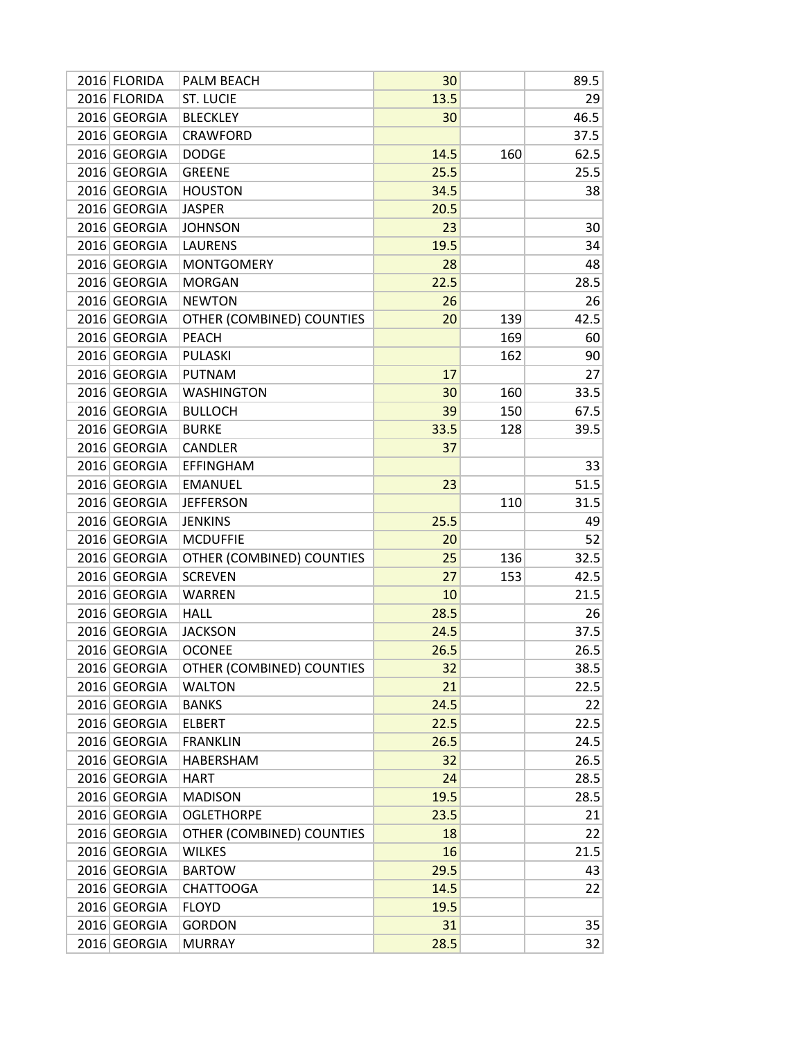| 2016 FLORIDA | PALM BEACH                | 30   |     | 89.5 |
|--------------|---------------------------|------|-----|------|
| 2016 FLORIDA | <b>ST. LUCIE</b>          | 13.5 |     | 29   |
| 2016 GEORGIA | <b>BLECKLEY</b>           | 30   |     | 46.5 |
| 2016 GEORGIA | <b>CRAWFORD</b>           |      |     | 37.5 |
| 2016 GEORGIA | <b>DODGE</b>              | 14.5 | 160 | 62.5 |
| 2016 GEORGIA | <b>GREENE</b>             | 25.5 |     | 25.5 |
| 2016 GEORGIA | <b>HOUSTON</b>            | 34.5 |     | 38   |
| 2016 GEORGIA | <b>JASPER</b>             | 20.5 |     |      |
| 2016 GEORGIA | <b>JOHNSON</b>            | 23   |     | 30   |
| 2016 GEORGIA | <b>LAURENS</b>            | 19.5 |     | 34   |
| 2016 GEORGIA | <b>MONTGOMERY</b>         | 28   |     | 48   |
| 2016 GEORGIA | <b>MORGAN</b>             | 22.5 |     | 28.5 |
| 2016 GEORGIA | <b>NEWTON</b>             | 26   |     | 26   |
| 2016 GEORGIA | OTHER (COMBINED) COUNTIES | 20   | 139 | 42.5 |
| 2016 GEORGIA | <b>PEACH</b>              |      | 169 | 60   |
| 2016 GEORGIA | <b>PULASKI</b>            |      | 162 | 90   |
| 2016 GEORGIA | <b>PUTNAM</b>             | 17   |     | 27   |
| 2016 GEORGIA | <b>WASHINGTON</b>         | 30   | 160 | 33.5 |
| 2016 GEORGIA | <b>BULLOCH</b>            | 39   | 150 | 67.5 |
| 2016 GEORGIA | <b>BURKE</b>              | 33.5 | 128 | 39.5 |
| 2016 GEORGIA | <b>CANDLER</b>            | 37   |     |      |
| 2016 GEORGIA | <b>EFFINGHAM</b>          |      |     | 33   |
| 2016 GEORGIA | <b>EMANUEL</b>            | 23   |     | 51.5 |
| 2016 GEORGIA | <b>JEFFERSON</b>          |      | 110 | 31.5 |
| 2016 GEORGIA | <b>JENKINS</b>            | 25.5 |     | 49   |
| 2016 GEORGIA | <b>MCDUFFIE</b>           | 20   |     | 52   |
| 2016 GEORGIA | OTHER (COMBINED) COUNTIES | 25   | 136 | 32.5 |
| 2016 GEORGIA | <b>SCREVEN</b>            | 27   | 153 | 42.5 |
| 2016 GEORGIA | <b>WARREN</b>             | 10   |     | 21.5 |
| 2016 GEORGIA | <b>HALL</b>               | 28.5 |     | 26   |
| 2016 GEORGIA | <b>JACKSON</b>            | 24.5 |     | 37.5 |
| 2016 GEORGIA | <b>OCONEE</b>             | 26.5 |     | 26.5 |
| 2016 GEORGIA | OTHER (COMBINED) COUNTIES | 32   |     | 38.5 |
| 2016 GEORGIA | <b>WALTON</b>             | 21   |     | 22.5 |
| 2016 GEORGIA | <b>BANKS</b>              | 24.5 |     | 22   |
| 2016 GEORGIA | <b>ELBERT</b>             | 22.5 |     | 22.5 |
| 2016 GEORGIA | <b>FRANKLIN</b>           | 26.5 |     | 24.5 |
| 2016 GEORGIA | HABERSHAM                 | 32   |     | 26.5 |
| 2016 GEORGIA | <b>HART</b>               | 24   |     | 28.5 |
| 2016 GEORGIA | <b>MADISON</b>            | 19.5 |     | 28.5 |
| 2016 GEORGIA | <b>OGLETHORPE</b>         | 23.5 |     | 21   |
| 2016 GEORGIA | OTHER (COMBINED) COUNTIES | 18   |     | 22   |
| 2016 GEORGIA | <b>WILKES</b>             | 16   |     | 21.5 |
|              |                           |      |     |      |
| 2016 GEORGIA | <b>BARTOW</b>             | 29.5 |     | 43   |
| 2016 GEORGIA | <b>CHATTOOGA</b>          | 14.5 |     | 22   |
| 2016 GEORGIA | <b>FLOYD</b>              | 19.5 |     |      |
| 2016 GEORGIA | <b>GORDON</b>             | 31   |     | 35   |
| 2016 GEORGIA | <b>MURRAY</b>             | 28.5 |     | 32   |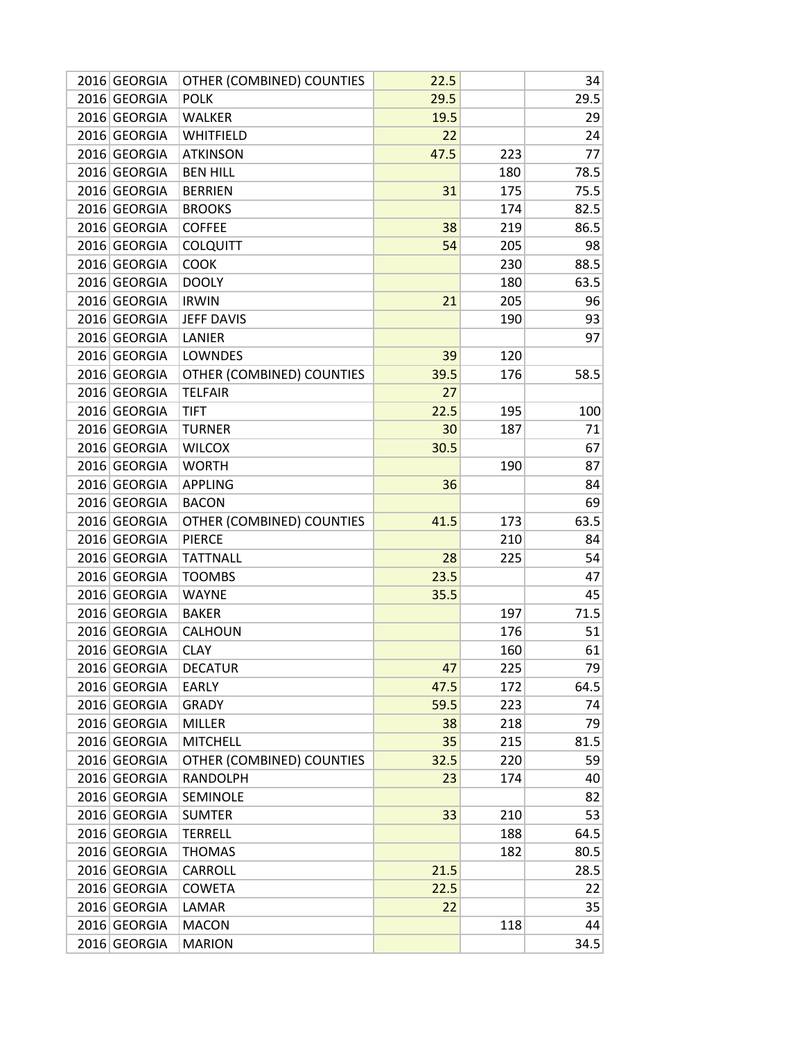| 2016 GEORGIA | OTHER (COMBINED) COUNTIES | 22.5 |     | 34   |
|--------------|---------------------------|------|-----|------|
| 2016 GEORGIA | <b>POLK</b>               | 29.5 |     | 29.5 |
| 2016 GEORGIA | WALKER                    | 19.5 |     | 29   |
| 2016 GEORGIA | WHITFIELD                 | 22   |     | 24   |
| 2016 GEORGIA | <b>ATKINSON</b>           | 47.5 | 223 | 77   |
| 2016 GEORGIA | <b>BEN HILL</b>           |      | 180 | 78.5 |
| 2016 GEORGIA | <b>BERRIEN</b>            | 31   | 175 | 75.5 |
| 2016 GEORGIA | <b>BROOKS</b>             |      | 174 | 82.5 |
| 2016 GEORGIA | <b>COFFEE</b>             | 38   | 219 | 86.5 |
| 2016 GEORGIA | <b>COLQUITT</b>           | 54   | 205 | 98   |
| 2016 GEORGIA | <b>COOK</b>               |      | 230 | 88.5 |
| 2016 GEORGIA | <b>DOOLY</b>              |      | 180 | 63.5 |
| 2016 GEORGIA | <b>IRWIN</b>              | 21   | 205 | 96   |
| 2016 GEORGIA | <b>JEFF DAVIS</b>         |      | 190 | 93   |
| 2016 GEORGIA | LANIER                    |      |     | 97   |
| 2016 GEORGIA | LOWNDES                   | 39   | 120 |      |
| 2016 GEORGIA | OTHER (COMBINED) COUNTIES | 39.5 | 176 | 58.5 |
| 2016 GEORGIA | <b>TELFAIR</b>            | 27   |     |      |
| 2016 GEORGIA | TIFT                      | 22.5 | 195 | 100  |
| 2016 GEORGIA | <b>TURNER</b>             | 30   | 187 | 71   |
| 2016 GEORGIA | <b>WILCOX</b>             | 30.5 |     | 67   |
| 2016 GEORGIA | <b>WORTH</b>              |      | 190 | 87   |
| 2016 GEORGIA | <b>APPLING</b>            | 36   |     | 84   |
| 2016 GEORGIA | <b>BACON</b>              |      |     | 69   |
| 2016 GEORGIA | OTHER (COMBINED) COUNTIES | 41.5 | 173 | 63.5 |
| 2016 GEORGIA | <b>PIERCE</b>             |      | 210 | 84   |
| 2016 GEORGIA | <b>TATTNALL</b>           | 28   | 225 | 54   |
| 2016 GEORGIA | <b>TOOMBS</b>             | 23.5 |     | 47   |
| 2016 GEORGIA | <b>WAYNE</b>              | 35.5 |     | 45   |
| 2016 GEORGIA | <b>BAKER</b>              |      | 197 | 71.5 |
| 2016 GEORGIA | CALHOUN                   |      | 176 | 51   |
| 2016 GEORGIA | <b>CLAY</b>               |      | 160 | 61   |
| 2016 GEORGIA | <b>DECATUR</b>            | 47   | 225 | 79   |
| 2016 GEORGIA | EARLY                     | 47.5 | 172 | 64.5 |
| 2016 GEORGIA | <b>GRADY</b>              | 59.5 | 223 | 74   |
| 2016 GEORGIA | <b>MILLER</b>             | 38   | 218 | 79   |
| 2016 GEORGIA | <b>MITCHELL</b>           | 35   | 215 | 81.5 |
| 2016 GEORGIA | OTHER (COMBINED) COUNTIES | 32.5 | 220 | 59   |
| 2016 GEORGIA | <b>RANDOLPH</b>           | 23   | 174 | 40   |
| 2016 GEORGIA | SEMINOLE                  |      |     | 82   |
| 2016 GEORGIA | <b>SUMTER</b>             | 33   | 210 | 53   |
| 2016 GEORGIA | <b>TERRELL</b>            |      | 188 | 64.5 |
| 2016 GEORGIA | <b>THOMAS</b>             |      | 182 | 80.5 |
| 2016 GEORGIA | CARROLL                   | 21.5 |     | 28.5 |
| 2016 GEORGIA | <b>COWETA</b>             | 22.5 |     | 22   |
| 2016 GEORGIA | LAMAR                     | 22   |     | 35   |
| 2016 GEORGIA | <b>MACON</b>              |      | 118 | 44   |
| 2016 GEORGIA | <b>MARION</b>             |      |     | 34.5 |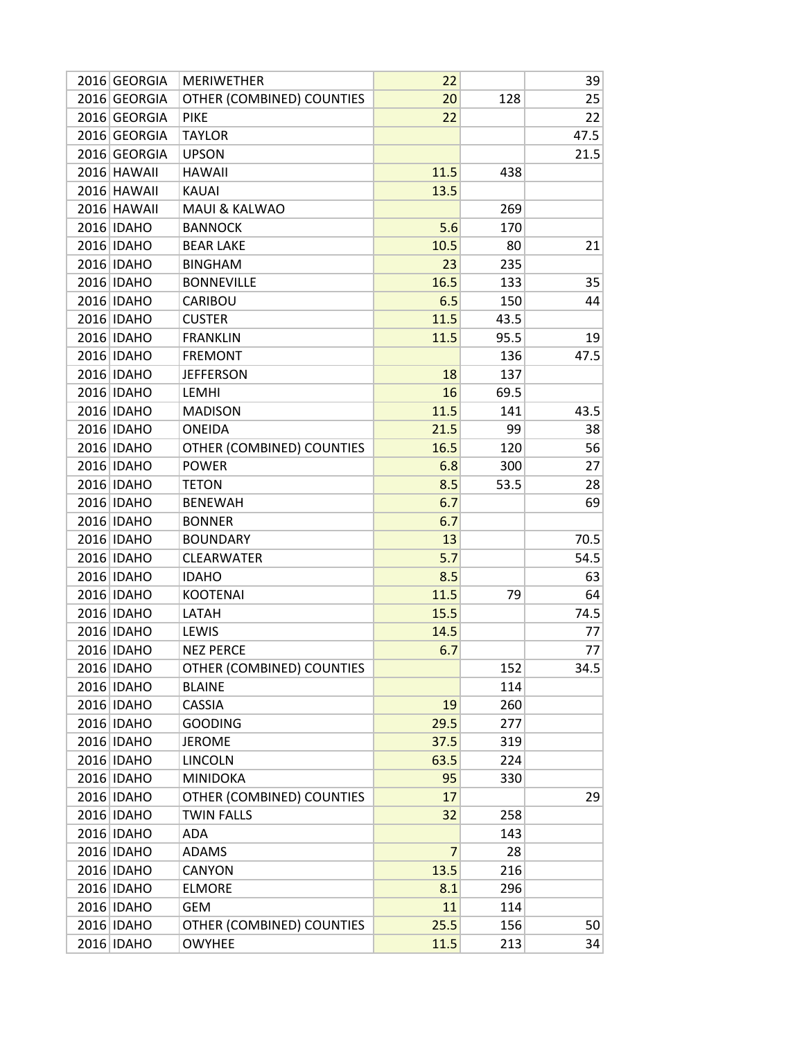| 2016 GEORGIA | <b>MERIWETHER</b>         | 22   |      | 39   |
|--------------|---------------------------|------|------|------|
| 2016 GEORGIA | OTHER (COMBINED) COUNTIES | 20   | 128  | 25   |
| 2016 GEORGIA | <b>PIKE</b>               | 22   |      | 22   |
| 2016 GEORGIA | <b>TAYLOR</b>             |      |      | 47.5 |
| 2016 GEORGIA | <b>UPSON</b>              |      |      | 21.5 |
| 2016 HAWAII  | <b>HAWAII</b>             | 11.5 | 438  |      |
| 2016 HAWAII  | <b>KAUAI</b>              | 13.5 |      |      |
| 2016 HAWAII  | <b>MAUI &amp; KALWAO</b>  |      | 269  |      |
| 2016 IDAHO   | <b>BANNOCK</b>            | 5.6  | 170  |      |
| 2016 IDAHO   | <b>BEAR LAKE</b>          | 10.5 | 80   | 21   |
| 2016 IDAHO   | <b>BINGHAM</b>            | 23   | 235  |      |
| 2016 IDAHO   | <b>BONNEVILLE</b>         | 16.5 | 133  | 35   |
| 2016 IDAHO   | CARIBOU                   | 6.5  | 150  | 44   |
| 2016 IDAHO   | <b>CUSTER</b>             | 11.5 | 43.5 |      |
| 2016 IDAHO   | <b>FRANKLIN</b>           | 11.5 | 95.5 | 19   |
| 2016 IDAHO   | <b>FREMONT</b>            |      | 136  | 47.5 |
| 2016 IDAHO   | <b>JEFFERSON</b>          | 18   | 137  |      |
| 2016 IDAHO   | <b>LEMHI</b>              | 16   | 69.5 |      |
| 2016 IDAHO   | <b>MADISON</b>            | 11.5 | 141  | 43.5 |
| 2016 IDAHO   | <b>ONEIDA</b>             | 21.5 | 99   | 38   |
| 2016 IDAHO   | OTHER (COMBINED) COUNTIES | 16.5 | 120  | 56   |
| 2016 IDAHO   | <b>POWER</b>              | 6.8  | 300  | 27   |
| 2016 IDAHO   | <b>TETON</b>              | 8.5  | 53.5 | 28   |
| 2016 IDAHO   | <b>BENEWAH</b>            | 6.7  |      | 69   |
| 2016 IDAHO   | <b>BONNER</b>             | 6.7  |      |      |
| 2016 IDAHO   | <b>BOUNDARY</b>           | 13   |      | 70.5 |
| 2016 IDAHO   | <b>CLEARWATER</b>         | 5.7  |      | 54.5 |
| 2016 IDAHO   | <b>IDAHO</b>              | 8.5  |      | 63   |
| 2016 IDAHO   | <b>KOOTENAI</b>           | 11.5 | 79   | 64   |
| 2016 IDAHO   | LATAH                     | 15.5 |      | 74.5 |
| 2016 IDAHO   | LEWIS                     | 14.5 |      | 77   |
| 2016 IDAHO   | <b>NEZ PERCE</b>          | 6.7  |      | 77   |
| 2016 IDAHO   | OTHER (COMBINED) COUNTIES |      | 152  | 34.5 |
| 2016 IDAHO   | <b>BLAINE</b>             |      | 114  |      |
| 2016 IDAHO   | CASSIA                    | 19   | 260  |      |
| 2016 IDAHO   | <b>GOODING</b>            | 29.5 | 277  |      |
| 2016 IDAHO   | <b>JEROME</b>             | 37.5 | 319  |      |
| 2016 IDAHO   | <b>LINCOLN</b>            | 63.5 | 224  |      |
| 2016 IDAHO   | <b>MINIDOKA</b>           | 95   | 330  |      |
| 2016 IDAHO   | OTHER (COMBINED) COUNTIES | 17   |      | 29   |
| 2016 IDAHO   | <b>TWIN FALLS</b>         | 32   | 258  |      |
| 2016 IDAHO   | ADA                       |      | 143  |      |
| 2016 IDAHO   | ADAMS                     | 7    | 28   |      |
| 2016 IDAHO   | <b>CANYON</b>             | 13.5 | 216  |      |
| 2016 IDAHO   | <b>ELMORE</b>             | 8.1  | 296  |      |
| 2016 IDAHO   | <b>GEM</b>                | 11   | 114  |      |
| 2016 IDAHO   | OTHER (COMBINED) COUNTIES | 25.5 | 156  | 50   |
| 2016 IDAHO   | <b>OWYHEE</b>             | 11.5 | 213  | 34   |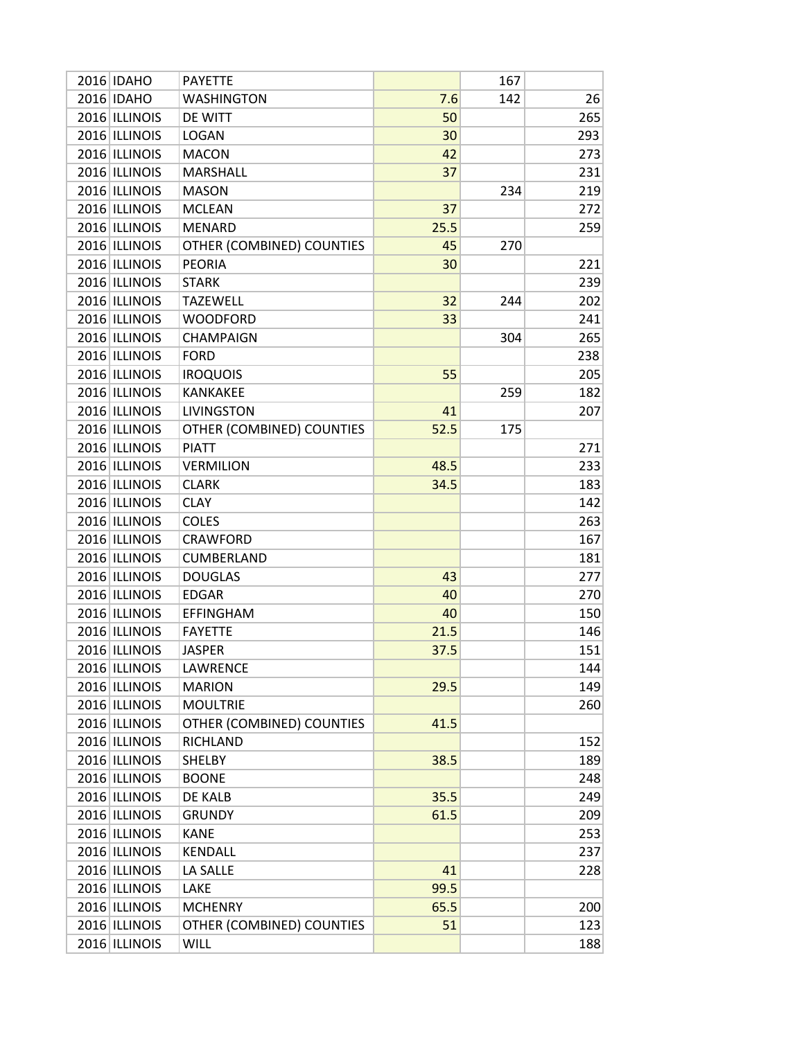| 2016 IDAHO    | PAYETTE                   |      | 167 |     |
|---------------|---------------------------|------|-----|-----|
| 2016 IDAHO    | <b>WASHINGTON</b>         | 7.6  | 142 | 26  |
| 2016 ILLINOIS | DE WITT                   | 50   |     | 265 |
| 2016 ILLINOIS | <b>LOGAN</b>              | 30   |     | 293 |
| 2016 ILLINOIS | <b>MACON</b>              | 42   |     | 273 |
| 2016 ILLINOIS | <b>MARSHALL</b>           | 37   |     | 231 |
| 2016 ILLINOIS | <b>MASON</b>              |      | 234 | 219 |
| 2016 ILLINOIS | <b>MCLEAN</b>             | 37   |     | 272 |
| 2016 ILLINOIS | <b>MENARD</b>             | 25.5 |     | 259 |
| 2016 ILLINOIS | OTHER (COMBINED) COUNTIES | 45   | 270 |     |
| 2016 ILLINOIS | <b>PEORIA</b>             | 30   |     | 221 |
| 2016 ILLINOIS | <b>STARK</b>              |      |     | 239 |
| 2016 ILLINOIS | <b>TAZEWELL</b>           | 32   | 244 | 202 |
| 2016 ILLINOIS | <b>WOODFORD</b>           | 33   |     | 241 |
| 2016 ILLINOIS | <b>CHAMPAIGN</b>          |      | 304 | 265 |
| 2016 ILLINOIS | <b>FORD</b>               |      |     | 238 |
| 2016 ILLINOIS | <b>IROQUOIS</b>           | 55   |     | 205 |
| 2016 ILLINOIS | KANKAKEE                  |      | 259 | 182 |
| 2016 ILLINOIS | <b>LIVINGSTON</b>         | 41   |     | 207 |
| 2016 ILLINOIS | OTHER (COMBINED) COUNTIES | 52.5 | 175 |     |
| 2016 ILLINOIS | <b>PIATT</b>              |      |     | 271 |
| 2016 ILLINOIS | <b>VERMILION</b>          | 48.5 |     | 233 |
| 2016 ILLINOIS | <b>CLARK</b>              | 34.5 |     | 183 |
| 2016 ILLINOIS | <b>CLAY</b>               |      |     | 142 |
| 2016 ILLINOIS | <b>COLES</b>              |      |     | 263 |
| 2016 ILLINOIS | <b>CRAWFORD</b>           |      |     | 167 |
| 2016 ILLINOIS | CUMBERLAND                |      |     | 181 |
| 2016 ILLINOIS | <b>DOUGLAS</b>            | 43   |     | 277 |
| 2016 ILLINOIS | <b>EDGAR</b>              | 40   |     | 270 |
| 2016 ILLINOIS | <b>EFFINGHAM</b>          | 40   |     | 150 |
| 2016 ILLINOIS | <b>FAYETTE</b>            | 21.5 |     | 146 |
| 2016 ILLINOIS | <b>JASPER</b>             | 37.5 |     | 151 |
| 2016 ILLINOIS | LAWRENCE                  |      |     | 144 |
| 2016 ILLINOIS | <b>MARION</b>             | 29.5 |     | 149 |
| 2016 ILLINOIS | <b>MOULTRIE</b>           |      |     | 260 |
| 2016 ILLINOIS | OTHER (COMBINED) COUNTIES | 41.5 |     |     |
| 2016 ILLINOIS | <b>RICHLAND</b>           |      |     | 152 |
| 2016 ILLINOIS | SHELBY                    | 38.5 |     | 189 |
| 2016 ILLINOIS | <b>BOONE</b>              |      |     | 248 |
| 2016 ILLINOIS | DE KALB                   | 35.5 |     | 249 |
| 2016 ILLINOIS | <b>GRUNDY</b>             | 61.5 |     | 209 |
| 2016 ILLINOIS | <b>KANE</b>               |      |     | 253 |
| 2016 ILLINOIS | KENDALL                   |      |     | 237 |
| 2016 ILLINOIS | LA SALLE                  | 41   |     | 228 |
| 2016 ILLINOIS | LAKE                      | 99.5 |     |     |
| 2016 ILLINOIS | <b>MCHENRY</b>            | 65.5 |     | 200 |
| 2016 ILLINOIS | OTHER (COMBINED) COUNTIES | 51   |     | 123 |
| 2016 ILLINOIS | <b>WILL</b>               |      |     | 188 |
|               |                           |      |     |     |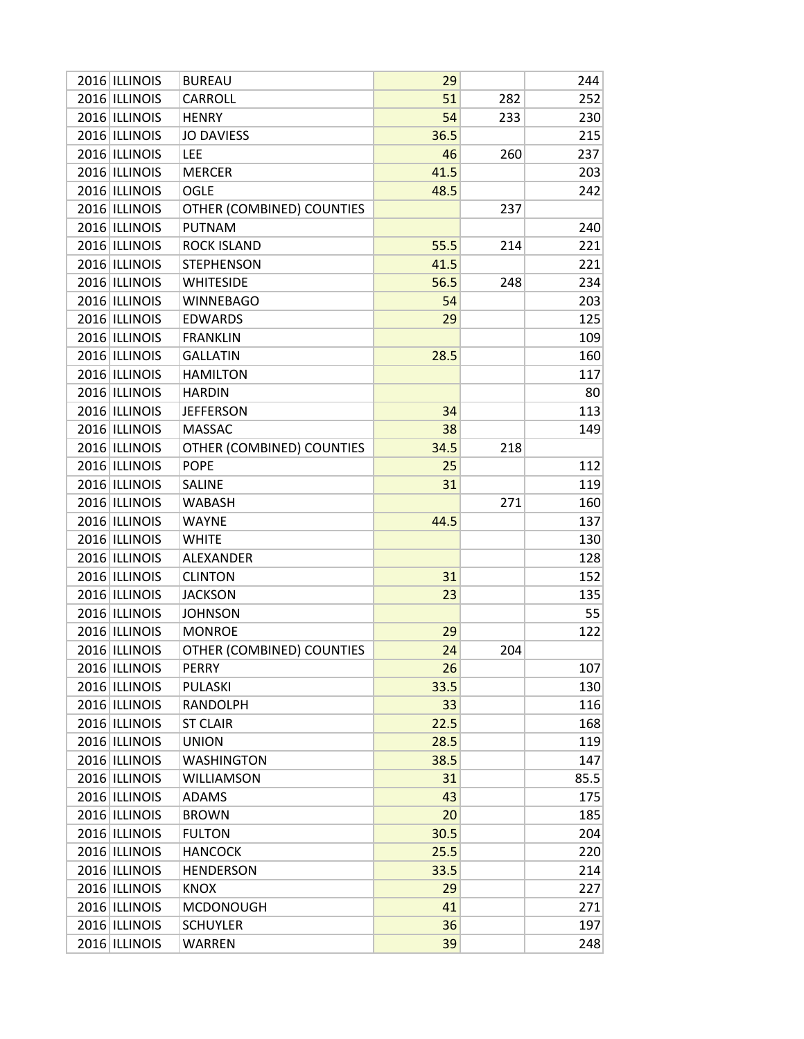| 2016 ILLINOIS | <b>BUREAU</b>             | 29   |     | 244  |
|---------------|---------------------------|------|-----|------|
| 2016 ILLINOIS | CARROLL                   | 51   | 282 | 252  |
| 2016 ILLINOIS | <b>HENRY</b>              | 54   | 233 | 230  |
| 2016 ILLINOIS | <b>JO DAVIESS</b>         | 36.5 |     | 215  |
| 2016 ILLINOIS | LEE                       | 46   | 260 | 237  |
| 2016 ILLINOIS | <b>MERCER</b>             | 41.5 |     | 203  |
| 2016 ILLINOIS | <b>OGLE</b>               | 48.5 |     | 242  |
| 2016 ILLINOIS | OTHER (COMBINED) COUNTIES |      | 237 |      |
| 2016 ILLINOIS | PUTNAM                    |      |     | 240  |
| 2016 ILLINOIS | <b>ROCK ISLAND</b>        | 55.5 | 214 | 221  |
| 2016 ILLINOIS | <b>STEPHENSON</b>         | 41.5 |     | 221  |
| 2016 ILLINOIS | <b>WHITESIDE</b>          | 56.5 | 248 | 234  |
| 2016 ILLINOIS | <b>WINNEBAGO</b>          | 54   |     | 203  |
| 2016 ILLINOIS | <b>EDWARDS</b>            | 29   |     | 125  |
| 2016 ILLINOIS | <b>FRANKLIN</b>           |      |     | 109  |
| 2016 ILLINOIS | <b>GALLATIN</b>           | 28.5 |     | 160  |
| 2016 ILLINOIS | <b>HAMILTON</b>           |      |     | 117  |
| 2016 ILLINOIS | <b>HARDIN</b>             |      |     | 80   |
| 2016 ILLINOIS | <b>JEFFERSON</b>          | 34   |     | 113  |
| 2016 ILLINOIS | <b>MASSAC</b>             | 38   |     | 149  |
| 2016 ILLINOIS | OTHER (COMBINED) COUNTIES | 34.5 | 218 |      |
| 2016 ILLINOIS | <b>POPE</b>               | 25   |     | 112  |
| 2016 ILLINOIS | <b>SALINE</b>             | 31   |     | 119  |
| 2016 ILLINOIS | <b>WABASH</b>             |      | 271 | 160  |
| 2016 ILLINOIS | <b>WAYNE</b>              | 44.5 |     | 137  |
| 2016 ILLINOIS | WHITE                     |      |     | 130  |
| 2016 ILLINOIS | ALEXANDER                 |      |     | 128  |
| 2016 ILLINOIS | <b>CLINTON</b>            | 31   |     | 152  |
| 2016 ILLINOIS | <b>JACKSON</b>            | 23   |     | 135  |
| 2016 ILLINOIS | <b>JOHNSON</b>            |      |     | 55   |
| 2016 ILLINOIS | <b>MONROE</b>             | 29   |     | 122  |
| 2016 ILLINOIS | OTHER (COMBINED) COUNTIES | 24   | 204 |      |
| 2016 ILLINOIS | <b>PERRY</b>              | 26   |     | 107  |
| 2016 ILLINOIS | <b>PULASKI</b>            | 33.5 |     | 130  |
| 2016 ILLINOIS | RANDOLPH                  | 33   |     | 116  |
| 2016 ILLINOIS | <b>ST CLAIR</b>           | 22.5 |     | 168  |
| 2016 ILLINOIS | <b>UNION</b>              | 28.5 |     | 119  |
| 2016 ILLINOIS | WASHINGTON                | 38.5 |     | 147  |
| 2016 ILLINOIS | <b>WILLIAMSON</b>         | 31   |     | 85.5 |
| 2016 ILLINOIS | <b>ADAMS</b>              | 43   |     | 175  |
| 2016 ILLINOIS | <b>BROWN</b>              | 20   |     | 185  |
| 2016 ILLINOIS | <b>FULTON</b>             | 30.5 |     | 204  |
| 2016 ILLINOIS | <b>HANCOCK</b>            | 25.5 |     | 220  |
| 2016 ILLINOIS | <b>HENDERSON</b>          | 33.5 |     | 214  |
| 2016 ILLINOIS | <b>KNOX</b>               | 29   |     | 227  |
| 2016 ILLINOIS | <b>MCDONOUGH</b>          | 41   |     | 271  |
| 2016 ILLINOIS | <b>SCHUYLER</b>           | 36   |     | 197  |
| 2016 ILLINOIS | <b>WARREN</b>             | 39   |     | 248  |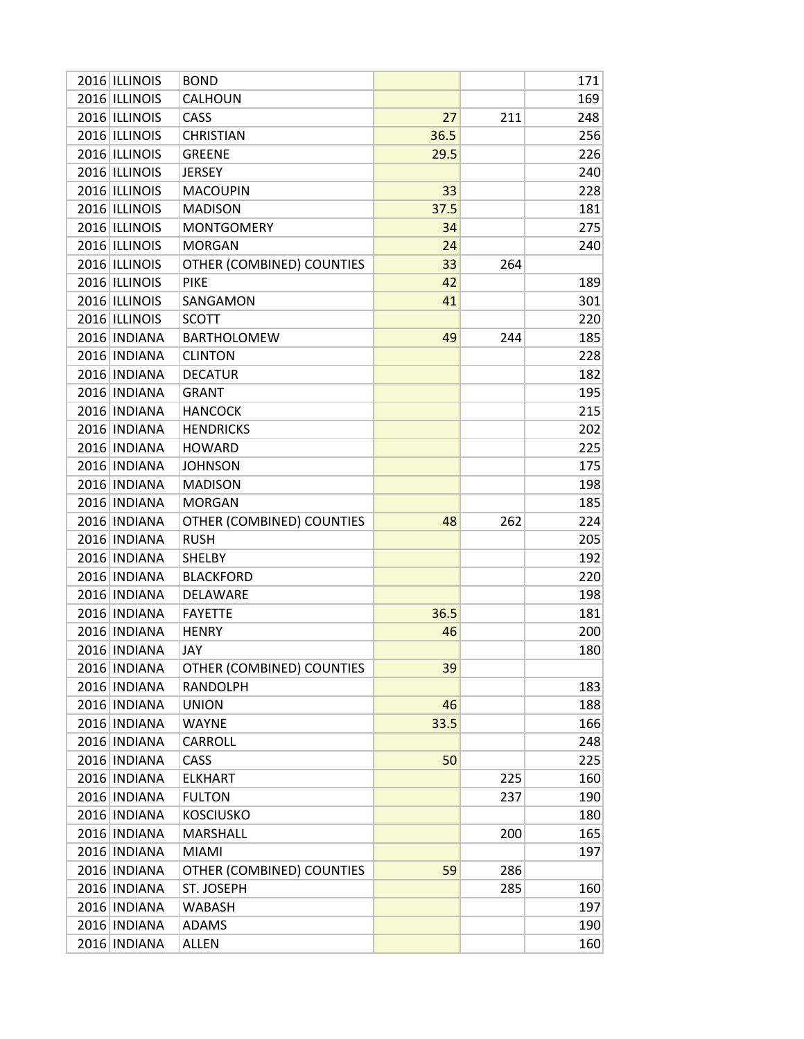| 2016 ILLINOIS | <b>BOND</b>               |      |     | 171 |
|---------------|---------------------------|------|-----|-----|
| 2016 ILLINOIS | CALHOUN                   |      |     | 169 |
| 2016 ILLINOIS | CASS                      | 27   | 211 | 248 |
| 2016 ILLINOIS | <b>CHRISTIAN</b>          | 36.5 |     | 256 |
| 2016 ILLINOIS | <b>GREENE</b>             | 29.5 |     | 226 |
| 2016 ILLINOIS | <b>JERSEY</b>             |      |     | 240 |
| 2016 ILLINOIS | <b>MACOUPIN</b>           | 33   |     | 228 |
| 2016 ILLINOIS | <b>MADISON</b>            | 37.5 |     | 181 |
| 2016 ILLINOIS | <b>MONTGOMERY</b>         | 34   |     | 275 |
| 2016 ILLINOIS | <b>MORGAN</b>             | 24   |     | 240 |
| 2016 ILLINOIS | OTHER (COMBINED) COUNTIES | 33   | 264 |     |
| 2016 ILLINOIS | <b>PIKE</b>               | 42   |     | 189 |
| 2016 ILLINOIS | SANGAMON                  | 41   |     | 301 |
| 2016 ILLINOIS | <b>SCOTT</b>              |      |     | 220 |
| 2016 INDIANA  | <b>BARTHOLOMEW</b>        | 49   | 244 | 185 |
| 2016 INDIANA  | <b>CLINTON</b>            |      |     | 228 |
| 2016 INDIANA  | <b>DECATUR</b>            |      |     | 182 |
| 2016 INDIANA  | <b>GRANT</b>              |      |     | 195 |
| 2016 INDIANA  | <b>HANCOCK</b>            |      |     | 215 |
| 2016 INDIANA  | <b>HENDRICKS</b>          |      |     | 202 |
| 2016 INDIANA  | <b>HOWARD</b>             |      |     | 225 |
| 2016 INDIANA  | <b>JOHNSON</b>            |      |     | 175 |
| 2016 INDIANA  | <b>MADISON</b>            |      |     | 198 |
| 2016 INDIANA  | <b>MORGAN</b>             |      |     | 185 |
| 2016 INDIANA  | OTHER (COMBINED) COUNTIES | 48   | 262 | 224 |
| 2016 INDIANA  | <b>RUSH</b>               |      |     | 205 |
| 2016 INDIANA  | <b>SHELBY</b>             |      |     | 192 |
| 2016 INDIANA  | <b>BLACKFORD</b>          |      |     | 220 |
| 2016 INDIANA  | DELAWARE                  |      |     | 198 |
| 2016 INDIANA  | <b>FAYETTE</b>            | 36.5 |     | 181 |
| 2016 INDIANA  | <b>HENRY</b>              | 46   |     | 200 |
| 2016 INDIANA  | JAY                       |      |     | 180 |
| 2016 INDIANA  | OTHER (COMBINED) COUNTIES | 39   |     |     |
| 2016 INDIANA  | <b>RANDOLPH</b>           |      |     | 183 |
| 2016 INDIANA  | <b>UNION</b>              | 46   |     | 188 |
| 2016 INDIANA  | <b>WAYNE</b>              | 33.5 |     | 166 |
| 2016 INDIANA  | <b>CARROLL</b>            |      |     | 248 |
| 2016 INDIANA  | CASS                      | 50   |     | 225 |
| 2016 INDIANA  | <b>ELKHART</b>            |      | 225 | 160 |
| 2016 INDIANA  | <b>FULTON</b>             |      | 237 | 190 |
| 2016 INDIANA  | <b>KOSCIUSKO</b>          |      |     | 180 |
| 2016 INDIANA  | <b>MARSHALL</b>           |      | 200 | 165 |
| 2016 INDIANA  | <b>MIAMI</b>              |      |     | 197 |
| 2016 INDIANA  | OTHER (COMBINED) COUNTIES | 59   | 286 |     |
| 2016 INDIANA  | ST. JOSEPH                |      | 285 | 160 |
| 2016 INDIANA  | <b>WABASH</b>             |      |     | 197 |
| 2016 INDIANA  | ADAMS                     |      |     | 190 |
| 2016 INDIANA  | <b>ALLEN</b>              |      |     | 160 |
|               |                           |      |     |     |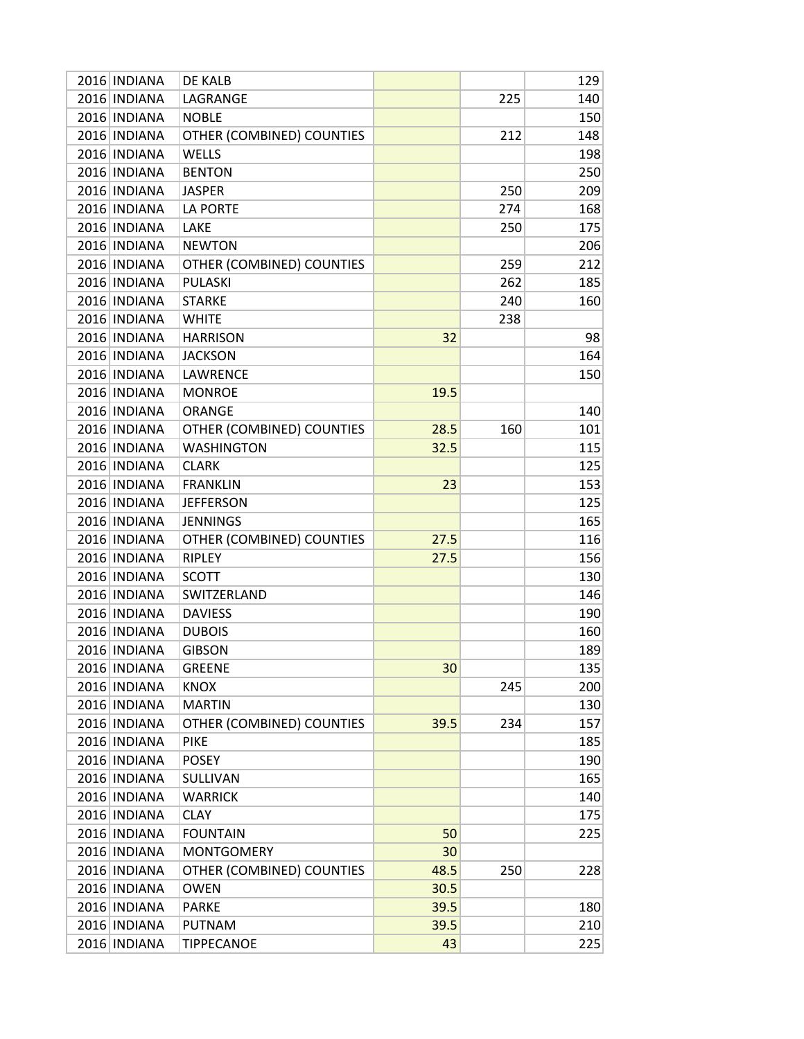| 2016 INDIANA<br>LAGRANGE<br>225<br>2016 INDIANA<br><b>NOBLE</b><br>2016 INDIANA<br>OTHER (COMBINED) COUNTIES<br>212<br>2016 INDIANA<br><b>WELLS</b><br>2016 INDIANA<br><b>BENTON</b><br>2016 INDIANA<br><b>JASPER</b><br>250<br>2016 INDIANA<br><b>LA PORTE</b><br>274<br>2016 INDIANA<br>LAKE<br>250<br>2016 INDIANA<br><b>NEWTON</b><br>2016 INDIANA<br>OTHER (COMBINED) COUNTIES<br>259<br><b>PULASKI</b><br>2016 INDIANA<br>262<br>2016 INDIANA<br><b>STARKE</b><br>240 | 140<br>150<br>148<br>198<br>250<br>209<br>168<br>175<br>206<br>212 |
|-----------------------------------------------------------------------------------------------------------------------------------------------------------------------------------------------------------------------------------------------------------------------------------------------------------------------------------------------------------------------------------------------------------------------------------------------------------------------------|--------------------------------------------------------------------|
|                                                                                                                                                                                                                                                                                                                                                                                                                                                                             |                                                                    |
|                                                                                                                                                                                                                                                                                                                                                                                                                                                                             |                                                                    |
|                                                                                                                                                                                                                                                                                                                                                                                                                                                                             |                                                                    |
|                                                                                                                                                                                                                                                                                                                                                                                                                                                                             |                                                                    |
|                                                                                                                                                                                                                                                                                                                                                                                                                                                                             |                                                                    |
|                                                                                                                                                                                                                                                                                                                                                                                                                                                                             |                                                                    |
|                                                                                                                                                                                                                                                                                                                                                                                                                                                                             |                                                                    |
|                                                                                                                                                                                                                                                                                                                                                                                                                                                                             |                                                                    |
|                                                                                                                                                                                                                                                                                                                                                                                                                                                                             |                                                                    |
|                                                                                                                                                                                                                                                                                                                                                                                                                                                                             |                                                                    |
|                                                                                                                                                                                                                                                                                                                                                                                                                                                                             | 185                                                                |
|                                                                                                                                                                                                                                                                                                                                                                                                                                                                             | 160                                                                |
| 2016 INDIANA<br><b>WHITE</b><br>238                                                                                                                                                                                                                                                                                                                                                                                                                                         |                                                                    |
| 2016 INDIANA<br>32<br><b>HARRISON</b>                                                                                                                                                                                                                                                                                                                                                                                                                                       | 98                                                                 |
| 2016 INDIANA<br><b>JACKSON</b>                                                                                                                                                                                                                                                                                                                                                                                                                                              | 164                                                                |
| 2016 INDIANA<br>LAWRENCE                                                                                                                                                                                                                                                                                                                                                                                                                                                    | 150                                                                |
| 2016 INDIANA<br>19.5<br><b>MONROE</b>                                                                                                                                                                                                                                                                                                                                                                                                                                       |                                                                    |
| 2016 INDIANA<br><b>ORANGE</b>                                                                                                                                                                                                                                                                                                                                                                                                                                               | 140                                                                |
| 2016 INDIANA<br>OTHER (COMBINED) COUNTIES<br>28.5<br>160                                                                                                                                                                                                                                                                                                                                                                                                                    | 101                                                                |
| 2016 INDIANA<br><b>WASHINGTON</b><br>32.5                                                                                                                                                                                                                                                                                                                                                                                                                                   | 115                                                                |
| 2016 INDIANA<br><b>CLARK</b>                                                                                                                                                                                                                                                                                                                                                                                                                                                | 125                                                                |
| 2016 INDIANA<br><b>FRANKLIN</b><br>23                                                                                                                                                                                                                                                                                                                                                                                                                                       | 153                                                                |
| 2016 INDIANA<br><b>JEFFERSON</b>                                                                                                                                                                                                                                                                                                                                                                                                                                            | 125                                                                |
| 2016 INDIANA<br><b>JENNINGS</b>                                                                                                                                                                                                                                                                                                                                                                                                                                             | 165                                                                |
| 2016 INDIANA<br>OTHER (COMBINED) COUNTIES<br>27.5                                                                                                                                                                                                                                                                                                                                                                                                                           | 116                                                                |
| 2016 INDIANA<br><b>RIPLEY</b><br>27.5                                                                                                                                                                                                                                                                                                                                                                                                                                       | 156                                                                |
| 2016 INDIANA<br><b>SCOTT</b>                                                                                                                                                                                                                                                                                                                                                                                                                                                | 130                                                                |
| 2016 INDIANA<br>SWITZERLAND                                                                                                                                                                                                                                                                                                                                                                                                                                                 | 146                                                                |
| 2016 INDIANA<br><b>DAVIESS</b>                                                                                                                                                                                                                                                                                                                                                                                                                                              | 190                                                                |
| 2016 INDIANA<br><b>DUBOIS</b>                                                                                                                                                                                                                                                                                                                                                                                                                                               | 160                                                                |
| 2016 INDIANA<br><b>GIBSON</b>                                                                                                                                                                                                                                                                                                                                                                                                                                               | 189                                                                |
| 2016 INDIANA<br><b>GREENE</b><br>30                                                                                                                                                                                                                                                                                                                                                                                                                                         | 135                                                                |
| 2016 INDIANA<br><b>KNOX</b><br>245                                                                                                                                                                                                                                                                                                                                                                                                                                          | 200                                                                |
| 2016 INDIANA<br><b>MARTIN</b>                                                                                                                                                                                                                                                                                                                                                                                                                                               | 130                                                                |
| 2016 INDIANA<br>OTHER (COMBINED) COUNTIES<br>39.5<br>234                                                                                                                                                                                                                                                                                                                                                                                                                    | 157                                                                |
| 2016 INDIANA<br><b>PIKE</b>                                                                                                                                                                                                                                                                                                                                                                                                                                                 | 185                                                                |
| 2016 INDIANA<br><b>POSEY</b>                                                                                                                                                                                                                                                                                                                                                                                                                                                | 190                                                                |
| 2016 INDIANA<br>SULLIVAN                                                                                                                                                                                                                                                                                                                                                                                                                                                    | 165                                                                |
| 2016 INDIANA<br><b>WARRICK</b>                                                                                                                                                                                                                                                                                                                                                                                                                                              | 140                                                                |
| 2016 INDIANA<br><b>CLAY</b>                                                                                                                                                                                                                                                                                                                                                                                                                                                 | 175                                                                |
| 2016 INDIANA<br>50<br><b>FOUNTAIN</b>                                                                                                                                                                                                                                                                                                                                                                                                                                       | 225                                                                |
| 2016 INDIANA<br><b>MONTGOMERY</b><br>30                                                                                                                                                                                                                                                                                                                                                                                                                                     |                                                                    |
| 2016 INDIANA<br>48.5<br>250<br>OTHER (COMBINED) COUNTIES                                                                                                                                                                                                                                                                                                                                                                                                                    | 228                                                                |
| 2016 INDIANA<br><b>OWEN</b><br>30.5                                                                                                                                                                                                                                                                                                                                                                                                                                         |                                                                    |
| 2016 INDIANA<br>39.5<br><b>PARKE</b>                                                                                                                                                                                                                                                                                                                                                                                                                                        | 180                                                                |
| 2016 INDIANA<br>39.5<br>PUTNAM                                                                                                                                                                                                                                                                                                                                                                                                                                              |                                                                    |
| 2016 INDIANA<br><b>TIPPECANOE</b><br>43                                                                                                                                                                                                                                                                                                                                                                                                                                     | 210                                                                |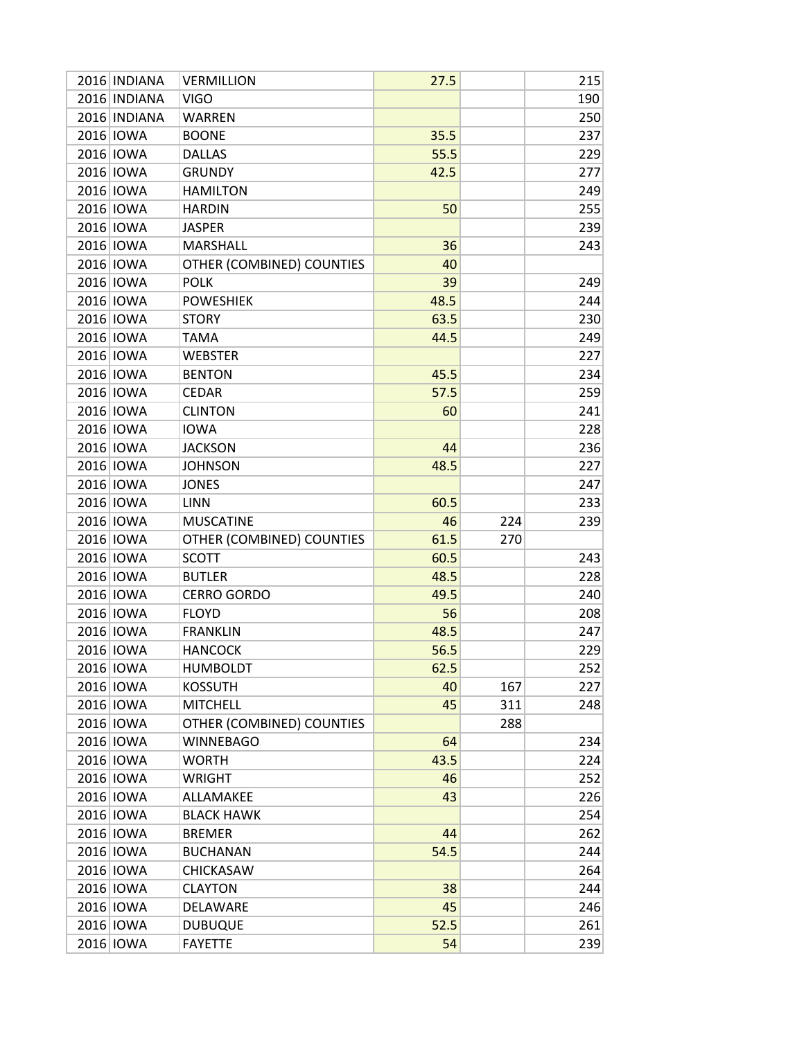| 2016 INDIANA | <b>VERMILLION</b>         | 27.5 |     | 215 |
|--------------|---------------------------|------|-----|-----|
| 2016 INDIANA | <b>VIGO</b>               |      |     | 190 |
| 2016 INDIANA | <b>WARREN</b>             |      |     | 250 |
| 2016 IOWA    | <b>BOONE</b>              | 35.5 |     | 237 |
| 2016 IOWA    | <b>DALLAS</b>             | 55.5 |     | 229 |
| 2016 IOWA    | <b>GRUNDY</b>             | 42.5 |     | 277 |
| 2016 IOWA    | <b>HAMILTON</b>           |      |     | 249 |
| 2016 IOWA    | <b>HARDIN</b>             | 50   |     | 255 |
| 2016 IOWA    | <b>JASPER</b>             |      |     | 239 |
| 2016 IOWA    | MARSHALL                  | 36   |     | 243 |
| 2016 IOWA    | OTHER (COMBINED) COUNTIES | 40   |     |     |
| 2016 IOWA    | <b>POLK</b>               | 39   |     | 249 |
| 2016 IOWA    | <b>POWESHIEK</b>          | 48.5 |     | 244 |
| 2016 IOWA    | <b>STORY</b>              | 63.5 |     | 230 |
| 2016 IOWA    | <b>TAMA</b>               | 44.5 |     | 249 |
| 2016 IOWA    | <b>WEBSTER</b>            |      |     | 227 |
| 2016 IOWA    | <b>BENTON</b>             | 45.5 |     | 234 |
| 2016 IOWA    | <b>CEDAR</b>              | 57.5 |     | 259 |
| 2016 IOWA    | <b>CLINTON</b>            | 60   |     | 241 |
| 2016 IOWA    | <b>IOWA</b>               |      |     | 228 |
| 2016 IOWA    | <b>JACKSON</b>            | 44   |     | 236 |
| 2016 IOWA    | <b>JOHNSON</b>            | 48.5 |     | 227 |
| 2016 IOWA    | <b>JONES</b>              |      |     | 247 |
| 2016 IOWA    | <b>LINN</b>               | 60.5 |     | 233 |
| 2016 IOWA    | <b>MUSCATINE</b>          | 46   | 224 | 239 |
| 2016 IOWA    | OTHER (COMBINED) COUNTIES | 61.5 | 270 |     |
| 2016 IOWA    | <b>SCOTT</b>              | 60.5 |     | 243 |
| 2016 IOWA    | <b>BUTLER</b>             | 48.5 |     | 228 |
| 2016 IOWA    | <b>CERRO GORDO</b>        | 49.5 |     | 240 |
| 2016 IOWA    | <b>FLOYD</b>              | 56   |     | 208 |
| 2016 IOWA    | <b>FRANKLIN</b>           | 48.5 |     | 247 |
| 2016 IOWA    | <b>HANCOCK</b>            | 56.5 |     | 229 |
| 2016 IOWA    | <b>HUMBOLDT</b>           | 62.5 |     | 252 |
| 2016 IOWA    | <b>KOSSUTH</b>            | 40   | 167 | 227 |
| 2016 IOWA    | <b>MITCHELL</b>           | 45   | 311 | 248 |
| 2016 IOWA    | OTHER (COMBINED) COUNTIES |      | 288 |     |
| 2016 IOWA    | <b>WINNEBAGO</b>          | 64   |     | 234 |
| 2016 IOWA    | <b>WORTH</b>              | 43.5 |     | 224 |
| 2016 IOWA    | <b>WRIGHT</b>             | 46   |     | 252 |
| 2016 IOWA    | ALLAMAKEE                 | 43   |     | 226 |
| 2016 IOWA    | <b>BLACK HAWK</b>         |      |     | 254 |
| 2016 IOWA    | <b>BREMER</b>             | 44   |     | 262 |
| 2016 IOWA    | <b>BUCHANAN</b>           | 54.5 |     | 244 |
| 2016 IOWA    | CHICKASAW                 |      |     | 264 |
| 2016 IOWA    | <b>CLAYTON</b>            | 38   |     | 244 |
| 2016 IOWA    | DELAWARE                  | 45   |     | 246 |
| 2016 IOWA    | <b>DUBUQUE</b>            | 52.5 |     | 261 |
| 2016 IOWA    | <b>FAYETTE</b>            | 54   |     | 239 |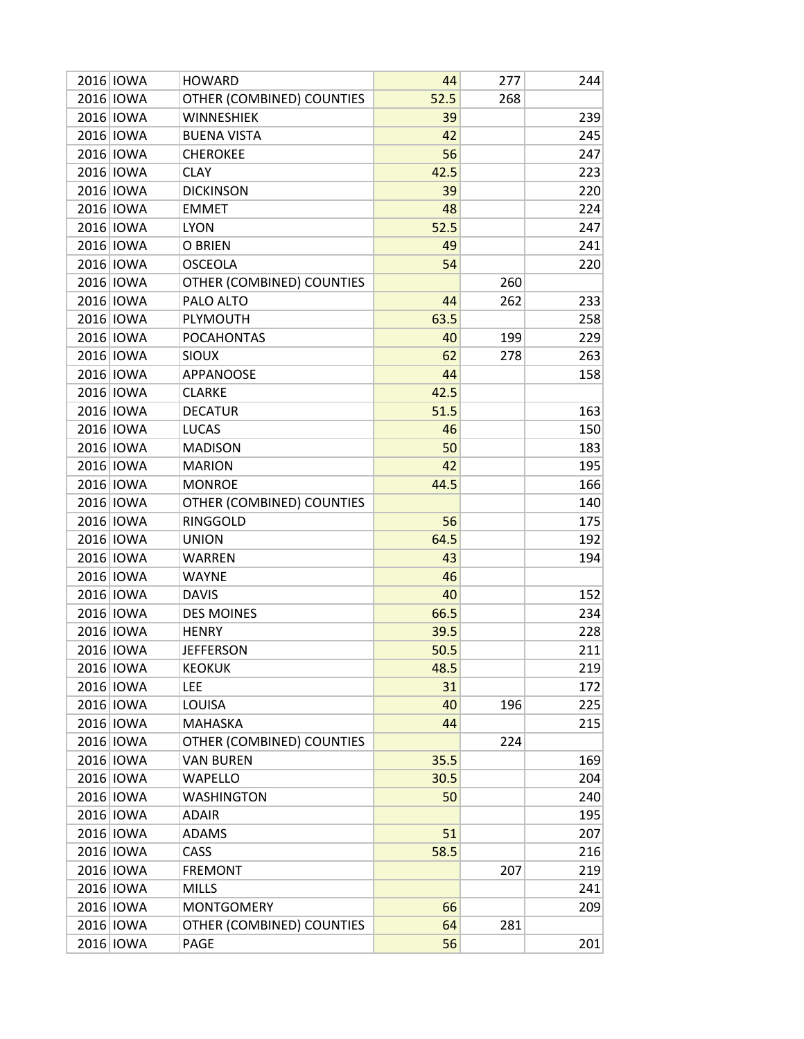| 2016 <b>IOWA</b> | <b>HOWARD</b>             | 44   | 277 | 244 |
|------------------|---------------------------|------|-----|-----|
| 2016 IOWA        | OTHER (COMBINED) COUNTIES | 52.5 | 268 |     |
| 2016 IOWA        | <b>WINNESHIEK</b>         | 39   |     | 239 |
| 2016 IOWA        | <b>BUENA VISTA</b>        | 42   |     | 245 |
| 2016 IOWA        | <b>CHEROKEE</b>           | 56   |     | 247 |
| 2016 IOWA        | <b>CLAY</b>               | 42.5 |     | 223 |
| 2016 IOWA        | <b>DICKINSON</b>          | 39   |     | 220 |
| 2016 IOWA        | <b>EMMET</b>              | 48   |     | 224 |
| 2016 IOWA        | <b>LYON</b>               | 52.5 |     | 247 |
| 2016 IOWA        | O BRIEN                   | 49   |     | 241 |
| 2016 IOWA        | <b>OSCEOLA</b>            | 54   |     | 220 |
| 2016 IOWA        | OTHER (COMBINED) COUNTIES |      | 260 |     |
| 2016 IOWA        | PALO ALTO                 | 44   | 262 | 233 |
| 2016 IOWA        | PLYMOUTH                  | 63.5 |     | 258 |
| 2016 IOWA        | <b>POCAHONTAS</b>         | 40   | 199 | 229 |
| 2016 IOWA        | <b>SIOUX</b>              | 62   | 278 | 263 |
| 2016 IOWA        | APPANOOSE                 | 44   |     | 158 |
| 2016 IOWA        | <b>CLARKE</b>             | 42.5 |     |     |
| 2016 IOWA        | <b>DECATUR</b>            | 51.5 |     | 163 |
| 2016 IOWA        | <b>LUCAS</b>              | 46   |     | 150 |
| 2016 IOWA        | <b>MADISON</b>            | 50   |     | 183 |
| 2016 IOWA        | <b>MARION</b>             | 42   |     | 195 |
| 2016 IOWA        | <b>MONROE</b>             | 44.5 |     | 166 |
| 2016 IOWA        | OTHER (COMBINED) COUNTIES |      |     | 140 |
| 2016 IOWA        | <b>RINGGOLD</b>           | 56   |     | 175 |
| 2016 IOWA        | <b>UNION</b>              | 64.5 |     | 192 |
| 2016 IOWA        | <b>WARREN</b>             | 43   |     | 194 |
| 2016 IOWA        | <b>WAYNE</b>              | 46   |     |     |
| 2016 IOWA        | <b>DAVIS</b>              | 40   |     | 152 |
| 2016 IOWA        | <b>DES MOINES</b>         | 66.5 |     | 234 |
| 2016 IOWA        | <b>HENRY</b>              | 39.5 |     | 228 |
| 2016 IOWA        | <b>JEFFERSON</b>          | 50.5 |     | 211 |
| 2016 IOWA        | <b>KEOKUK</b>             | 48.5 |     | 219 |
| 2016 IOWA        | <b>LEE</b>                | 31   |     | 172 |
| 2016 IOWA        | LOUISA                    | 40   | 196 | 225 |
| 2016 IOWA        | <b>MAHASKA</b>            | 44   |     | 215 |
| 2016 IOWA        | OTHER (COMBINED) COUNTIES |      | 224 |     |
| 2016 IOWA        | <b>VAN BUREN</b>          | 35.5 |     | 169 |
| 2016 IOWA        | <b>WAPELLO</b>            | 30.5 |     | 204 |
| 2016 IOWA        | <b>WASHINGTON</b>         | 50   |     | 240 |
| 2016 IOWA        | <b>ADAIR</b>              |      |     | 195 |
| 2016 IOWA        | ADAMS                     | 51   |     | 207 |
| 2016 IOWA        | CASS                      | 58.5 |     | 216 |
| 2016 IOWA        | <b>FREMONT</b>            |      | 207 | 219 |
| 2016 IOWA        | <b>MILLS</b>              |      |     | 241 |
| 2016 IOWA        | <b>MONTGOMERY</b>         | 66   |     | 209 |
| 2016 IOWA        | OTHER (COMBINED) COUNTIES | 64   | 281 |     |
| 2016 IOWA        | PAGE                      | 56   |     | 201 |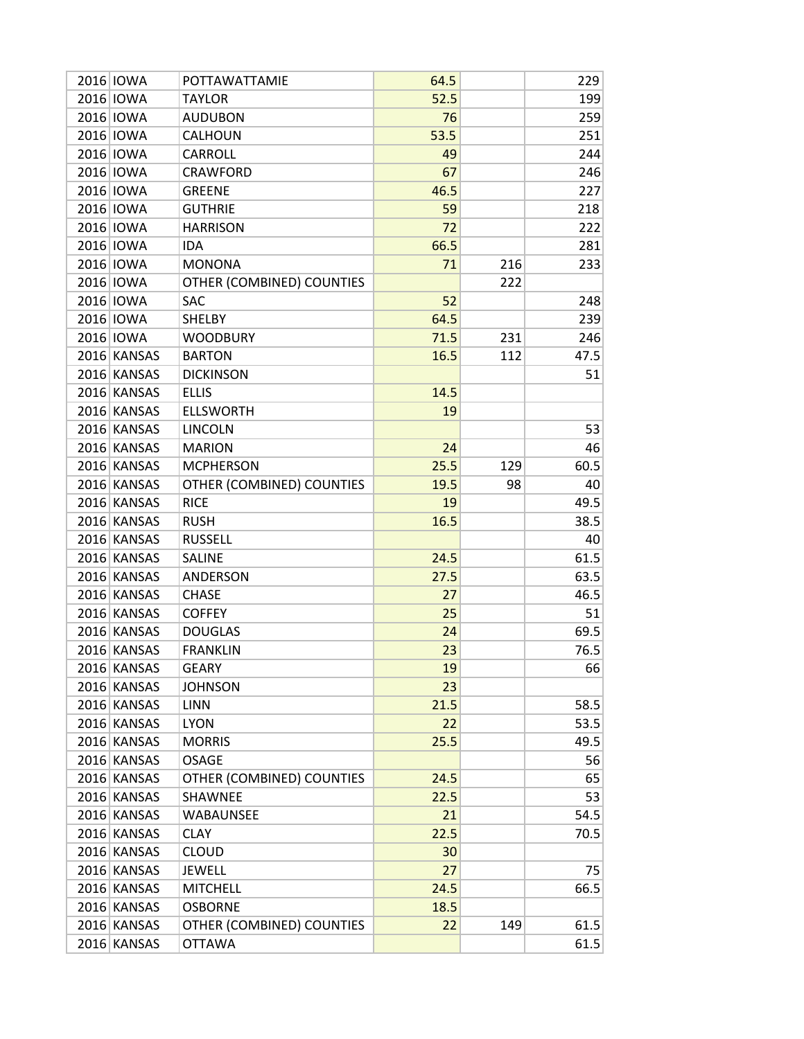| 2016 IOWA   | POTTAWATTAMIE             | 64.5 |     | 229  |
|-------------|---------------------------|------|-----|------|
| 2016 IOWA   | <b>TAYLOR</b>             | 52.5 |     | 199  |
| 2016 IOWA   | <b>AUDUBON</b>            | 76   |     | 259  |
| 2016 IOWA   | <b>CALHOUN</b>            | 53.5 |     | 251  |
| 2016 IOWA   | <b>CARROLL</b>            | 49   |     | 244  |
| 2016 IOWA   | <b>CRAWFORD</b>           | 67   |     | 246  |
| 2016 IOWA   | <b>GREENE</b>             | 46.5 |     | 227  |
| 2016 IOWA   | <b>GUTHRIE</b>            | 59   |     | 218  |
| 2016 IOWA   | <b>HARRISON</b>           | 72   |     | 222  |
| 2016 IOWA   | <b>IDA</b>                | 66.5 |     | 281  |
| 2016 IOWA   | <b>MONONA</b>             | 71   | 216 | 233  |
| 2016 IOWA   | OTHER (COMBINED) COUNTIES |      | 222 |      |
| 2016 IOWA   | SAC                       | 52   |     | 248  |
| 2016 IOWA   | <b>SHELBY</b>             | 64.5 |     | 239  |
| 2016 IOWA   | <b>WOODBURY</b>           | 71.5 | 231 | 246  |
| 2016 KANSAS | <b>BARTON</b>             | 16.5 | 112 | 47.5 |
| 2016 KANSAS | <b>DICKINSON</b>          |      |     | 51   |
| 2016 KANSAS | <b>ELLIS</b>              | 14.5 |     |      |
| 2016 KANSAS | <b>ELLSWORTH</b>          | 19   |     |      |
| 2016 KANSAS | <b>LINCOLN</b>            |      |     | 53   |
| 2016 KANSAS | <b>MARION</b>             | 24   |     | 46   |
| 2016 KANSAS | <b>MCPHERSON</b>          | 25.5 | 129 | 60.5 |
| 2016 KANSAS | OTHER (COMBINED) COUNTIES | 19.5 | 98  | 40   |
| 2016 KANSAS | <b>RICE</b>               | 19   |     | 49.5 |
| 2016 KANSAS | <b>RUSH</b>               | 16.5 |     | 38.5 |
| 2016 KANSAS | <b>RUSSELL</b>            |      |     | 40   |
| 2016 KANSAS | <b>SALINE</b>             | 24.5 |     | 61.5 |
| 2016 KANSAS | ANDERSON                  | 27.5 |     | 63.5 |
| 2016 KANSAS | <b>CHASE</b>              | 27   |     | 46.5 |
| 2016 KANSAS | <b>COFFEY</b>             | 25   |     | 51   |
| 2016 KANSAS | <b>DOUGLAS</b>            | 24   |     | 69.5 |
| 2016 KANSAS | <b>FRANKLIN</b>           | 23   |     | 76.5 |
| 2016 KANSAS | <b>GEARY</b>              | 19   |     | 66   |
| 2016 KANSAS | <b>JOHNSON</b>            | 23   |     |      |
| 2016 KANSAS | <b>LINN</b>               | 21.5 |     | 58.5 |
| 2016 KANSAS | <b>LYON</b>               | 22   |     | 53.5 |
| 2016 KANSAS | <b>MORRIS</b>             | 25.5 |     | 49.5 |
| 2016 KANSAS | <b>OSAGE</b>              |      |     | 56   |
| 2016 KANSAS | OTHER (COMBINED) COUNTIES | 24.5 |     | 65   |
| 2016 KANSAS | SHAWNEE                   | 22.5 |     | 53   |
| 2016 KANSAS | <b>WABAUNSEE</b>          | 21   |     | 54.5 |
| 2016 KANSAS | <b>CLAY</b>               | 22.5 |     | 70.5 |
| 2016 KANSAS | <b>CLOUD</b>              | 30   |     |      |
| 2016 KANSAS | <b>JEWELL</b>             | 27   |     | 75   |
| 2016 KANSAS | <b>MITCHELL</b>           | 24.5 |     | 66.5 |
| 2016 KANSAS | <b>OSBORNE</b>            | 18.5 |     |      |
| 2016 KANSAS | OTHER (COMBINED) COUNTIES | 22   | 149 | 61.5 |
| 2016 KANSAS | <b>OTTAWA</b>             |      |     | 61.5 |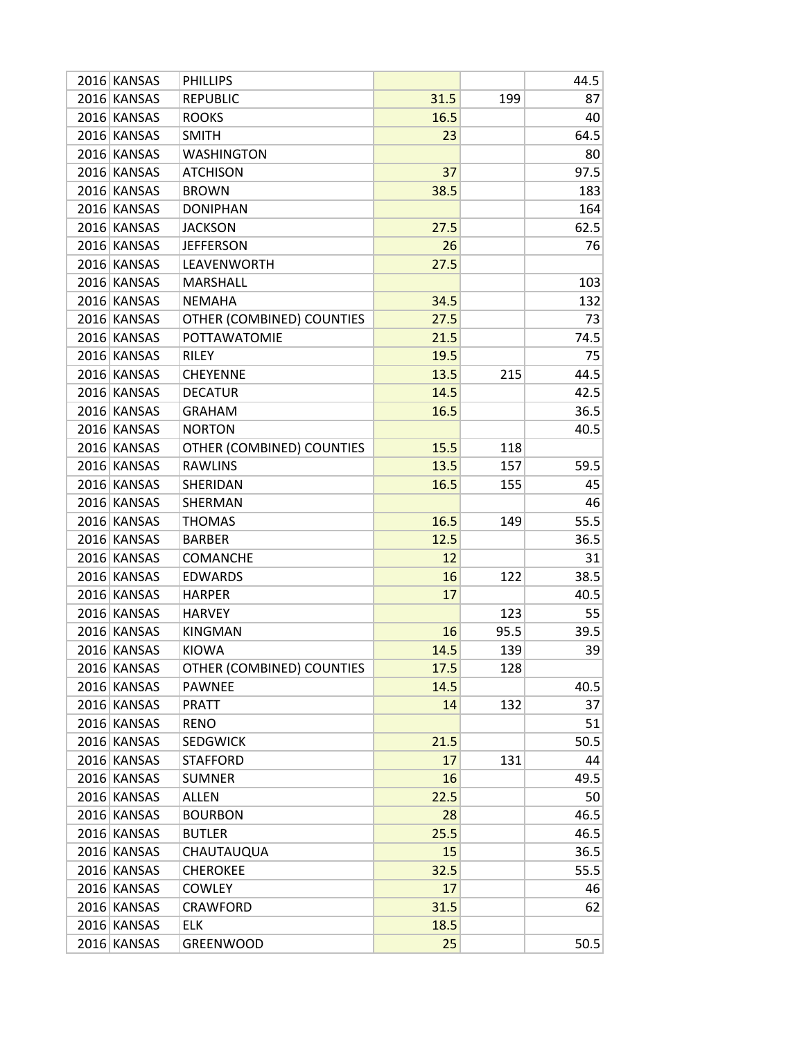| 2016 KANSAS | <b>PHILLIPS</b>           |      |      | 44.5 |
|-------------|---------------------------|------|------|------|
| 2016 KANSAS | <b>REPUBLIC</b>           | 31.5 | 199  | 87   |
| 2016 KANSAS | <b>ROOKS</b>              | 16.5 |      | 40   |
| 2016 KANSAS | <b>SMITH</b>              | 23   |      | 64.5 |
| 2016 KANSAS | <b>WASHINGTON</b>         |      |      | 80   |
| 2016 KANSAS | <b>ATCHISON</b>           | 37   |      | 97.5 |
| 2016 KANSAS | <b>BROWN</b>              | 38.5 |      | 183  |
| 2016 KANSAS | <b>DONIPHAN</b>           |      |      | 164  |
| 2016 KANSAS | <b>JACKSON</b>            | 27.5 |      | 62.5 |
| 2016 KANSAS | <b>JEFFERSON</b>          | 26   |      | 76   |
| 2016 KANSAS | LEAVENWORTH               | 27.5 |      |      |
| 2016 KANSAS | <b>MARSHALL</b>           |      |      | 103  |
| 2016 KANSAS | <b>NEMAHA</b>             | 34.5 |      | 132  |
| 2016 KANSAS | OTHER (COMBINED) COUNTIES | 27.5 |      | 73   |
| 2016 KANSAS | <b>POTTAWATOMIE</b>       | 21.5 |      | 74.5 |
| 2016 KANSAS | <b>RILEY</b>              | 19.5 |      | 75   |
| 2016 KANSAS | <b>CHEYENNE</b>           | 13.5 | 215  | 44.5 |
| 2016 KANSAS | <b>DECATUR</b>            | 14.5 |      | 42.5 |
| 2016 KANSAS | <b>GRAHAM</b>             | 16.5 |      | 36.5 |
| 2016 KANSAS | <b>NORTON</b>             |      |      | 40.5 |
| 2016 KANSAS | OTHER (COMBINED) COUNTIES | 15.5 | 118  |      |
| 2016 KANSAS | <b>RAWLINS</b>            | 13.5 | 157  | 59.5 |
| 2016 KANSAS | SHERIDAN                  | 16.5 | 155  | 45   |
| 2016 KANSAS | SHERMAN                   |      |      | 46   |
| 2016 KANSAS | <b>THOMAS</b>             | 16.5 | 149  | 55.5 |
| 2016 KANSAS | <b>BARBER</b>             | 12.5 |      | 36.5 |
| 2016 KANSAS | <b>COMANCHE</b>           | 12   |      | 31   |
| 2016 KANSAS | <b>EDWARDS</b>            | 16   | 122  | 38.5 |
| 2016 KANSAS | <b>HARPER</b>             | 17   |      | 40.5 |
| 2016 KANSAS | <b>HARVEY</b>             |      | 123  | 55   |
| 2016 KANSAS | <b>KINGMAN</b>            | 16   | 95.5 | 39.5 |
| 2016 KANSAS | <b>KIOWA</b>              | 14.5 | 139  | 39   |
| 2016 KANSAS | OTHER (COMBINED) COUNTIES | 17.5 | 128  |      |
| 2016 KANSAS | <b>PAWNEE</b>             | 14.5 |      | 40.5 |
| 2016 KANSAS | <b>PRATT</b>              | 14   | 132  | 37   |
| 2016 KANSAS | <b>RENO</b>               |      |      | 51   |
| 2016 KANSAS | <b>SEDGWICK</b>           | 21.5 |      | 50.5 |
| 2016 KANSAS | <b>STAFFORD</b>           | 17   | 131  | 44   |
| 2016 KANSAS | <b>SUMNER</b>             | 16   |      | 49.5 |
| 2016 KANSAS | <b>ALLEN</b>              | 22.5 |      | 50   |
| 2016 KANSAS | <b>BOURBON</b>            | 28   |      | 46.5 |
| 2016 KANSAS | <b>BUTLER</b>             | 25.5 |      | 46.5 |
| 2016 KANSAS | CHAUTAUQUA                | 15   |      | 36.5 |
| 2016 KANSAS | <b>CHEROKEE</b>           | 32.5 |      | 55.5 |
| 2016 KANSAS | <b>COWLEY</b>             | 17   |      | 46   |
| 2016 KANSAS | <b>CRAWFORD</b>           | 31.5 |      | 62   |
| 2016 KANSAS | <b>ELK</b>                | 18.5 |      |      |
| 2016 KANSAS | <b>GREENWOOD</b>          | 25   |      | 50.5 |
|             |                           |      |      |      |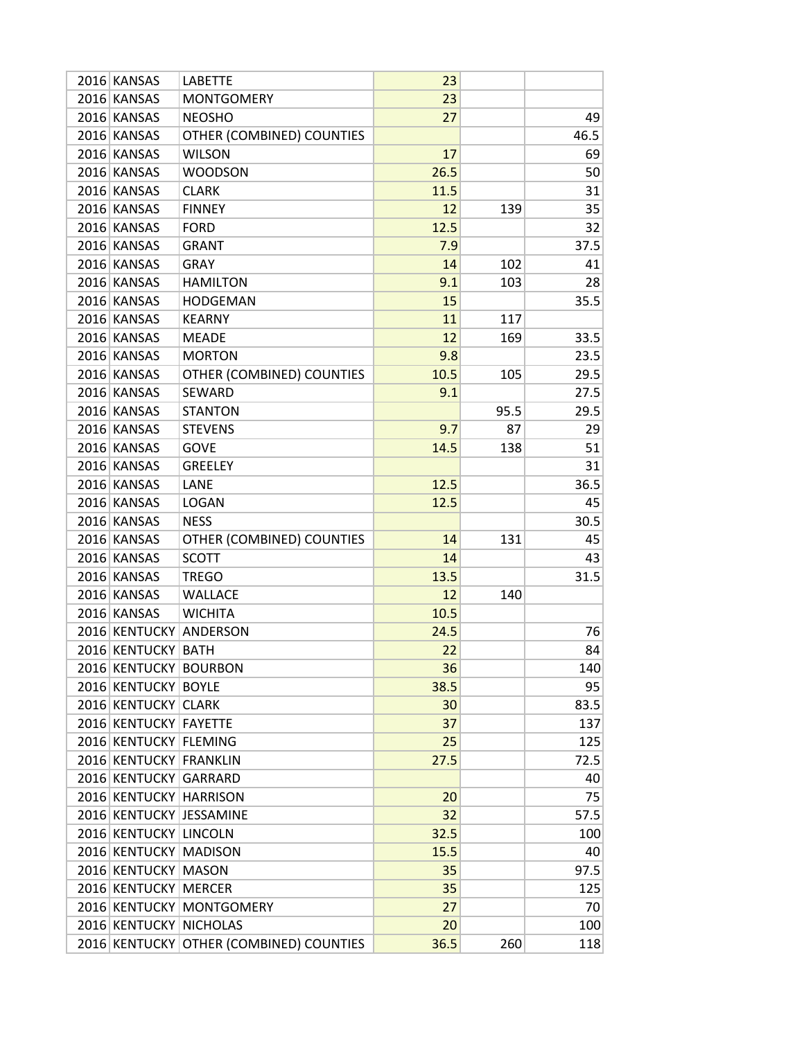| 2016 KANSAS<br>23<br><b>MONTGOMERY</b><br>2016 KANSAS<br><b>NEOSHO</b><br>27<br>49<br>2016 KANSAS<br>OTHER (COMBINED) COUNTIES<br>46.5<br>2016 KANSAS<br><b>WILSON</b><br>17<br>69<br>26.5<br>2016 KANSAS<br><b>WOODSON</b><br>50<br>2016 KANSAS<br><b>CLARK</b><br>11.5<br>31<br>2016 KANSAS<br><b>FINNEY</b><br>12<br>139<br>35<br>12.5<br>2016 KANSAS<br>32<br><b>FORD</b><br>2016 KANSAS<br>37.5<br><b>GRANT</b><br>7.9<br>2016 KANSAS<br>14<br>102<br><b>GRAY</b><br>41<br>2016 KANSAS<br><b>HAMILTON</b><br>9.1<br>103<br>28<br>2016 KANSAS<br>35.5<br><b>HODGEMAN</b><br>15<br>2016 KANSAS<br>11<br>117<br><b>KEARNY</b><br>2016 KANSAS<br>12<br>33.5<br>169<br><b>MEADE</b><br>2016 KANSAS<br>23.5<br><b>MORTON</b><br>9.8<br>29.5<br>2016 KANSAS<br>OTHER (COMBINED) COUNTIES<br>10.5<br>105<br>27.5<br>2016 KANSAS<br><b>SEWARD</b><br>9.1<br>2016 KANSAS<br>29.5<br><b>STANTON</b><br>95.5<br>2016 KANSAS<br>87<br>29<br><b>STEVENS</b><br>9.7<br>2016 KANSAS<br>14.5<br>51<br><b>GOVE</b><br>138<br>2016 KANSAS<br><b>GREELEY</b><br>31<br>2016 KANSAS<br>LANE<br>12.5<br>36.5<br>2016 KANSAS<br>12.5<br><b>LOGAN</b><br>45<br>2016 KANSAS<br><b>NESS</b><br>30.5<br>OTHER (COMBINED) COUNTIES<br>2016 KANSAS<br>14<br>131<br>45<br>2016 KANSAS<br><b>SCOTT</b><br>14<br>43<br>2016 KANSAS<br>31.5<br><b>TREGO</b><br>13.5<br>2016 KANSAS<br>12<br>WALLACE<br>140<br>10.5<br>2016 KANSAS<br><b>WICHITA</b><br>2016 KENTUCKY<br>ANDERSON<br>24.5<br>76<br>2016 KENTUCKY<br>22<br><b>BATH</b><br>84<br>2016 KENTUCKY BOURBON<br>36<br>140<br>2016 KENTUCKY BOYLE<br>38.5<br>95<br>2016 KENTUCKY CLARK<br>83.5<br>30<br>2016 KENTUCKY FAYETTE<br>37<br>137<br>2016 KENTUCKY FLEMING<br>25<br>125<br>2016 KENTUCKY FRANKLIN<br>72.5<br>27.5<br>2016 KENTUCKY GARRARD<br>40<br>2016 KENTUCKY HARRISON<br>20<br>75<br>2016 KENTUCKY JESSAMINE<br>32<br>57.5<br>32.5<br>2016 KENTUCKY LINCOLN<br>100<br>2016 KENTUCKY MADISON<br>15.5<br>40<br>2016 KENTUCKY<br><b>MASON</b><br>97.5<br>35<br>2016 KENTUCKY MERCER<br>35<br>125<br>2016 KENTUCKY MONTGOMERY<br>27<br>70 | 2016 KANSAS | <b>LABETTE</b> | 23 |     |
|------------------------------------------------------------------------------------------------------------------------------------------------------------------------------------------------------------------------------------------------------------------------------------------------------------------------------------------------------------------------------------------------------------------------------------------------------------------------------------------------------------------------------------------------------------------------------------------------------------------------------------------------------------------------------------------------------------------------------------------------------------------------------------------------------------------------------------------------------------------------------------------------------------------------------------------------------------------------------------------------------------------------------------------------------------------------------------------------------------------------------------------------------------------------------------------------------------------------------------------------------------------------------------------------------------------------------------------------------------------------------------------------------------------------------------------------------------------------------------------------------------------------------------------------------------------------------------------------------------------------------------------------------------------------------------------------------------------------------------------------------------------------------------------------------------------------------------------------------------------------------------------------------------------------------------------------------------------------------------------------------------------------------------------------------------------------------|-------------|----------------|----|-----|
|                                                                                                                                                                                                                                                                                                                                                                                                                                                                                                                                                                                                                                                                                                                                                                                                                                                                                                                                                                                                                                                                                                                                                                                                                                                                                                                                                                                                                                                                                                                                                                                                                                                                                                                                                                                                                                                                                                                                                                                                                                                                              |             |                |    |     |
|                                                                                                                                                                                                                                                                                                                                                                                                                                                                                                                                                                                                                                                                                                                                                                                                                                                                                                                                                                                                                                                                                                                                                                                                                                                                                                                                                                                                                                                                                                                                                                                                                                                                                                                                                                                                                                                                                                                                                                                                                                                                              |             |                |    |     |
|                                                                                                                                                                                                                                                                                                                                                                                                                                                                                                                                                                                                                                                                                                                                                                                                                                                                                                                                                                                                                                                                                                                                                                                                                                                                                                                                                                                                                                                                                                                                                                                                                                                                                                                                                                                                                                                                                                                                                                                                                                                                              |             |                |    |     |
|                                                                                                                                                                                                                                                                                                                                                                                                                                                                                                                                                                                                                                                                                                                                                                                                                                                                                                                                                                                                                                                                                                                                                                                                                                                                                                                                                                                                                                                                                                                                                                                                                                                                                                                                                                                                                                                                                                                                                                                                                                                                              |             |                |    |     |
|                                                                                                                                                                                                                                                                                                                                                                                                                                                                                                                                                                                                                                                                                                                                                                                                                                                                                                                                                                                                                                                                                                                                                                                                                                                                                                                                                                                                                                                                                                                                                                                                                                                                                                                                                                                                                                                                                                                                                                                                                                                                              |             |                |    |     |
|                                                                                                                                                                                                                                                                                                                                                                                                                                                                                                                                                                                                                                                                                                                                                                                                                                                                                                                                                                                                                                                                                                                                                                                                                                                                                                                                                                                                                                                                                                                                                                                                                                                                                                                                                                                                                                                                                                                                                                                                                                                                              |             |                |    |     |
|                                                                                                                                                                                                                                                                                                                                                                                                                                                                                                                                                                                                                                                                                                                                                                                                                                                                                                                                                                                                                                                                                                                                                                                                                                                                                                                                                                                                                                                                                                                                                                                                                                                                                                                                                                                                                                                                                                                                                                                                                                                                              |             |                |    |     |
|                                                                                                                                                                                                                                                                                                                                                                                                                                                                                                                                                                                                                                                                                                                                                                                                                                                                                                                                                                                                                                                                                                                                                                                                                                                                                                                                                                                                                                                                                                                                                                                                                                                                                                                                                                                                                                                                                                                                                                                                                                                                              |             |                |    |     |
|                                                                                                                                                                                                                                                                                                                                                                                                                                                                                                                                                                                                                                                                                                                                                                                                                                                                                                                                                                                                                                                                                                                                                                                                                                                                                                                                                                                                                                                                                                                                                                                                                                                                                                                                                                                                                                                                                                                                                                                                                                                                              |             |                |    |     |
|                                                                                                                                                                                                                                                                                                                                                                                                                                                                                                                                                                                                                                                                                                                                                                                                                                                                                                                                                                                                                                                                                                                                                                                                                                                                                                                                                                                                                                                                                                                                                                                                                                                                                                                                                                                                                                                                                                                                                                                                                                                                              |             |                |    |     |
|                                                                                                                                                                                                                                                                                                                                                                                                                                                                                                                                                                                                                                                                                                                                                                                                                                                                                                                                                                                                                                                                                                                                                                                                                                                                                                                                                                                                                                                                                                                                                                                                                                                                                                                                                                                                                                                                                                                                                                                                                                                                              |             |                |    |     |
|                                                                                                                                                                                                                                                                                                                                                                                                                                                                                                                                                                                                                                                                                                                                                                                                                                                                                                                                                                                                                                                                                                                                                                                                                                                                                                                                                                                                                                                                                                                                                                                                                                                                                                                                                                                                                                                                                                                                                                                                                                                                              |             |                |    |     |
|                                                                                                                                                                                                                                                                                                                                                                                                                                                                                                                                                                                                                                                                                                                                                                                                                                                                                                                                                                                                                                                                                                                                                                                                                                                                                                                                                                                                                                                                                                                                                                                                                                                                                                                                                                                                                                                                                                                                                                                                                                                                              |             |                |    |     |
|                                                                                                                                                                                                                                                                                                                                                                                                                                                                                                                                                                                                                                                                                                                                                                                                                                                                                                                                                                                                                                                                                                                                                                                                                                                                                                                                                                                                                                                                                                                                                                                                                                                                                                                                                                                                                                                                                                                                                                                                                                                                              |             |                |    |     |
|                                                                                                                                                                                                                                                                                                                                                                                                                                                                                                                                                                                                                                                                                                                                                                                                                                                                                                                                                                                                                                                                                                                                                                                                                                                                                                                                                                                                                                                                                                                                                                                                                                                                                                                                                                                                                                                                                                                                                                                                                                                                              |             |                |    |     |
|                                                                                                                                                                                                                                                                                                                                                                                                                                                                                                                                                                                                                                                                                                                                                                                                                                                                                                                                                                                                                                                                                                                                                                                                                                                                                                                                                                                                                                                                                                                                                                                                                                                                                                                                                                                                                                                                                                                                                                                                                                                                              |             |                |    |     |
|                                                                                                                                                                                                                                                                                                                                                                                                                                                                                                                                                                                                                                                                                                                                                                                                                                                                                                                                                                                                                                                                                                                                                                                                                                                                                                                                                                                                                                                                                                                                                                                                                                                                                                                                                                                                                                                                                                                                                                                                                                                                              |             |                |    |     |
|                                                                                                                                                                                                                                                                                                                                                                                                                                                                                                                                                                                                                                                                                                                                                                                                                                                                                                                                                                                                                                                                                                                                                                                                                                                                                                                                                                                                                                                                                                                                                                                                                                                                                                                                                                                                                                                                                                                                                                                                                                                                              |             |                |    |     |
|                                                                                                                                                                                                                                                                                                                                                                                                                                                                                                                                                                                                                                                                                                                                                                                                                                                                                                                                                                                                                                                                                                                                                                                                                                                                                                                                                                                                                                                                                                                                                                                                                                                                                                                                                                                                                                                                                                                                                                                                                                                                              |             |                |    |     |
|                                                                                                                                                                                                                                                                                                                                                                                                                                                                                                                                                                                                                                                                                                                                                                                                                                                                                                                                                                                                                                                                                                                                                                                                                                                                                                                                                                                                                                                                                                                                                                                                                                                                                                                                                                                                                                                                                                                                                                                                                                                                              |             |                |    |     |
|                                                                                                                                                                                                                                                                                                                                                                                                                                                                                                                                                                                                                                                                                                                                                                                                                                                                                                                                                                                                                                                                                                                                                                                                                                                                                                                                                                                                                                                                                                                                                                                                                                                                                                                                                                                                                                                                                                                                                                                                                                                                              |             |                |    |     |
|                                                                                                                                                                                                                                                                                                                                                                                                                                                                                                                                                                                                                                                                                                                                                                                                                                                                                                                                                                                                                                                                                                                                                                                                                                                                                                                                                                                                                                                                                                                                                                                                                                                                                                                                                                                                                                                                                                                                                                                                                                                                              |             |                |    |     |
|                                                                                                                                                                                                                                                                                                                                                                                                                                                                                                                                                                                                                                                                                                                                                                                                                                                                                                                                                                                                                                                                                                                                                                                                                                                                                                                                                                                                                                                                                                                                                                                                                                                                                                                                                                                                                                                                                                                                                                                                                                                                              |             |                |    |     |
|                                                                                                                                                                                                                                                                                                                                                                                                                                                                                                                                                                                                                                                                                                                                                                                                                                                                                                                                                                                                                                                                                                                                                                                                                                                                                                                                                                                                                                                                                                                                                                                                                                                                                                                                                                                                                                                                                                                                                                                                                                                                              |             |                |    |     |
|                                                                                                                                                                                                                                                                                                                                                                                                                                                                                                                                                                                                                                                                                                                                                                                                                                                                                                                                                                                                                                                                                                                                                                                                                                                                                                                                                                                                                                                                                                                                                                                                                                                                                                                                                                                                                                                                                                                                                                                                                                                                              |             |                |    |     |
|                                                                                                                                                                                                                                                                                                                                                                                                                                                                                                                                                                                                                                                                                                                                                                                                                                                                                                                                                                                                                                                                                                                                                                                                                                                                                                                                                                                                                                                                                                                                                                                                                                                                                                                                                                                                                                                                                                                                                                                                                                                                              |             |                |    |     |
|                                                                                                                                                                                                                                                                                                                                                                                                                                                                                                                                                                                                                                                                                                                                                                                                                                                                                                                                                                                                                                                                                                                                                                                                                                                                                                                                                                                                                                                                                                                                                                                                                                                                                                                                                                                                                                                                                                                                                                                                                                                                              |             |                |    |     |
|                                                                                                                                                                                                                                                                                                                                                                                                                                                                                                                                                                                                                                                                                                                                                                                                                                                                                                                                                                                                                                                                                                                                                                                                                                                                                                                                                                                                                                                                                                                                                                                                                                                                                                                                                                                                                                                                                                                                                                                                                                                                              |             |                |    |     |
|                                                                                                                                                                                                                                                                                                                                                                                                                                                                                                                                                                                                                                                                                                                                                                                                                                                                                                                                                                                                                                                                                                                                                                                                                                                                                                                                                                                                                                                                                                                                                                                                                                                                                                                                                                                                                                                                                                                                                                                                                                                                              |             |                |    |     |
|                                                                                                                                                                                                                                                                                                                                                                                                                                                                                                                                                                                                                                                                                                                                                                                                                                                                                                                                                                                                                                                                                                                                                                                                                                                                                                                                                                                                                                                                                                                                                                                                                                                                                                                                                                                                                                                                                                                                                                                                                                                                              |             |                |    |     |
|                                                                                                                                                                                                                                                                                                                                                                                                                                                                                                                                                                                                                                                                                                                                                                                                                                                                                                                                                                                                                                                                                                                                                                                                                                                                                                                                                                                                                                                                                                                                                                                                                                                                                                                                                                                                                                                                                                                                                                                                                                                                              |             |                |    |     |
|                                                                                                                                                                                                                                                                                                                                                                                                                                                                                                                                                                                                                                                                                                                                                                                                                                                                                                                                                                                                                                                                                                                                                                                                                                                                                                                                                                                                                                                                                                                                                                                                                                                                                                                                                                                                                                                                                                                                                                                                                                                                              |             |                |    |     |
|                                                                                                                                                                                                                                                                                                                                                                                                                                                                                                                                                                                                                                                                                                                                                                                                                                                                                                                                                                                                                                                                                                                                                                                                                                                                                                                                                                                                                                                                                                                                                                                                                                                                                                                                                                                                                                                                                                                                                                                                                                                                              |             |                |    |     |
|                                                                                                                                                                                                                                                                                                                                                                                                                                                                                                                                                                                                                                                                                                                                                                                                                                                                                                                                                                                                                                                                                                                                                                                                                                                                                                                                                                                                                                                                                                                                                                                                                                                                                                                                                                                                                                                                                                                                                                                                                                                                              |             |                |    |     |
|                                                                                                                                                                                                                                                                                                                                                                                                                                                                                                                                                                                                                                                                                                                                                                                                                                                                                                                                                                                                                                                                                                                                                                                                                                                                                                                                                                                                                                                                                                                                                                                                                                                                                                                                                                                                                                                                                                                                                                                                                                                                              |             |                |    |     |
|                                                                                                                                                                                                                                                                                                                                                                                                                                                                                                                                                                                                                                                                                                                                                                                                                                                                                                                                                                                                                                                                                                                                                                                                                                                                                                                                                                                                                                                                                                                                                                                                                                                                                                                                                                                                                                                                                                                                                                                                                                                                              |             |                |    |     |
|                                                                                                                                                                                                                                                                                                                                                                                                                                                                                                                                                                                                                                                                                                                                                                                                                                                                                                                                                                                                                                                                                                                                                                                                                                                                                                                                                                                                                                                                                                                                                                                                                                                                                                                                                                                                                                                                                                                                                                                                                                                                              |             |                |    |     |
|                                                                                                                                                                                                                                                                                                                                                                                                                                                                                                                                                                                                                                                                                                                                                                                                                                                                                                                                                                                                                                                                                                                                                                                                                                                                                                                                                                                                                                                                                                                                                                                                                                                                                                                                                                                                                                                                                                                                                                                                                                                                              |             |                |    |     |
|                                                                                                                                                                                                                                                                                                                                                                                                                                                                                                                                                                                                                                                                                                                                                                                                                                                                                                                                                                                                                                                                                                                                                                                                                                                                                                                                                                                                                                                                                                                                                                                                                                                                                                                                                                                                                                                                                                                                                                                                                                                                              |             |                |    |     |
|                                                                                                                                                                                                                                                                                                                                                                                                                                                                                                                                                                                                                                                                                                                                                                                                                                                                                                                                                                                                                                                                                                                                                                                                                                                                                                                                                                                                                                                                                                                                                                                                                                                                                                                                                                                                                                                                                                                                                                                                                                                                              |             |                |    |     |
|                                                                                                                                                                                                                                                                                                                                                                                                                                                                                                                                                                                                                                                                                                                                                                                                                                                                                                                                                                                                                                                                                                                                                                                                                                                                                                                                                                                                                                                                                                                                                                                                                                                                                                                                                                                                                                                                                                                                                                                                                                                                              |             |                |    |     |
|                                                                                                                                                                                                                                                                                                                                                                                                                                                                                                                                                                                                                                                                                                                                                                                                                                                                                                                                                                                                                                                                                                                                                                                                                                                                                                                                                                                                                                                                                                                                                                                                                                                                                                                                                                                                                                                                                                                                                                                                                                                                              |             |                |    |     |
|                                                                                                                                                                                                                                                                                                                                                                                                                                                                                                                                                                                                                                                                                                                                                                                                                                                                                                                                                                                                                                                                                                                                                                                                                                                                                                                                                                                                                                                                                                                                                                                                                                                                                                                                                                                                                                                                                                                                                                                                                                                                              |             |                |    |     |
|                                                                                                                                                                                                                                                                                                                                                                                                                                                                                                                                                                                                                                                                                                                                                                                                                                                                                                                                                                                                                                                                                                                                                                                                                                                                                                                                                                                                                                                                                                                                                                                                                                                                                                                                                                                                                                                                                                                                                                                                                                                                              |             |                |    |     |
|                                                                                                                                                                                                                                                                                                                                                                                                                                                                                                                                                                                                                                                                                                                                                                                                                                                                                                                                                                                                                                                                                                                                                                                                                                                                                                                                                                                                                                                                                                                                                                                                                                                                                                                                                                                                                                                                                                                                                                                                                                                                              |             |                |    |     |
| 2016 KENTUCKY NICHOLAS                                                                                                                                                                                                                                                                                                                                                                                                                                                                                                                                                                                                                                                                                                                                                                                                                                                                                                                                                                                                                                                                                                                                                                                                                                                                                                                                                                                                                                                                                                                                                                                                                                                                                                                                                                                                                                                                                                                                                                                                                                                       |             |                | 20 | 100 |
| 2016 KENTUCKY OTHER (COMBINED) COUNTIES<br>36.5<br>260<br>118                                                                                                                                                                                                                                                                                                                                                                                                                                                                                                                                                                                                                                                                                                                                                                                                                                                                                                                                                                                                                                                                                                                                                                                                                                                                                                                                                                                                                                                                                                                                                                                                                                                                                                                                                                                                                                                                                                                                                                                                                |             |                |    |     |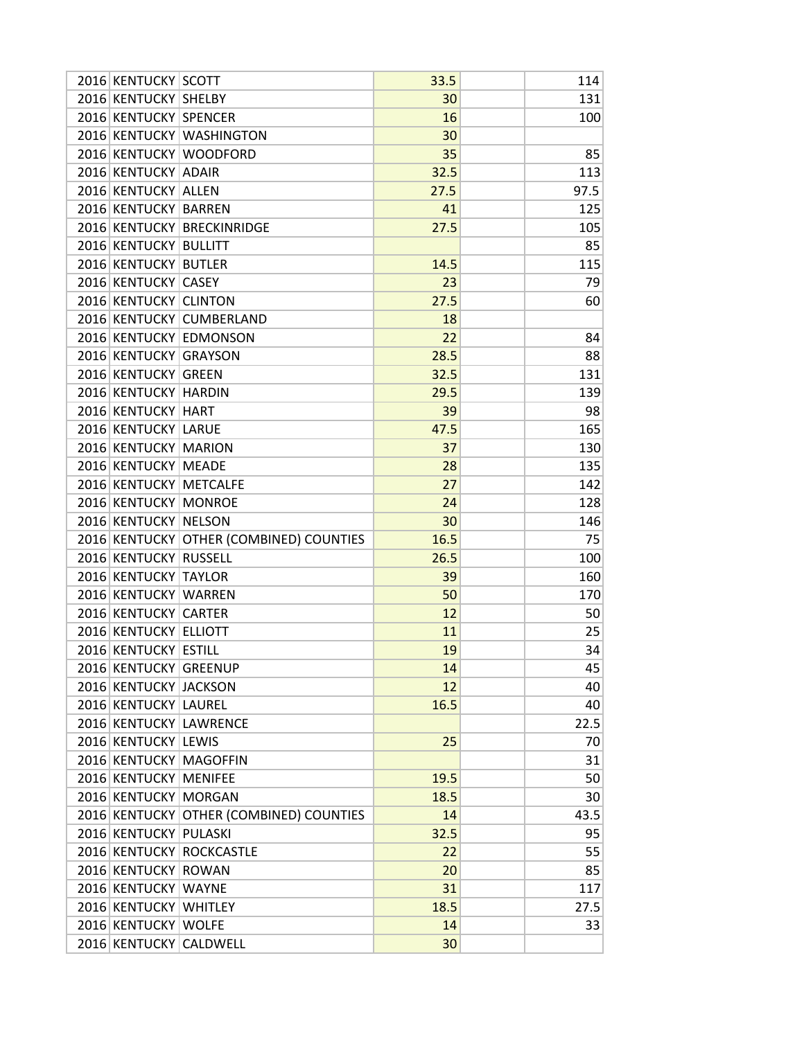|  | 2016 KENTUCKY SCOTT    |                                         | 33.5 | 114  |
|--|------------------------|-----------------------------------------|------|------|
|  | 2016 KENTUCKY SHELBY   |                                         | 30   | 131  |
|  | 2016 KENTUCKY SPENCER  |                                         | 16   | 100  |
|  |                        | 2016 KENTUCKY WASHINGTON                | 30   |      |
|  |                        | 2016 KENTUCKY WOODFORD                  | 35   | 85   |
|  | 2016 KENTUCKY ADAIR    |                                         | 32.5 | 113  |
|  | 2016 KENTUCKY ALLEN    |                                         | 27.5 | 97.5 |
|  | 2016 KENTUCKY BARREN   |                                         | 41   | 125  |
|  |                        | 2016 KENTUCKY BRECKINRIDGE              | 27.5 | 105  |
|  | 2016 KENTUCKY BULLITT  |                                         |      | 85   |
|  | 2016 KENTUCKY BUTLER   |                                         | 14.5 | 115  |
|  | 2016 KENTUCKY CASEY    |                                         | 23   | 79   |
|  | 2016 KENTUCKY CLINTON  |                                         | 27.5 | 60   |
|  |                        | 2016 KENTUCKY CUMBERLAND                | 18   |      |
|  |                        | 2016 KENTUCKY EDMONSON                  | 22   | 84   |
|  | 2016 KENTUCKY GRAYSON  |                                         | 28.5 | 88   |
|  | 2016 KENTUCKY GREEN    |                                         | 32.5 | 131  |
|  | 2016 KENTUCKY HARDIN   |                                         | 29.5 | 139  |
|  | 2016 KENTUCKY HART     |                                         | 39   | 98   |
|  | 2016 KENTUCKY LARUE    |                                         | 47.5 | 165  |
|  | 2016 KENTUCKY MARION   |                                         | 37   | 130  |
|  | 2016 KENTUCKY MEADE    |                                         | 28   | 135  |
|  | 2016 KENTUCKY METCALFE |                                         | 27   | 142  |
|  | 2016 KENTUCKY MONROE   |                                         | 24   | 128  |
|  | 2016 KENTUCKY NELSON   |                                         | 30   | 146  |
|  |                        | 2016 KENTUCKY OTHER (COMBINED) COUNTIES | 16.5 | 75   |
|  | 2016 KENTUCKY RUSSELL  |                                         | 26.5 | 100  |
|  | 2016 KENTUCKY TAYLOR   |                                         | 39   | 160  |
|  | 2016 KENTUCKY WARREN   |                                         | 50   | 170  |
|  | 2016 KENTUCKY CARTER   |                                         | 12   | 50   |
|  | 2016 KENTUCKY ELLIOTT  |                                         | 11   | 25   |
|  | 2016 KENTUCKY ESTILL   |                                         | 19   | 34   |
|  | 2016 KENTUCKY GREENUP  |                                         | 14   | 45   |
|  | 2016 KENTUCKY JACKSON  |                                         | 12   | 40   |
|  | 2016 KENTUCKY LAUREL   |                                         | 16.5 | 40   |
|  |                        | 2016 KENTUCKY LAWRENCE                  |      | 22.5 |
|  | 2016 KENTUCKY LEWIS    |                                         | 25   | 70   |
|  |                        | 2016 KENTUCKY MAGOFFIN                  |      | 31   |
|  | 2016 KENTUCKY MENIFEE  |                                         | 19.5 | 50   |
|  | 2016 KENTUCKY MORGAN   |                                         | 18.5 | 30   |
|  |                        | 2016 KENTUCKY OTHER (COMBINED) COUNTIES | 14   | 43.5 |
|  | 2016 KENTUCKY PULASKI  |                                         | 32.5 | 95   |
|  |                        | 2016 KENTUCKY ROCKCASTLE                | 22   | 55   |
|  | 2016 KENTUCKY ROWAN    |                                         | 20   | 85   |
|  | 2016 KENTUCKY WAYNE    |                                         | 31   | 117  |
|  | 2016 KENTUCKY WHITLEY  |                                         | 18.5 | 27.5 |
|  | 2016 KENTUCKY WOLFE    |                                         | 14   | 33   |
|  |                        | 2016 KENTUCKY CALDWELL                  | 30   |      |
|  |                        |                                         |      |      |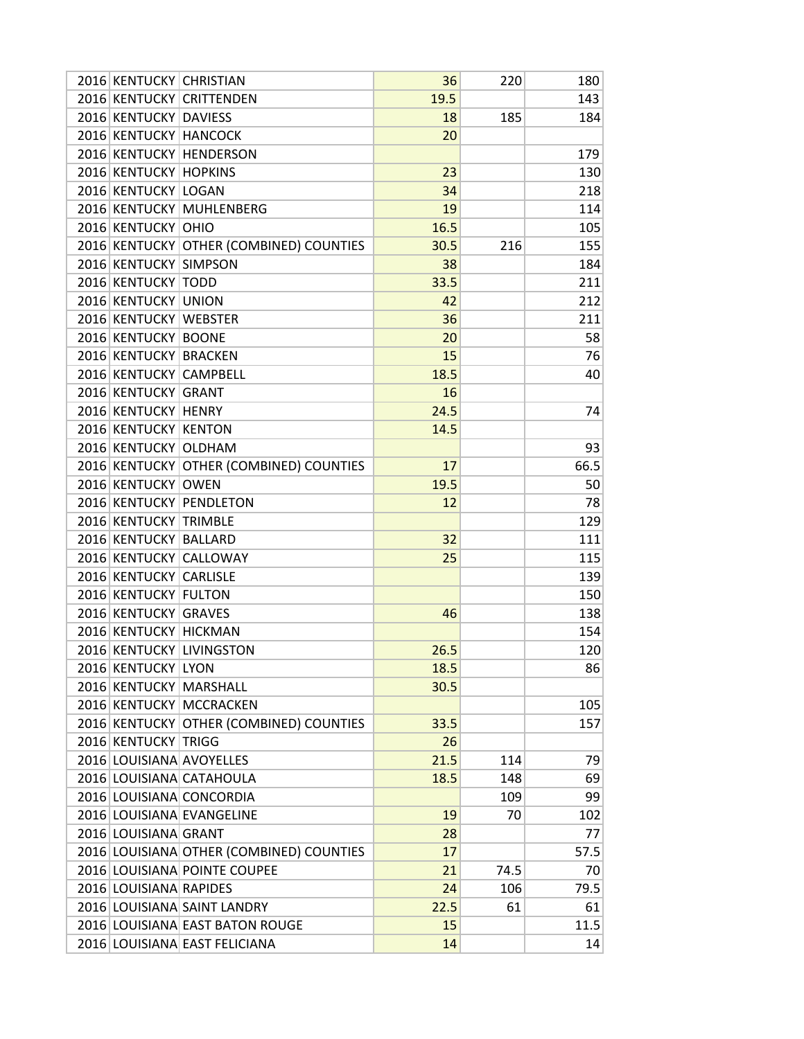| 2016 KENTUCKY CHRISTIAN |                                          | 36   | 220  | 180  |
|-------------------------|------------------------------------------|------|------|------|
|                         | 2016 KENTUCKY CRITTENDEN                 | 19.5 |      | 143  |
| 2016 KENTUCKY DAVIESS   |                                          | 18   | 185  | 184  |
| 2016 KENTUCKY HANCOCK   |                                          | 20   |      |      |
| 2016 KENTUCKY           | <b>HENDERSON</b>                         |      |      | 179  |
| 2016 KENTUCKY HOPKINS   |                                          | 23   |      | 130  |
| 2016 KENTUCKY LOGAN     |                                          | 34   |      | 218  |
| 2016 KENTUCKY           | <b>MUHLENBERG</b>                        | 19   |      | 114  |
| 2016 KENTUCKY OHIO      |                                          | 16.5 |      | 105  |
|                         | 2016 KENTUCKY OTHER (COMBINED) COUNTIES  | 30.5 | 216  | 155  |
| 2016 KENTUCKY SIMPSON   |                                          | 38   |      | 184  |
| 2016 KENTUCKY TODD      |                                          | 33.5 |      | 211  |
| 2016 KENTUCKY UNION     |                                          | 42   |      | 212  |
| 2016 KENTUCKY WEBSTER   |                                          | 36   |      | 211  |
| 2016 KENTUCKY BOONE     |                                          | 20   |      | 58   |
| 2016 KENTUCKY BRACKEN   |                                          | 15   |      | 76   |
| 2016 KENTUCKY CAMPBELL  |                                          | 18.5 |      | 40   |
| 2016 KENTUCKY GRANT     |                                          | 16   |      |      |
| 2016 KENTUCKY HENRY     |                                          | 24.5 |      | 74   |
| 2016 KENTUCKY           | <b>KENTON</b>                            | 14.5 |      |      |
| 2016 KENTUCKY OLDHAM    |                                          |      |      | 93   |
|                         | 2016 KENTUCKY OTHER (COMBINED) COUNTIES  | 17   |      | 66.5 |
| 2016 KENTUCKY OWEN      |                                          | 19.5 |      | 50   |
|                         | 2016 KENTUCKY PENDLETON                  | 12   |      | 78   |
| 2016 KENTUCKY TRIMBLE   |                                          |      |      | 129  |
| 2016 KENTUCKY BALLARD   |                                          | 32   |      | 111  |
|                         | 2016 KENTUCKY CALLOWAY                   | 25   |      | 115  |
| 2016 KENTUCKY CARLISLE  |                                          |      |      | 139  |
| 2016 KENTUCKY           | <b>FULTON</b>                            |      |      | 150  |
| 2016 KENTUCKY GRAVES    |                                          | 46   |      | 138  |
| 2016 KENTUCKY HICKMAN   |                                          |      |      | 154  |
|                         | 2016 KENTUCKY LIVINGSTON                 | 26.5 |      | 120  |
| 2016 KENTUCKY LYON      |                                          | 18.5 |      | 86   |
|                         | 2016 KENTUCKY MARSHALL                   | 30.5 |      |      |
|                         | 2016 KENTUCKY MCCRACKEN                  |      |      | 105  |
|                         | 2016 KENTUCKY OTHER (COMBINED) COUNTIES  | 33.5 |      | 157  |
| 2016 KENTUCKY TRIGG     |                                          | 26   |      |      |
|                         | 2016 LOUISIANA AVOYELLES                 | 21.5 | 114  | 79   |
|                         | 2016 LOUISIANA CATAHOULA                 | 18.5 | 148  | 69   |
|                         | 2016 LOUISIANA CONCORDIA                 |      | 109  | 99   |
|                         | 2016 LOUISIANA EVANGELINE                | 19   | 70   | 102  |
| 2016 LOUISIANA GRANT    |                                          | 28   |      | 77   |
|                         | 2016 LOUISIANA OTHER (COMBINED) COUNTIES | 17   |      | 57.5 |
|                         | 2016 LOUISIANA POINTE COUPEE             |      | 74.5 |      |
|                         |                                          | 21   |      | 70   |
| 2016 LOUISIANA RAPIDES  |                                          | 24   | 106  | 79.5 |
|                         | 2016 LOUISIANA SAINT LANDRY              | 22.5 | 61   | 61   |
|                         | 2016 LOUISIANA EAST BATON ROUGE          | 15   |      | 11.5 |
|                         | 2016 LOUISIANA EAST FELICIANA            | 14   |      | 14   |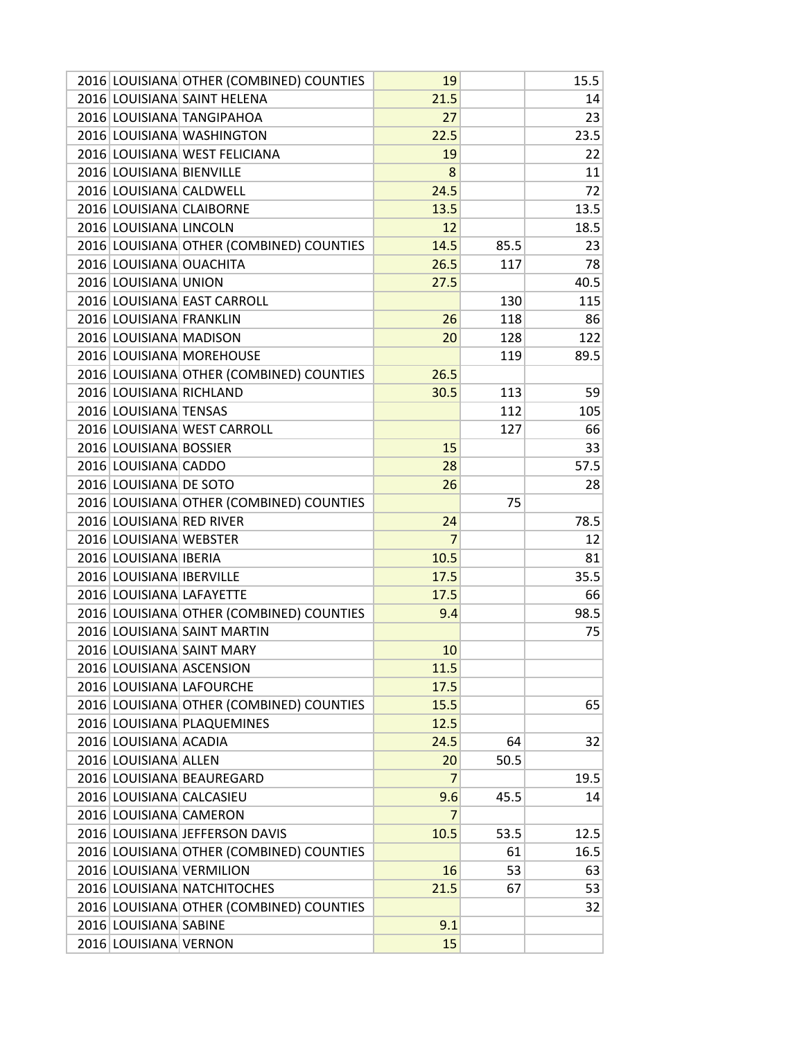| 2016 LOUISIANA SAINT HELENA<br>21.5<br>14<br>2016 LOUISIANA TANGIPAHOA<br>27<br>23<br>2016 LOUISIANA WASHINGTON<br>22.5<br>23.5<br>2016 LOUISIANA WEST FELICIANA<br>19<br>22<br>2016 LOUISIANA BIENVILLE<br>11<br>8<br>2016 LOUISIANA CALDWELL<br>24.5<br>72<br>2016 LOUISIANA CLAIBORNE<br>13.5<br>13.5<br>2016 LOUISIANA LINCOLN<br>18.5<br>12<br>2016 LOUISIANA OTHER (COMBINED) COUNTIES<br>14.5<br>85.5<br>23<br>2016 LOUISIANA OUACHITA<br>26.5<br>78<br>117<br>2016 LOUISIANA UNION<br>40.5<br>27.5<br>2016 LOUISIANA EAST CARROLL<br>130<br>115<br>2016 LOUISIANA FRANKLIN<br>26<br>118<br>86<br>2016 LOUISIANA MADISON<br>122<br>20<br>128<br>2016 LOUISIANA MOREHOUSE<br>89.5<br>119<br>2016 LOUISIANA OTHER (COMBINED) COUNTIES<br>26.5<br>2016 LOUISIANA RICHLAND<br>30.5<br>113<br>59<br>2016 LOUISIANA TENSAS<br>112<br>105<br>2016 LOUISIANA WEST CARROLL<br>127<br>66<br>2016 LOUISIANA BOSSIER<br>15<br>33<br>2016 LOUISIANA CADDO<br>28<br>57.5<br>2016 LOUISIANA DE SOTO<br>26<br>28<br>2016 LOUISIANA OTHER (COMBINED) COUNTIES<br>75<br>2016 LOUISIANA RED RIVER<br>78.5<br>24<br>2016 LOUISIANA WEBSTER<br>7<br>12<br>2016 LOUISIANA IBERIA<br>10.5<br>81<br>2016 LOUISIANA IBERVILLE<br>17.5<br>35.5<br>2016 LOUISIANA LAFAYETTE<br>17.5<br>66<br>2016 LOUISIANA OTHER (COMBINED) COUNTIES<br>98.5<br>9.4<br>2016 LOUISIANA SAINT MARTIN<br>75<br>2016 LOUISIANA SAINT MARY<br>10<br>2016 LOUISIANA ASCENSION<br>11.5<br>2016 LOUISIANA LAFOURCHE<br>17.5<br>2016 LOUISIANA OTHER (COMBINED) COUNTIES<br>15.5<br>65<br>2016 LOUISIANA PLAQUEMINES<br>12.5<br>2016 LOUISIANA ACADIA<br>24.5<br>64<br>32<br>2016 LOUISIANA ALLEN<br>20<br>50.5<br>2016 LOUISIANA BEAUREGARD<br>$\overline{7}$<br>19.5<br>2016 LOUISIANA CALCASIEU<br>9.6<br>45.5<br>14<br>2016 LOUISIANA CAMERON<br>7<br>2016 LOUISIANA JEFFERSON DAVIS<br>10.5<br>12.5<br>53.5<br>2016 LOUISIANA OTHER (COMBINED) COUNTIES<br>16.5<br>61<br>2016 LOUISIANA VERMILION<br>16<br>53<br>63<br>2016 LOUISIANA NATCHITOCHES<br>21.5<br>53<br>67<br>2016 LOUISIANA OTHER (COMBINED) COUNTIES<br>32<br>2016 LOUISIANA SABINE<br>9.1<br>2016 LOUISIANA VERNON<br>15 |  | 2016 LOUISIANA OTHER (COMBINED) COUNTIES | 19 | 15.5 |
|--------------------------------------------------------------------------------------------------------------------------------------------------------------------------------------------------------------------------------------------------------------------------------------------------------------------------------------------------------------------------------------------------------------------------------------------------------------------------------------------------------------------------------------------------------------------------------------------------------------------------------------------------------------------------------------------------------------------------------------------------------------------------------------------------------------------------------------------------------------------------------------------------------------------------------------------------------------------------------------------------------------------------------------------------------------------------------------------------------------------------------------------------------------------------------------------------------------------------------------------------------------------------------------------------------------------------------------------------------------------------------------------------------------------------------------------------------------------------------------------------------------------------------------------------------------------------------------------------------------------------------------------------------------------------------------------------------------------------------------------------------------------------------------------------------------------------------------------------------------------------------------------------------------------------------------------------------------------------------------------------------------------------------------------------------------------------------------------------------------------------------------------------|--|------------------------------------------|----|------|
|                                                                                                                                                                                                                                                                                                                                                                                                                                                                                                                                                                                                                                                                                                                                                                                                                                                                                                                                                                                                                                                                                                                                                                                                                                                                                                                                                                                                                                                                                                                                                                                                                                                                                                                                                                                                                                                                                                                                                                                                                                                                                                                                                  |  |                                          |    |      |
|                                                                                                                                                                                                                                                                                                                                                                                                                                                                                                                                                                                                                                                                                                                                                                                                                                                                                                                                                                                                                                                                                                                                                                                                                                                                                                                                                                                                                                                                                                                                                                                                                                                                                                                                                                                                                                                                                                                                                                                                                                                                                                                                                  |  |                                          |    |      |
|                                                                                                                                                                                                                                                                                                                                                                                                                                                                                                                                                                                                                                                                                                                                                                                                                                                                                                                                                                                                                                                                                                                                                                                                                                                                                                                                                                                                                                                                                                                                                                                                                                                                                                                                                                                                                                                                                                                                                                                                                                                                                                                                                  |  |                                          |    |      |
|                                                                                                                                                                                                                                                                                                                                                                                                                                                                                                                                                                                                                                                                                                                                                                                                                                                                                                                                                                                                                                                                                                                                                                                                                                                                                                                                                                                                                                                                                                                                                                                                                                                                                                                                                                                                                                                                                                                                                                                                                                                                                                                                                  |  |                                          |    |      |
|                                                                                                                                                                                                                                                                                                                                                                                                                                                                                                                                                                                                                                                                                                                                                                                                                                                                                                                                                                                                                                                                                                                                                                                                                                                                                                                                                                                                                                                                                                                                                                                                                                                                                                                                                                                                                                                                                                                                                                                                                                                                                                                                                  |  |                                          |    |      |
|                                                                                                                                                                                                                                                                                                                                                                                                                                                                                                                                                                                                                                                                                                                                                                                                                                                                                                                                                                                                                                                                                                                                                                                                                                                                                                                                                                                                                                                                                                                                                                                                                                                                                                                                                                                                                                                                                                                                                                                                                                                                                                                                                  |  |                                          |    |      |
|                                                                                                                                                                                                                                                                                                                                                                                                                                                                                                                                                                                                                                                                                                                                                                                                                                                                                                                                                                                                                                                                                                                                                                                                                                                                                                                                                                                                                                                                                                                                                                                                                                                                                                                                                                                                                                                                                                                                                                                                                                                                                                                                                  |  |                                          |    |      |
|                                                                                                                                                                                                                                                                                                                                                                                                                                                                                                                                                                                                                                                                                                                                                                                                                                                                                                                                                                                                                                                                                                                                                                                                                                                                                                                                                                                                                                                                                                                                                                                                                                                                                                                                                                                                                                                                                                                                                                                                                                                                                                                                                  |  |                                          |    |      |
|                                                                                                                                                                                                                                                                                                                                                                                                                                                                                                                                                                                                                                                                                                                                                                                                                                                                                                                                                                                                                                                                                                                                                                                                                                                                                                                                                                                                                                                                                                                                                                                                                                                                                                                                                                                                                                                                                                                                                                                                                                                                                                                                                  |  |                                          |    |      |
|                                                                                                                                                                                                                                                                                                                                                                                                                                                                                                                                                                                                                                                                                                                                                                                                                                                                                                                                                                                                                                                                                                                                                                                                                                                                                                                                                                                                                                                                                                                                                                                                                                                                                                                                                                                                                                                                                                                                                                                                                                                                                                                                                  |  |                                          |    |      |
|                                                                                                                                                                                                                                                                                                                                                                                                                                                                                                                                                                                                                                                                                                                                                                                                                                                                                                                                                                                                                                                                                                                                                                                                                                                                                                                                                                                                                                                                                                                                                                                                                                                                                                                                                                                                                                                                                                                                                                                                                                                                                                                                                  |  |                                          |    |      |
|                                                                                                                                                                                                                                                                                                                                                                                                                                                                                                                                                                                                                                                                                                                                                                                                                                                                                                                                                                                                                                                                                                                                                                                                                                                                                                                                                                                                                                                                                                                                                                                                                                                                                                                                                                                                                                                                                                                                                                                                                                                                                                                                                  |  |                                          |    |      |
|                                                                                                                                                                                                                                                                                                                                                                                                                                                                                                                                                                                                                                                                                                                                                                                                                                                                                                                                                                                                                                                                                                                                                                                                                                                                                                                                                                                                                                                                                                                                                                                                                                                                                                                                                                                                                                                                                                                                                                                                                                                                                                                                                  |  |                                          |    |      |
|                                                                                                                                                                                                                                                                                                                                                                                                                                                                                                                                                                                                                                                                                                                                                                                                                                                                                                                                                                                                                                                                                                                                                                                                                                                                                                                                                                                                                                                                                                                                                                                                                                                                                                                                                                                                                                                                                                                                                                                                                                                                                                                                                  |  |                                          |    |      |
|                                                                                                                                                                                                                                                                                                                                                                                                                                                                                                                                                                                                                                                                                                                                                                                                                                                                                                                                                                                                                                                                                                                                                                                                                                                                                                                                                                                                                                                                                                                                                                                                                                                                                                                                                                                                                                                                                                                                                                                                                                                                                                                                                  |  |                                          |    |      |
|                                                                                                                                                                                                                                                                                                                                                                                                                                                                                                                                                                                                                                                                                                                                                                                                                                                                                                                                                                                                                                                                                                                                                                                                                                                                                                                                                                                                                                                                                                                                                                                                                                                                                                                                                                                                                                                                                                                                                                                                                                                                                                                                                  |  |                                          |    |      |
|                                                                                                                                                                                                                                                                                                                                                                                                                                                                                                                                                                                                                                                                                                                                                                                                                                                                                                                                                                                                                                                                                                                                                                                                                                                                                                                                                                                                                                                                                                                                                                                                                                                                                                                                                                                                                                                                                                                                                                                                                                                                                                                                                  |  |                                          |    |      |
|                                                                                                                                                                                                                                                                                                                                                                                                                                                                                                                                                                                                                                                                                                                                                                                                                                                                                                                                                                                                                                                                                                                                                                                                                                                                                                                                                                                                                                                                                                                                                                                                                                                                                                                                                                                                                                                                                                                                                                                                                                                                                                                                                  |  |                                          |    |      |
|                                                                                                                                                                                                                                                                                                                                                                                                                                                                                                                                                                                                                                                                                                                                                                                                                                                                                                                                                                                                                                                                                                                                                                                                                                                                                                                                                                                                                                                                                                                                                                                                                                                                                                                                                                                                                                                                                                                                                                                                                                                                                                                                                  |  |                                          |    |      |
|                                                                                                                                                                                                                                                                                                                                                                                                                                                                                                                                                                                                                                                                                                                                                                                                                                                                                                                                                                                                                                                                                                                                                                                                                                                                                                                                                                                                                                                                                                                                                                                                                                                                                                                                                                                                                                                                                                                                                                                                                                                                                                                                                  |  |                                          |    |      |
|                                                                                                                                                                                                                                                                                                                                                                                                                                                                                                                                                                                                                                                                                                                                                                                                                                                                                                                                                                                                                                                                                                                                                                                                                                                                                                                                                                                                                                                                                                                                                                                                                                                                                                                                                                                                                                                                                                                                                                                                                                                                                                                                                  |  |                                          |    |      |
|                                                                                                                                                                                                                                                                                                                                                                                                                                                                                                                                                                                                                                                                                                                                                                                                                                                                                                                                                                                                                                                                                                                                                                                                                                                                                                                                                                                                                                                                                                                                                                                                                                                                                                                                                                                                                                                                                                                                                                                                                                                                                                                                                  |  |                                          |    |      |
|                                                                                                                                                                                                                                                                                                                                                                                                                                                                                                                                                                                                                                                                                                                                                                                                                                                                                                                                                                                                                                                                                                                                                                                                                                                                                                                                                                                                                                                                                                                                                                                                                                                                                                                                                                                                                                                                                                                                                                                                                                                                                                                                                  |  |                                          |    |      |
|                                                                                                                                                                                                                                                                                                                                                                                                                                                                                                                                                                                                                                                                                                                                                                                                                                                                                                                                                                                                                                                                                                                                                                                                                                                                                                                                                                                                                                                                                                                                                                                                                                                                                                                                                                                                                                                                                                                                                                                                                                                                                                                                                  |  |                                          |    |      |
|                                                                                                                                                                                                                                                                                                                                                                                                                                                                                                                                                                                                                                                                                                                                                                                                                                                                                                                                                                                                                                                                                                                                                                                                                                                                                                                                                                                                                                                                                                                                                                                                                                                                                                                                                                                                                                                                                                                                                                                                                                                                                                                                                  |  |                                          |    |      |
|                                                                                                                                                                                                                                                                                                                                                                                                                                                                                                                                                                                                                                                                                                                                                                                                                                                                                                                                                                                                                                                                                                                                                                                                                                                                                                                                                                                                                                                                                                                                                                                                                                                                                                                                                                                                                                                                                                                                                                                                                                                                                                                                                  |  |                                          |    |      |
|                                                                                                                                                                                                                                                                                                                                                                                                                                                                                                                                                                                                                                                                                                                                                                                                                                                                                                                                                                                                                                                                                                                                                                                                                                                                                                                                                                                                                                                                                                                                                                                                                                                                                                                                                                                                                                                                                                                                                                                                                                                                                                                                                  |  |                                          |    |      |
|                                                                                                                                                                                                                                                                                                                                                                                                                                                                                                                                                                                                                                                                                                                                                                                                                                                                                                                                                                                                                                                                                                                                                                                                                                                                                                                                                                                                                                                                                                                                                                                                                                                                                                                                                                                                                                                                                                                                                                                                                                                                                                                                                  |  |                                          |    |      |
|                                                                                                                                                                                                                                                                                                                                                                                                                                                                                                                                                                                                                                                                                                                                                                                                                                                                                                                                                                                                                                                                                                                                                                                                                                                                                                                                                                                                                                                                                                                                                                                                                                                                                                                                                                                                                                                                                                                                                                                                                                                                                                                                                  |  |                                          |    |      |
|                                                                                                                                                                                                                                                                                                                                                                                                                                                                                                                                                                                                                                                                                                                                                                                                                                                                                                                                                                                                                                                                                                                                                                                                                                                                                                                                                                                                                                                                                                                                                                                                                                                                                                                                                                                                                                                                                                                                                                                                                                                                                                                                                  |  |                                          |    |      |
|                                                                                                                                                                                                                                                                                                                                                                                                                                                                                                                                                                                                                                                                                                                                                                                                                                                                                                                                                                                                                                                                                                                                                                                                                                                                                                                                                                                                                                                                                                                                                                                                                                                                                                                                                                                                                                                                                                                                                                                                                                                                                                                                                  |  |                                          |    |      |
|                                                                                                                                                                                                                                                                                                                                                                                                                                                                                                                                                                                                                                                                                                                                                                                                                                                                                                                                                                                                                                                                                                                                                                                                                                                                                                                                                                                                                                                                                                                                                                                                                                                                                                                                                                                                                                                                                                                                                                                                                                                                                                                                                  |  |                                          |    |      |
|                                                                                                                                                                                                                                                                                                                                                                                                                                                                                                                                                                                                                                                                                                                                                                                                                                                                                                                                                                                                                                                                                                                                                                                                                                                                                                                                                                                                                                                                                                                                                                                                                                                                                                                                                                                                                                                                                                                                                                                                                                                                                                                                                  |  |                                          |    |      |
|                                                                                                                                                                                                                                                                                                                                                                                                                                                                                                                                                                                                                                                                                                                                                                                                                                                                                                                                                                                                                                                                                                                                                                                                                                                                                                                                                                                                                                                                                                                                                                                                                                                                                                                                                                                                                                                                                                                                                                                                                                                                                                                                                  |  |                                          |    |      |
|                                                                                                                                                                                                                                                                                                                                                                                                                                                                                                                                                                                                                                                                                                                                                                                                                                                                                                                                                                                                                                                                                                                                                                                                                                                                                                                                                                                                                                                                                                                                                                                                                                                                                                                                                                                                                                                                                                                                                                                                                                                                                                                                                  |  |                                          |    |      |
|                                                                                                                                                                                                                                                                                                                                                                                                                                                                                                                                                                                                                                                                                                                                                                                                                                                                                                                                                                                                                                                                                                                                                                                                                                                                                                                                                                                                                                                                                                                                                                                                                                                                                                                                                                                                                                                                                                                                                                                                                                                                                                                                                  |  |                                          |    |      |
|                                                                                                                                                                                                                                                                                                                                                                                                                                                                                                                                                                                                                                                                                                                                                                                                                                                                                                                                                                                                                                                                                                                                                                                                                                                                                                                                                                                                                                                                                                                                                                                                                                                                                                                                                                                                                                                                                                                                                                                                                                                                                                                                                  |  |                                          |    |      |
|                                                                                                                                                                                                                                                                                                                                                                                                                                                                                                                                                                                                                                                                                                                                                                                                                                                                                                                                                                                                                                                                                                                                                                                                                                                                                                                                                                                                                                                                                                                                                                                                                                                                                                                                                                                                                                                                                                                                                                                                                                                                                                                                                  |  |                                          |    |      |
|                                                                                                                                                                                                                                                                                                                                                                                                                                                                                                                                                                                                                                                                                                                                                                                                                                                                                                                                                                                                                                                                                                                                                                                                                                                                                                                                                                                                                                                                                                                                                                                                                                                                                                                                                                                                                                                                                                                                                                                                                                                                                                                                                  |  |                                          |    |      |
|                                                                                                                                                                                                                                                                                                                                                                                                                                                                                                                                                                                                                                                                                                                                                                                                                                                                                                                                                                                                                                                                                                                                                                                                                                                                                                                                                                                                                                                                                                                                                                                                                                                                                                                                                                                                                                                                                                                                                                                                                                                                                                                                                  |  |                                          |    |      |
|                                                                                                                                                                                                                                                                                                                                                                                                                                                                                                                                                                                                                                                                                                                                                                                                                                                                                                                                                                                                                                                                                                                                                                                                                                                                                                                                                                                                                                                                                                                                                                                                                                                                                                                                                                                                                                                                                                                                                                                                                                                                                                                                                  |  |                                          |    |      |
|                                                                                                                                                                                                                                                                                                                                                                                                                                                                                                                                                                                                                                                                                                                                                                                                                                                                                                                                                                                                                                                                                                                                                                                                                                                                                                                                                                                                                                                                                                                                                                                                                                                                                                                                                                                                                                                                                                                                                                                                                                                                                                                                                  |  |                                          |    |      |
|                                                                                                                                                                                                                                                                                                                                                                                                                                                                                                                                                                                                                                                                                                                                                                                                                                                                                                                                                                                                                                                                                                                                                                                                                                                                                                                                                                                                                                                                                                                                                                                                                                                                                                                                                                                                                                                                                                                                                                                                                                                                                                                                                  |  |                                          |    |      |
|                                                                                                                                                                                                                                                                                                                                                                                                                                                                                                                                                                                                                                                                                                                                                                                                                                                                                                                                                                                                                                                                                                                                                                                                                                                                                                                                                                                                                                                                                                                                                                                                                                                                                                                                                                                                                                                                                                                                                                                                                                                                                                                                                  |  |                                          |    |      |
|                                                                                                                                                                                                                                                                                                                                                                                                                                                                                                                                                                                                                                                                                                                                                                                                                                                                                                                                                                                                                                                                                                                                                                                                                                                                                                                                                                                                                                                                                                                                                                                                                                                                                                                                                                                                                                                                                                                                                                                                                                                                                                                                                  |  |                                          |    |      |
|                                                                                                                                                                                                                                                                                                                                                                                                                                                                                                                                                                                                                                                                                                                                                                                                                                                                                                                                                                                                                                                                                                                                                                                                                                                                                                                                                                                                                                                                                                                                                                                                                                                                                                                                                                                                                                                                                                                                                                                                                                                                                                                                                  |  |                                          |    |      |
|                                                                                                                                                                                                                                                                                                                                                                                                                                                                                                                                                                                                                                                                                                                                                                                                                                                                                                                                                                                                                                                                                                                                                                                                                                                                                                                                                                                                                                                                                                                                                                                                                                                                                                                                                                                                                                                                                                                                                                                                                                                                                                                                                  |  |                                          |    |      |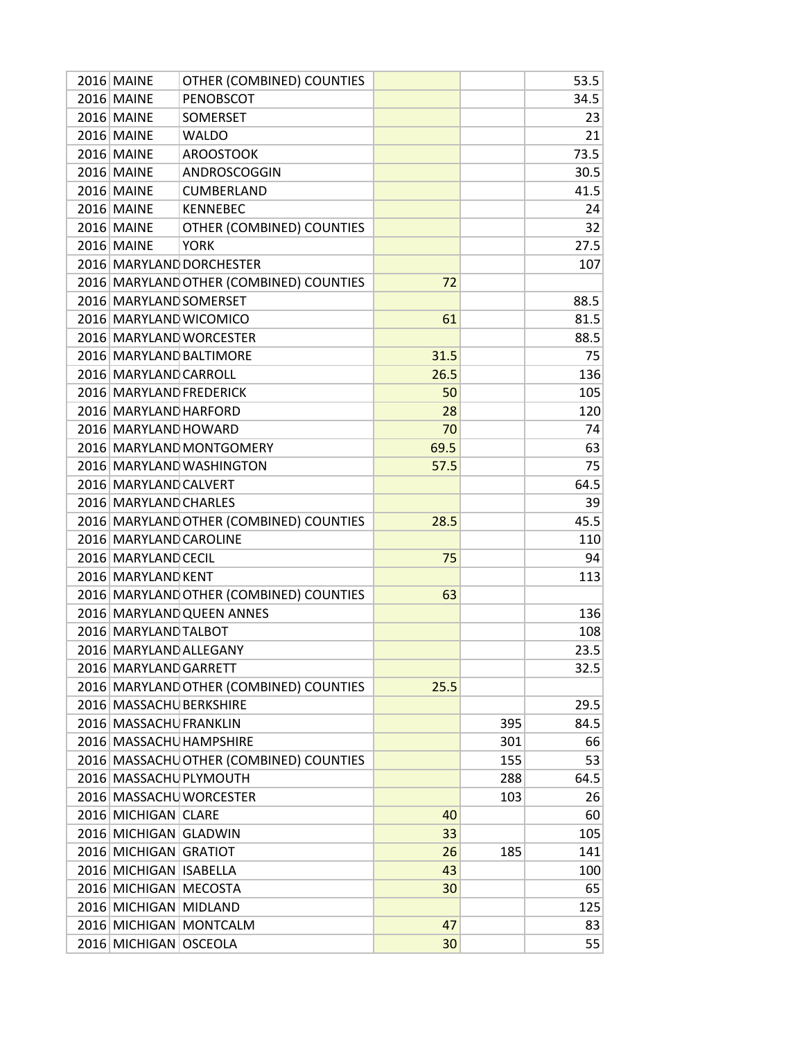| 2016 MAINE              | OTHER (COMBINED) COUNTIES               |      |     | 53.5 |
|-------------------------|-----------------------------------------|------|-----|------|
| <b>2016 MAINE</b>       | PENOBSCOT                               |      |     | 34.5 |
| 2016 MAINE              | <b>SOMERSET</b>                         |      |     | 23   |
| 2016 MAINE              | <b>WALDO</b>                            |      |     | 21   |
| 2016 MAINE              | <b>AROOSTOOK</b>                        |      |     | 73.5 |
| 2016 MAINE              | ANDROSCOGGIN                            |      |     | 30.5 |
| 2016 MAINE              | <b>CUMBERLAND</b>                       |      |     | 41.5 |
| 2016 MAINE              | <b>KENNEBEC</b>                         |      |     | 24   |
| 2016 MAINE              | OTHER (COMBINED) COUNTIES               |      |     | 32   |
| 2016 MAINE              | <b>YORK</b>                             |      |     | 27.5 |
|                         | 2016 MARYLAND DORCHESTER                |      |     | 107  |
|                         | 2016 MARYLAND OTHER (COMBINED) COUNTIES | 72   |     |      |
| 2016 MARYLAND SOMERSET  |                                         |      |     | 88.5 |
| 2016 MARYLAND WICOMICO  |                                         | 61   |     | 81.5 |
|                         | 2016 MARYLAND WORCESTER                 |      |     | 88.5 |
|                         | 2016 MARYLAND BALTIMORE                 | 31.5 |     | 75   |
| 2016 MARYLAND CARROLL   |                                         | 26.5 |     | 136  |
| 2016 MARYLAND FREDERICK |                                         | 50   |     | 105  |
| 2016 MARYLAND HARFORD   |                                         |      |     | 120  |
|                         |                                         | 28   |     |      |
| 2016 MARYLAND HOWARD    |                                         | 70   |     | 74   |
|                         | 2016 MARYLAND MONTGOMERY                | 69.5 |     | 63   |
|                         | 2016 MARYLAND WASHINGTON                | 57.5 |     | 75   |
| 2016 MARYLAND CALVERT   |                                         |      |     | 64.5 |
| 2016 MARYLAND CHARLES   |                                         |      |     | 39   |
|                         | 2016 MARYLAND OTHER (COMBINED) COUNTIES | 28.5 |     | 45.5 |
| 2016 MARYLAND CAROLINE  |                                         |      |     | 110  |
| 2016 MARYLAND CECIL     |                                         | 75   |     | 94   |
| 2016 MARYLAND KENT      |                                         |      |     | 113  |
|                         | 2016 MARYLAND OTHER (COMBINED) COUNTIES | 63   |     |      |
|                         | 2016 MARYLAND QUEEN ANNES               |      |     | 136  |
| 2016 MARYLAND TALBOT    |                                         |      |     | 108  |
| 2016 MARYLAND ALLEGANY  |                                         |      |     | 23.5 |
| 2016 MARYLAND GARRETT   |                                         |      |     | 32.5 |
|                         | 2016 MARYLAND OTHER (COMBINED) COUNTIES | 25.5 |     |      |
| 2016 MASSACHU BERKSHIRE |                                         |      |     | 29.5 |
| 2016 MASSACHU FRANKLIN  |                                         |      | 395 | 84.5 |
|                         | 2016 MASSACHU HAMPSHIRE                 |      | 301 | 66   |
|                         | 2016 MASSACHU OTHER (COMBINED) COUNTIES |      | 155 | 53   |
|                         | 2016 MASSACHU PLYMOUTH                  |      | 288 | 64.5 |
|                         | 2016 MASSACHU WORCESTER                 |      | 103 | 26   |
| 2016 MICHIGAN CLARE     |                                         | 40   |     | 60   |
| 2016 MICHIGAN GLADWIN   |                                         | 33   |     | 105  |
| 2016 MICHIGAN GRATIOT   |                                         | 26   | 185 | 141  |
| 2016 MICHIGAN ISABELLA  |                                         | 43   |     | 100  |
| 2016 MICHIGAN MECOSTA   |                                         | 30   |     | 65   |
| 2016 MICHIGAN MIDLAND   |                                         |      |     | 125  |
|                         | 2016 MICHIGAN MONTCALM                  | 47   |     | 83   |
| 2016 MICHIGAN OSCEOLA   |                                         | 30   |     | 55   |
|                         |                                         |      |     |      |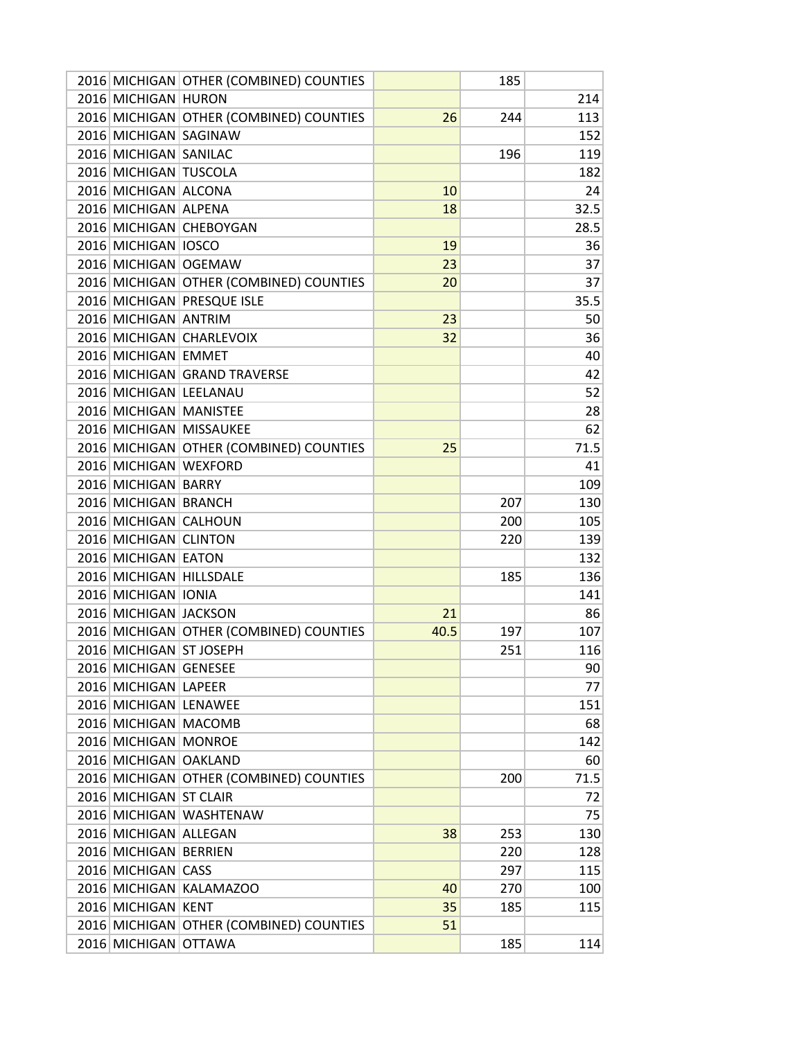|                         | 2016 MICHIGAN OTHER (COMBINED) COUNTIES |      | 185 |      |
|-------------------------|-----------------------------------------|------|-----|------|
| 2016 MICHIGAN HURON     |                                         |      |     | 214  |
|                         | 2016 MICHIGAN OTHER (COMBINED) COUNTIES | 26   | 244 | 113  |
| 2016 MICHIGAN SAGINAW   |                                         |      |     | 152  |
| 2016 MICHIGAN SANILAC   |                                         |      | 196 | 119  |
| 2016 MICHIGAN TUSCOLA   |                                         |      |     | 182  |
| 2016 MICHIGAN ALCONA    |                                         | 10   |     | 24   |
| 2016 MICHIGAN ALPENA    |                                         | 18   |     | 32.5 |
|                         | 2016 MICHIGAN CHEBOYGAN                 |      |     | 28.5 |
| 2016 MICHIGAN IOSCO     |                                         | 19   |     | 36   |
| 2016 MICHIGAN OGEMAW    |                                         | 23   |     | 37   |
|                         | 2016 MICHIGAN OTHER (COMBINED) COUNTIES | 20   |     | 37   |
|                         | 2016 MICHIGAN PRESQUE ISLE              |      |     | 35.5 |
| 2016 MICHIGAN ANTRIM    |                                         | 23   |     | 50   |
|                         | 2016 MICHIGAN CHARLEVOIX                | 32   |     | 36   |
| 2016 MICHIGAN EMMET     |                                         |      |     | 40   |
|                         | 2016 MICHIGAN GRAND TRAVERSE            |      |     | 42   |
| 2016 MICHIGAN LEELANAU  |                                         |      |     | 52   |
| 2016 MICHIGAN MANISTEE  |                                         |      |     | 28   |
|                         | 2016 MICHIGAN MISSAUKEE                 |      |     | 62   |
|                         |                                         | 25   |     | 71.5 |
| 2016 MICHIGAN WEXFORD   | 2016 MICHIGAN OTHER (COMBINED) COUNTIES |      |     | 41   |
|                         |                                         |      |     |      |
| 2016 MICHIGAN BARRY     |                                         |      |     | 109  |
| 2016 MICHIGAN BRANCH    |                                         |      | 207 | 130  |
| 2016 MICHIGAN CALHOUN   |                                         |      | 200 | 105  |
| 2016 MICHIGAN CLINTON   |                                         |      | 220 | 139  |
| 2016 MICHIGAN EATON     |                                         |      |     | 132  |
| 2016 MICHIGAN HILLSDALE |                                         |      | 185 | 136  |
| 2016 MICHIGAN IONIA     |                                         |      |     | 141  |
| 2016 MICHIGAN JACKSON   |                                         | 21   |     | 86   |
|                         | 2016 MICHIGAN OTHER (COMBINED) COUNTIES | 40.5 | 197 | 107  |
| 2016 MICHIGAN ST JOSEPH |                                         |      | 251 | 116  |
| 2016 MICHIGAN GENESEE   |                                         |      |     | 90   |
| 2016 MICHIGAN LAPEER    |                                         |      |     | 77   |
| 2016 MICHIGAN LENAWEE   |                                         |      |     | 151  |
| 2016 MICHIGAN MACOMB    |                                         |      |     | 68   |
| 2016 MICHIGAN MONROE    |                                         |      |     | 142  |
| 2016 MICHIGAN OAKLAND   |                                         |      |     | 60   |
|                         | 2016 MICHIGAN OTHER (COMBINED) COUNTIES |      | 200 | 71.5 |
| 2016 MICHIGAN ST CLAIR  |                                         |      |     | 72   |
|                         | 2016 MICHIGAN WASHTENAW                 |      |     | 75   |
| 2016 MICHIGAN ALLEGAN   |                                         | 38   | 253 | 130  |
| 2016 MICHIGAN BERRIEN   |                                         |      | 220 | 128  |
| 2016 MICHIGAN CASS      |                                         |      | 297 | 115  |
|                         | 2016 MICHIGAN KALAMAZOO                 | 40   | 270 | 100  |
| 2016 MICHIGAN KENT      |                                         | 35   | 185 | 115  |
|                         | 2016 MICHIGAN OTHER (COMBINED) COUNTIES | 51   |     |      |
| 2016 MICHIGAN OTTAWA    |                                         |      | 185 | 114  |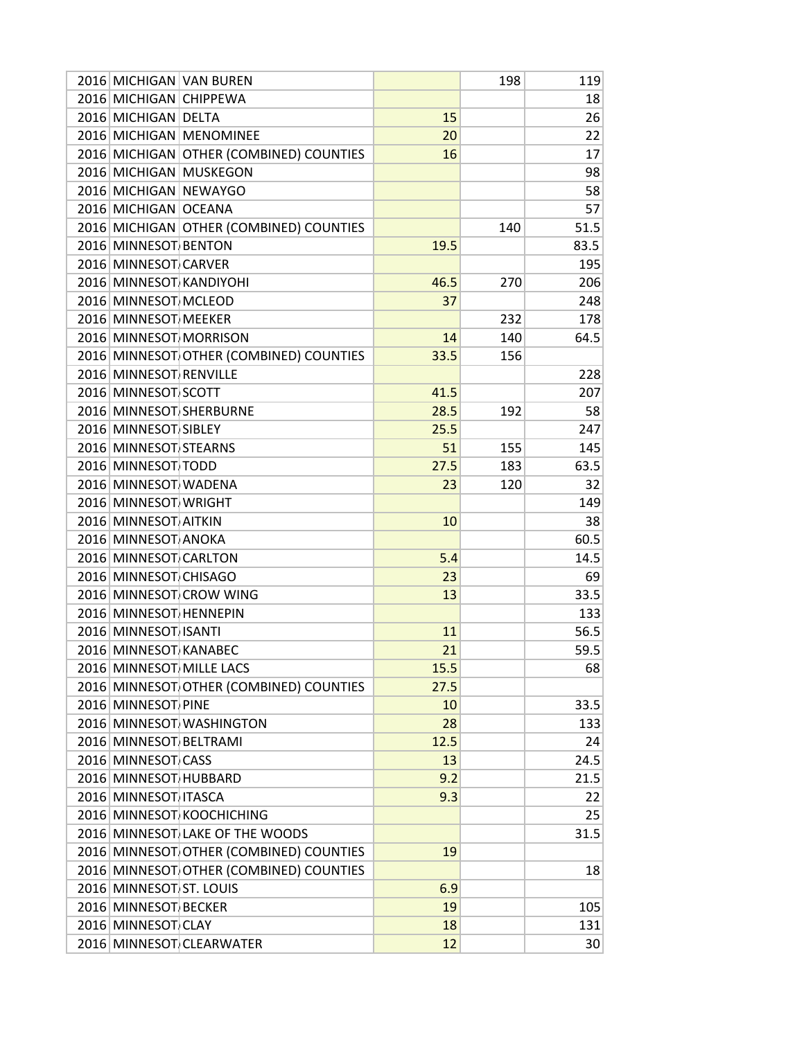|                         | 2016 MICHIGAN VAN BUREN                 |      | 198 | 119  |
|-------------------------|-----------------------------------------|------|-----|------|
| 2016 MICHIGAN CHIPPEWA  |                                         |      |     | 18   |
| 2016 MICHIGAN DELTA     |                                         | 15   |     | 26   |
|                         | 2016 MICHIGAN MENOMINEE                 | 20   |     | 22   |
|                         | 2016 MICHIGAN OTHER (COMBINED) COUNTIES | 16   |     | 17   |
|                         | 2016 MICHIGAN MUSKEGON                  |      |     | 98   |
| 2016 MICHIGAN NEWAYGO   |                                         |      |     | 58   |
| 2016 MICHIGAN OCEANA    |                                         |      |     | 57   |
|                         | 2016 MICHIGAN OTHER (COMBINED) COUNTIES |      | 140 | 51.5 |
| 2016 MINNESOT BENTON    |                                         | 19.5 |     | 83.5 |
| 2016 MINNESOT CARVER    |                                         |      |     | 195  |
|                         | 2016 MINNESOT KANDIYOHI                 | 46.5 | 270 | 206  |
| 2016 MINNESOT MCLEOD    |                                         | 37   |     | 248  |
| 2016 MINNESOT MEEKER    |                                         |      | 232 | 178  |
|                         | 2016 MINNESOT MORRISON                  | 14   | 140 | 64.5 |
|                         | 2016 MINNESOT OTHER (COMBINED) COUNTIES | 33.5 | 156 |      |
| 2016 MINNESOT RENVILLE  |                                         |      |     | 228  |
| 2016 MINNESOT SCOTT     |                                         | 41.5 |     | 207  |
|                         | 2016 MINNESOT SHERBURNE                 | 28.5 | 192 | 58   |
| 2016 MINNESOT SIBLEY    |                                         | 25.5 |     | 247  |
| 2016 MINNESOT STEARNS   |                                         | 51   | 155 | 145  |
| 2016 MINNESOT TODD      |                                         | 27.5 | 183 | 63.5 |
| 2016 MINNESOT WADENA    |                                         | 23   | 120 | 32   |
| 2016 MINNESOT WRIGHT    |                                         |      |     | 149  |
| 2016 MINNESOT AITKIN    |                                         | 10   |     | 38   |
| 2016 MINNESOT ANOKA     |                                         |      |     | 60.5 |
| 2016 MINNESOT CARLTON   |                                         | 5.4  |     | 14.5 |
| 2016 MINNESOT CHISAGO   |                                         | 23   |     | 69   |
|                         | 2016 MINNESOT CROW WING                 | 13   |     | 33.5 |
| 2016 MINNESOT HENNEPIN  |                                         |      |     | 133  |
| 2016 MINNESOT ISANTI    |                                         | 11   |     | 56.5 |
| 2016 MINNESOT KANABEC   |                                         | 21   |     | 59.5 |
|                         | 2016 MINNESOT MILLE LACS                | 15.5 |     | 68   |
|                         | 2016 MINNESOT OTHER (COMBINED) COUNTIES | 27.5 |     |      |
| 2016 MINNESOT PINE      |                                         | 10   |     | 33.5 |
|                         | 2016 MINNESOT WASHINGTON                | 28   |     | 133  |
| 2016 MINNESOT BELTRAMI  |                                         | 12.5 |     | 24   |
| 2016 MINNESOT CASS      |                                         | 13   |     | 24.5 |
| 2016 MINNESOT HUBBARD   |                                         | 9.2  |     | 21.5 |
| 2016 MINNESOT ITASCA    |                                         | 9.3  |     | 22   |
|                         | 2016 MINNESOT KOOCHICHING               |      |     | 25   |
|                         | 2016 MINNESOT LAKE OF THE WOODS         |      |     | 31.5 |
|                         | 2016 MINNESOT OTHER (COMBINED) COUNTIES | 19   |     |      |
|                         | 2016 MINNESOT OTHER (COMBINED) COUNTIES |      |     | 18   |
| 2016 MINNESOT ST. LOUIS |                                         | 6.9  |     |      |
| 2016 MINNESOT BECKER    |                                         | 19   |     | 105  |
| 2016 MINNESOT CLAY      |                                         | 18   |     | 131  |
|                         | 2016 MINNESOT CLEARWATER                | 12   |     |      |
|                         |                                         |      |     | 30   |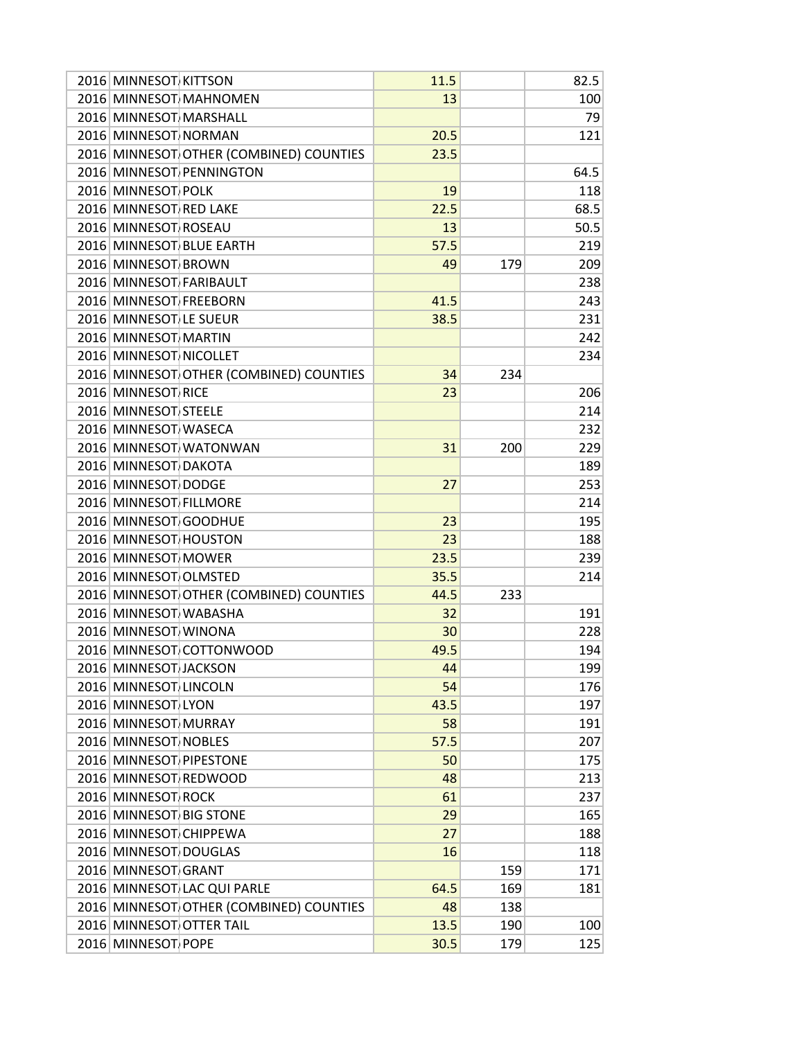| 2016 MINNESOT KITTSON   |                                         | 11.5 |     | 82.5 |
|-------------------------|-----------------------------------------|------|-----|------|
|                         | 2016 MINNESOT MAHNOMEN                  | 13   |     | 100  |
| 2016 MINNESOT MARSHALL  |                                         |      |     | 79   |
| 2016 MINNESOT NORMAN    |                                         | 20.5 |     | 121  |
|                         | 2016 MINNESOT OTHER (COMBINED) COUNTIES | 23.5 |     |      |
|                         | 2016 MINNESOT PENNINGTON                |      |     | 64.5 |
| 2016 MINNESOT POLK      |                                         | 19   |     | 118  |
| 2016 MINNESOT RED LAKE  |                                         | 22.5 |     | 68.5 |
| 2016 MINNESOT ROSEAU    |                                         | 13   |     | 50.5 |
|                         | 2016 MINNESOT BLUE EARTH                | 57.5 |     | 219  |
| 2016 MINNESOT BROWN     |                                         | 49   | 179 | 209  |
| 2016 MINNESOT FARIBAULT |                                         |      |     | 238  |
| 2016 MINNESOT FREEBORN  |                                         | 41.5 |     | 243  |
| 2016 MINNESOT LE SUEUR  |                                         | 38.5 |     | 231  |
| 2016 MINNESOT MARTIN    |                                         |      |     | 242  |
| 2016 MINNESOT NICOLLET  |                                         |      |     | 234  |
|                         | 2016 MINNESOT OTHER (COMBINED) COUNTIES | 34   | 234 |      |
| 2016 MINNESOT RICE      |                                         | 23   |     | 206  |
| 2016 MINNESOT STEELE    |                                         |      |     | 214  |
| 2016 MINNESOT WASECA    |                                         |      |     | 232  |
|                         | 2016 MINNESOT WATONWAN                  | 31   | 200 | 229  |
| 2016 MINNESOT DAKOTA    |                                         |      |     | 189  |
| 2016 MINNESOT DODGE     |                                         |      |     | 253  |
| 2016 MINNESOT FILLMORE  |                                         | 27   |     | 214  |
| 2016 MINNESOT GOODHUE   |                                         |      |     |      |
|                         |                                         | 23   |     | 195  |
| 2016 MINNESOT HOUSTON   |                                         | 23   |     | 188  |
| 2016 MINNESOT MOWER     |                                         | 23.5 |     | 239  |
| 2016 MINNESOT OLMSTED   |                                         | 35.5 |     | 214  |
|                         | 2016 MINNESOT OTHER (COMBINED) COUNTIES | 44.5 | 233 |      |
| 2016 MINNESOT WABASHA   |                                         | 32   |     | 191  |
| 2016 MINNESOT WINONA    |                                         | 30   |     | 228  |
|                         | 2016 MINNESOT COTTONWOOD                | 49.5 |     | 194  |
| 2016 MINNESOT JACKSON   |                                         | 44   |     | 199  |
| 2016 MINNESOT LINCOLN   |                                         | 54   |     | 176  |
| 2016 MINNESOT LYON      |                                         | 43.5 |     | 197  |
| 2016 MINNESOT MURRAY    |                                         | 58   |     | 191  |
| 2016 MINNESOT NOBLES    |                                         | 57.5 |     | 207  |
| 2016 MINNESOT PIPESTONE |                                         | 50   |     | 175  |
| 2016 MINNESOT REDWOOD   |                                         | 48   |     | 213  |
| 2016 MINNESOT ROCK      |                                         | 61   |     | 237  |
| 2016 MINNESOT BIG STONE |                                         | 29   |     | 165  |
| 2016 MINNESOT CHIPPEWA  |                                         | 27   |     | 188  |
| 2016 MINNESOT DOUGLAS   |                                         | 16   |     | 118  |
| 2016 MINNESOT GRANT     |                                         |      | 159 | 171  |
|                         | 2016 MINNESOT LAC QUI PARLE             | 64.5 | 169 | 181  |
|                         | 2016 MINNESOT OTHER (COMBINED) COUNTIES | 48   | 138 |      |
|                         | 2016 MINNESOT OTTER TAIL                | 13.5 | 190 | 100  |
| 2016 MINNESOT POPE      |                                         | 30.5 | 179 | 125  |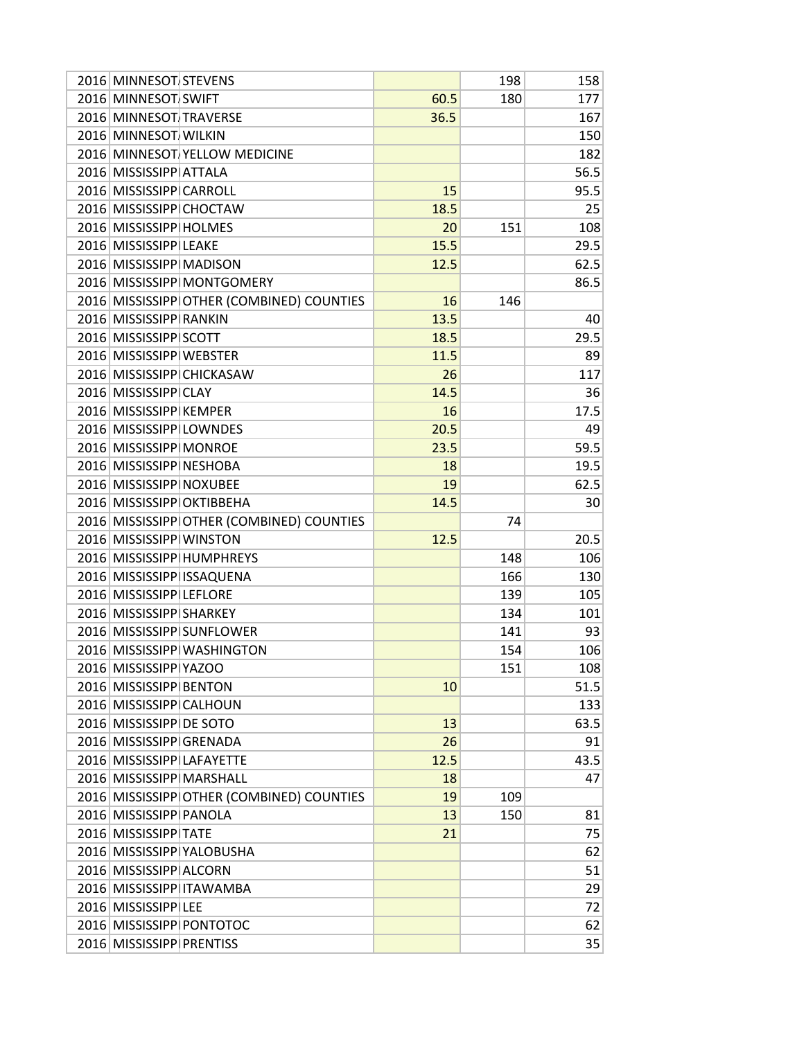| 2016 MINNESOT STEVENS     |                                           |      | 198 | 158  |
|---------------------------|-------------------------------------------|------|-----|------|
| 2016 MINNESOT SWIFT       |                                           | 60.5 | 180 | 177  |
| 2016 MINNESOT TRAVERSE    |                                           | 36.5 |     | 167  |
| 2016 MINNESOT WILKIN      |                                           |      |     | 150  |
|                           | 2016 MINNESOT YELLOW MEDICINE             |      |     | 182  |
| 2016 MISSISSIPP ATTALA    |                                           |      |     | 56.5 |
| 2016 MISSISSIPP CARROLL   |                                           | 15   |     | 95.5 |
| 2016 MISSISSIPP CHOCTAW   |                                           | 18.5 |     | 25   |
| 2016 MISSISSIPP HOLMES    |                                           | 20   | 151 | 108  |
| 2016 MISSISSIPP LEAKE     |                                           | 15.5 |     | 29.5 |
| 2016 MISSISSIPP MADISON   |                                           | 12.5 |     | 62.5 |
|                           | 2016 MISSISSIPP MONTGOMERY                |      |     | 86.5 |
|                           | 2016 MISSISSIPP OTHER (COMBINED) COUNTIES | 16   | 146 |      |
| 2016 MISSISSIPP RANKIN    |                                           | 13.5 |     | 40   |
| 2016 MISSISSIPP SCOTT     |                                           | 18.5 |     | 29.5 |
| 2016 MISSISSIPP WEBSTER   |                                           | 11.5 |     | 89   |
|                           | 2016 MISSISSIPP CHICKASAW                 | 26   |     | 117  |
| 2016 MISSISSIPP CLAY      |                                           |      |     |      |
|                           |                                           | 14.5 |     | 36   |
| 2016 MISSISSIPP KEMPER    |                                           | 16   |     | 17.5 |
| 2016 MISSISSIPP LOWNDES   |                                           | 20.5 |     | 49   |
| 2016 MISSISSIPP MONROE    |                                           | 23.5 |     | 59.5 |
| 2016 MISSISSIPP NESHOBA   |                                           | 18   |     | 19.5 |
| 2016 MISSISSIPP NOXUBEE   |                                           | 19   |     | 62.5 |
|                           | 2016 MISSISSIPP OKTIBBEHA                 | 14.5 |     | 30   |
|                           | 2016 MISSISSIPP OTHER (COMBINED) COUNTIES |      | 74  |      |
| 2016 MISSISSIPP WINSTON   |                                           | 12.5 |     | 20.5 |
|                           | 2016 MISSISSIPP HUMPHREYS                 |      | 148 | 106  |
|                           | 2016 MISSISSIPP ISSAQUENA                 |      | 166 | 130  |
| 2016 MISSISSIPP LEFLORE   |                                           |      | 139 | 105  |
| 2016 MISSISSIPP SHARKEY   |                                           |      | 134 | 101  |
|                           | 2016 MISSISSIPP SUNFLOWER                 |      | 141 | 93   |
|                           | 2016 MISSISSIPP WASHINGTON                |      | 154 | 106  |
| 2016 MISSISSIPP YAZOO     |                                           |      | 151 | 108  |
| 2016 MISSISSIPP BENTON    |                                           | 10   |     | 51.5 |
| 2016 MISSISSIPP CALHOUN   |                                           |      |     | 133  |
| 2016 MISSISSIPP DE SOTO   |                                           | 13   |     | 63.5 |
| 2016 MISSISSIPP GRENADA   |                                           | 26   |     | 91   |
| 2016 MISSISSIPP LAFAYETTE |                                           | 12.5 |     | 43.5 |
|                           | 2016 MISSISSIPP MARSHALL                  | 18   |     | 47   |
|                           | 2016 MISSISSIPP OTHER (COMBINED) COUNTIES | 19   | 109 |      |
| 2016 MISSISSIPP PANOLA    |                                           | 13   | 150 | 81   |
| 2016 MISSISSIPP TATE      |                                           | 21   |     | 75   |
|                           | 2016 MISSISSIPP YALOBUSHA                 |      |     | 62   |
| 2016 MISSISSIPP ALCORN    |                                           |      |     | 51   |
|                           | 2016 MISSISSIPP ITAWAMBA                  |      |     | 29   |
| 2016 MISSISSIPP LEE       |                                           |      |     | 72   |
|                           | 2016 MISSISSIPP PONTOTOC                  |      |     | 62   |
| 2016 MISSISSIPP PRENTISS  |                                           |      |     | 35   |
|                           |                                           |      |     |      |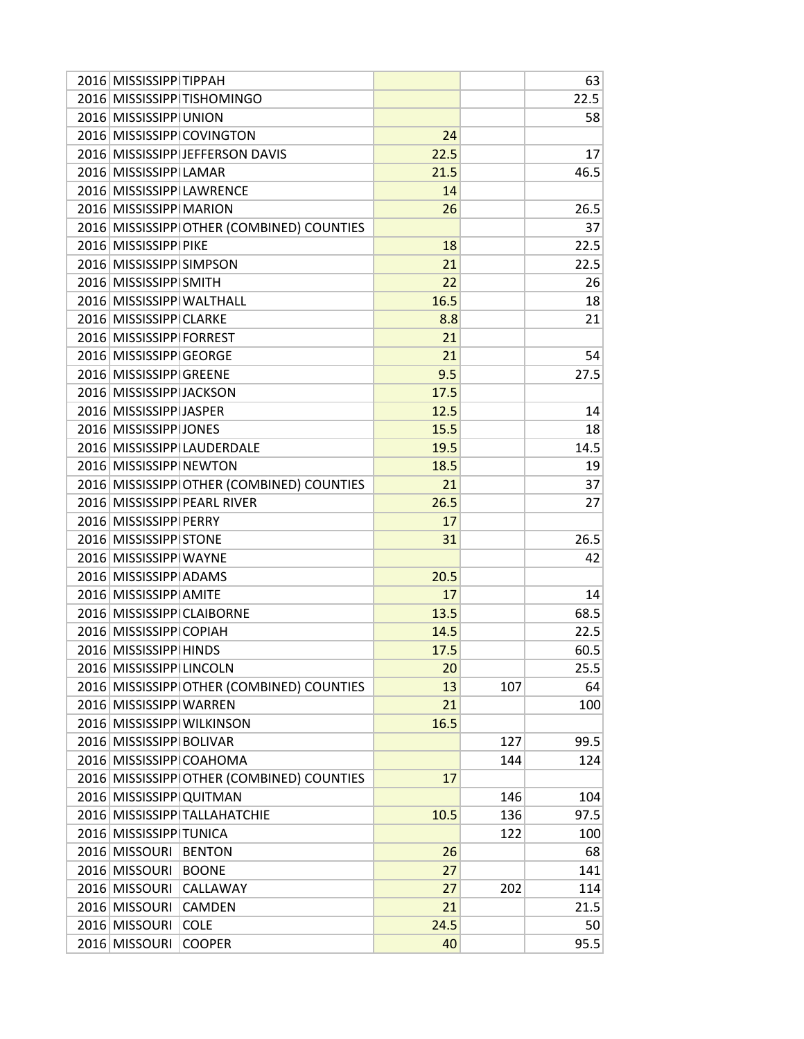| 2016 MISSISSIPP TIPPAH   |                                           |      |     | 63   |
|--------------------------|-------------------------------------------|------|-----|------|
|                          | 2016 MISSISSIPP TISHOMINGO                |      |     | 22.5 |
| 2016 MISSISSIPP UNION    |                                           |      |     | 58   |
|                          | 2016 MISSISSIPP COVINGTON                 | 24   |     |      |
|                          | 2016 MISSISSIPP JEFFERSON DAVIS           | 22.5 |     | 17   |
| 2016 MISSISSIPP LAMAR    |                                           | 21.5 |     | 46.5 |
|                          | 2016 MISSISSIPP LAWRENCE                  | 14   |     |      |
| 2016 MISSISSIPP MARION   |                                           | 26   |     | 26.5 |
|                          | 2016 MISSISSIPP OTHER (COMBINED) COUNTIES |      |     | 37   |
| 2016 MISSISSIPP PIKE     |                                           | 18   |     | 22.5 |
| 2016 MISSISSIPP SIMPSON  |                                           | 21   |     | 22.5 |
| 2016 MISSISSIPP SMITH    |                                           | 22   |     | 26   |
| 2016 MISSISSIPP WALTHALL |                                           | 16.5 |     | 18   |
| 2016 MISSISSIPP CLARKE   |                                           | 8.8  |     | 21   |
| 2016 MISSISSIPP FORREST  |                                           | 21   |     |      |
| 2016 MISSISSIPP GEORGE   |                                           | 21   |     | 54   |
| 2016 MISSISSIPP GREENE   |                                           | 9.5  |     | 27.5 |
| 2016 MISSISSIPP JACKSON  |                                           | 17.5 |     |      |
| 2016 MISSISSIPP JASPER   |                                           | 12.5 |     | 14   |
| 2016 MISSISSIPP JONES    |                                           | 15.5 |     | 18   |
|                          | 2016 MISSISSIPP LAUDERDALE                | 19.5 |     | 14.5 |
|                          |                                           |      |     |      |
| 2016 MISSISSIPP NEWTON   |                                           | 18.5 |     | 19   |
|                          | 2016 MISSISSIPP OTHER (COMBINED) COUNTIES | 21   |     | 37   |
|                          | 2016 MISSISSIPP PEARL RIVER               | 26.5 |     | 27   |
| 2016 MISSISSIPP PERRY    |                                           | 17   |     |      |
| 2016 MISSISSIPP STONE    |                                           | 31   |     | 26.5 |
| 2016 MISSISSIPP WAYNE    |                                           |      |     | 42   |
| 2016 MISSISSIPP ADAMS    |                                           | 20.5 |     |      |
| 2016 MISSISSIPP AMITE    |                                           | 17   |     | 14   |
|                          | 2016 MISSISSIPP CLAIBORNE                 | 13.5 |     | 68.5 |
| 2016 MISSISSIPP COPIAH   |                                           | 14.5 |     | 22.5 |
| 2016 MISSISSIPP HINDS    |                                           | 17.5 |     | 60.5 |
| 2016 MISSISSIPP LINCOLN  |                                           | 20   |     | 25.5 |
|                          | 2016 MISSISSIPP OTHER (COMBINED) COUNTIES | 13   | 107 | 64   |
| 2016 MISSISSIPP WARREN   |                                           | 21   |     | 100  |
|                          | 2016 MISSISSIPP WILKINSON                 | 16.5 |     |      |
| 2016 MISSISSIPP BOLIVAR  |                                           |      | 127 | 99.5 |
|                          | 2016 MISSISSIPP COAHOMA                   |      | 144 | 124  |
|                          | 2016 MISSISSIPP OTHER (COMBINED) COUNTIES | 17   |     |      |
| 2016 MISSISSIPP QUITMAN  |                                           |      | 146 | 104  |
|                          | 2016 MISSISSIPP TALLAHATCHIE              | 10.5 | 136 | 97.5 |
| 2016 MISSISSIPP TUNICA   |                                           |      | 122 | 100  |
| 2016 MISSOURI            | <b>BENTON</b>                             | 26   |     | 68   |
| 2016 MISSOURI            | <b>BOONE</b>                              | 27   |     | 141  |
| 2016 MISSOURI            | CALLAWAY                                  | 27   | 202 | 114  |
| 2016 MISSOURI            | <b>CAMDEN</b>                             | 21   |     | 21.5 |
| 2016 MISSOURI            | <b>COLE</b>                               | 24.5 |     | 50   |
| 2016 MISSOURI            | <b>COOPER</b>                             | 40   |     | 95.5 |
|                          |                                           |      |     |      |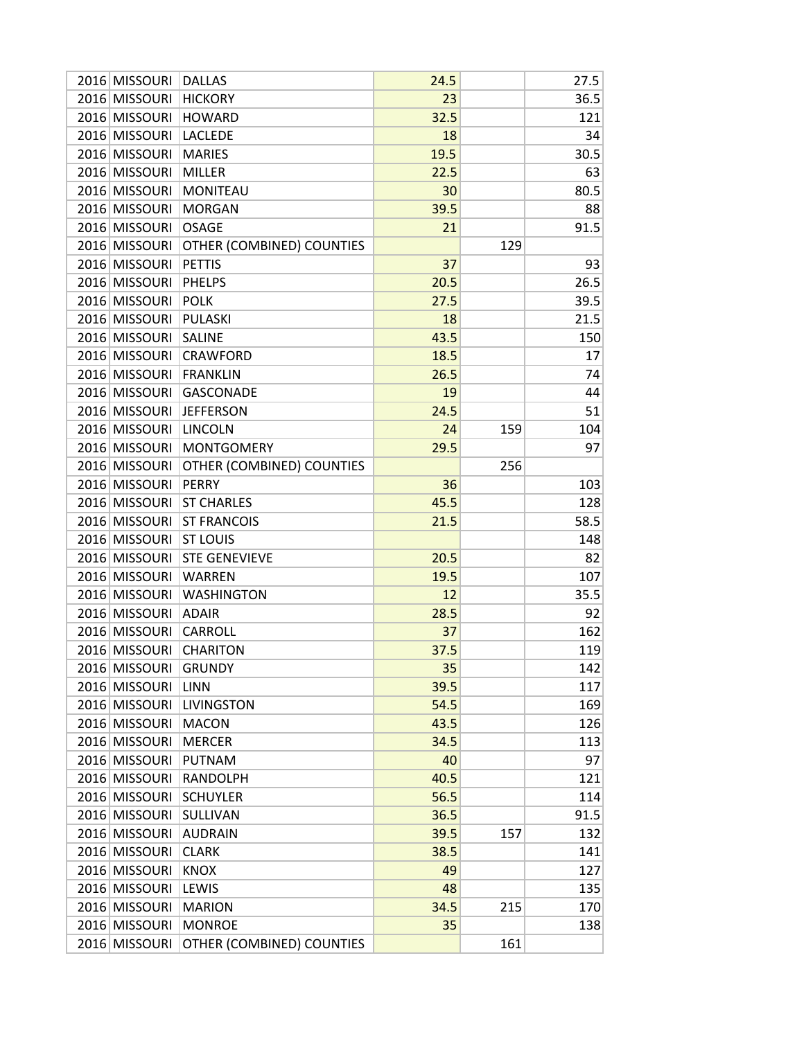| 2016 MISSOURI | <b>DALLAS</b>             | 24.5 |     | 27.5 |
|---------------|---------------------------|------|-----|------|
| 2016 MISSOURI | <b>HICKORY</b>            | 23   |     | 36.5 |
| 2016 MISSOURI | <b>HOWARD</b>             | 32.5 |     | 121  |
| 2016 MISSOURI | <b>LACLEDE</b>            | 18   |     | 34   |
| 2016 MISSOURI | <b>MARIES</b>             | 19.5 |     | 30.5 |
| 2016 MISSOURI | <b>MILLER</b>             | 22.5 |     | 63   |
| 2016 MISSOURI | <b>MONITEAU</b>           | 30   |     | 80.5 |
| 2016 MISSOURI | <b>MORGAN</b>             | 39.5 |     | 88   |
| 2016 MISSOURI | <b>OSAGE</b>              | 21   |     | 91.5 |
| 2016 MISSOURI | OTHER (COMBINED) COUNTIES |      | 129 |      |
| 2016 MISSOURI | <b>PETTIS</b>             | 37   |     | 93   |
| 2016 MISSOURI | <b>PHELPS</b>             | 20.5 |     | 26.5 |
| 2016 MISSOURI | <b>POLK</b>               | 27.5 |     | 39.5 |
| 2016 MISSOURI | <b>PULASKI</b>            | 18   |     | 21.5 |
| 2016 MISSOURI | <b>SALINE</b>             | 43.5 |     | 150  |
| 2016 MISSOURI | <b>CRAWFORD</b>           | 18.5 |     | 17   |
| 2016 MISSOURI | <b>FRANKLIN</b>           | 26.5 |     | 74   |
| 2016 MISSOURI | <b>GASCONADE</b>          | 19   |     | 44   |
| 2016 MISSOURI |                           |      |     |      |
|               | <b>JEFFERSON</b>          | 24.5 |     | 51   |
| 2016 MISSOURI | <b>LINCOLN</b>            | 24   | 159 | 104  |
| 2016 MISSOURI | <b>MONTGOMERY</b>         | 29.5 |     | 97   |
| 2016 MISSOURI | OTHER (COMBINED) COUNTIES |      | 256 |      |
| 2016 MISSOURI | <b>PERRY</b>              | 36   |     | 103  |
| 2016 MISSOURI | <b>ST CHARLES</b>         | 45.5 |     | 128  |
| 2016 MISSOURI | <b>ST FRANCOIS</b>        | 21.5 |     | 58.5 |
| 2016 MISSOURI | <b>ST LOUIS</b>           |      |     | 148  |
| 2016 MISSOURI | <b>STE GENEVIEVE</b>      | 20.5 |     | 82   |
| 2016 MISSOURI | <b>WARREN</b>             | 19.5 |     | 107  |
| 2016 MISSOURI | <b>WASHINGTON</b>         | 12   |     | 35.5 |
| 2016 MISSOURI | <b>ADAIR</b>              | 28.5 |     | 92   |
| 2016 MISSOURI | CARROLL                   | 37   |     | 162  |
| 2016 MISSOURI | <b>CHARITON</b>           | 37.5 |     | 119  |
| 2016 MISSOURI | <b>GRUNDY</b>             | 35   |     | 142  |
| 2016 MISSOURI | <b>LINN</b>               | 39.5 |     | 117  |
| 2016 MISSOURI | <b>LIVINGSTON</b>         | 54.5 |     | 169  |
| 2016 MISSOURI | <b>MACON</b>              | 43.5 |     | 126  |
| 2016 MISSOURI | <b>MERCER</b>             | 34.5 |     | 113  |
| 2016 MISSOURI | <b>PUTNAM</b>             | 40   |     | 97   |
| 2016 MISSOURI | <b>RANDOLPH</b>           | 40.5 |     | 121  |
| 2016 MISSOURI | <b>SCHUYLER</b>           | 56.5 |     | 114  |
| 2016 MISSOURI | SULLIVAN                  | 36.5 |     | 91.5 |
| 2016 MISSOURI | <b>AUDRAIN</b>            | 39.5 | 157 | 132  |
| 2016 MISSOURI | <b>CLARK</b>              | 38.5 |     | 141  |
| 2016 MISSOURI | <b>KNOX</b>               | 49   |     | 127  |
| 2016 MISSOURI | LEWIS                     | 48   |     | 135  |
| 2016 MISSOURI | <b>MARION</b>             | 34.5 | 215 | 170  |
| 2016 MISSOURI | <b>MONROE</b>             | 35   |     | 138  |
| 2016 MISSOURI | OTHER (COMBINED) COUNTIES |      | 161 |      |
|               |                           |      |     |      |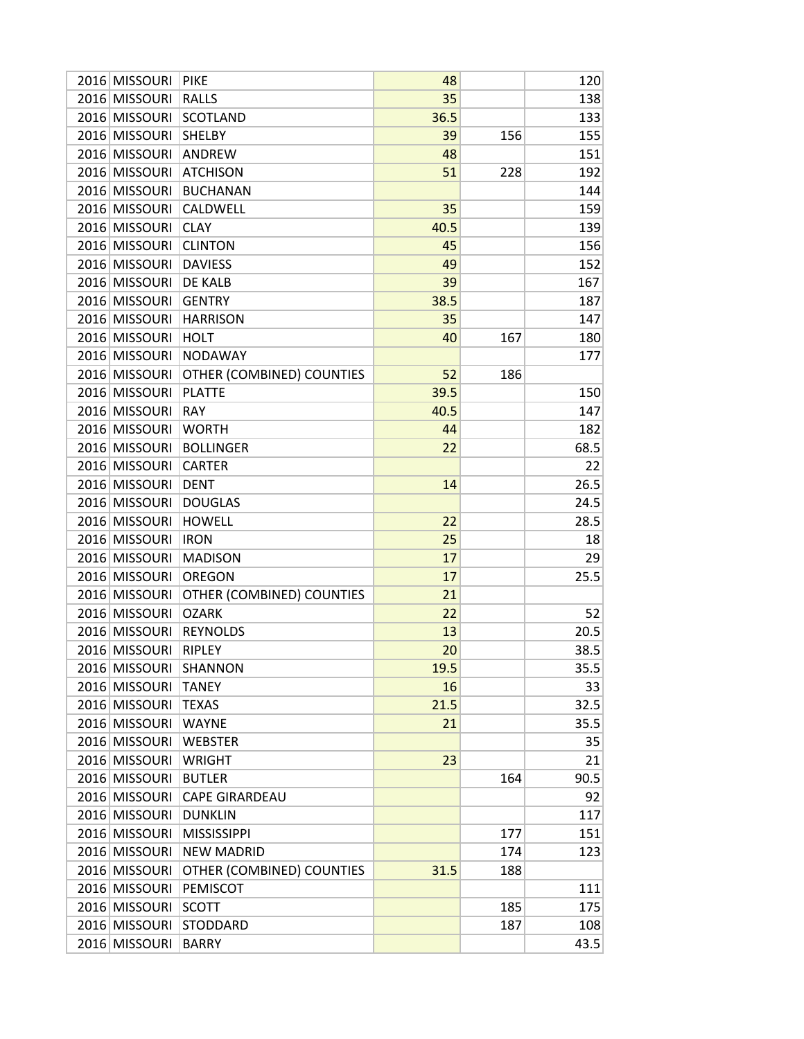| 2016 MISSOURI | <b>PIKE</b>               | 48   |     | 120  |
|---------------|---------------------------|------|-----|------|
| 2016 MISSOURI | <b>RALLS</b>              | 35   |     | 138  |
| 2016 MISSOURI | <b>SCOTLAND</b>           | 36.5 |     | 133  |
| 2016 MISSOURI | <b>SHELBY</b>             | 39   | 156 | 155  |
| 2016 MISSOURI | <b>ANDREW</b>             | 48   |     | 151  |
| 2016 MISSOURI | <b>ATCHISON</b>           | 51   | 228 | 192  |
| 2016 MISSOURI | <b>BUCHANAN</b>           |      |     | 144  |
| 2016 MISSOURI | <b>CALDWELL</b>           | 35   |     | 159  |
| 2016 MISSOURI | <b>CLAY</b>               | 40.5 |     | 139  |
| 2016 MISSOURI | <b>CLINTON</b>            | 45   |     | 156  |
| 2016 MISSOURI | <b>DAVIESS</b>            | 49   |     | 152  |
| 2016 MISSOURI | DE KALB                   | 39   |     | 167  |
| 2016 MISSOURI | <b>GENTRY</b>             | 38.5 |     | 187  |
| 2016 MISSOURI | <b>HARRISON</b>           | 35   |     | 147  |
| 2016 MISSOURI | <b>HOLT</b>               | 40   | 167 | 180  |
| 2016 MISSOURI | <b>NODAWAY</b>            |      |     | 177  |
| 2016 MISSOURI | OTHER (COMBINED) COUNTIES | 52   | 186 |      |
| 2016 MISSOURI | <b>PLATTE</b>             | 39.5 |     | 150  |
| 2016 MISSOURI | <b>RAY</b>                | 40.5 |     | 147  |
|               |                           |      |     |      |
| 2016 MISSOURI | <b>WORTH</b>              | 44   |     | 182  |
| 2016 MISSOURI | <b>BOLLINGER</b>          | 22   |     | 68.5 |
| 2016 MISSOURI | <b>CARTER</b>             |      |     | 22   |
| 2016 MISSOURI | <b>DENT</b>               | 14   |     | 26.5 |
| 2016 MISSOURI | <b>DOUGLAS</b>            |      |     | 24.5 |
| 2016 MISSOURI | <b>HOWELL</b>             | 22   |     | 28.5 |
| 2016 MISSOURI | <b>IRON</b>               | 25   |     | 18   |
| 2016 MISSOURI | <b>MADISON</b>            | 17   |     | 29   |
| 2016 MISSOURI | <b>OREGON</b>             | 17   |     | 25.5 |
| 2016 MISSOURI | OTHER (COMBINED) COUNTIES | 21   |     |      |
| 2016 MISSOURI | <b>OZARK</b>              | 22   |     | 52   |
| 2016 MISSOURI | <b>REYNOLDS</b>           | 13   |     | 20.5 |
| 2016 MISSOURI | <b>RIPLEY</b>             | 20   |     | 38.5 |
| 2016 MISSOURI | <b>SHANNON</b>            | 19.5 |     | 35.5 |
| 2016 MISSOURI | <b>TANEY</b>              | 16   |     | 33   |
| 2016 MISSOURI | <b>TEXAS</b>              | 21.5 |     | 32.5 |
| 2016 MISSOURI | <b>WAYNE</b>              | 21   |     | 35.5 |
| 2016 MISSOURI | <b>WEBSTER</b>            |      |     | 35   |
| 2016 MISSOURI | <b>WRIGHT</b>             | 23   |     | 21   |
| 2016 MISSOURI | <b>BUTLER</b>             |      | 164 | 90.5 |
| 2016 MISSOURI | <b>CAPE GIRARDEAU</b>     |      |     | 92   |
| 2016 MISSOURI | <b>DUNKLIN</b>            |      |     | 117  |
| 2016 MISSOURI | <b>MISSISSIPPI</b>        |      | 177 | 151  |
| 2016 MISSOURI | <b>NEW MADRID</b>         |      | 174 | 123  |
| 2016 MISSOURI | OTHER (COMBINED) COUNTIES | 31.5 | 188 |      |
| 2016 MISSOURI | PEMISCOT                  |      |     | 111  |
| 2016 MISSOURI | <b>SCOTT</b>              |      | 185 | 175  |
| 2016 MISSOURI | <b>STODDARD</b>           |      | 187 | 108  |
| 2016 MISSOURI | <b>BARRY</b>              |      |     | 43.5 |
|               |                           |      |     |      |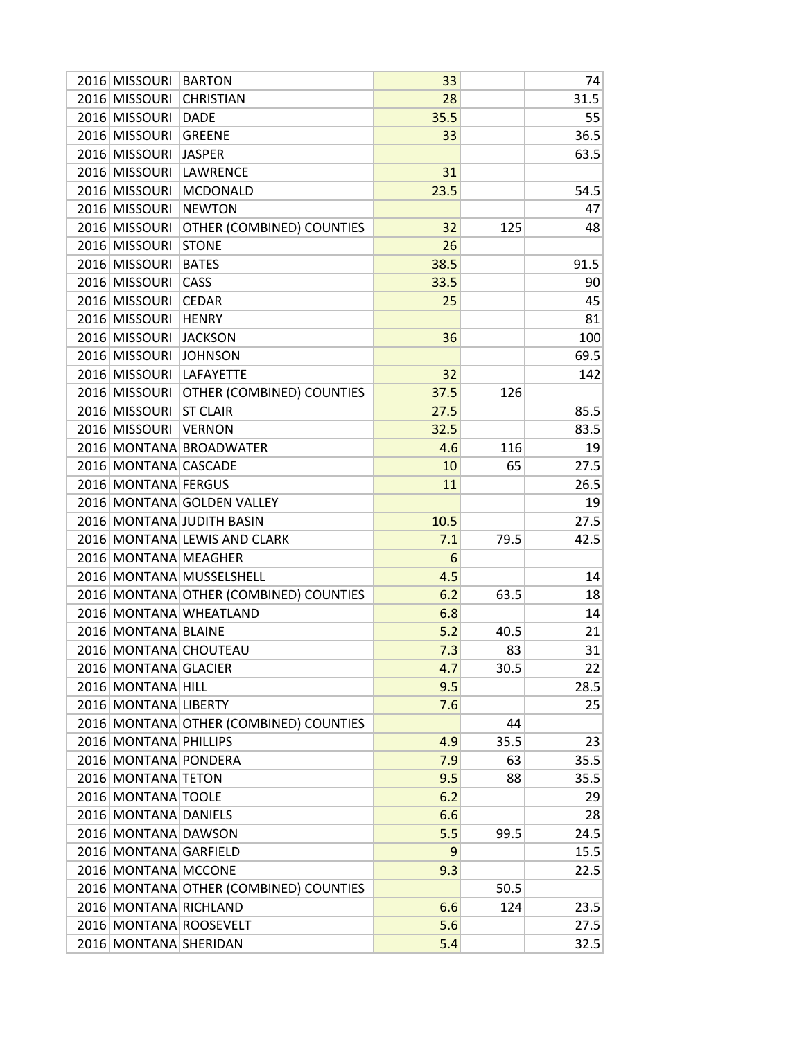| 2016 MISSOURI         | <b>BARTON</b>                          | 33   |      | 74   |
|-----------------------|----------------------------------------|------|------|------|
| 2016 MISSOURI         | <b>CHRISTIAN</b>                       | 28   |      | 31.5 |
| 2016 MISSOURI         | <b>DADE</b>                            | 35.5 |      | 55   |
| 2016 MISSOURI         | <b>GREENE</b>                          | 33   |      | 36.5 |
| 2016 MISSOURI         | <b>JASPER</b>                          |      |      | 63.5 |
| 2016 MISSOURI         | <b>LAWRENCE</b>                        | 31   |      |      |
| 2016 MISSOURI         | <b>MCDONALD</b>                        | 23.5 |      | 54.5 |
| 2016 MISSOURI         | <b>NEWTON</b>                          |      |      | 47   |
| 2016 MISSOURI         | OTHER (COMBINED) COUNTIES              | 32   | 125  | 48   |
| 2016 MISSOURI         | <b>STONE</b>                           | 26   |      |      |
| 2016 MISSOURI         | <b>BATES</b>                           | 38.5 |      | 91.5 |
| 2016 MISSOURI         | CASS                                   | 33.5 |      | 90   |
| 2016 MISSOURI         | <b>CEDAR</b>                           | 25   |      | 45   |
| 2016 MISSOURI         | <b>HENRY</b>                           |      |      | 81   |
| 2016 MISSOURI         | <b>JACKSON</b>                         | 36   |      | 100  |
| 2016 MISSOURI         | <b>JOHNSON</b>                         |      |      | 69.5 |
| 2016 MISSOURI         | LAFAYETTE                              | 32   |      | 142  |
| 2016 MISSOURI         | OTHER (COMBINED) COUNTIES              | 37.5 | 126  |      |
| 2016 MISSOURI         | <b>ST CLAIR</b>                        | 27.5 |      | 85.5 |
| 2016 MISSOURI         | <b>VERNON</b>                          | 32.5 |      | 83.5 |
|                       | 2016 MONTANA BROADWATER                | 4.6  | 116  | 19   |
| 2016 MONTANA CASCADE  |                                        | 10   | 65   | 27.5 |
| 2016 MONTANA FERGUS   |                                        | 11   |      | 26.5 |
|                       | 2016 MONTANA GOLDEN VALLEY             |      |      | 19   |
|                       | 2016 MONTANA JUDITH BASIN              | 10.5 |      | 27.5 |
|                       | 2016 MONTANA LEWIS AND CLARK           | 7.1  | 79.5 | 42.5 |
| 2016 MONTANA MEAGHER  |                                        | 6    |      |      |
|                       | 2016 MONTANA MUSSELSHELL               | 4.5  |      | 14   |
|                       | 2016 MONTANA OTHER (COMBINED) COUNTIES | 6.2  | 63.5 | 18   |
|                       | 2016 MONTANA WHEATLAND                 | 6.8  |      | 14   |
| 2016 MONTANA BLAINE   |                                        | 5.2  | 40.5 | 21   |
|                       | 2016 MONTANA CHOUTEAU                  | 7.3  | 83   | 31   |
| 2016 MONTANA GLACIER  |                                        | 4.7  | 30.5 | 22   |
| 2016 MONTANA HILL     |                                        | 9.5  |      | 28.5 |
| 2016 MONTANA LIBERTY  |                                        | 7.6  |      | 25   |
|                       | 2016 MONTANA OTHER (COMBINED) COUNTIES |      | 44   |      |
| 2016 MONTANA PHILLIPS |                                        | 4.9  | 35.5 | 23   |
| 2016 MONTANA PONDERA  |                                        | 7.9  | 63   | 35.5 |
| 2016 MONTANA TETON    |                                        | 9.5  | 88   | 35.5 |
| 2016 MONTANA TOOLE    |                                        | 6.2  |      | 29   |
| 2016 MONTANA DANIELS  |                                        | 6.6  |      | 28   |
| 2016 MONTANA DAWSON   |                                        | 5.5  | 99.5 | 24.5 |
| 2016 MONTANA GARFIELD |                                        | 9    |      | 15.5 |
| 2016 MONTANA MCCONE   |                                        | 9.3  |      | 22.5 |
|                       | 2016 MONTANA OTHER (COMBINED) COUNTIES |      | 50.5 |      |
| 2016 MONTANA RICHLAND |                                        | 6.6  | 124  | 23.5 |
|                       | 2016 MONTANA ROOSEVELT                 | 5.6  |      | 27.5 |
| 2016 MONTANA SHERIDAN |                                        | 5.4  |      | 32.5 |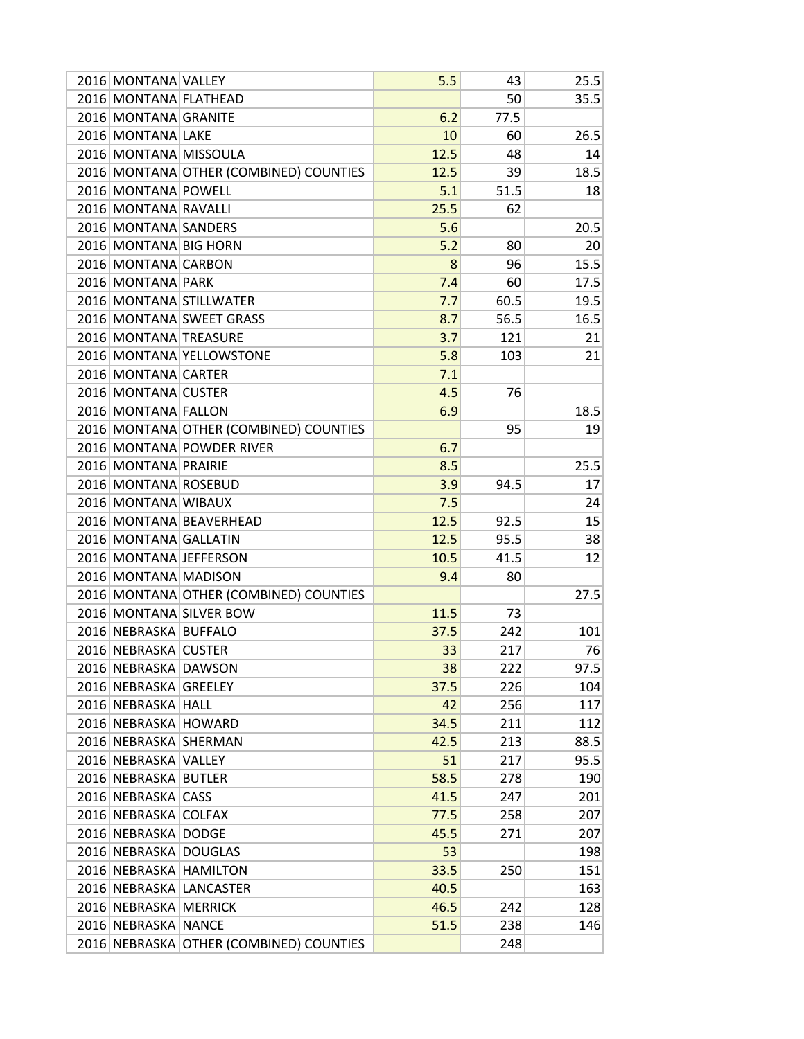| 2016 MONTANA VALLEY   |                                         | 5.5  | 43   | 25.5 |
|-----------------------|-----------------------------------------|------|------|------|
| 2016 MONTANA FLATHEAD |                                         |      | 50   | 35.5 |
| 2016 MONTANA GRANITE  |                                         | 6.2  | 77.5 |      |
| 2016 MONTANA LAKE     |                                         | 10   | 60   | 26.5 |
| 2016 MONTANA MISSOULA |                                         | 12.5 | 48   | 14   |
|                       | 2016 MONTANA OTHER (COMBINED) COUNTIES  | 12.5 | 39   | 18.5 |
| 2016 MONTANA POWELL   |                                         | 5.1  | 51.5 | 18   |
| 2016 MONTANA RAVALLI  |                                         | 25.5 | 62   |      |
| 2016 MONTANA SANDERS  |                                         | 5.6  |      | 20.5 |
| 2016 MONTANA BIG HORN |                                         | 5.2  | 80   | 20   |
| 2016 MONTANA CARBON   |                                         | 8    | 96   | 15.5 |
| 2016 MONTANA PARK     |                                         | 7.4  | 60   | 17.5 |
|                       | 2016 MONTANA STILLWATER                 | 7.7  | 60.5 | 19.5 |
|                       | 2016 MONTANA SWEET GRASS                | 8.7  | 56.5 | 16.5 |
| 2016 MONTANA TREASURE |                                         | 3.7  | 121  | 21   |
|                       | 2016 MONTANA YELLOWSTONE                | 5.8  | 103  | 21   |
| 2016 MONTANA CARTER   |                                         | 7.1  |      |      |
| 2016 MONTANA CUSTER   |                                         | 4.5  | 76   |      |
| 2016 MONTANA FALLON   |                                         | 6.9  |      | 18.5 |
|                       | 2016 MONTANA OTHER (COMBINED) COUNTIES  |      | 95   | 19   |
|                       | 2016 MONTANA POWDER RIVER               | 6.7  |      |      |
| 2016 MONTANA PRAIRIE  |                                         | 8.5  |      | 25.5 |
| 2016 MONTANA ROSEBUD  |                                         | 3.9  | 94.5 | 17   |
| 2016 MONTANA WIBAUX   |                                         | 7.5  |      | 24   |
|                       | 2016 MONTANA BEAVERHEAD                 | 12.5 | 92.5 | 15   |
| 2016 MONTANA GALLATIN |                                         | 12.5 | 95.5 | 38   |
|                       | 2016 MONTANA JEFFERSON                  | 10.5 | 41.5 | 12   |
| 2016 MONTANA MADISON  |                                         | 9.4  | 80   |      |
|                       | 2016 MONTANA OTHER (COMBINED) COUNTIES  |      |      | 27.5 |
|                       | 2016 MONTANA SILVER BOW                 | 11.5 | 73   |      |
| 2016 NEBRASKA BUFFALO |                                         | 37.5 | 242  | 101  |
| 2016 NEBRASKA CUSTER  |                                         | 33   | 217  | 76   |
| 2016 NEBRASKA DAWSON  |                                         | 38   | 222  | 97.5 |
| 2016 NEBRASKA GREELEY |                                         | 37.5 | 226  | 104  |
| 2016 NEBRASKA HALL    |                                         | 42   | 256  | 117  |
| 2016 NEBRASKA HOWARD  |                                         | 34.5 | 211  | 112  |
| 2016 NEBRASKA SHERMAN |                                         | 42.5 | 213  | 88.5 |
| 2016 NEBRASKA VALLEY  |                                         | 51   | 217  | 95.5 |
| 2016 NEBRASKA BUTLER  |                                         | 58.5 | 278  | 190  |
| 2016 NEBRASKA CASS    |                                         | 41.5 | 247  | 201  |
| 2016 NEBRASKA COLFAX  |                                         | 77.5 | 258  | 207  |
| 2016 NEBRASKA DODGE   |                                         | 45.5 | 271  | 207  |
| 2016 NEBRASKA DOUGLAS |                                         | 53   |      | 198  |
|                       | 2016 NEBRASKA HAMILTON                  | 33.5 | 250  | 151  |
|                       | 2016 NEBRASKA LANCASTER                 | 40.5 |      | 163  |
| 2016 NEBRASKA MERRICK |                                         | 46.5 | 242  | 128  |
| 2016 NEBRASKA NANCE   |                                         | 51.5 | 238  | 146  |
|                       | 2016 NEBRASKA OTHER (COMBINED) COUNTIES |      | 248  |      |
|                       |                                         |      |      |      |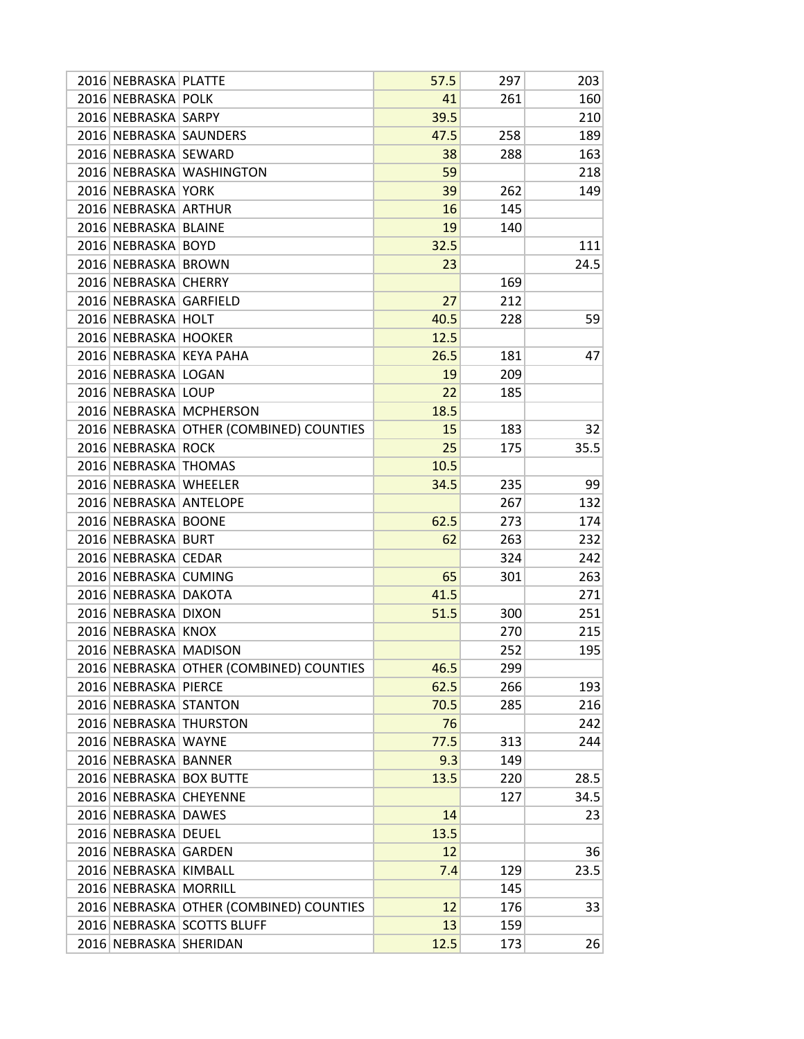| 2016 NEBRASKA PLATTE   |                                         | 57.5 | 297 | 203  |
|------------------------|-----------------------------------------|------|-----|------|
| 2016 NEBRASKA POLK     |                                         | 41   | 261 | 160  |
| 2016 NEBRASKA SARPY    |                                         | 39.5 |     | 210  |
| 2016 NEBRASKA SAUNDERS |                                         | 47.5 | 258 | 189  |
| 2016 NEBRASKA SEWARD   |                                         | 38   | 288 | 163  |
|                        | 2016 NEBRASKA WASHINGTON                | 59   |     | 218  |
| 2016 NEBRASKA YORK     |                                         | 39   | 262 | 149  |
| 2016 NEBRASKA ARTHUR   |                                         | 16   | 145 |      |
| 2016 NEBRASKA BLAINE   |                                         | 19   | 140 |      |
| 2016 NEBRASKA BOYD     |                                         | 32.5 |     | 111  |
| 2016 NEBRASKA BROWN    |                                         | 23   |     | 24.5 |
| 2016 NEBRASKA CHERRY   |                                         |      | 169 |      |
| 2016 NEBRASKA GARFIELD |                                         | 27   | 212 |      |
| 2016 NEBRASKA HOLT     |                                         | 40.5 | 228 | 59   |
| 2016 NEBRASKA HOOKER   |                                         | 12.5 |     |      |
|                        | 2016 NEBRASKA KEYA PAHA                 | 26.5 | 181 | 47   |
| 2016 NEBRASKA LOGAN    |                                         | 19   | 209 |      |
| 2016 NEBRASKA LOUP     |                                         | 22   | 185 |      |
|                        | 2016 NEBRASKA MCPHERSON                 | 18.5 |     |      |
|                        | 2016 NEBRASKA OTHER (COMBINED) COUNTIES | 15   | 183 | 32   |
| 2016 NEBRASKA ROCK     |                                         | 25   | 175 | 35.5 |
| 2016 NEBRASKA THOMAS   |                                         | 10.5 |     |      |
| 2016 NEBRASKA WHEELER  |                                         | 34.5 | 235 | 99   |
| 2016 NEBRASKA ANTELOPE |                                         |      | 267 | 132  |
| 2016 NEBRASKA BOONE    |                                         | 62.5 | 273 | 174  |
| 2016 NEBRASKA BURT     |                                         | 62   | 263 | 232  |
| 2016 NEBRASKA CEDAR    |                                         |      | 324 | 242  |
| 2016 NEBRASKA CUMING   |                                         | 65   | 301 | 263  |
| 2016 NEBRASKA DAKOTA   |                                         | 41.5 |     | 271  |
| 2016 NEBRASKA DIXON    |                                         | 51.5 | 300 | 251  |
| 2016 NEBRASKA KNOX     |                                         |      | 270 | 215  |
| 2016 NEBRASKA MADISON  |                                         |      | 252 | 195  |
|                        | 2016 NEBRASKA OTHER (COMBINED) COUNTIES | 46.5 | 299 |      |
| 2016 NEBRASKA PIERCE   |                                         | 62.5 | 266 | 193  |
| 2016 NEBRASKA STANTON  |                                         | 70.5 | 285 | 216  |
|                        | 2016 NEBRASKA THURSTON                  | 76   |     | 242  |
| 2016 NEBRASKA WAYNE    |                                         | 77.5 | 313 | 244  |
| 2016 NEBRASKA BANNER   |                                         | 9.3  | 149 |      |
|                        | 2016 NEBRASKA BOX BUTTE                 | 13.5 | 220 | 28.5 |
| 2016 NEBRASKA CHEYENNE |                                         |      | 127 | 34.5 |
| 2016 NEBRASKA DAWES    |                                         | 14   |     | 23   |
| 2016 NEBRASKA DEUEL    |                                         | 13.5 |     |      |
| 2016 NEBRASKA GARDEN   |                                         | 12   |     | 36   |
| 2016 NEBRASKA KIMBALL  |                                         | 7.4  | 129 | 23.5 |
| 2016 NEBRASKA MORRILL  |                                         |      | 145 |      |
|                        | 2016 NEBRASKA OTHER (COMBINED) COUNTIES | 12   | 176 | 33   |
|                        | 2016 NEBRASKA SCOTTS BLUFF              | 13   | 159 |      |
| 2016 NEBRASKA SHERIDAN |                                         | 12.5 | 173 | 26   |
|                        |                                         |      |     |      |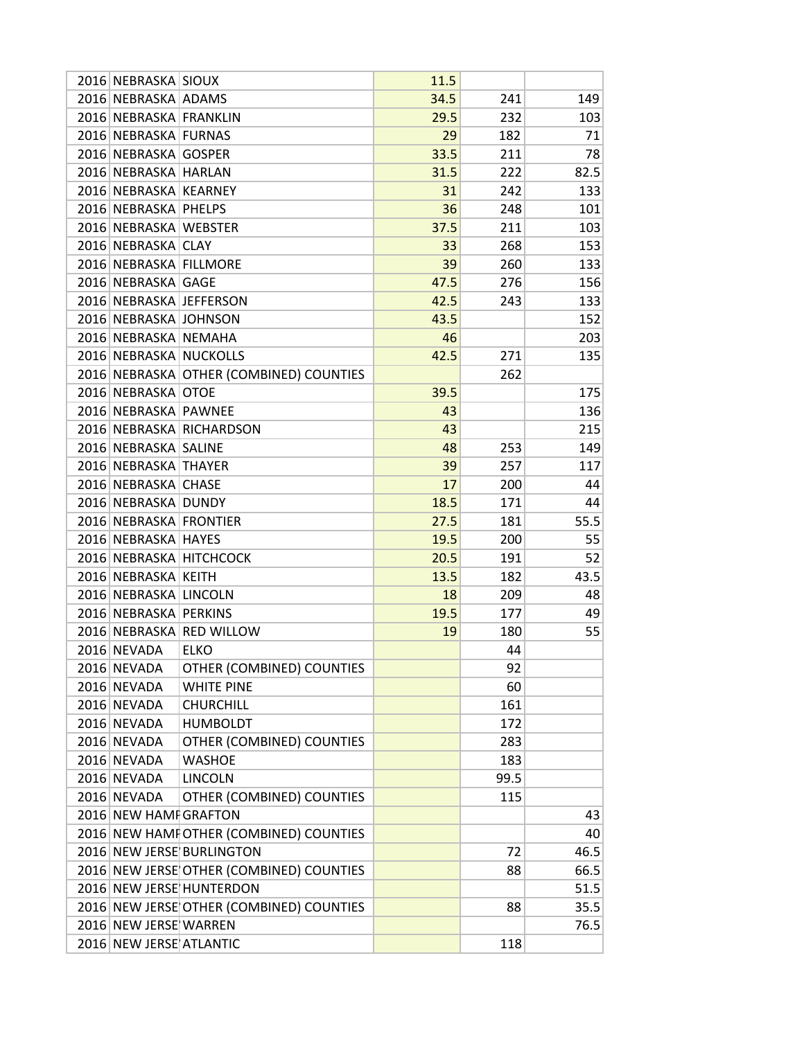| 2016 NEBRASKA SIOUX     |                                                                      | 11.5 |      |            |
|-------------------------|----------------------------------------------------------------------|------|------|------------|
| 2016 NEBRASKA ADAMS     |                                                                      | 34.5 | 241  | 149        |
| 2016 NEBRASKA FRANKLIN  |                                                                      | 29.5 | 232  | 103        |
| 2016 NEBRASKA FURNAS    |                                                                      | 29   | 182  | 71         |
| 2016 NEBRASKA GOSPER    |                                                                      | 33.5 | 211  | 78         |
| 2016 NEBRASKA HARLAN    |                                                                      | 31.5 | 222  | 82.5       |
| 2016 NEBRASKA KEARNEY   |                                                                      | 31   | 242  | 133        |
| 2016 NEBRASKA PHELPS    |                                                                      | 36   | 248  | 101        |
| 2016 NEBRASKA WEBSTER   |                                                                      | 37.5 | 211  | 103        |
| 2016 NEBRASKA CLAY      |                                                                      | 33   | 268  | 153        |
| 2016 NEBRASKA FILLMORE  |                                                                      | 39   | 260  | 133        |
| 2016 NEBRASKA GAGE      |                                                                      | 47.5 | 276  | 156        |
|                         | 2016 NEBRASKA JEFFERSON                                              | 42.5 | 243  | 133        |
| 2016 NEBRASKA JOHNSON   |                                                                      | 43.5 |      | 152        |
| 2016 NEBRASKA NEMAHA    |                                                                      | 46   |      | 203        |
| 2016 NEBRASKA NUCKOLLS  |                                                                      | 42.5 | 271  | 135        |
|                         | 2016 NEBRASKA OTHER (COMBINED) COUNTIES                              |      | 262  |            |
| 2016 NEBRASKA OTOE      |                                                                      | 39.5 |      | 175        |
| 2016 NEBRASKA PAWNEE    |                                                                      | 43   |      | 136        |
|                         | 2016 NEBRASKA RICHARDSON                                             | 43   |      | 215        |
| 2016 NEBRASKA SALINE    |                                                                      | 48   | 253  | 149        |
| 2016 NEBRASKA THAYER    |                                                                      | 39   | 257  | 117        |
| 2016 NEBRASKA CHASE     |                                                                      | 17   | 200  | 44         |
| 2016 NEBRASKA DUNDY     |                                                                      | 18.5 | 171  | 44         |
| 2016 NEBRASKA FRONTIER  |                                                                      | 27.5 | 181  | 55.5       |
| 2016 NEBRASKA HAYES     |                                                                      | 19.5 | 200  | 55         |
|                         | 2016 NEBRASKA HITCHCOCK                                              | 20.5 | 191  | 52         |
| 2016 NEBRASKA KEITH     |                                                                      | 13.5 | 182  | 43.5       |
| 2016 NEBRASKA LINCOLN   |                                                                      | 18   | 209  | 48         |
| 2016 NEBRASKA PERKINS   |                                                                      | 19.5 | 177  | 49         |
|                         | 2016 NEBRASKA RED WILLOW                                             | 19   | 180  | 55         |
| 2016 NEVADA             | <b>ELKO</b>                                                          |      | 44   |            |
| 2016 NEVADA             | OTHER (COMBINED) COUNTIES                                            |      | 92   |            |
| 2016 NEVADA             | <b>WHITE PINE</b>                                                    |      | 60   |            |
| 2016 NEVADA             | <b>CHURCHILL</b>                                                     |      | 161  |            |
| 2016 NEVADA             | <b>HUMBOLDT</b>                                                      |      | 172  |            |
| 2016 NEVADA             | OTHER (COMBINED) COUNTIES                                            |      | 283  |            |
| 2016 NEVADA             | <b>WASHOE</b>                                                        |      | 183  |            |
| 2016 NEVADA             | <b>LINCOLN</b>                                                       |      | 99.5 |            |
| 2016 NEVADA             | OTHER (COMBINED) COUNTIES                                            |      | 115  |            |
| 2016 NEW HAMI GRAFTON   |                                                                      |      |      | 43         |
|                         |                                                                      |      |      |            |
|                         | 2016 NEW HAMI OTHER (COMBINED) COUNTIES<br>2016 NEW JERSE BURLINGTON |      | 72   | 40<br>46.5 |
|                         |                                                                      |      |      |            |
|                         | 2016 NEW JERSE OTHER (COMBINED) COUNTIES                             |      | 88   | 66.5       |
|                         | 2016 NEW JERSE HUNTERDON                                             |      |      | 51.5       |
|                         | 2016 NEW JERSE OTHER (COMBINED) COUNTIES                             |      | 88   | 35.5       |
| 2016 NEW JERSE WARREN   |                                                                      |      |      | 76.5       |
| 2016 NEW JERSE ATLANTIC |                                                                      |      | 118  |            |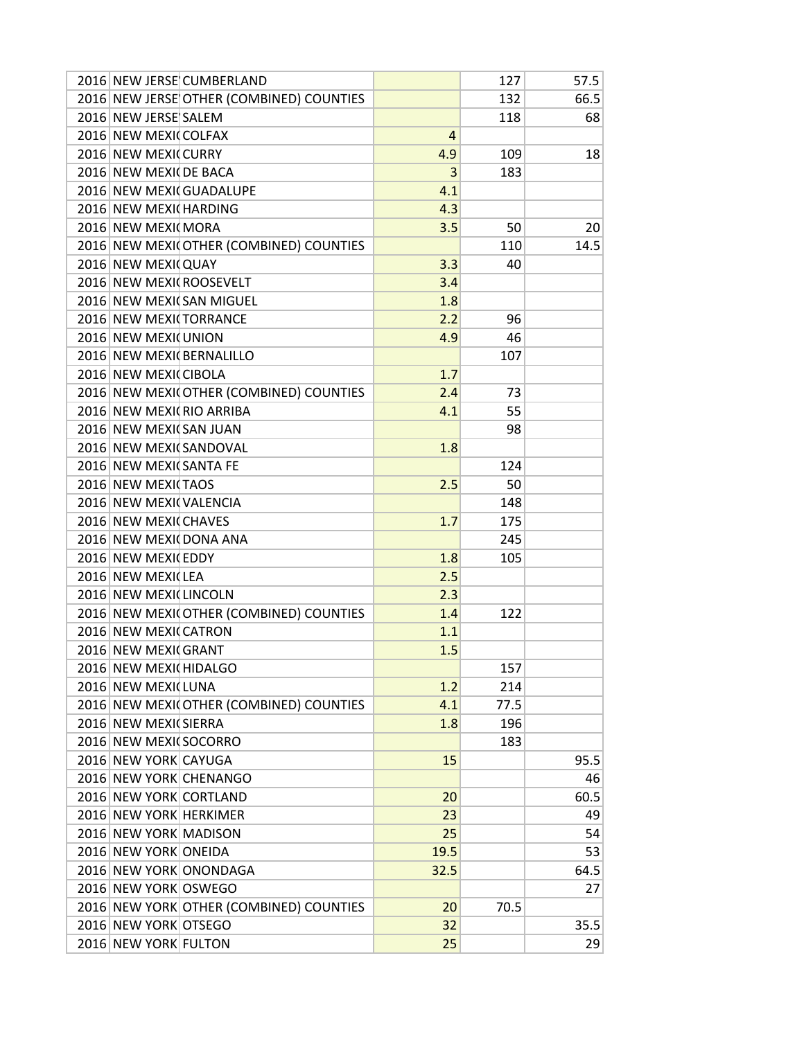| 2016 NEW JERSE CUMBERLAND                |      | 127  | 57.5 |
|------------------------------------------|------|------|------|
| 2016 NEW JERSE OTHER (COMBINED) COUNTIES |      | 132  | 66.5 |
| 2016 NEW JERSE SALEM                     |      | 118  | 68   |
| 2016 NEW MEXI COLFAX                     | 4    |      |      |
| 2016 NEW MEXICURRY                       | 4.9  | 109  | 18   |
| 2016 NEW MEXI DE BACA                    | 3    | 183  |      |
| 2016 NEW MEXI GUADALUPE                  | 4.1  |      |      |
| 2016 NEW MEXI HARDING                    | 4.3  |      |      |
| 2016 NEW MEXI MORA                       | 3.5  | 50   | 20   |
| 2016 NEW MEXI OTHER (COMBINED) COUNTIES  |      | 110  | 14.5 |
| 2016 NEW MEXI QUAY                       | 3.3  | 40   |      |
| 2016 NEW MEXI ROOSEVELT                  | 3.4  |      |      |
| 2016 NEW MEXICSAN MIGUEL                 | 1.8  |      |      |
| 2016 NEW MEXI TORRANCE                   | 2.2  | 96   |      |
| 2016 NEW MEXI UNION                      | 4.9  | 46   |      |
| 2016 NEW MEXI BERNALILLO                 |      | 107  |      |
| 2016 NEW MEXI CIBOLA                     | 1.7  |      |      |
| 2016 NEW MEXI OTHER (COMBINED) COUNTIES  | 2.4  | 73   |      |
| 2016 NEW MEXICRIO ARRIBA                 | 4.1  | 55   |      |
| 2016 NEW MEXICSAN JUAN                   |      | 98   |      |
| 2016 NEW MEXI SANDOVAL                   | 1.8  |      |      |
| 2016 NEW MEXI SANTA FE                   |      | 124  |      |
| 2016 NEW MEXI TAOS                       | 2.5  | 50   |      |
| 2016 NEW MEXI VALENCIA                   |      | 148  |      |
| 2016 NEW MEXI CHAVES                     | 1.7  | 175  |      |
| 2016 NEW MEXI DONA ANA                   |      |      |      |
|                                          |      | 245  |      |
| 2016 NEW MEXI EDDY                       | 1.8  | 105  |      |
| 2016 NEW MEXI LEA                        | 2.5  |      |      |
| 2016 NEW MEXI LINCOLN                    | 2.3  |      |      |
| 2016 NEW MEXI OTHER (COMBINED) COUNTIES  | 1.4  | 122  |      |
| 2016 NEW MEXI CATRON                     | 1.1  |      |      |
| 2016 NEW MEXI GRANT                      | 1.5  |      |      |
| 2016 NEW MEXI HIDALGO                    |      | 157  |      |
| 2016 NEW MEXI LUNA                       | 1.2  | 214  |      |
| 2016 NEW MEXI OTHER (COMBINED) COUNTIES  | 4.1  | 77.5 |      |
| 2016 NEW MEXI SIERRA                     | 1.8  | 196  |      |
| 2016 NEW MEXI SOCORRO                    |      | 183  |      |
| 2016 NEW YORK CAYUGA                     | 15   |      | 95.5 |
| 2016 NEW YORK CHENANGO                   |      |      | 46   |
| 2016 NEW YORK CORTLAND                   | 20   |      | 60.5 |
| 2016 NEW YORK HERKIMER                   | 23   |      | 49   |
| 2016 NEW YORK MADISON                    | 25   |      | 54   |
| 2016 NEW YORK ONEIDA                     | 19.5 |      | 53   |
| 2016 NEW YORK ONONDAGA                   | 32.5 |      | 64.5 |
| 2016 NEW YORK OSWEGO                     |      |      | 27   |
| 2016 NEW YORK OTHER (COMBINED) COUNTIES  | 20   | 70.5 |      |
| 2016 NEW YORK OTSEGO                     | 32   |      | 35.5 |
| 2016 NEW YORK FULTON                     | 25   |      | 29   |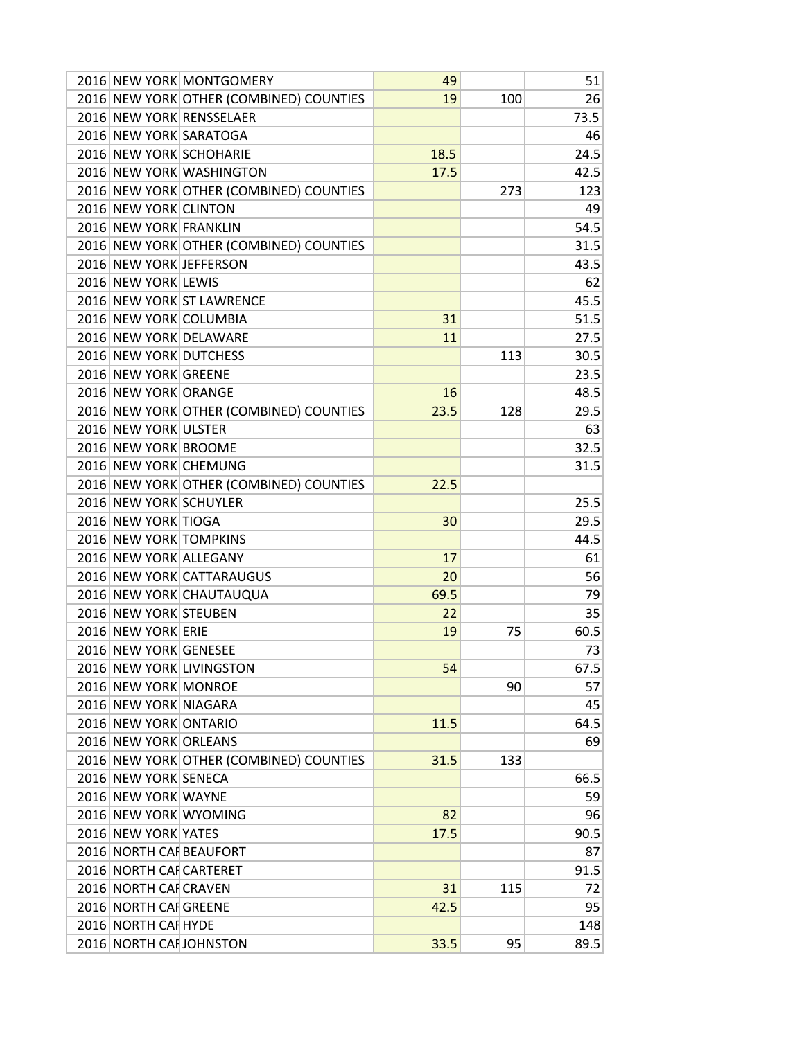|                         | 2016 NEW YORK MONTGOMERY                | 49   |     | 51   |
|-------------------------|-----------------------------------------|------|-----|------|
|                         | 2016 NEW YORK OTHER (COMBINED) COUNTIES | 19   | 100 | 26   |
|                         | 2016 NEW YORK RENSSELAER                |      |     | 73.5 |
| 2016 NEW YORK SARATOGA  |                                         |      |     | 46   |
|                         | 2016 NEW YORK SCHOHARIE                 | 18.5 |     | 24.5 |
|                         | 2016 NEW YORK WASHINGTON                | 17.5 |     | 42.5 |
|                         | 2016 NEW YORK OTHER (COMBINED) COUNTIES |      | 273 | 123  |
| 2016 NEW YORK CLINTON   |                                         |      |     | 49   |
| 2016 NEW YORK FRANKLIN  |                                         |      |     | 54.5 |
|                         | 2016 NEW YORK OTHER (COMBINED) COUNTIES |      |     | 31.5 |
| 2016 NEW YORK JEFFERSON |                                         |      |     | 43.5 |
| 2016 NEW YORK LEWIS     |                                         |      |     | 62   |
|                         | 2016 NEW YORK ST LAWRENCE               |      |     | 45.5 |
| 2016 NEW YORK COLUMBIA  |                                         | 31   |     | 51.5 |
|                         | 2016 NEW YORK DELAWARE                  | 11   |     | 27.5 |
| 2016 NEW YORK DUTCHESS  |                                         |      |     | 30.5 |
|                         |                                         |      | 113 |      |
| 2016 NEW YORK GREENE    |                                         |      |     | 23.5 |
| 2016 NEW YORK ORANGE    |                                         | 16   |     | 48.5 |
|                         | 2016 NEW YORK OTHER (COMBINED) COUNTIES | 23.5 | 128 | 29.5 |
| 2016 NEW YORK ULSTER    |                                         |      |     | 63   |
| 2016 NEW YORK BROOME    |                                         |      |     | 32.5 |
| 2016 NEW YORK CHEMUNG   |                                         |      |     | 31.5 |
|                         | 2016 NEW YORK OTHER (COMBINED) COUNTIES | 22.5 |     |      |
| 2016 NEW YORK SCHUYLER  |                                         |      |     | 25.5 |
| 2016 NEW YORK TIOGA     |                                         | 30   |     | 29.5 |
| 2016 NEW YORK TOMPKINS  |                                         |      |     | 44.5 |
| 2016 NEW YORK ALLEGANY  |                                         | 17   |     | 61   |
|                         | 2016 NEW YORK CATTARAUGUS               | 20   |     | 56   |
|                         | 2016 NEW YORK CHAUTAUQUA                | 69.5 |     | 79   |
| 2016 NEW YORK STEUBEN   |                                         | 22   |     | 35   |
| 2016 NEW YORK ERIE      |                                         | 19   | 75  | 60.5 |
| 2016 NEW YORK GENESEE   |                                         |      |     | 73   |
|                         | 2016 NEW YORK LIVINGSTON                | 54   |     | 67.5 |
| 2016 NEW YORK MONROE    |                                         |      | 90  | 57   |
| 2016 NEW YORK NIAGARA   |                                         |      |     | 45   |
| 2016 NEW YORK ONTARIO   |                                         | 11.5 |     | 64.5 |
| 2016 NEW YORK ORLEANS   |                                         |      |     | 69   |
|                         | 2016 NEW YORK OTHER (COMBINED) COUNTIES | 31.5 | 133 |      |
| 2016 NEW YORK SENECA    |                                         |      |     | 66.5 |
| 2016 NEW YORK WAYNE     |                                         |      |     | 59   |
| 2016 NEW YORK WYOMING   |                                         | 82   |     | 96   |
|                         |                                         |      |     |      |
| 2016 NEW YORK YATES     |                                         | 17.5 |     | 90.5 |
| 2016 NORTH CAF BEAUFORT |                                         |      |     | 87   |
| 2016 NORTH CAF CARTERET |                                         |      |     | 91.5 |
| 2016 NORTH CAF CRAVEN   |                                         | 31   | 115 | 72   |
| 2016 NORTH CAI GREENE   |                                         | 42.5 |     | 95   |
| 2016 NORTH CAI HYDE     |                                         |      |     | 148  |
|                         | 2016 NORTH CAF JOHNSTON                 | 33.5 | 95  | 89.5 |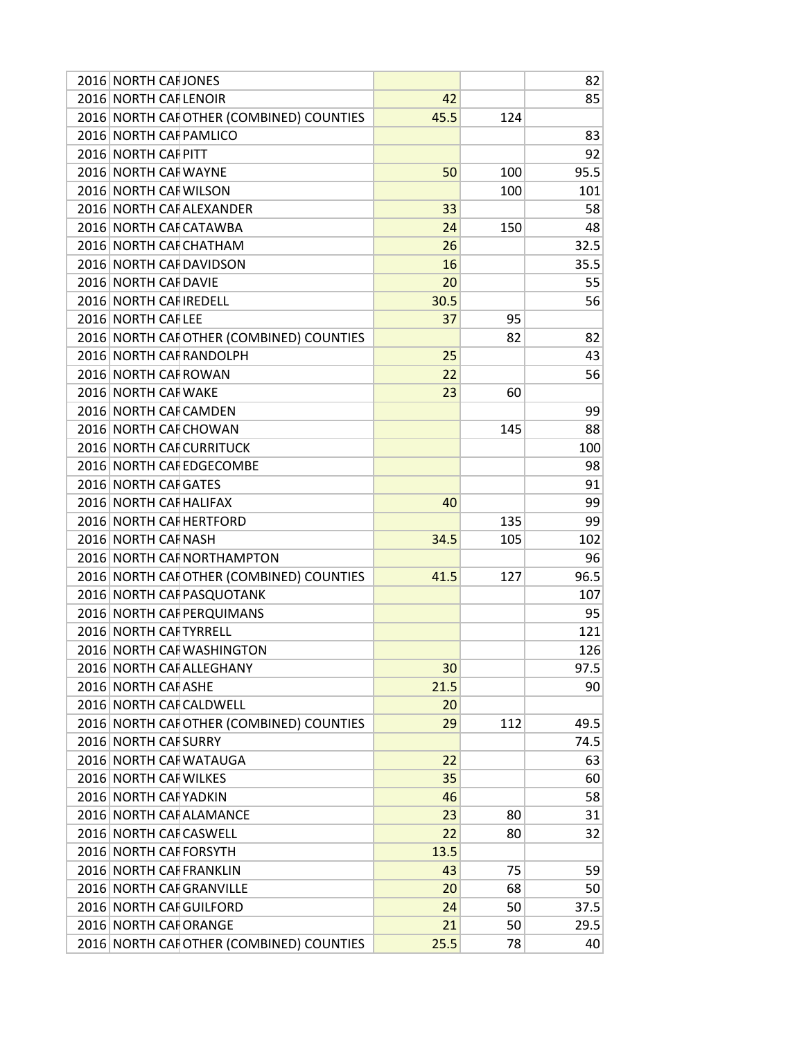| 2016 NORTH CAI JONES     |                                          |      |     | 82   |
|--------------------------|------------------------------------------|------|-----|------|
| 2016 NORTH CAF LENOIR    |                                          | 42   |     | 85   |
|                          | 2016 NORTH CAFOTHER (COMBINED) COUNTIES  | 45.5 | 124 |      |
| 2016 NORTH CAF PAMLICO   |                                          |      |     | 83   |
| 2016 NORTH CALPITT       |                                          |      |     | 92   |
| 2016 NORTH CAI WAYNE     |                                          | 50   | 100 | 95.5 |
| 2016 NORTH CAI WILSON    |                                          |      | 100 | 101  |
|                          | 2016 NORTH CAI ALEXANDER                 | 33   |     | 58   |
| 2016 NORTH CAF CATAWBA   |                                          | 24   | 150 | 48   |
| 2016 NORTH CAF CHATHAM   |                                          | 26   |     | 32.5 |
| 2016 NORTH CAF DAVIDSON  |                                          | 16   |     | 35.5 |
| 2016 NORTH CAI DAVIE     |                                          | 20   |     | 55   |
| 2016 NORTH CAI IREDELL   |                                          | 30.5 |     | 56   |
| 2016 NORTH CAFLEE        |                                          | 37   | 95  |      |
|                          | 2016 NORTH CAF OTHER (COMBINED) COUNTIES |      | 82  | 82   |
| 2016 NORTH CAF RANDOLPH  |                                          | 25   |     | 43   |
| 2016 NORTH CAF ROWAN     |                                          | 22   |     | 56   |
| 2016 NORTH CAF WAKE      |                                          | 23   | 60  |      |
| 2016 NORTH CAI CAMDEN    |                                          |      |     | 99   |
| 2016 NORTH CAI CHOWAN    |                                          |      | 145 | 88   |
|                          | 2016 NORTH CAF CURRITUCK                 |      |     | 100  |
|                          | 2016 NORTH CAF EDGECOMBE                 |      |     | 98   |
| 2016 NORTH CAI GATES     |                                          |      |     | 91   |
| 2016 NORTH CAI HALIFAX   |                                          | 40   |     | 99   |
| 2016 NORTH CAI HERTFORD  |                                          |      | 135 | 99   |
| 2016 NORTH CAI NASH      |                                          | 34.5 | 105 | 102  |
|                          | 2016 NORTH CAF NORTHAMPTON               |      |     | 96   |
|                          | 2016 NORTH CAFOTHER (COMBINED) COUNTIES  | 41.5 | 127 | 96.5 |
|                          | 2016 NORTH CAF PASQUOTANK                |      |     | 107  |
|                          | 2016 NORTH CAF PERQUIMANS                |      |     | 95   |
| 2016 NORTH CAF TYRRELL   |                                          |      |     | 121  |
|                          | 2016 NORTH CAI WASHINGTON                |      |     | 126  |
|                          | 2016 NORTH CAF ALLEGHANY                 | 30   |     | 97.5 |
| 2016 NORTH CAF ASHE      |                                          | 21.5 |     | 90   |
| 2016 NORTH CAF CALDWELL  |                                          | 20   |     |      |
|                          | 2016 NORTH CAFOTHER (COMBINED) COUNTIES  | 29   | 112 | 49.5 |
| 2016 NORTH CAF SURRY     |                                          |      |     | 74.5 |
| 2016 NORTH CAI WATAUGA   |                                          | 22   |     | 63   |
| 2016 NORTH CAF WILKES    |                                          | 35   |     | 60   |
| 2016 NORTH CAF YADKIN    |                                          | 46   |     | 58   |
|                          | 2016 NORTH CAF ALAMANCE                  | 23   | 80  | 31   |
| 2016 NORTH CAF CASWELL   |                                          | 22   | 80  | 32   |
| 2016 NORTH CAF FORSYTH   |                                          | 13.5 |     |      |
| 2016 NORTH CAF FRANKLIN  |                                          | 43   | 75  | 59   |
| 2016 NORTH CAF GRANVILLE |                                          | 20   | 68  | 50   |
| 2016 NORTH CAF GUILFORD  |                                          | 24   | 50  | 37.5 |
| 2016 NORTH CAI ORANGE    |                                          | 21   | 50  | 29.5 |
|                          | 2016 NORTH CAF OTHER (COMBINED) COUNTIES | 25.5 | 78  | 40   |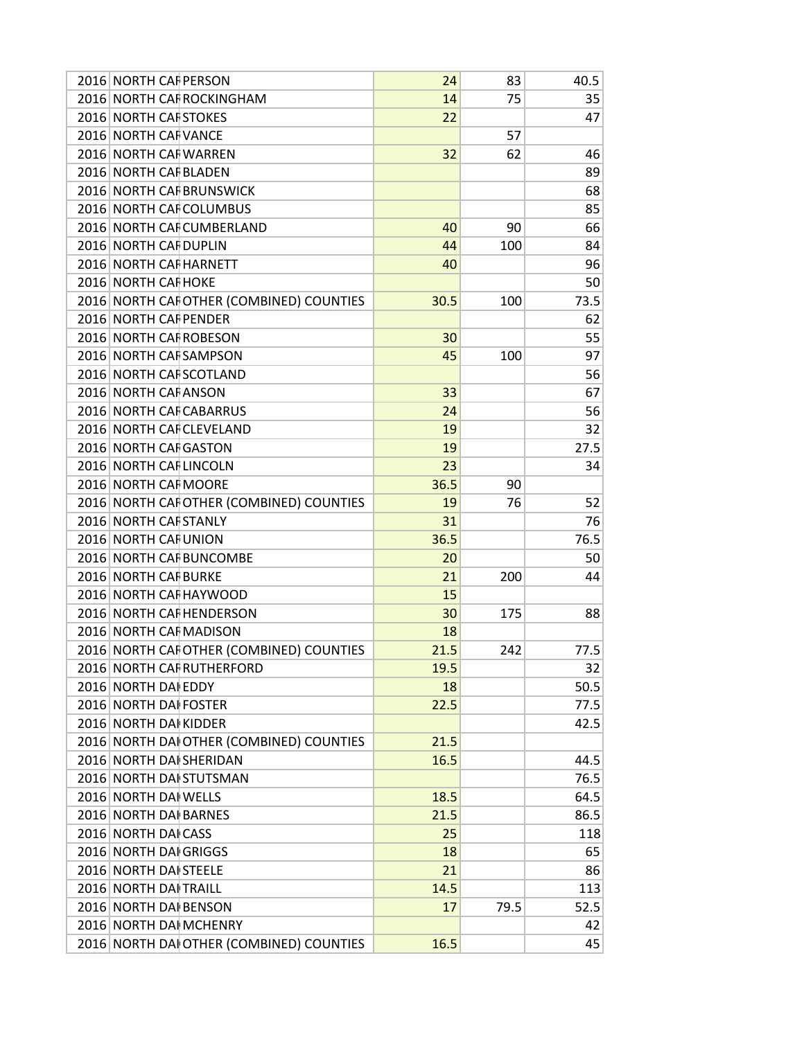| 2016 NORTH CAI PERSON   |                                          | 24   | 83   | 40.5 |
|-------------------------|------------------------------------------|------|------|------|
|                         | 2016 NORTH CAF ROCKINGHAM                | 14   | 75   | 35   |
| 2016 NORTH CAF STOKES   |                                          | 22   |      | 47   |
| 2016 NORTH CAF VANCE    |                                          |      | 57   |      |
| 2016 NORTH CAI WARREN   |                                          | 32   | 62   | 46   |
| 2016 NORTH CAF BLADEN   |                                          |      |      | 89   |
|                         | 2016 NORTH CAI BRUNSWICK                 |      |      | 68   |
|                         | 2016 NORTH CAI COLUMBUS                  |      |      | 85   |
|                         | 2016 NORTH CAF CUMBERLAND                | 40   | 90   | 66   |
| 2016 NORTH CAF DUPLIN   |                                          | 44   | 100  | 84   |
| 2016 NORTH CAF HARNETT  |                                          | 40   |      | 96   |
| 2016 NORTH CAI HOKE     |                                          |      |      | 50   |
|                         | 2016 NORTH CAFOTHER (COMBINED) COUNTIES  | 30.5 | 100  | 73.5 |
| 2016 NORTH CAF PENDER   |                                          |      |      | 62   |
| 2016 NORTH CAF ROBESON  |                                          | 30   |      | 55   |
| 2016 NORTH CAF SAMPSON  |                                          | 45   | 100  | 97   |
| 2016 NORTH CAF SCOTLAND |                                          |      |      | 56   |
| 2016 NORTH CAF ANSON    |                                          | 33   |      | 67   |
| 2016 NORTH CAF CABARRUS |                                          | 24   |      | 56   |
|                         | 2016 NORTH CAF CLEVELAND                 | 19   |      | 32   |
| 2016 NORTH CAF GASTON   |                                          | 19   |      | 27.5 |
| 2016 NORTH CAF LINCOLN  |                                          | 23   |      | 34   |
| 2016 NORTH CAI MOORE    |                                          | 36.5 | 90   |      |
|                         | 2016 NORTH CAF OTHER (COMBINED) COUNTIES | 19   | 76   | 52   |
| 2016 NORTH CAF STANLY   |                                          | 31   |      | 76   |
| 2016 NORTH CAI UNION    |                                          | 36.5 |      | 76.5 |
|                         | 2016 NORTH CAF BUNCOMBE                  | 20   |      | 50   |
| 2016 NORTH CAI BURKE    |                                          | 21   | 200  | 44   |
| 2016 NORTH CAF HAYWOOD  |                                          | 15   |      |      |
|                         | 2016 NORTH CAF HENDERSON                 | 30   | 175  | 88   |
| 2016 NORTH CAF MADISON  |                                          | 18   |      |      |
|                         | 2016 NORTH CAI OTHER (COMBINED) COUNTIES | 21.5 | 242  | 77.5 |
|                         | 2016 NORTH CAF RUTHERFORD                | 19.5 |      | 32   |
| 2016 NORTH DAI EDDY     |                                          | 18   |      | 50.5 |
| 2016 NORTH DAI FOSTER   |                                          | 22.5 |      | 77.5 |
| 2016 NORTH DAI KIDDER   |                                          |      |      | 42.5 |
|                         | 2016 NORTH DAI OTHER (COMBINED) COUNTIES | 21.5 |      |      |
| 2016 NORTH DAI SHERIDAN |                                          | 16.5 |      | 44.5 |
|                         | 2016 NORTH DAI STUTSMAN                  |      |      | 76.5 |
| 2016 NORTH DAI WELLS    |                                          | 18.5 |      | 64.5 |
| 2016 NORTH DAI BARNES   |                                          | 21.5 |      | 86.5 |
| 2016 NORTH DAI CASS     |                                          | 25   |      | 118  |
| 2016 NORTH DAI GRIGGS   |                                          | 18   |      | 65   |
| 2016 NORTH DAI STEELE   |                                          | 21   |      | 86   |
| 2016 NORTH DAI TRAILL   |                                          | 14.5 |      | 113  |
| 2016 NORTH DAI BENSON   |                                          | 17   | 79.5 | 52.5 |
|                         |                                          |      |      |      |
| 2016 NORTH DAI MCHENRY  |                                          |      |      | 42   |
|                         | 2016 NORTH DAI OTHER (COMBINED) COUNTIES | 16.5 |      | 45   |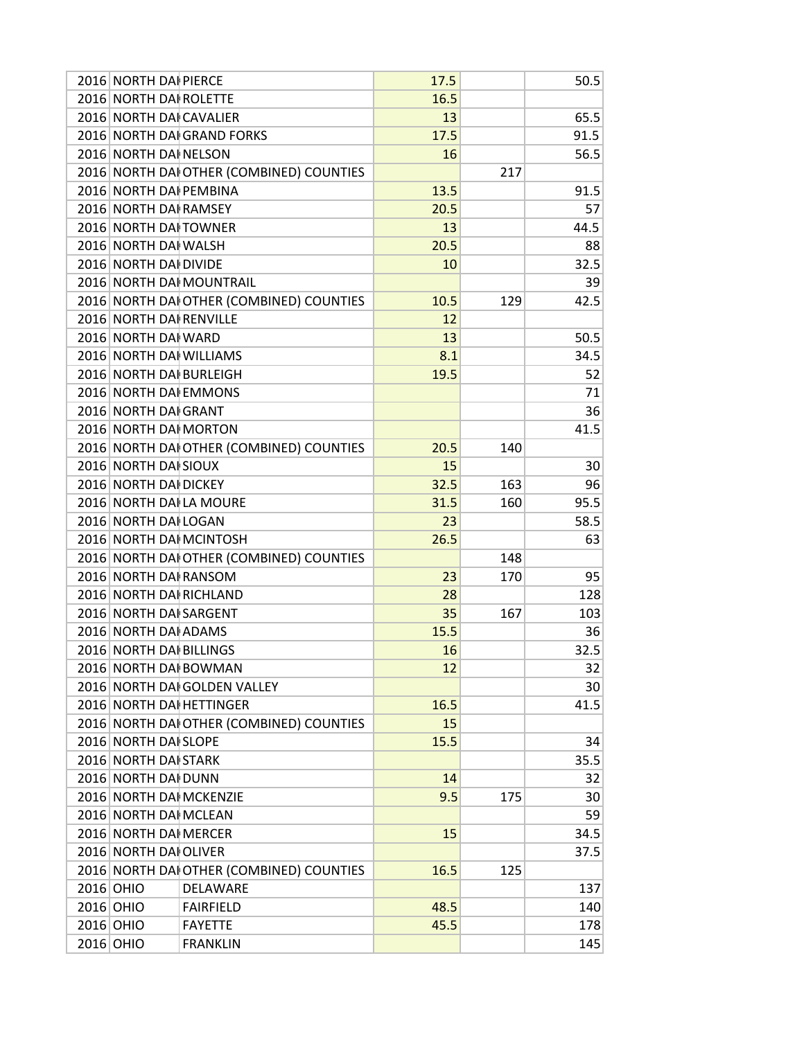| 2016 NORTH DAI PIERCE   |                                          | 17.5 |     | 50.5 |
|-------------------------|------------------------------------------|------|-----|------|
| 2016 NORTH DAI ROLETTE  |                                          | 16.5 |     |      |
| 2016 NORTH DAI CAVALIER |                                          | 13   |     | 65.5 |
|                         | 2016 NORTH DAI GRAND FORKS               | 17.5 |     | 91.5 |
| 2016 NORTH DAI NELSON   |                                          | 16   |     | 56.5 |
|                         | 2016 NORTH DAI OTHER (COMBINED) COUNTIES |      | 217 |      |
| 2016 NORTH DAI PEMBINA  |                                          | 13.5 |     | 91.5 |
| 2016 NORTH DAI RAMSEY   |                                          | 20.5 |     | 57   |
| 2016 NORTH DAI TOWNER   |                                          | 13   |     | 44.5 |
| 2016 NORTH DAI WALSH    |                                          | 20.5 |     | 88   |
| 2016 NORTH DAI DIVIDE   |                                          | 10   |     | 32.5 |
|                         | 2016 NORTH DAI MOUNTRAIL                 |      |     | 39   |
|                         | 2016 NORTH DAI OTHER (COMBINED) COUNTIES | 10.5 | 129 | 42.5 |
| 2016 NORTH DAI RENVILLE |                                          | 12   |     |      |
| 2016 NORTH DAI WARD     |                                          | 13   |     | 50.5 |
| 2016 NORTH DAI WILLIAMS |                                          | 8.1  |     | 34.5 |
| 2016 NORTH DAI BURLEIGH |                                          | 19.5 |     | 52   |
| 2016 NORTH DAI EMMONS   |                                          |      |     | 71   |
| 2016 NORTH DAI GRANT    |                                          |      |     | 36   |
| 2016 NORTH DAI MORTON   |                                          |      |     | 41.5 |
|                         | 2016 NORTH DAI OTHER (COMBINED) COUNTIES | 20.5 | 140 |      |
| 2016 NORTH DAI SIOUX    |                                          | 15   |     | 30   |
| 2016 NORTH DAI DICKEY   |                                          | 32.5 | 163 | 96   |
| 2016 NORTH DAI LA MOURE |                                          | 31.5 | 160 | 95.5 |
| 2016 NORTH DAI LOGAN    |                                          | 23   |     | 58.5 |
| 2016 NORTH DAI MCINTOSH |                                          | 26.5 |     | 63   |
|                         | 2016 NORTH DAI OTHER (COMBINED) COUNTIES |      | 148 |      |
| 2016 NORTH DAI RANSOM   |                                          | 23   | 170 | 95   |
| 2016 NORTH DAI RICHLAND |                                          | 28   |     | 128  |
| 2016 NORTH DAI SARGENT  |                                          | 35   | 167 | 103  |
| 2016 NORTH DAI ADAMS    |                                          | 15.5 |     | 36   |
| 2016 NORTH DAI BILLINGS |                                          | 16   |     | 32.5 |
| 2016 NORTH DAI BOWMAN   |                                          | 12   |     | 32   |
|                         | 2016 NORTH DAI GOLDEN VALLEY             |      |     | 30   |
|                         | 2016 NORTH DAI HETTINGER                 | 16.5 |     |      |
|                         | 2016 NORTH DAI OTHER (COMBINED) COUNTIES | 15   |     | 41.5 |
| 2016 NORTH DAI SLOPE    |                                          |      |     |      |
| 2016 NORTH DAI STARK    |                                          | 15.5 |     | 34   |
| 2016 NORTH DAI DUNN     |                                          | 14   |     | 35.5 |
| 2016 NORTH DAI MCKENZIE |                                          |      |     | 32   |
|                         |                                          | 9.5  | 175 | 30   |
| 2016 NORTH DAI MCLEAN   |                                          |      |     | 59   |
| 2016 NORTH DAI MERCER   |                                          | 15   |     | 34.5 |
| 2016 NORTH DAI OLIVER   |                                          |      |     | 37.5 |
|                         | 2016 NORTH DAI OTHER (COMBINED) COUNTIES | 16.5 | 125 |      |
| 2016 OHIO               | DELAWARE                                 |      |     | 137  |
| 2016 OHIO               | <b>FAIRFIELD</b>                         | 48.5 |     | 140  |
| 2016 OHIO               | <b>FAYETTE</b>                           | 45.5 |     | 178  |
| 2016 OHIO               | <b>FRANKLIN</b>                          |      |     | 145  |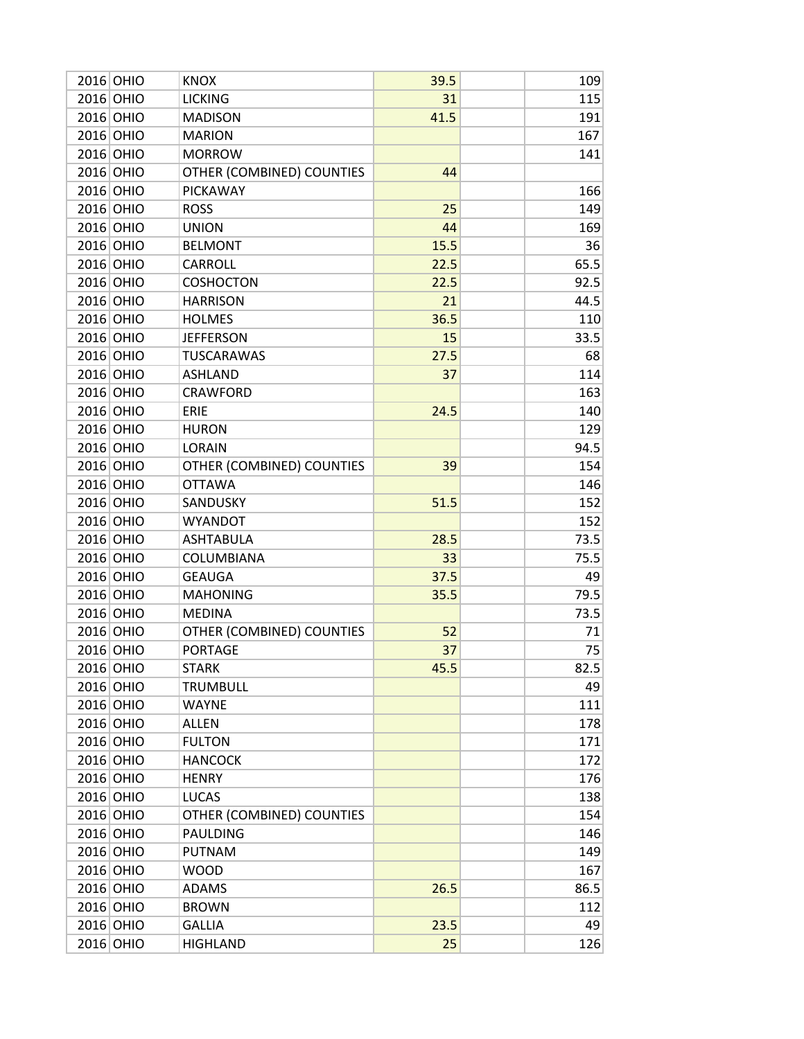| 2016 OHIO | <b>KNOX</b>               | 39.5 | 109  |
|-----------|---------------------------|------|------|
| 2016 OHIO | <b>LICKING</b>            | 31   | 115  |
| 2016 OHIO | <b>MADISON</b>            | 41.5 | 191  |
| 2016 OHIO | <b>MARION</b>             |      | 167  |
| 2016 OHIO | <b>MORROW</b>             |      | 141  |
| 2016 OHIO | OTHER (COMBINED) COUNTIES | 44   |      |
| 2016 OHIO | <b>PICKAWAY</b>           |      | 166  |
| 2016 OHIO | <b>ROSS</b>               | 25   | 149  |
| 2016 OHIO | <b>UNION</b>              | 44   | 169  |
| 2016 OHIO | <b>BELMONT</b>            | 15.5 | 36   |
| 2016 OHIO | <b>CARROLL</b>            | 22.5 | 65.5 |
| 2016 OHIO | <b>COSHOCTON</b>          | 22.5 | 92.5 |
| 2016 OHIO | <b>HARRISON</b>           | 21   | 44.5 |
| 2016 OHIO | <b>HOLMES</b>             | 36.5 | 110  |
| 2016 OHIO | <b>JEFFERSON</b>          | 15   | 33.5 |
| 2016 OHIO | <b>TUSCARAWAS</b>         | 27.5 | 68   |
| 2016 OHIO | <b>ASHLAND</b>            | 37   | 114  |
| 2016 OHIO | <b>CRAWFORD</b>           |      | 163  |
| 2016 OHIO | ERIE                      | 24.5 | 140  |
| 2016 OHIO | <b>HURON</b>              |      | 129  |
| 2016 OHIO | <b>LORAIN</b>             |      | 94.5 |
| 2016 OHIO | OTHER (COMBINED) COUNTIES | 39   | 154  |
| 2016 OHIO | <b>OTTAWA</b>             |      | 146  |
| 2016 OHIO | SANDUSKY                  | 51.5 | 152  |
| 2016 OHIO | <b>WYANDOT</b>            |      | 152  |
| 2016 OHIO | <b>ASHTABULA</b>          | 28.5 | 73.5 |
| 2016 OHIO | COLUMBIANA                | 33   | 75.5 |
| 2016 OHIO | <b>GEAUGA</b>             | 37.5 | 49   |
| 2016 OHIO | <b>MAHONING</b>           | 35.5 | 79.5 |
| 2016 OHIO | <b>MEDINA</b>             |      | 73.5 |
| 2016 OHIO | OTHER (COMBINED) COUNTIES | 52   | 71   |
| 2016 OHIO | <b>PORTAGE</b>            | 37   | 75   |
| 2016 OHIO | <b>STARK</b>              | 45.5 | 82.5 |
| 2016 OHIO | <b>TRUMBULL</b>           |      | 49   |
| 2016 OHIO | <b>WAYNE</b>              |      | 111  |
| 2016 OHIO | <b>ALLEN</b>              |      | 178  |
| 2016 OHIO | <b>FULTON</b>             |      | 171  |
| 2016 OHIO | <b>HANCOCK</b>            |      | 172  |
| 2016 OHIO | <b>HENRY</b>              |      | 176  |
| 2016 OHIO | <b>LUCAS</b>              |      | 138  |
| 2016 OHIO | OTHER (COMBINED) COUNTIES |      | 154  |
| 2016 OHIO | <b>PAULDING</b>           |      | 146  |
| 2016 OHIO | <b>PUTNAM</b>             |      | 149  |
| 2016 OHIO | <b>WOOD</b>               |      | 167  |
| 2016 OHIO | <b>ADAMS</b>              | 26.5 | 86.5 |
| 2016 OHIO | <b>BROWN</b>              |      | 112  |
| 2016 OHIO | <b>GALLIA</b>             | 23.5 | 49   |
| 2016 OHIO | <b>HIGHLAND</b>           | 25   | 126  |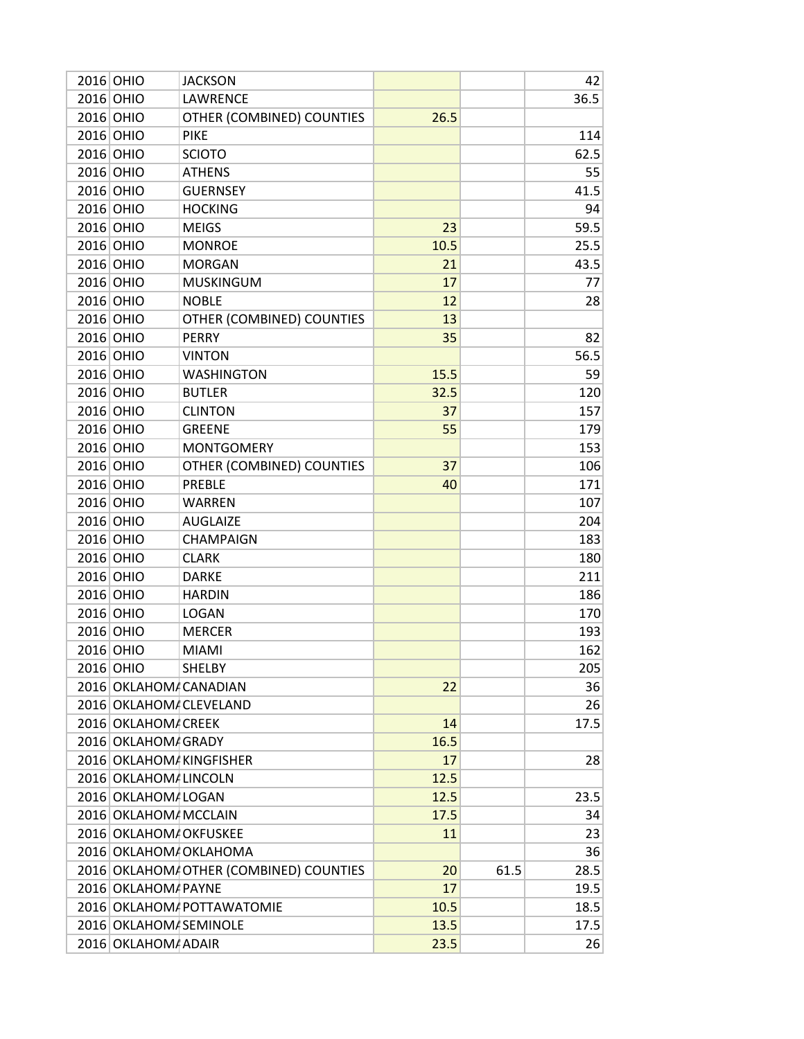| 2016 OHIO |                        | <b>JACKSON</b>                         |      |      | 42   |
|-----------|------------------------|----------------------------------------|------|------|------|
| 2016 OHIO |                        | LAWRENCE                               |      |      | 36.5 |
| 2016 OHIO |                        | OTHER (COMBINED) COUNTIES              | 26.5 |      |      |
| 2016 OHIO |                        | <b>PIKE</b>                            |      |      | 114  |
| 2016 OHIO |                        | <b>SCIOTO</b>                          |      |      | 62.5 |
| 2016 OHIO |                        | <b>ATHENS</b>                          |      |      | 55   |
| 2016 OHIO |                        | <b>GUERNSEY</b>                        |      |      | 41.5 |
| 2016 OHIO |                        | <b>HOCKING</b>                         |      |      | 94   |
| 2016 OHIO |                        | <b>MEIGS</b>                           | 23   |      | 59.5 |
| 2016 OHIO |                        | <b>MONROE</b>                          | 10.5 |      | 25.5 |
| 2016 OHIO |                        | <b>MORGAN</b>                          | 21   |      | 43.5 |
| 2016 OHIO |                        | <b>MUSKINGUM</b>                       | 17   |      | 77   |
| 2016 OHIO |                        | <b>NOBLE</b>                           | 12   |      | 28   |
| 2016 OHIO |                        | OTHER (COMBINED) COUNTIES              | 13   |      |      |
| 2016 OHIO |                        | <b>PERRY</b>                           | 35   |      | 82   |
| 2016 OHIO |                        | <b>VINTON</b>                          |      |      | 56.5 |
| 2016 OHIO |                        | <b>WASHINGTON</b>                      | 15.5 |      | 59   |
| 2016 OHIO |                        | <b>BUTLER</b>                          | 32.5 |      | 120  |
| 2016 OHIO |                        | <b>CLINTON</b>                         | 37   |      | 157  |
| 2016 OHIO |                        | <b>GREENE</b>                          | 55   |      | 179  |
| 2016 OHIO |                        | <b>MONTGOMERY</b>                      |      |      | 153  |
| 2016 OHIO |                        | OTHER (COMBINED) COUNTIES              | 37   |      | 106  |
| 2016 OHIO |                        | PREBLE                                 | 40   |      | 171  |
| 2016 OHIO |                        | <b>WARREN</b>                          |      |      | 107  |
| 2016 OHIO |                        | <b>AUGLAIZE</b>                        |      |      | 204  |
| 2016 OHIO |                        | <b>CHAMPAIGN</b>                       |      |      | 183  |
| 2016 OHIO |                        | <b>CLARK</b>                           |      |      | 180  |
| 2016 OHIO |                        | <b>DARKE</b>                           |      |      | 211  |
| 2016 OHIO |                        | <b>HARDIN</b>                          |      |      | 186  |
| 2016 OHIO |                        | <b>LOGAN</b>                           |      |      | 170  |
| 2016 OHIO |                        | <b>MERCER</b>                          |      |      | 193  |
| 2016 OHIO |                        | <b>MIAMI</b>                           |      |      | 162  |
| 2016 OHIO |                        | <b>SHELBY</b>                          |      |      | 205  |
|           |                        | 2016 OKLAHOM CANADIAN                  | 22   |      | 36   |
|           |                        | 2016 OKLAHOM / CLEVELAND               |      |      | 26   |
|           | 2016 OKLAHOM CREEK     |                                        | 14   |      | 17.5 |
|           | 2016 OKLAHOM GRADY     |                                        | 16.5 |      |      |
|           |                        | 2016 OKLAHOM KINGFISHER                | 17   |      | 28   |
|           | 2016 OKLAHOM / LINCOLN |                                        | 12.5 |      |      |
|           | 2016 OKLAHOM LOGAN     |                                        | 12.5 |      | 23.5 |
|           | 2016 OKLAHOM/ MCCLAIN  |                                        | 17.5 |      | 34   |
|           | 2016 OKLAHOM/ OKFUSKEE |                                        | 11   |      | 23   |
|           |                        | 2016 OKLAHOM/ OKLAHOMA                 |      |      | 36   |
|           |                        | 2016 OKLAHOM OTHER (COMBINED) COUNTIES | 20   | 61.5 | 28.5 |
|           | 2016 OKLAHOM/ PAYNE    |                                        | 17   |      | 19.5 |
|           |                        | 2016 OKLAHOM/ POTTAWATOMIE             | 10.5 |      | 18.5 |
|           | 2016 OKLAHOM SEMINOLE  |                                        | 13.5 |      | 17.5 |
|           | 2016 OKLAHOM ADAIR     |                                        | 23.5 |      | 26   |
|           |                        |                                        |      |      |      |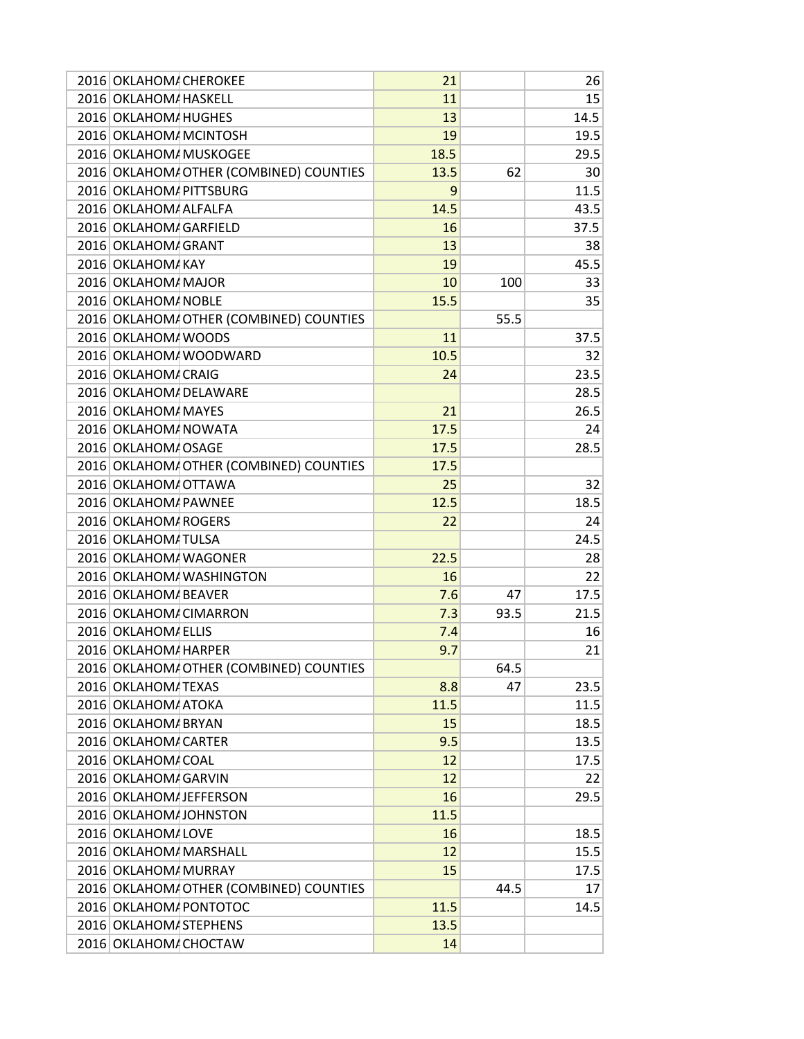| 2016 OKLAHOM/ CHEROKEE                  | 21   |      | 26   |
|-----------------------------------------|------|------|------|
| 2016 OKLAHOM HASKELL                    | 11   |      | 15   |
| 2016 OKLAHOM HUGHES                     | 13   |      | 14.5 |
| 2016 OKLAHOM / MCINTOSH                 | 19   |      | 19.5 |
| 2016 OKLAHOM MUSKOGEE                   | 18.5 |      | 29.5 |
| 2016 OKLAHOM/ OTHER (COMBINED) COUNTIES | 13.5 | 62   | 30   |
| 2016 OKLAHOM PITTSBURG                  | 9    |      | 11.5 |
| 2016 OKLAHOM/ ALFALFA                   | 14.5 |      | 43.5 |
| 2016 OKLAHOM GARFIELD                   | 16   |      | 37.5 |
| 2016 OKLAHOM GRANT                      | 13   |      | 38   |
| 2016 OKLAHOM/ KAY                       | 19   |      | 45.5 |
| 2016 OKLAHOM/ MAJOR                     | 10   | 100  | 33   |
| 2016 OKLAHOM / NOBLE                    | 15.5 |      | 35   |
| 2016 OKLAHOM/ OTHER (COMBINED) COUNTIES |      | 55.5 |      |
| 2016 OKLAHOM WOODS                      | 11   |      | 37.5 |
| 2016 OKLAHOM/ WOODWARD                  | 10.5 |      | 32   |
| 2016 OKLAHOM CRAIG                      | 24   |      | 23.5 |
| 2016 OKLAHOM / DELAWARE                 |      |      | 28.5 |
| 2016 OKLAHOM MAYES                      | 21   |      | 26.5 |
| 2016 OKLAHOM/ NOWATA                    | 17.5 |      | 24   |
| 2016 OKLAHOM OSAGE                      | 17.5 |      | 28.5 |
| 2016 OKLAHOM OTHER (COMBINED) COUNTIES  | 17.5 |      |      |
| 2016 OKLAHOM OTTAWA                     | 25   |      | 32   |
| 2016 OKLAHOM/ PAWNEE                    | 12.5 |      | 18.5 |
| 2016 OKLAHOM ROGERS                     | 22   |      | 24   |
| 2016 OKLAHOM / TULSA                    |      |      | 24.5 |
| 2016 OKLAHOM/ WAGONER                   | 22.5 |      | 28   |
| 2016 OKLAHOM/ WASHINGTON                | 16   |      | 22   |
| 2016 OKLAHOM BEAVER                     |      |      |      |
|                                         | 7.6  | 47   | 17.5 |
| 2016 OKLAHOM / CIMARRON                 | 7.3  | 93.5 | 21.5 |
| 2016 OKLAHOM/ ELLIS                     | 7.4  |      | 16   |
| 2016 OKLAHOM HARPER                     | 9.7  |      | 21   |
| 2016 OKLAHOM OTHER (COMBINED) COUNTIES  |      | 64.5 |      |
| 2016 OKLAHOM / TEXAS                    | 8.8  | 47   | 23.5 |
| 2016 OKLAHOM/ ATOKA                     | 11.5 |      | 11.5 |
| 2016 OKLAHOM/ BRYAN                     | 15   |      | 18.5 |
| 2016 OKLAHOM / CARTER                   | 9.5  |      | 13.5 |
| 2016 OKLAHOM/ COAL                      | 12   |      | 17.5 |
| 2016 OKLAHOM GARVIN                     | 12   |      | 22   |
| 2016 OKLAHOM JEFFERSON                  | 16   |      | 29.5 |
| 2016 OKLAHOM JOHNSTON                   | 11.5 |      |      |
| 2016 OKLAHOM LOVE                       | 16   |      | 18.5 |
| 2016 OKLAHOM/ MARSHALL                  | 12   |      | 15.5 |
| 2016 OKLAHOM MURRAY                     | 15   |      | 17.5 |
| 2016 OKLAHOM OTHER (COMBINED) COUNTIES  |      | 44.5 | 17   |
| 2016 OKLAHOM/ PONTOTOC                  | 11.5 |      | 14.5 |
| 2016 OKLAHOM STEPHENS                   | 13.5 |      |      |
| 2016 OKLAHOM / CHOCTAW                  | 14   |      |      |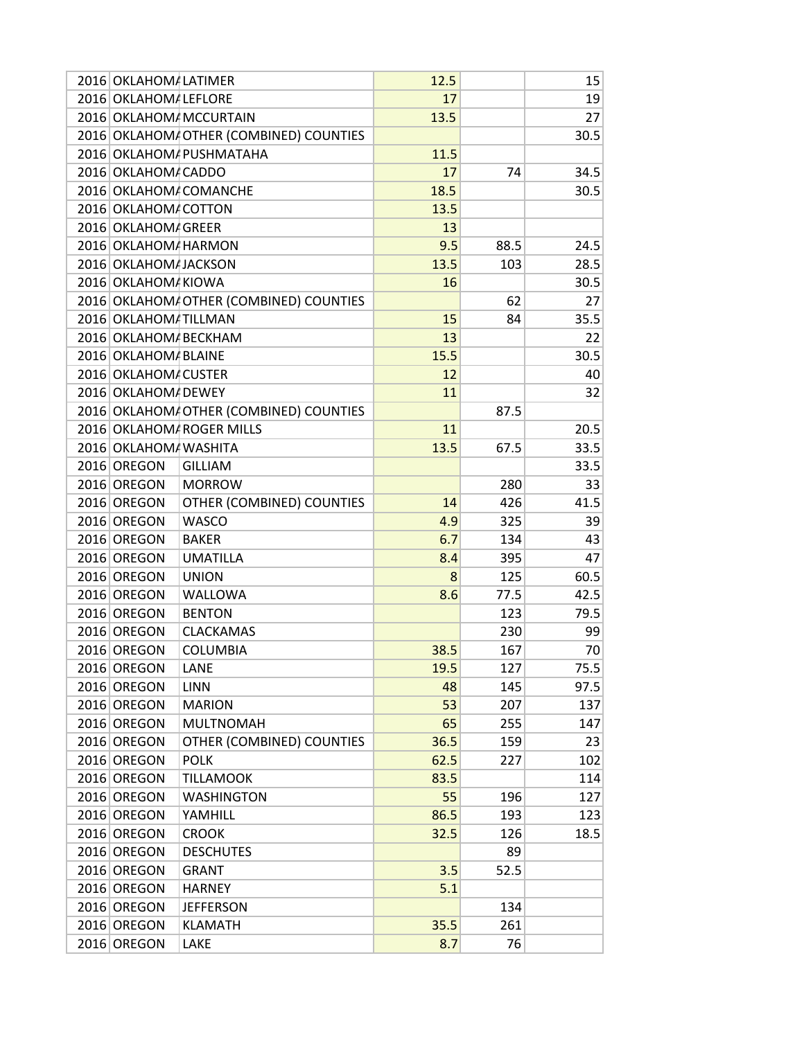| 2016 OKLAHOM/ LATIMER  |                                         | 12.5 |      | 15   |
|------------------------|-----------------------------------------|------|------|------|
| 2016 OKLAHOM LEFLORE   |                                         | 17   |      | 19   |
|                        | 2016 OKLAHOM MCCURTAIN                  | 13.5 |      | 27   |
|                        | 2016 OKLAHOM OTHER (COMBINED) COUNTIES  |      |      | 30.5 |
|                        | 2016 OKLAHOM/ PUSHMATAHA                | 11.5 |      |      |
| 2016 OKLAHOM / CADDO   |                                         | 17   | 74   | 34.5 |
|                        | 2016 OKLAHOM / COMANCHE                 | 18.5 |      | 30.5 |
| 2016 OKLAHOM COTTON    |                                         | 13.5 |      |      |
| 2016 OKLAHOM GREER     |                                         | 13   |      |      |
| 2016 OKLAHOM/ HARMON   |                                         | 9.5  | 88.5 | 24.5 |
| 2016 OKLAHOM JACKSON   |                                         | 13.5 | 103  | 28.5 |
| 2016 OKLAHOM KIOWA     |                                         | 16   |      | 30.5 |
|                        | 2016 OKLAHOM/ OTHER (COMBINED) COUNTIES |      | 62   | 27   |
| 2016 OKLAHOM / TILLMAN |                                         | 15   | 84   | 35.5 |
| 2016 OKLAHOM/ BECKHAM  |                                         | 13   |      | 22   |
| 2016 OKLAHOM BLAINE    |                                         | 15.5 |      | 30.5 |
| 2016 OKLAHOM CUSTER    |                                         | 12   |      | 40   |
| 2016 OKLAHOM/ DEWEY    |                                         | 11   |      | 32   |
|                        | 2016 OKLAHOM/ OTHER (COMBINED) COUNTIES |      | 87.5 |      |
|                        | 2016 OKLAHOM ROGER MILLS                | 11   |      | 20.5 |
| 2016 OKLAHOM WASHITA   |                                         | 13.5 | 67.5 | 33.5 |
| 2016 OREGON            | <b>GILLIAM</b>                          |      |      | 33.5 |
| 2016 OREGON            | <b>MORROW</b>                           |      | 280  | 33   |
| 2016 OREGON            | OTHER (COMBINED) COUNTIES               | 14   | 426  | 41.5 |
| 2016 OREGON            | <b>WASCO</b>                            | 4.9  | 325  | 39   |
| 2016 OREGON            | <b>BAKER</b>                            | 6.7  | 134  | 43   |
| 2016 OREGON            | <b>UMATILLA</b>                         | 8.4  | 395  | 47   |
| 2016 OREGON            | <b>UNION</b>                            | 8    | 125  | 60.5 |
| 2016 OREGON            | WALLOWA                                 |      | 77.5 | 42.5 |
| 2016 OREGON            | <b>BENTON</b>                           | 8.6  | 123  |      |
| 2016 OREGON            |                                         |      |      | 79.5 |
|                        | <b>CLACKAMAS</b>                        |      | 230  | 99   |
| 2016 OREGON            | <b>COLUMBIA</b>                         | 38.5 | 167  | 70   |
| 2016 OREGON            | LANE                                    | 19.5 | 127  | 75.5 |
| 2016 OREGON            | <b>LINN</b>                             | 48   | 145  | 97.5 |
| 2016 OREGON            | <b>MARION</b>                           | 53   | 207  | 137  |
| 2016 OREGON            | <b>MULTNOMAH</b>                        | 65   | 255  | 147  |
| 2016 OREGON            | OTHER (COMBINED) COUNTIES               | 36.5 | 159  | 23   |
| 2016 OREGON            | <b>POLK</b>                             | 62.5 | 227  | 102  |
| 2016 OREGON            | <b>TILLAMOOK</b>                        | 83.5 |      | 114  |
| 2016 OREGON            | <b>WASHINGTON</b>                       | 55   | 196  | 127  |
| 2016 OREGON            | YAMHILL                                 | 86.5 | 193  | 123  |
| 2016 OREGON            | <b>CROOK</b>                            | 32.5 | 126  | 18.5 |
| 2016 OREGON            | <b>DESCHUTES</b>                        |      | 89   |      |
| 2016 OREGON            | <b>GRANT</b>                            | 3.5  | 52.5 |      |
| 2016 OREGON            | <b>HARNEY</b>                           | 5.1  |      |      |
| 2016 OREGON            | <b>JEFFERSON</b>                        |      | 134  |      |
| 2016 OREGON            | <b>KLAMATH</b>                          | 35.5 | 261  |      |
| 2016 OREGON            | LAKE                                    | 8.7  | 76   |      |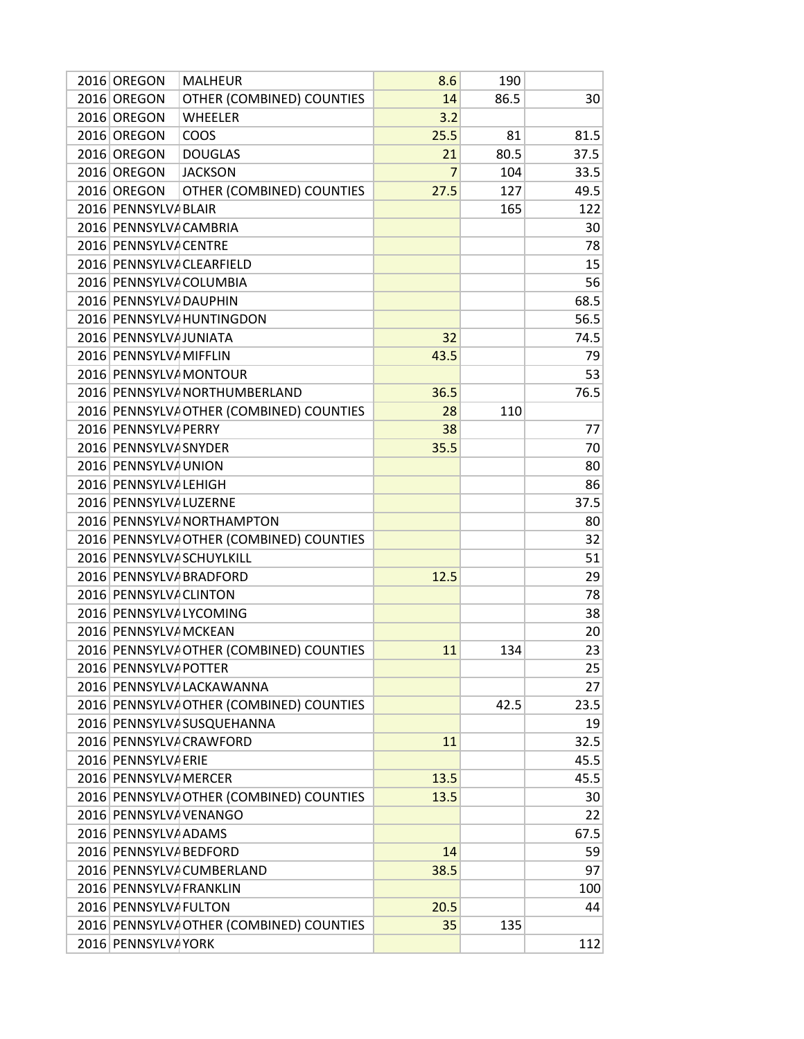| <b>MALHEUR</b><br>2016 OREGON<br>8.6             | 190  |      |
|--------------------------------------------------|------|------|
| 2016 OREGON<br>OTHER (COMBINED) COUNTIES<br>14   | 86.5 | 30   |
| 2016 OREGON<br><b>WHEELER</b><br>3.2             |      |      |
| 2016 OREGON<br>COOS<br>25.5                      | 81   | 81.5 |
| 2016 OREGON<br><b>DOUGLAS</b><br>21              | 80.5 | 37.5 |
| 2016 OREGON<br><b>JACKSON</b><br>$\overline{7}$  | 104  | 33.5 |
| 2016 OREGON<br>OTHER (COMBINED) COUNTIES<br>27.5 | 127  | 49.5 |
| 2016 PENNSYLVA BLAIR                             | 165  | 122  |
| 2016 PENNSYLVA CAMBRIA                           |      | 30   |
| 2016 PENNSYLVA CENTRE                            |      | 78   |
| 2016 PENNSYLVA CLEARFIELD                        |      | 15   |
| 2016 PENNSYLVA COLUMBIA                          |      | 56   |
| 2016 PENNSYLVA DAUPHIN                           |      | 68.5 |
| 2016 PENNSYLVA HUNTINGDON                        |      | 56.5 |
| 2016 PENNSYLVA JUNIATA<br>32                     |      | 74.5 |
| 2016 PENNSYLVA MIFFLIN<br>43.5                   |      | 79   |
| 2016 PENNSYLVA MONTOUR                           |      | 53   |
| 2016 PENNSYLVA NORTHUMBERLAND<br>36.5            |      | 76.5 |
| 2016 PENNSYLVA OTHER (COMBINED) COUNTIES<br>28   | 110  |      |
| 2016 PENNSYLVA PERRY<br>38                       |      | 77   |
| 2016 PENNSYLVA SNYDER<br>35.5                    |      | 70   |
| 2016 PENNSYLVA UNION                             |      | 80   |
| 2016 PENNSYLVA LEHIGH                            |      | 86   |
| 2016 PENNSYLVA LUZERNE                           |      | 37.5 |
| 2016 PENNSYLVA NORTHAMPTON                       |      | 80   |
| 2016 PENNSYLVA OTHER (COMBINED) COUNTIES         |      | 32   |
| 2016 PENNSYLVA SCHUYLKILL                        |      | 51   |
| 2016 PENNSYLVA BRADFORD<br>12.5                  |      | 29   |
| 2016 PENNSYLVA CLINTON                           |      | 78   |
| 2016 PENNSYLVA LYCOMING                          |      | 38   |
| 2016 PENNSYLVA MCKEAN                            |      | 20   |
| 2016 PENNSYLVA OTHER (COMBINED) COUNTIES<br>11   | 134  | 23   |
| 2016 PENNSYLVA POTTER                            |      | 25   |
| 2016 PENNSYLVA LACKAWANNA                        |      | 27   |
| 2016 PENNSYLVA OTHER (COMBINED) COUNTIES         | 42.5 | 23.5 |
| 2016 PENNSYLVA SUSQUEHANNA                       |      | 19   |
| 2016 PENNSYLVA CRAWFORD<br>11                    |      | 32.5 |
| 2016 PENNSYLVA ERIE                              |      | 45.5 |
| 2016 PENNSYLVA MERCER<br>13.5                    |      | 45.5 |
| 2016 PENNSYLVA OTHER (COMBINED) COUNTIES<br>13.5 |      | 30   |
| 2016 PENNSYLVA VENANGO                           |      | 22   |
| 2016 PENNSYLVA ADAMS                             |      | 67.5 |
| 2016 PENNSYLVA BEDFORD<br>14                     |      | 59   |
| 2016 PENNSYLVA CUMBERLAND<br>38.5                |      | 97   |
| 2016 PENNSYLVA FRANKLIN                          |      | 100  |
| 2016 PENNSYLVA FULTON<br>20.5                    |      | 44   |
| 2016 PENNSYLVA OTHER (COMBINED) COUNTIES<br>35   | 135  |      |
| 2016 PENNSYLVA YORK                              |      | 112  |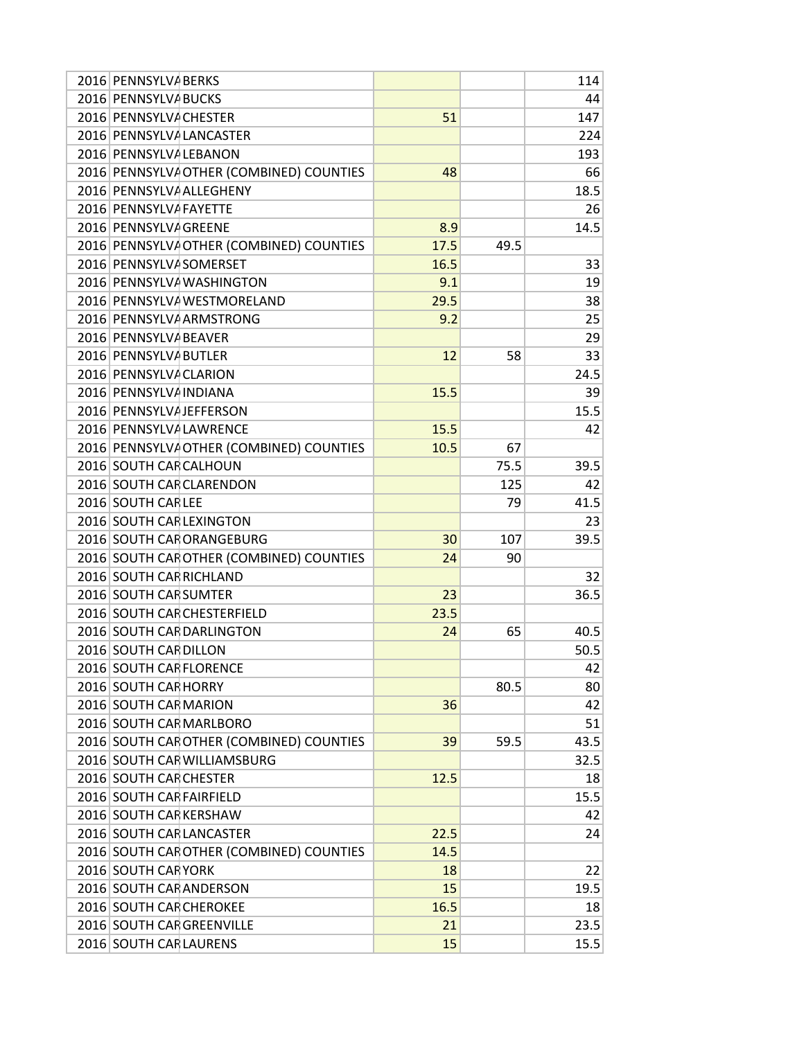| 2016 PENNSYLVA BERKS     |                                          |      |      | 114  |
|--------------------------|------------------------------------------|------|------|------|
| 2016 PENNSYLVA BUCKS     |                                          |      |      | 44   |
| 2016 PENNSYLVA CHESTER   |                                          | 51   |      | 147  |
|                          | 2016 PENNSYLVA LANCASTER                 |      |      | 224  |
| 2016 PENNSYLVA LEBANON   |                                          |      |      | 193  |
|                          | 2016 PENNSYLVA OTHER (COMBINED) COUNTIES | 48   |      | 66   |
|                          | 2016 PENNSYLVA ALLEGHENY                 |      |      | 18.5 |
| 2016 PENNSYLVA FAYETTE   |                                          |      |      | 26   |
| 2016 PENNSYLVA GREENE    |                                          | 8.9  |      | 14.5 |
|                          | 2016 PENNSYLVA OTHER (COMBINED) COUNTIES | 17.5 | 49.5 |      |
| 2016 PENNSYLVA SOMERSET  |                                          | 16.5 |      | 33   |
|                          | 2016 PENNSYLVA WASHINGTON                | 9.1  |      | 19   |
|                          | 2016 PENNSYLVA WESTMORELAND              | 29.5 |      | 38   |
|                          | 2016 PENNSYLVA ARMSTRONG                 | 9.2  |      | 25   |
| 2016 PENNSYLVA BEAVER    |                                          |      |      | 29   |
| 2016 PENNSYLVA BUTLER    |                                          | 12   | 58   | 33   |
| 2016 PENNSYLVA CLARION   |                                          |      |      | 24.5 |
| 2016 PENNSYLVA INDIANA   |                                          | 15.5 |      | 39   |
|                          | 2016 PENNSYLVA JEFFERSON                 |      |      | 15.5 |
|                          | 2016 PENNSYLVA LAWRENCE                  | 15.5 |      | 42   |
|                          | 2016 PENNSYLVA OTHER (COMBINED) COUNTIES | 10.5 | 67   |      |
| 2016 SOUTH CAF CALHOUN   |                                          |      | 75.5 | 39.5 |
|                          | 2016 SOUTH CAR CLARENDON                 |      | 125  | 42   |
| 2016 SOUTH CARLEE        |                                          |      | 79   | 41.5 |
|                          | 2016 SOUTH CAR LEXINGTON                 |      |      | 23   |
|                          | 2016 SOUTH CAF ORANGEBURG                | 30   | 107  | 39.5 |
|                          | 2016 SOUTH CAF OTHER (COMBINED) COUNTIES | 24   | 90   |      |
| 2016 SOUTH CAR RICHLAND  |                                          |      |      | 32   |
| 2016 SOUTH CAF SUMTER    |                                          | 23   |      | 36.5 |
|                          | 2016 SOUTH CAF CHESTERFIELD              | 23.5 |      |      |
|                          | 2016 SOUTH CAF DARLINGTON                | 24   | 65   | 40.5 |
| 2016 SOUTH CAF DILLON    |                                          |      |      | 50.5 |
| 2016 SOUTH CAR FLORENCE  |                                          |      |      | 42   |
| 2016 SOUTH CAF HORRY     |                                          |      | 80.5 | 80   |
| 2016 SOUTH CAF MARION    |                                          | 36   |      | 42   |
|                          | 2016 SOUTH CAF MARLBORO                  |      |      | 51   |
|                          | 2016 SOUTH CAF OTHER (COMBINED) COUNTIES | 39   | 59.5 | 43.5 |
|                          | 2016 SOUTH CAF WILLIAMSBURG              |      |      | 32.5 |
| 2016 SOUTH CAR CHESTER   |                                          | 12.5 |      | 18   |
| 2016 SOUTH CAF FAIRFIELD |                                          |      |      | 15.5 |
| 2016 SOUTH CAF KERSHAW   |                                          |      |      | 42   |
|                          | 2016 SOUTH CAF LANCASTER                 | 22.5 |      | 24   |
|                          | 2016 SOUTH CAF OTHER (COMBINED) COUNTIES | 14.5 |      |      |
| 2016 SOUTH CAF YORK      |                                          | 18   |      | 22   |
|                          | 2016 SOUTH CAR ANDERSON                  | 15   |      | 19.5 |
| 2016 SOUTH CAF CHEROKEE  |                                          | 16.5 |      | 18   |
|                          | 2016 SOUTH CAR GREENVILLE                | 21   |      | 23.5 |
| 2016 SOUTH CAF LAURENS   |                                          | 15   |      | 15.5 |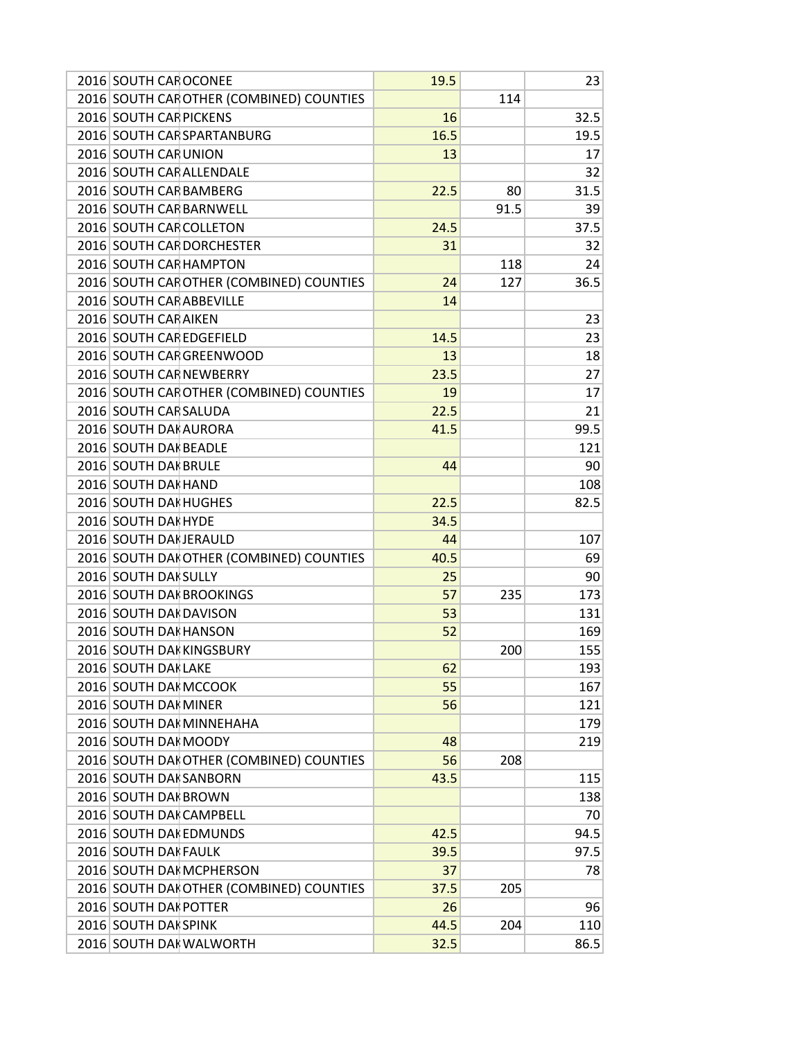| 2016 SOUTH CAF OCONEE                    | 19.5 |      | 23   |
|------------------------------------------|------|------|------|
| 2016 SOUTH CAF OTHER (COMBINED) COUNTIES |      | 114  |      |
| 2016 SOUTH CAF PICKENS                   | 16   |      | 32.5 |
| 2016 SOUTH CAF SPARTANBURG               | 16.5 |      | 19.5 |
| 2016 SOUTH CAR UNION                     | 13   |      | 17   |
| 2016 SOUTH CAR ALLENDALE                 |      |      | 32   |
| 2016 SOUTH CAF BAMBERG                   | 22.5 | 80   | 31.5 |
| 2016 SOUTH CAF BARNWELL                  |      | 91.5 | 39   |
| 2016 SOUTH CAF COLLETON                  | 24.5 |      | 37.5 |
| 2016 SOUTH CAF DORCHESTER                | 31   |      | 32   |
| 2016 SOUTH CAF HAMPTON                   |      | 118  | 24   |
| 2016 SOUTH CAF OTHER (COMBINED) COUNTIES | 24   | 127  | 36.5 |
| 2016 SOUTH CAF ABBEVILLE                 | 14   |      |      |
| 2016 SOUTH CAF AIKEN                     |      |      | 23   |
| 2016 SOUTH CAR EDGEFIELD                 | 14.5 |      | 23   |
| 2016 SOUTH CAF GREENWOOD                 | 13   |      | 18   |
| 2016 SOUTH CAF NEWBERRY                  | 23.5 |      | 27   |
| 2016 SOUTH CAF OTHER (COMBINED) COUNTIES | 19   |      | 17   |
| 2016 SOUTH CAF SALUDA                    | 22.5 |      | 21   |
| 2016 SOUTH DAI AURORA                    | 41.5 |      | 99.5 |
| 2016 SOUTH DAI BEADLE                    |      |      | 121  |
| 2016 SOUTH DAI BRULE                     | 44   |      | 90   |
| 2016 SOUTH DAI HAND                      |      |      | 108  |
| 2016 SOUTH DAI HUGHES                    | 22.5 |      | 82.5 |
| 2016 SOUTH DAI HYDE                      | 34.5 |      |      |
| 2016 SOUTH DAI JERAULD                   | 44   |      | 107  |
| 2016 SOUTH DAI OTHER (COMBINED) COUNTIES | 40.5 |      | 69   |
| 2016 SOUTH DAI SULLY                     | 25   |      | 90   |
| 2016 SOUTH DAI BROOKINGS                 | 57   | 235  | 173  |
| 2016 SOUTH DAI DAVISON                   | 53   |      | 131  |
| 2016 SOUTH DAI HANSON                    | 52   |      | 169  |
| 2016 SOUTH DAI KINGSBURY                 |      | 200  | 155  |
| 2016 SOUTH DAI LAKE                      | 62   |      | 193  |
| 2016 SOUTH DAI MCCOOK                    | 55   |      | 167  |
| 2016 SOUTH DAH MINER                     | 56   |      | 121  |
| 2016 SOUTH DAI MINNEHAHA                 |      |      | 179  |
| 2016 SOUTH DAI MOODY                     | 48   |      | 219  |
| 2016 SOUTH DAI OTHER (COMBINED) COUNTIES | 56   | 208  |      |
| 2016 SOUTH DAI SANBORN                   | 43.5 |      | 115  |
| 2016 SOUTH DAI BROWN                     |      |      | 138  |
| 2016 SOUTH DAI CAMPBELL                  |      |      | 70   |
| 2016 SOUTH DAI EDMUNDS                   | 42.5 |      | 94.5 |
| 2016 SOUTH DAI FAULK                     | 39.5 |      | 97.5 |
| 2016 SOUTH DAI MCPHERSON                 | 37   |      | 78   |
| 2016 SOUTH DAI OTHER (COMBINED) COUNTIES | 37.5 | 205  |      |
| 2016 SOUTH DAI POTTER                    | 26   |      | 96   |
| 2016 SOUTH DAI SPINK                     | 44.5 | 204  | 110  |
| 2016 SOUTH DAI WALWORTH                  | 32.5 |      | 86.5 |
|                                          |      |      |      |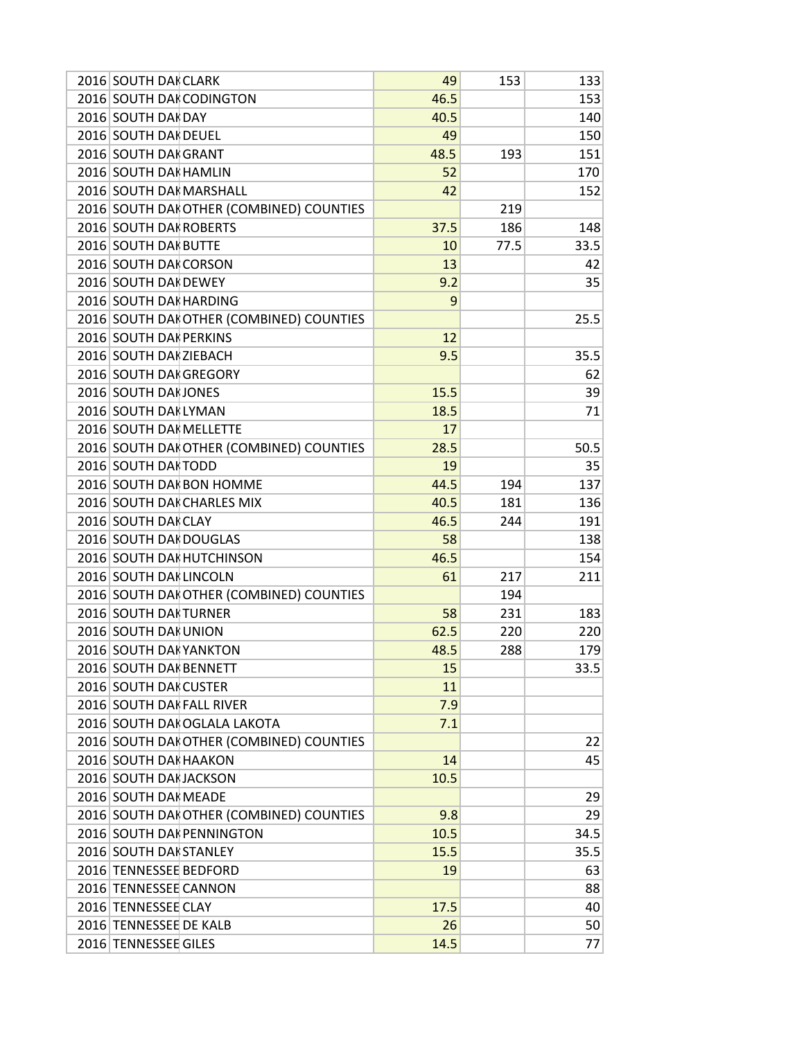| 2016 SOUTH DAI CLARK                     | 49   | 153  | 133  |
|------------------------------------------|------|------|------|
| 2016 SOUTH DAI CODINGTON                 | 46.5 |      | 153  |
| 2016 SOUTH DAI DAY                       | 40.5 |      | 140  |
| 2016 SOUTH DAI DEUEL                     | 49   |      | 150  |
| 2016 SOUTH DAI GRANT                     | 48.5 | 193  | 151  |
| 2016 SOUTH DAI HAMLIN                    | 52   |      | 170  |
| 2016 SOUTH DAH MARSHALL                  | 42   |      | 152  |
| 2016 SOUTH DAI OTHER (COMBINED) COUNTIES |      | 219  |      |
| 2016 SOUTH DAI ROBERTS                   | 37.5 | 186  | 148  |
| 2016 SOUTH DAI BUTTE                     | 10   | 77.5 | 33.5 |
| 2016 SOUTH DAH CORSON                    | 13   |      | 42   |
| 2016 SOUTH DAI DEWEY                     | 9.2  |      | 35   |
| 2016 SOUTH DAI HARDING                   | 9    |      |      |
| 2016 SOUTH DAI OTHER (COMBINED) COUNTIES |      |      | 25.5 |
| 2016 SOUTH DAI PERKINS                   | 12   |      |      |
| 2016 SOUTH DAI ZIEBACH                   | 9.5  |      | 35.5 |
| 2016 SOUTH DAI GREGORY                   |      |      | 62   |
| 2016 SOUTH DAI JONES                     | 15.5 |      | 39   |
| 2016 SOUTH DAI LYMAN                     | 18.5 |      | 71   |
| 2016 SOUTH DAI MELLETTE                  | 17   |      |      |
| 2016 SOUTH DAI OTHER (COMBINED) COUNTIES | 28.5 |      | 50.5 |
| 2016 SOUTH DAI TODD                      | 19   |      | 35   |
| 2016 SOUTH DAI BON HOMME                 | 44.5 | 194  | 137  |
| 2016 SOUTH DAK CHARLES MIX               | 40.5 | 181  | 136  |
| 2016 SOUTH DAI CLAY                      | 46.5 | 244  | 191  |
| 2016 SOUTH DAI DOUGLAS                   | 58   |      | 138  |
| 2016 SOUTH DAI HUTCHINSON                | 46.5 |      | 154  |
| 2016 SOUTH DAH LINCOLN                   | 61   | 217  | 211  |
| 2016 SOUTH DAI OTHER (COMBINED) COUNTIES |      | 194  |      |
| 2016 SOUTH DAI TURNER                    | 58   | 231  | 183  |
| 2016 SOUTH DAI UNION                     | 62.5 | 220  | 220  |
| 2016 SOUTH DAI YANKTON                   | 48.5 | 288  | 179  |
| 2016 SOUTH DAI BENNETT                   | 15   |      | 33.5 |
| 2016 SOUTH DAH CUSTER                    | 11   |      |      |
| 2016 SOUTH DAH FALL RIVER                | 7.9  |      |      |
|                                          |      |      |      |
| 2016 SOUTH DAI OGLALA LAKOTA             | 7.1  |      |      |
| 2016 SOUTH DAI OTHER (COMBINED) COUNTIES |      |      | 22   |
| 2016 SOUTH DAI HAAKON                    | 14   |      | 45   |
| 2016 SOUTH DAI JACKSON                   | 10.5 |      |      |
| 2016 SOUTH DAI MEADE                     |      |      | 29   |
| 2016 SOUTH DAI OTHER (COMBINED) COUNTIES | 9.8  |      | 29   |
| 2016 SOUTH DAI PENNINGTON                | 10.5 |      | 34.5 |
| 2016 SOUTH DAI STANLEY                   | 15.5 |      | 35.5 |
| 2016 TENNESSEE BEDFORD                   | 19   |      | 63   |
| 2016 TENNESSEE CANNON                    |      |      | 88   |
| 2016 TENNESSEE CLAY                      | 17.5 |      | 40   |
| 2016 TENNESSEE DE KALB                   | 26   |      | 50   |
| 2016 TENNESSEE GILES                     | 14.5 |      | 77   |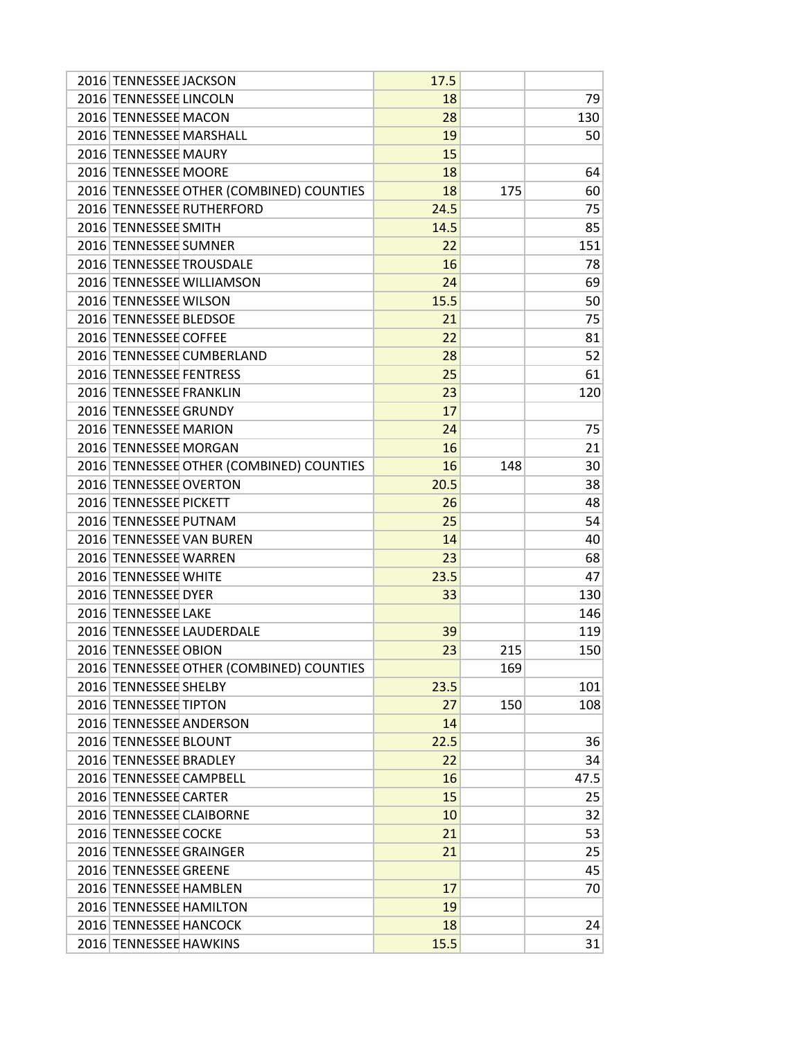| 2016 TENNESSEE JACKSON                   | 17.5 |     |      |
|------------------------------------------|------|-----|------|
| 2016 TENNESSEE LINCOLN                   | 18   |     | 79   |
| 2016 TENNESSEE MACON                     | 28   |     | 130  |
| 2016 TENNESSEE MARSHALL                  | 19   |     | 50   |
| 2016 TENNESSEE MAURY                     | 15   |     |      |
| 2016 TENNESSEE MOORE                     | 18   |     | 64   |
| 2016 TENNESSEE OTHER (COMBINED) COUNTIES | 18   | 175 | 60   |
| 2016 TENNESSEE RUTHERFORD                | 24.5 |     | 75   |
| 2016 TENNESSEE SMITH                     | 14.5 |     | 85   |
| 2016 TENNESSEE SUMNER                    | 22   |     | 151  |
| 2016 TENNESSEE TROUSDALE                 | 16   |     | 78   |
| 2016 TENNESSEE WILLIAMSON                | 24   |     | 69   |
| 2016 TENNESSEE WILSON                    | 15.5 |     | 50   |
| 2016 TENNESSEE BLEDSOE                   | 21   |     | 75   |
| 2016 TENNESSEE COFFEE                    | 22   |     | 81   |
| 2016 TENNESSEE CUMBERLAND                | 28   |     | 52   |
| 2016 TENNESSEE FENTRESS                  | 25   |     | 61   |
| 2016 TENNESSEE FRANKLIN                  | 23   |     | 120  |
| 2016 TENNESSEE GRUNDY                    | 17   |     |      |
| 2016 TENNESSEE MARION                    | 24   |     | 75   |
| 2016 TENNESSEE MORGAN                    | 16   |     | 21   |
| 2016 TENNESSEE OTHER (COMBINED) COUNTIES | 16   | 148 | 30   |
| 2016 TENNESSEE OVERTON                   | 20.5 |     | 38   |
| 2016 TENNESSEE PICKETT                   | 26   |     | 48   |
| 2016 TENNESSEE PUTNAM                    | 25   |     | 54   |
| 2016 TENNESSEE VAN BUREN                 | 14   |     | 40   |
| 2016 TENNESSEE WARREN                    | 23   |     | 68   |
| 2016 TENNESSEE WHITE                     | 23.5 |     | 47   |
| 2016 TENNESSEE DYER                      | 33   |     | 130  |
| 2016 TENNESSEE LAKE                      |      |     | 146  |
| 2016 TENNESSEE LAUDERDALE                | 39   |     | 119  |
| 2016 TENNESSEE OBION                     | 23   | 215 | 150  |
| 2016 TENNESSEE OTHER (COMBINED) COUNTIES |      | 169 |      |
| 2016 TENNESSEE SHELBY                    | 23.5 |     | 101  |
| 2016 TENNESSEE TIPTON                    | 27   | 150 | 108  |
| 2016 TENNESSEE ANDERSON                  | 14   |     |      |
| 2016 TENNESSEE BLOUNT                    | 22.5 |     | 36   |
| 2016 TENNESSEE BRADLEY                   | 22   |     | 34   |
| 2016 TENNESSEE CAMPBELL                  | 16   |     | 47.5 |
| 2016 TENNESSEE CARTER                    | 15   |     | 25   |
| 2016 TENNESSEE CLAIBORNE                 | 10   |     | 32   |
| 2016 TENNESSEE COCKE                     | 21   |     | 53   |
| 2016 TENNESSEE GRAINGER                  | 21   |     | 25   |
| 2016 TENNESSEE GREENE                    |      |     | 45   |
| 2016 TENNESSEE HAMBLEN                   | 17   |     | 70   |
| 2016 TENNESSEE HAMILTON                  | 19   |     |      |
| 2016 TENNESSEE HANCOCK                   | 18   |     | 24   |
| 2016 TENNESSEE HAWKINS                   | 15.5 |     | 31   |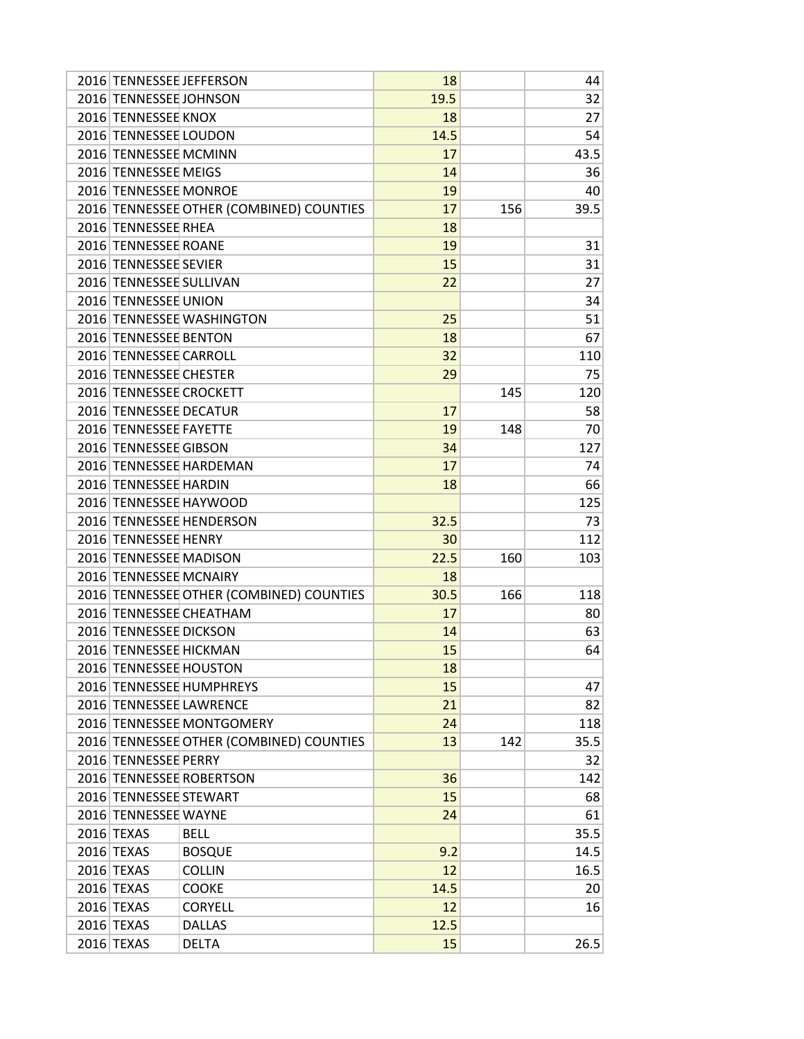| 2016 TENNESSEE JEFFERSON |                                          | 18   |     | 44   |
|--------------------------|------------------------------------------|------|-----|------|
| 2016 TENNESSEE JOHNSON   |                                          | 19.5 |     | 32   |
| 2016 TENNESSEE KNOX      |                                          | 18   |     | 27   |
| 2016 TENNESSEE LOUDON    |                                          | 14.5 |     | 54   |
| 2016 TENNESSEE MCMINN    |                                          | 17   |     | 43.5 |
| 2016 TENNESSEE MEIGS     |                                          | 14   |     | 36   |
| 2016 TENNESSEE MONROE    |                                          | 19   |     | 40   |
|                          | 2016 TENNESSEE OTHER (COMBINED) COUNTIES | 17   | 156 | 39.5 |
| 2016 TENNESSEE RHEA      |                                          | 18   |     |      |
| 2016 TENNESSEE ROANE     |                                          | 19   |     | 31   |
| 2016 TENNESSEE SEVIER    |                                          | 15   |     | 31   |
| 2016 TENNESSEE SULLIVAN  |                                          | 22   |     | 27   |
| 2016 TENNESSEE UNION     |                                          |      |     | 34   |
|                          | 2016 TENNESSEE WASHINGTON                | 25   |     | 51   |
| 2016 TENNESSEE BENTON    |                                          | 18   |     | 67   |
| 2016 TENNESSEE CARROLL   |                                          | 32   |     | 110  |
| 2016 TENNESSEE CHESTER   |                                          | 29   |     | 75   |
| 2016 TENNESSEE CROCKETT  |                                          |      | 145 | 120  |
|                          |                                          |      |     |      |
| 2016 TENNESSEE DECATUR   |                                          | 17   |     | 58   |
| 2016 TENNESSEE FAYETTE   |                                          | 19   | 148 | 70   |
| 2016 TENNESSEE GIBSON    |                                          | 34   |     | 127  |
|                          | 2016 TENNESSEE HARDEMAN                  | 17   |     | 74   |
| 2016 TENNESSEE HARDIN    |                                          | 18   |     | 66   |
|                          | 2016 TENNESSEE HAYWOOD                   |      |     | 125  |
|                          | 2016 TENNESSEE HENDERSON                 | 32.5 |     | 73   |
| 2016 TENNESSEE HENRY     |                                          | 30   |     | 112  |
| 2016 TENNESSEE MADISON   |                                          | 22.5 | 160 | 103  |
| 2016 TENNESSEE MCNAIRY   |                                          | 18   |     |      |
|                          | 2016 TENNESSEE OTHER (COMBINED) COUNTIES | 30.5 | 166 | 118  |
|                          | 2016 TENNESSEE CHEATHAM                  | 17   |     | 80   |
| 2016 TENNESSEE DICKSON   |                                          | 14   |     | 63   |
| 2016 TENNESSEE HICKMAN   |                                          | 15   |     | 64   |
| 2016 TENNESSEE HOUSTON   |                                          | 18   |     |      |
|                          | 2016 TENNESSEE HUMPHREYS                 | 15   |     | 47   |
|                          | 2016 TENNESSEE LAWRENCE                  | 21   |     | 82   |
|                          | 2016 TENNESSEE MONTGOMERY                | 24   |     | 118  |
|                          | 2016 TENNESSEE OTHER (COMBINED) COUNTIES | 13   | 142 | 35.5 |
| 2016 TENNESSEE PERRY     |                                          |      |     | 32   |
|                          | 2016 TENNESSEE ROBERTSON                 | 36   |     | 142  |
| 2016 TENNESSEE STEWART   |                                          | 15   |     | 68   |
| 2016 TENNESSEE WAYNE     |                                          | 24   |     | 61   |
| 2016 TEXAS               | <b>BELL</b>                              |      |     | 35.5 |
| 2016 TEXAS               | <b>BOSQUE</b>                            | 9.2  |     | 14.5 |
| 2016 TEXAS               | <b>COLLIN</b>                            | 12   |     | 16.5 |
| 2016 TEXAS               | <b>COOKE</b>                             | 14.5 |     | 20   |
| 2016 TEXAS               | <b>CORYELL</b>                           | 12   |     | 16   |
| 2016 TEXAS               | <b>DALLAS</b>                            | 12.5 |     |      |
| 2016 TEXAS               | <b>DELTA</b>                             | 15   |     | 26.5 |
|                          |                                          |      |     |      |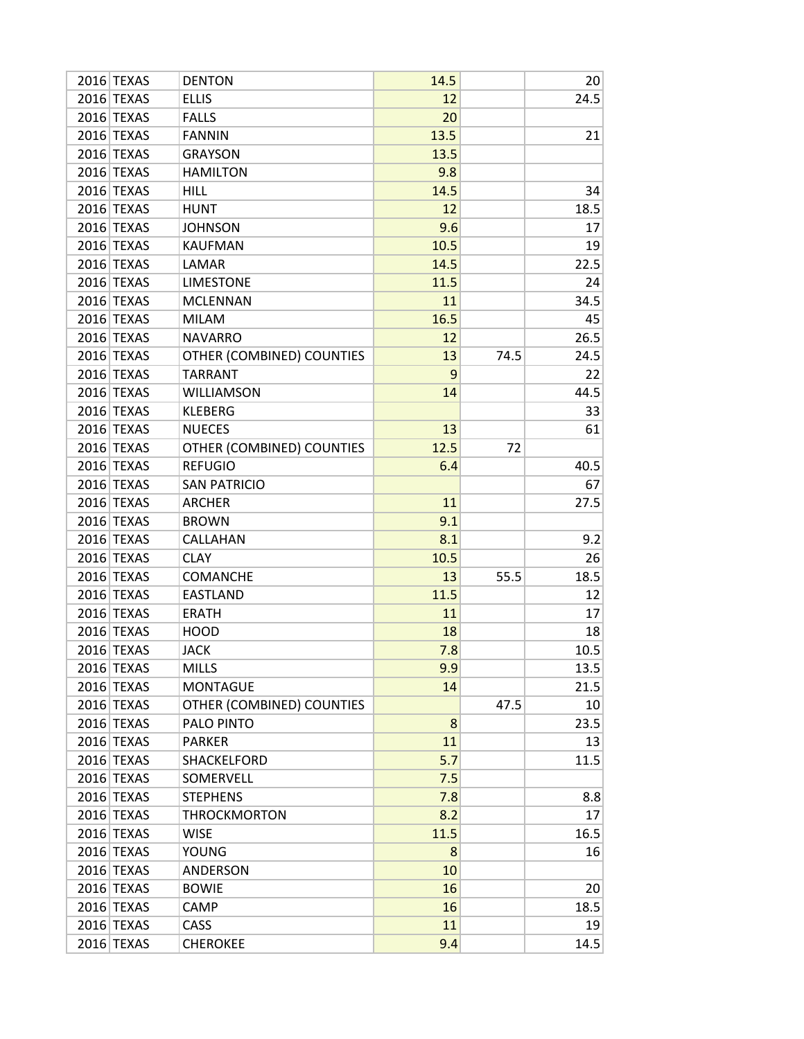| 2016 TEXAS | <b>DENTON</b>             | 14.5 |      | 20   |
|------------|---------------------------|------|------|------|
| 2016 TEXAS | <b>ELLIS</b>              | 12   |      | 24.5 |
| 2016 TEXAS | <b>FALLS</b>              | 20   |      |      |
| 2016 TEXAS | <b>FANNIN</b>             | 13.5 |      | 21   |
| 2016 TEXAS | <b>GRAYSON</b>            | 13.5 |      |      |
| 2016 TEXAS | <b>HAMILTON</b>           | 9.8  |      |      |
| 2016 TEXAS | <b>HILL</b>               | 14.5 |      | 34   |
| 2016 TEXAS | <b>HUNT</b>               | 12   |      | 18.5 |
| 2016 TEXAS | <b>JOHNSON</b>            | 9.6  |      | 17   |
| 2016 TEXAS | <b>KAUFMAN</b>            | 10.5 |      | 19   |
| 2016 TEXAS | LAMAR                     | 14.5 |      | 22.5 |
| 2016 TEXAS | <b>LIMESTONE</b>          | 11.5 |      | 24   |
| 2016 TEXAS | <b>MCLENNAN</b>           | 11   |      | 34.5 |
| 2016 TEXAS | <b>MILAM</b>              | 16.5 |      | 45   |
| 2016 TEXAS | <b>NAVARRO</b>            | 12   |      | 26.5 |
| 2016 TEXAS | OTHER (COMBINED) COUNTIES | 13   | 74.5 | 24.5 |
| 2016 TEXAS | <b>TARRANT</b>            | 9    |      | 22   |
| 2016 TEXAS | <b>WILLIAMSON</b>         | 14   |      | 44.5 |
| 2016 TEXAS | <b>KLEBERG</b>            |      |      | 33   |
| 2016 TEXAS | <b>NUECES</b>             | 13   |      | 61   |
| 2016 TEXAS | OTHER (COMBINED) COUNTIES | 12.5 | 72   |      |
| 2016 TEXAS | <b>REFUGIO</b>            | 6.4  |      | 40.5 |
| 2016 TEXAS | <b>SAN PATRICIO</b>       |      |      | 67   |
| 2016 TEXAS | <b>ARCHER</b>             | 11   |      | 27.5 |
| 2016 TEXAS | <b>BROWN</b>              | 9.1  |      |      |
| 2016 TEXAS | CALLAHAN                  | 8.1  |      | 9.2  |
| 2016 TEXAS | <b>CLAY</b>               | 10.5 |      | 26   |
| 2016 TEXAS | <b>COMANCHE</b>           | 13   | 55.5 | 18.5 |
| 2016 TEXAS | <b>EASTLAND</b>           | 11.5 |      | 12   |
| 2016 TEXAS | <b>ERATH</b>              | 11   |      | 17   |
| 2016 TEXAS | <b>HOOD</b>               | 18   |      | 18   |
| 2016 TEXAS | <b>JACK</b>               | 7.8  |      | 10.5 |
| 2016 TEXAS | <b>MILLS</b>              | 9.9  |      | 13.5 |
| 2016 TEXAS | <b>MONTAGUE</b>           | 14   |      | 21.5 |
| 2016 TEXAS | OTHER (COMBINED) COUNTIES |      | 47.5 | 10   |
| 2016 TEXAS | PALO PINTO                | 8    |      | 23.5 |
| 2016 TEXAS | PARKER                    | 11   |      | 13   |
| 2016 TEXAS | SHACKELFORD               | 5.7  |      | 11.5 |
| 2016 TEXAS | SOMERVELL                 | 7.5  |      |      |
| 2016 TEXAS | <b>STEPHENS</b>           | 7.8  |      | 8.8  |
| 2016 TEXAS | <b>THROCKMORTON</b>       | 8.2  |      | 17   |
| 2016 TEXAS | <b>WISE</b>               | 11.5 |      | 16.5 |
| 2016 TEXAS | <b>YOUNG</b>              | 8    |      | 16   |
| 2016 TEXAS | <b>ANDERSON</b>           | 10   |      |      |
| 2016 TEXAS | <b>BOWIE</b>              | 16   |      | 20   |
| 2016 TEXAS | CAMP                      | 16   |      | 18.5 |
| 2016 TEXAS | CASS                      | 11   |      | 19   |
| 2016 TEXAS | <b>CHEROKEE</b>           | 9.4  |      | 14.5 |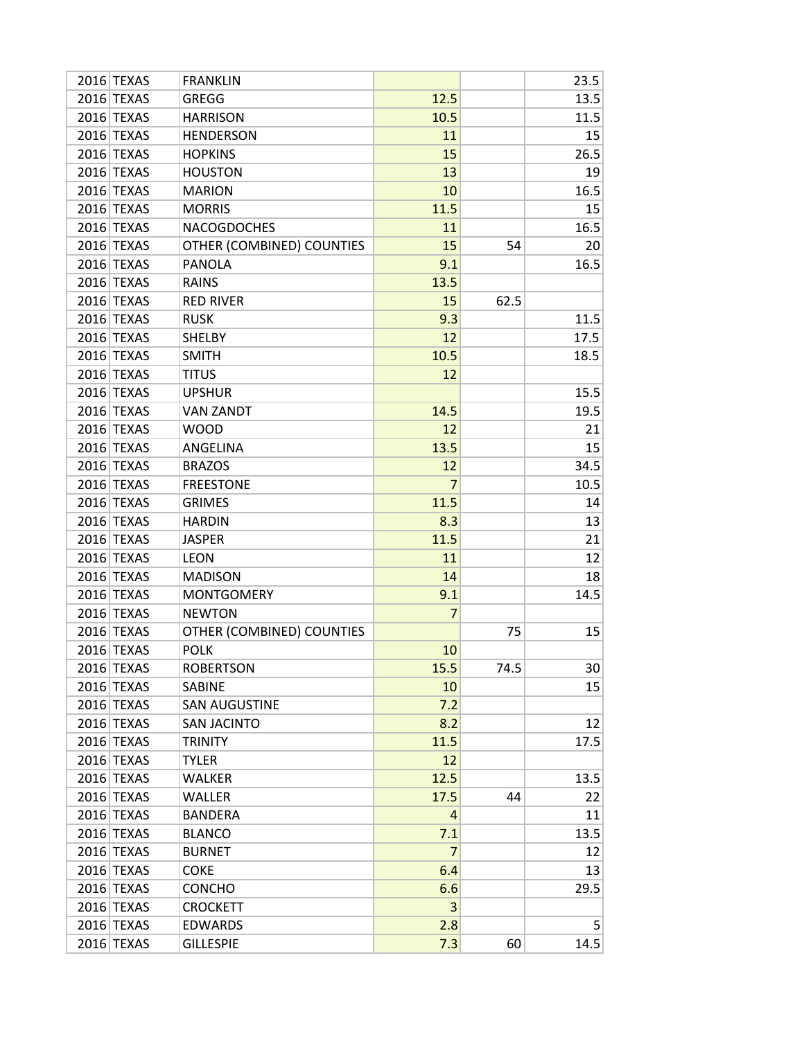| 2016 TEXAS | <b>FRANKLIN</b>           |                |      | 23.5           |
|------------|---------------------------|----------------|------|----------------|
| 2016 TEXAS | <b>GREGG</b>              | 12.5           |      | 13.5           |
| 2016 TEXAS | <b>HARRISON</b>           | 10.5           |      | 11.5           |
| 2016 TEXAS | <b>HENDERSON</b>          | 11             |      | 15             |
| 2016 TEXAS | <b>HOPKINS</b>            | 15             |      | 26.5           |
| 2016 TEXAS | <b>HOUSTON</b>            | 13             |      | 19             |
| 2016 TEXAS | <b>MARION</b>             | 10             |      | 16.5           |
| 2016 TEXAS | <b>MORRIS</b>             | 11.5           |      | 15             |
| 2016 TEXAS | <b>NACOGDOCHES</b>        | 11             |      | 16.5           |
| 2016 TEXAS | OTHER (COMBINED) COUNTIES | 15             | 54   | 20             |
| 2016 TEXAS | <b>PANOLA</b>             | 9.1            |      | 16.5           |
| 2016 TEXAS | <b>RAINS</b>              | 13.5           |      |                |
| 2016 TEXAS | <b>RED RIVER</b>          | 15             | 62.5 |                |
| 2016 TEXAS | <b>RUSK</b>               | 9.3            |      | 11.5           |
| 2016 TEXAS | <b>SHELBY</b>             | 12             |      | 17.5           |
| 2016 TEXAS | <b>SMITH</b>              | 10.5           |      | 18.5           |
| 2016 TEXAS | <b>TITUS</b>              | 12             |      |                |
| 2016 TEXAS | <b>UPSHUR</b>             |                |      | 15.5           |
| 2016 TEXAS | <b>VAN ZANDT</b>          | 14.5           |      | 19.5           |
| 2016 TEXAS | <b>WOOD</b>               | 12             |      | 21             |
| 2016 TEXAS | ANGELINA                  | 13.5           |      | 15             |
| 2016 TEXAS | <b>BRAZOS</b>             | 12             |      | 34.5           |
| 2016 TEXAS | <b>FREESTONE</b>          | $\overline{7}$ |      | 10.5           |
| 2016 TEXAS | <b>GRIMES</b>             | 11.5           |      | 14             |
| 2016 TEXAS | <b>HARDIN</b>             | 8.3            |      | 13             |
| 2016 TEXAS | <b>JASPER</b>             | 11.5           |      | 21             |
| 2016 TEXAS | <b>LEON</b>               | 11             |      | 12             |
| 2016 TEXAS | <b>MADISON</b>            | 14             |      | 18             |
| 2016 TEXAS | <b>MONTGOMERY</b>         | 9.1            |      | 14.5           |
| 2016 TEXAS | <b>NEWTON</b>             | 7              |      |                |
| 2016 TEXAS | OTHER (COMBINED) COUNTIES |                | 75   | 15             |
| 2016 TEXAS | <b>POLK</b>               | 10             |      |                |
| 2016 TEXAS | <b>ROBERTSON</b>          | 15.5           | 74.5 | 30             |
| 2016 TEXAS | <b>SABINE</b>             | 10             |      | 15             |
| 2016 TEXAS | <b>SAN AUGUSTINE</b>      | 7.2            |      |                |
| 2016 TEXAS | <b>SAN JACINTO</b>        | 8.2            |      | 12             |
| 2016 TEXAS | <b>TRINITY</b>            | 11.5           |      | 17.5           |
| 2016 TEXAS | <b>TYLER</b>              | 12             |      |                |
| 2016 TEXAS | <b>WALKER</b>             | 12.5           |      | 13.5           |
| 2016 TEXAS | <b>WALLER</b>             | 17.5           | 44   | 22             |
| 2016 TEXAS | <b>BANDERA</b>            | 4              |      | 11             |
| 2016 TEXAS | <b>BLANCO</b>             | 7.1            |      | 13.5           |
| 2016 TEXAS | <b>BURNET</b>             | 7              |      | 12             |
| 2016 TEXAS | <b>COKE</b>               | 6.4            |      | 13             |
| 2016 TEXAS | <b>CONCHO</b>             | 6.6            |      | 29.5           |
| 2016 TEXAS | <b>CROCKETT</b>           | 3              |      |                |
| 2016 TEXAS | <b>EDWARDS</b>            | 2.8            |      | 5 <sup>1</sup> |
| 2016 TEXAS | <b>GILLESPIE</b>          | 7.3            | 60   | 14.5           |
|            |                           |                |      |                |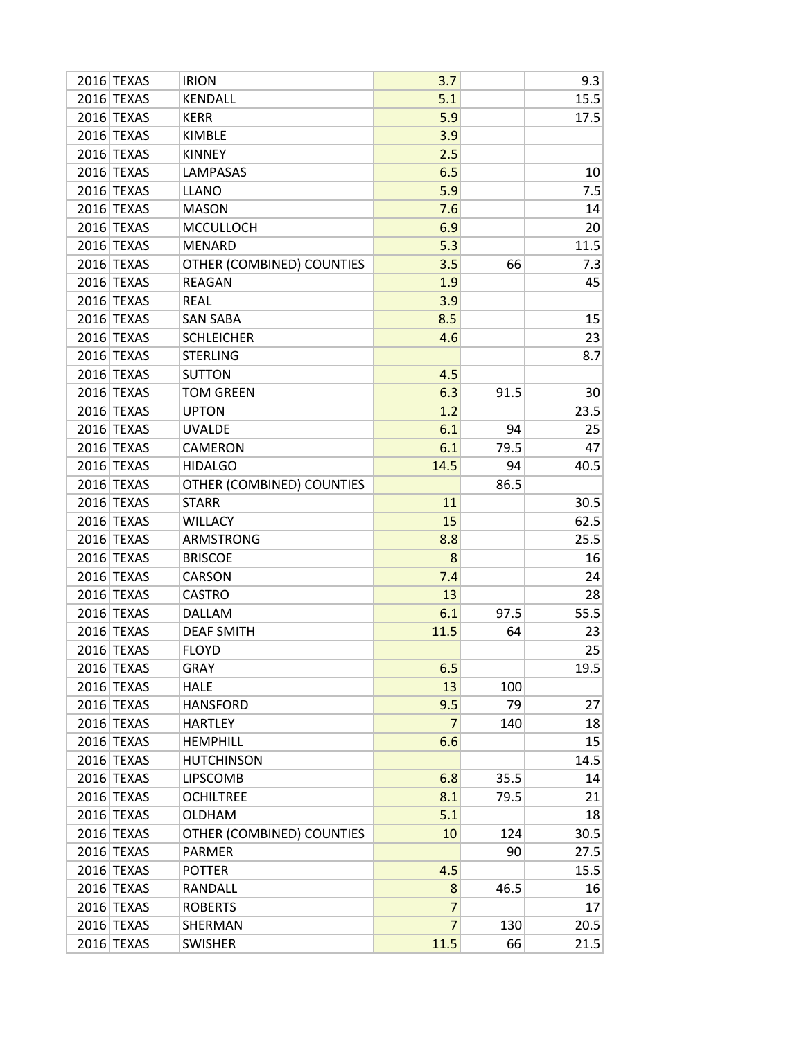| 2016 TEXAS | <b>IRION</b>              | 3.7            |      | 9.3  |
|------------|---------------------------|----------------|------|------|
| 2016 TEXAS | KENDALL                   | 5.1            |      | 15.5 |
| 2016 TEXAS | <b>KERR</b>               | 5.9            |      | 17.5 |
| 2016 TEXAS | <b>KIMBLE</b>             | 3.9            |      |      |
| 2016 TEXAS | <b>KINNEY</b>             | 2.5            |      |      |
| 2016 TEXAS | LAMPASAS                  | 6.5            |      | 10   |
| 2016 TEXAS | <b>LLANO</b>              | 5.9            |      | 7.5  |
| 2016 TEXAS | <b>MASON</b>              | 7.6            |      | 14   |
| 2016 TEXAS | <b>MCCULLOCH</b>          | 6.9            |      | 20   |
| 2016 TEXAS | <b>MENARD</b>             | 5.3            |      | 11.5 |
| 2016 TEXAS | OTHER (COMBINED) COUNTIES | 3.5            | 66   | 7.3  |
| 2016 TEXAS | <b>REAGAN</b>             | 1.9            |      | 45   |
| 2016 TEXAS | <b>REAL</b>               | 3.9            |      |      |
| 2016 TEXAS | <b>SAN SABA</b>           | 8.5            |      | 15   |
| 2016 TEXAS | <b>SCHLEICHER</b>         | 4.6            |      | 23   |
| 2016 TEXAS | <b>STERLING</b>           |                |      | 8.7  |
| 2016 TEXAS | <b>SUTTON</b>             | 4.5            |      |      |
| 2016 TEXAS | <b>TOM GREEN</b>          | 6.3            | 91.5 | 30   |
| 2016 TEXAS | <b>UPTON</b>              | 1.2            |      | 23.5 |
| 2016 TEXAS | <b>UVALDE</b>             | 6.1            | 94   | 25   |
| 2016 TEXAS | <b>CAMERON</b>            | 6.1            | 79.5 | 47   |
| 2016 TEXAS | <b>HIDALGO</b>            | 14.5           | 94   | 40.5 |
| 2016 TEXAS | OTHER (COMBINED) COUNTIES |                | 86.5 |      |
| 2016 TEXAS | <b>STARR</b>              | 11             |      | 30.5 |
| 2016 TEXAS | <b>WILLACY</b>            | 15             |      | 62.5 |
| 2016 TEXAS | <b>ARMSTRONG</b>          | 8.8            |      | 25.5 |
| 2016 TEXAS | <b>BRISCOE</b>            | 8              |      | 16   |
| 2016 TEXAS | <b>CARSON</b>             | 7.4            |      | 24   |
| 2016 TEXAS | <b>CASTRO</b>             | 13             |      | 28   |
| 2016 TEXAS | DALLAM                    | 6.1            | 97.5 | 55.5 |
| 2016 TEXAS | <b>DEAF SMITH</b>         | 11.5           | 64   | 23   |
| 2016 TEXAS | <b>FLOYD</b>              |                |      | 25   |
| 2016 TEXAS | <b>GRAY</b>               | 6.5            |      | 19.5 |
| 2016 TEXAS | <b>HALE</b>               | 13             | 100  |      |
| 2016 TEXAS | <b>HANSFORD</b>           | 9.5            | 79   | 27   |
| 2016 TEXAS | <b>HARTLEY</b>            | 7              | 140  | 18   |
| 2016 TEXAS | <b>HEMPHILL</b>           | 6.6            |      | 15   |
| 2016 TEXAS | <b>HUTCHINSON</b>         |                |      | 14.5 |
| 2016 TEXAS | <b>LIPSCOMB</b>           | 6.8            | 35.5 | 14   |
| 2016 TEXAS | <b>OCHILTREE</b>          | 8.1            | 79.5 | 21   |
| 2016 TEXAS | <b>OLDHAM</b>             | 5.1            |      | 18   |
| 2016 TEXAS | OTHER (COMBINED) COUNTIES | 10             | 124  | 30.5 |
| 2016 TEXAS | PARMER                    |                | 90   | 27.5 |
| 2016 TEXAS | <b>POTTER</b>             | 4.5            |      | 15.5 |
| 2016 TEXAS | RANDALL                   | 8              | 46.5 | 16   |
| 2016 TEXAS | <b>ROBERTS</b>            | 7              |      | 17   |
| 2016 TEXAS | SHERMAN                   | $\overline{7}$ | 130  | 20.5 |
| 2016 TEXAS | <b>SWISHER</b>            | 11.5           | 66   | 21.5 |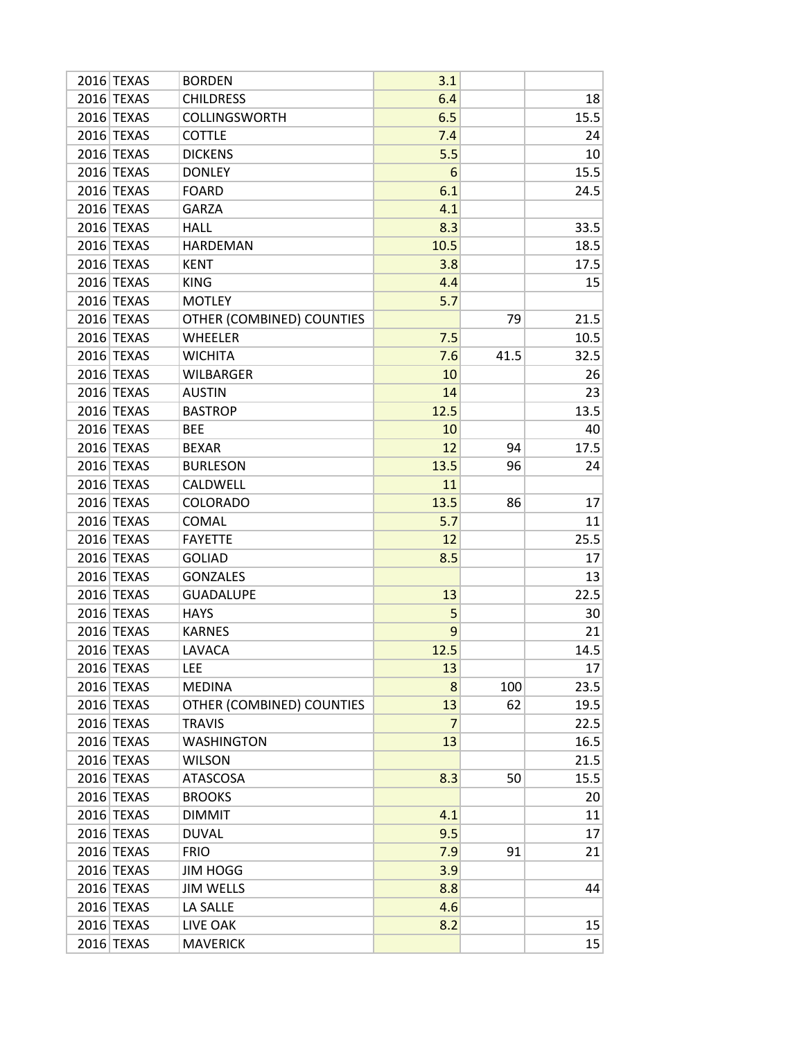| 2016 TEXAS | <b>BORDEN</b>             | 3.1            |      |      |
|------------|---------------------------|----------------|------|------|
| 2016 TEXAS | <b>CHILDRESS</b>          | 6.4            |      | 18   |
| 2016 TEXAS | <b>COLLINGSWORTH</b>      | 6.5            |      | 15.5 |
| 2016 TEXAS | <b>COTTLE</b>             | 7.4            |      | 24   |
| 2016 TEXAS | <b>DICKENS</b>            | 5.5            |      | 10   |
| 2016 TEXAS | <b>DONLEY</b>             | 6              |      | 15.5 |
| 2016 TEXAS | <b>FOARD</b>              | 6.1            |      | 24.5 |
| 2016 TEXAS | <b>GARZA</b>              | 4.1            |      |      |
| 2016 TEXAS | <b>HALL</b>               | 8.3            |      | 33.5 |
| 2016 TEXAS | <b>HARDEMAN</b>           | 10.5           |      | 18.5 |
| 2016 TEXAS | <b>KENT</b>               | 3.8            |      | 17.5 |
| 2016 TEXAS | <b>KING</b>               | 4.4            |      | 15   |
| 2016 TEXAS | <b>MOTLEY</b>             | 5.7            |      |      |
| 2016 TEXAS | OTHER (COMBINED) COUNTIES |                | 79   | 21.5 |
| 2016 TEXAS | <b>WHEELER</b>            | 7.5            |      | 10.5 |
| 2016 TEXAS | <b>WICHITA</b>            | 7.6            | 41.5 | 32.5 |
| 2016 TEXAS | <b>WILBARGER</b>          | 10             |      | 26   |
| 2016 TEXAS | <b>AUSTIN</b>             | 14             |      | 23   |
| 2016 TEXAS | <b>BASTROP</b>            | 12.5           |      | 13.5 |
| 2016 TEXAS | <b>BEE</b>                | 10             |      | 40   |
| 2016 TEXAS | <b>BEXAR</b>              | 12             | 94   | 17.5 |
| 2016 TEXAS | <b>BURLESON</b>           | 13.5           | 96   | 24   |
| 2016 TEXAS | CALDWELL                  | 11             |      |      |
| 2016 TEXAS | <b>COLORADO</b>           | 13.5           | 86   | 17   |
| 2016 TEXAS | <b>COMAL</b>              | 5.7            |      | 11   |
| 2016 TEXAS | <b>FAYETTE</b>            | 12             |      | 25.5 |
| 2016 TEXAS | <b>GOLIAD</b>             | 8.5            |      | 17   |
| 2016 TEXAS | <b>GONZALES</b>           |                |      | 13   |
| 2016 TEXAS | <b>GUADALUPE</b>          | 13             |      | 22.5 |
| 2016 TEXAS | <b>HAYS</b>               | 5              |      | 30   |
| 2016 TEXAS | <b>KARNES</b>             | 9              |      | 21   |
| 2016 TEXAS | LAVACA                    | 12.5           |      | 14.5 |
| 2016 TEXAS | <b>LEE</b>                | 13             |      | 17   |
| 2016 TEXAS | <b>MEDINA</b>             | 8              | 100  | 23.5 |
| 2016 TEXAS | OTHER (COMBINED) COUNTIES | 13             | 62   | 19.5 |
| 2016 TEXAS | <b>TRAVIS</b>             | $\overline{7}$ |      | 22.5 |
| 2016 TEXAS | <b>WASHINGTON</b>         | 13             |      | 16.5 |
| 2016 TEXAS | <b>WILSON</b>             |                |      | 21.5 |
| 2016 TEXAS | <b>ATASCOSA</b>           | 8.3            | 50   | 15.5 |
| 2016 TEXAS | <b>BROOKS</b>             |                |      | 20   |
| 2016 TEXAS | <b>DIMMIT</b>             | 4.1            |      | 11   |
| 2016 TEXAS | <b>DUVAL</b>              | 9.5            |      | 17   |
| 2016 TEXAS | <b>FRIO</b>               | 7.9            | 91   | 21   |
| 2016 TEXAS | JIM HOGG                  | 3.9            |      |      |
| 2016 TEXAS | <b>JIM WELLS</b>          | 8.8            |      | 44   |
| 2016 TEXAS | LA SALLE                  | 4.6            |      |      |
| 2016 TEXAS | LIVE OAK                  | 8.2            |      | 15   |
| 2016 TEXAS | <b>MAVERICK</b>           |                |      | 15   |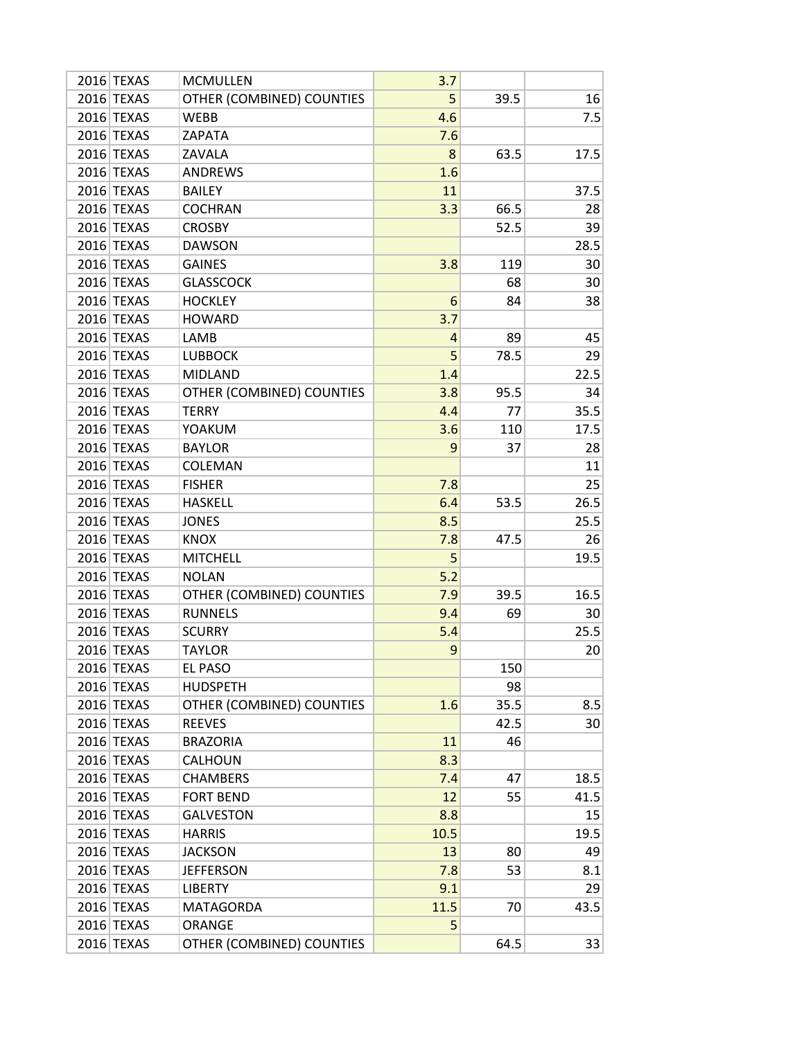| 2016 TEXAS | <b>MCMULLEN</b>           | 3.7  |      |      |
|------------|---------------------------|------|------|------|
| 2016 TEXAS | OTHER (COMBINED) COUNTIES | 5    | 39.5 | 16   |
| 2016 TEXAS | <b>WEBB</b>               | 4.6  |      | 7.5  |
| 2016 TEXAS | ZAPATA                    | 7.6  |      |      |
| 2016 TEXAS | ZAVALA                    | 8    | 63.5 | 17.5 |
| 2016 TEXAS | <b>ANDREWS</b>            | 1.6  |      |      |
| 2016 TEXAS | <b>BAILEY</b>             | 11   |      | 37.5 |
| 2016 TEXAS | <b>COCHRAN</b>            | 3.3  | 66.5 | 28   |
| 2016 TEXAS | <b>CROSBY</b>             |      | 52.5 | 39   |
| 2016 TEXAS | <b>DAWSON</b>             |      |      | 28.5 |
| 2016 TEXAS | <b>GAINES</b>             | 3.8  | 119  | 30   |
| 2016 TEXAS | <b>GLASSCOCK</b>          |      | 68   | 30   |
| 2016 TEXAS | <b>HOCKLEY</b>            | 6    | 84   | 38   |
| 2016 TEXAS | <b>HOWARD</b>             | 3.7  |      |      |
| 2016 TEXAS | LAMB                      | 4    | 89   | 45   |
| 2016 TEXAS | <b>LUBBOCK</b>            | 5    | 78.5 | 29   |
| 2016 TEXAS | <b>MIDLAND</b>            | 1.4  |      | 22.5 |
| 2016 TEXAS | OTHER (COMBINED) COUNTIES | 3.8  | 95.5 | 34   |
| 2016 TEXAS | <b>TERRY</b>              | 4.4  | 77   | 35.5 |
| 2016 TEXAS | YOAKUM                    | 3.6  | 110  | 17.5 |
| 2016 TEXAS | <b>BAYLOR</b>             | 9    | 37   | 28   |
| 2016 TEXAS | <b>COLEMAN</b>            |      |      | 11   |
| 2016 TEXAS | <b>FISHER</b>             | 7.8  |      | 25   |
| 2016 TEXAS | <b>HASKELL</b>            | 6.4  | 53.5 | 26.5 |
| 2016 TEXAS | <b>JONES</b>              | 8.5  |      | 25.5 |
| 2016 TEXAS | <b>KNOX</b>               | 7.8  | 47.5 | 26   |
| 2016 TEXAS | <b>MITCHELL</b>           | 5    |      | 19.5 |
| 2016 TEXAS | <b>NOLAN</b>              | 5.2  |      |      |
| 2016 TEXAS | OTHER (COMBINED) COUNTIES | 7.9  | 39.5 | 16.5 |
| 2016 TEXAS | <b>RUNNELS</b>            | 9.4  | 69   | 30   |
| 2016 TEXAS | <b>SCURRY</b>             | 5.4  |      | 25.5 |
| 2016 TEXAS | <b>TAYLOR</b>             | 9    |      | 20   |
| 2016 TEXAS | <b>EL PASO</b>            |      | 150  |      |
| 2016 TEXAS | <b>HUDSPETH</b>           |      | 98   |      |
| 2016 TEXAS | OTHER (COMBINED) COUNTIES | 1.6  | 35.5 | 8.5  |
| 2016 TEXAS | <b>REEVES</b>             |      | 42.5 | 30   |
| 2016 TEXAS | <b>BRAZORIA</b>           | 11   | 46   |      |
| 2016 TEXAS | <b>CALHOUN</b>            | 8.3  |      |      |
| 2016 TEXAS | <b>CHAMBERS</b>           | 7.4  | 47   | 18.5 |
| 2016 TEXAS | <b>FORT BEND</b>          | 12   | 55   | 41.5 |
| 2016 TEXAS | <b>GALVESTON</b>          | 8.8  |      | 15   |
| 2016 TEXAS | <b>HARRIS</b>             | 10.5 |      | 19.5 |
| 2016 TEXAS | <b>JACKSON</b>            | 13   | 80   | 49   |
| 2016 TEXAS | <b>JEFFERSON</b>          | 7.8  | 53   | 8.1  |
| 2016 TEXAS | <b>LIBERTY</b>            | 9.1  |      | 29   |
| 2016 TEXAS | <b>MATAGORDA</b>          | 11.5 | 70   | 43.5 |
| 2016 TEXAS | ORANGE                    | 5    |      |      |
| 2016 TEXAS | OTHER (COMBINED) COUNTIES |      | 64.5 | 33   |
|            |                           |      |      |      |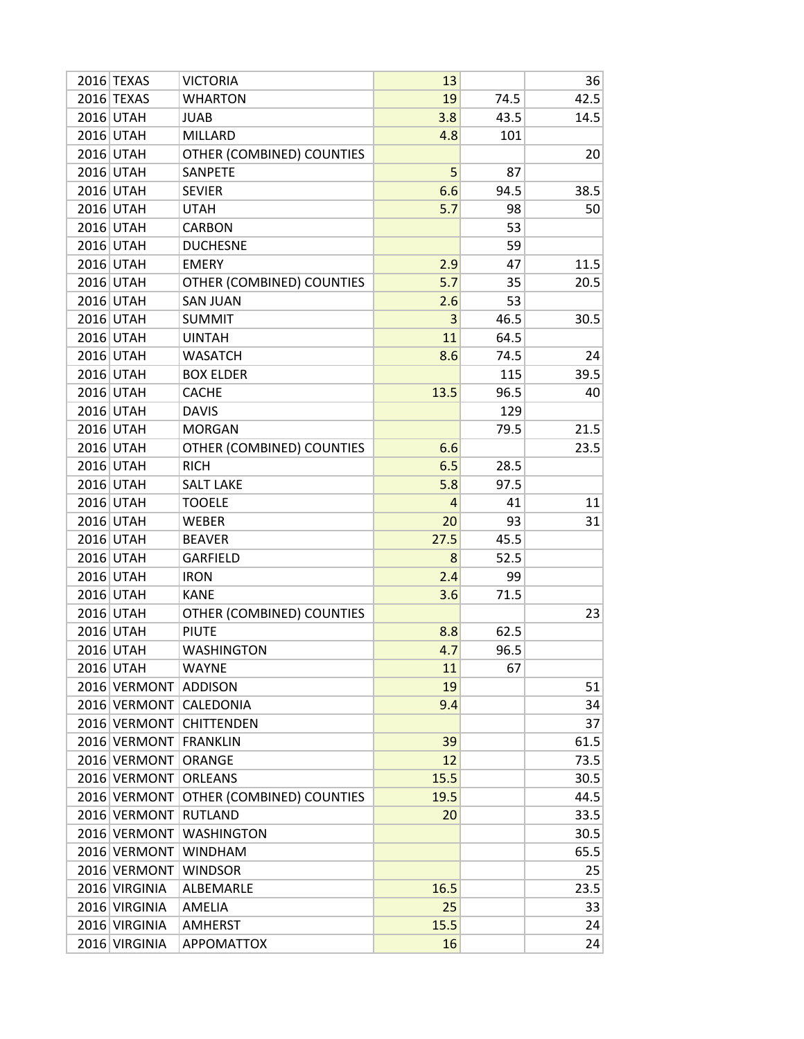| 2016 TEXAS    | <b>VICTORIA</b>           | 13             |      | 36   |
|---------------|---------------------------|----------------|------|------|
| 2016 TEXAS    | <b>WHARTON</b>            | 19             | 74.5 | 42.5 |
| 2016 UTAH     | <b>JUAB</b>               | 3.8            | 43.5 | 14.5 |
| 2016 UTAH     | <b>MILLARD</b>            | 4.8            | 101  |      |
| 2016 UTAH     | OTHER (COMBINED) COUNTIES |                |      | 20   |
| 2016 UTAH     | SANPETE                   | 5              | 87   |      |
| 2016 UTAH     | <b>SEVIER</b>             | 6.6            | 94.5 | 38.5 |
| 2016 UTAH     | <b>UTAH</b>               | 5.7            | 98   | 50   |
| 2016 UTAH     | <b>CARBON</b>             |                | 53   |      |
| 2016 UTAH     | <b>DUCHESNE</b>           |                | 59   |      |
| 2016 UTAH     | <b>EMERY</b>              | 2.9            | 47   | 11.5 |
| 2016 UTAH     | OTHER (COMBINED) COUNTIES | 5.7            | 35   | 20.5 |
| 2016 UTAH     | <b>SAN JUAN</b>           | 2.6            | 53   |      |
| 2016 UTAH     | <b>SUMMIT</b>             | 3              | 46.5 | 30.5 |
| 2016 UTAH     | <b>UINTAH</b>             | 11             | 64.5 |      |
| 2016 UTAH     | <b>WASATCH</b>            | 8.6            | 74.5 | 24   |
| 2016 UTAH     | <b>BOX ELDER</b>          |                | 115  | 39.5 |
| 2016 UTAH     | <b>CACHE</b>              | 13.5           | 96.5 | 40   |
| 2016 UTAH     | <b>DAVIS</b>              |                | 129  |      |
| 2016 UTAH     | <b>MORGAN</b>             |                | 79.5 | 21.5 |
| 2016 UTAH     | OTHER (COMBINED) COUNTIES | 6.6            |      | 23.5 |
| 2016 UTAH     | <b>RICH</b>               | 6.5            | 28.5 |      |
| 2016 UTAH     | <b>SALT LAKE</b>          | 5.8            | 97.5 |      |
| 2016 UTAH     | <b>TOOELE</b>             | $\overline{4}$ | 41   | 11   |
| 2016 UTAH     | <b>WEBER</b>              | 20             | 93   | 31   |
| 2016 UTAH     | <b>BEAVER</b>             | 27.5           | 45.5 |      |
| 2016 UTAH     | <b>GARFIELD</b>           | 8              | 52.5 |      |
| 2016 UTAH     | <b>IRON</b>               | 2.4            | 99   |      |
| 2016 UTAH     | <b>KANE</b>               | 3.6            | 71.5 |      |
| 2016 UTAH     | OTHER (COMBINED) COUNTIES |                |      | 23   |
| 2016 UTAH     | <b>PIUTE</b>              | 8.8            | 62.5 |      |
| 2016 UTAH     | <b>WASHINGTON</b>         | 4.7            | 96.5 |      |
| 2016 UTAH     | <b>WAYNE</b>              | 11             | 67   |      |
| 2016 VERMONT  | <b>ADDISON</b>            | 19             |      | 51   |
| 2016 VERMONT  | CALEDONIA                 | 9.4            |      | 34   |
|               | 2016 VERMONT CHITTENDEN   |                |      | 37   |
| 2016 VERMONT  | <b>FRANKLIN</b>           | 39             |      | 61.5 |
| 2016 VERMONT  | ORANGE                    | 12             |      | 73.5 |
| 2016 VERMONT  | <b>ORLEANS</b>            | 15.5           |      | 30.5 |
| 2016 VERMONT  | OTHER (COMBINED) COUNTIES | 19.5           |      | 44.5 |
| 2016 VERMONT  | <b>RUTLAND</b>            | 20             |      | 33.5 |
| 2016 VERMONT  | <b>WASHINGTON</b>         |                |      | 30.5 |
| 2016 VERMONT  | <b>WINDHAM</b>            |                |      | 65.5 |
| 2016 VERMONT  | <b>WINDSOR</b>            |                |      | 25   |
| 2016 VIRGINIA | ALBEMARLE                 | 16.5           |      | 23.5 |
| 2016 VIRGINIA | AMELIA                    | 25             |      | 33   |
| 2016 VIRGINIA | AMHERST                   | 15.5           |      | 24   |
| 2016 VIRGINIA | <b>APPOMATTOX</b>         | 16             |      | 24   |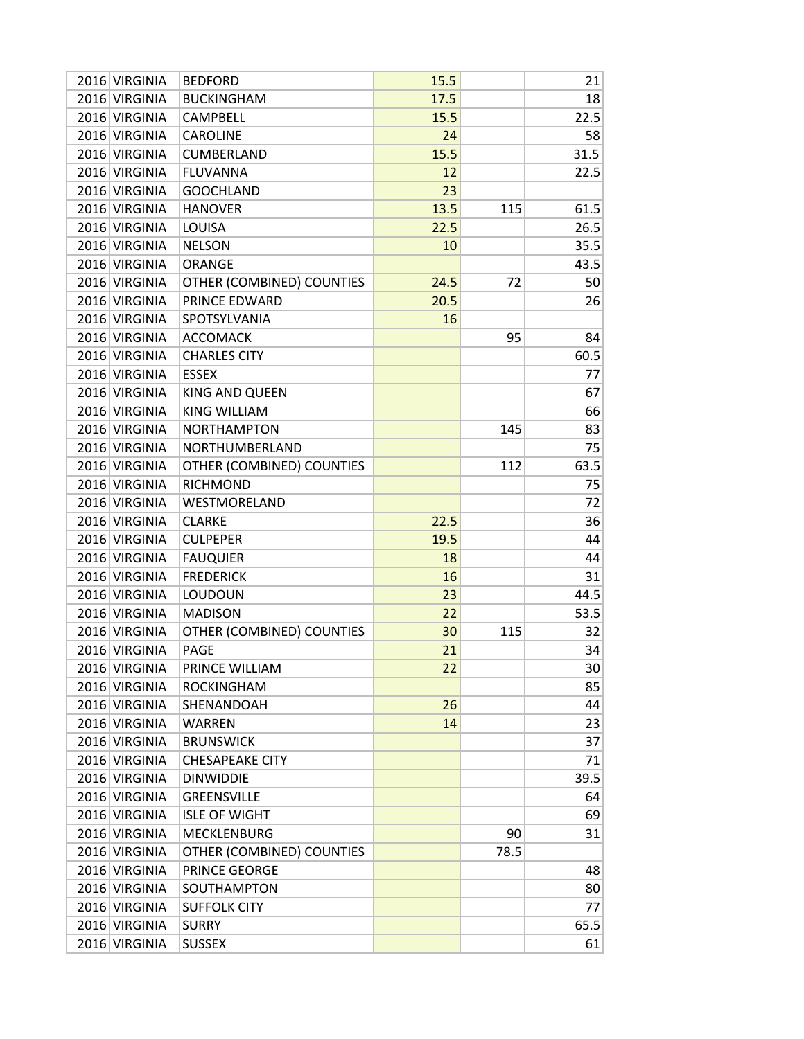| 2016 VIRGINIA | <b>BEDFORD</b>            | 15.5 |      | 21   |
|---------------|---------------------------|------|------|------|
| 2016 VIRGINIA | <b>BUCKINGHAM</b>         | 17.5 |      | 18   |
| 2016 VIRGINIA | <b>CAMPBELL</b>           | 15.5 |      | 22.5 |
| 2016 VIRGINIA | <b>CAROLINE</b>           | 24   |      | 58   |
| 2016 VIRGINIA | <b>CUMBERLAND</b>         | 15.5 |      | 31.5 |
| 2016 VIRGINIA | <b>FLUVANNA</b>           | 12   |      | 22.5 |
| 2016 VIRGINIA | <b>GOOCHLAND</b>          | 23   |      |      |
| 2016 VIRGINIA | <b>HANOVER</b>            | 13.5 | 115  | 61.5 |
| 2016 VIRGINIA | <b>LOUISA</b>             | 22.5 |      | 26.5 |
| 2016 VIRGINIA | <b>NELSON</b>             | 10   |      | 35.5 |
| 2016 VIRGINIA | <b>ORANGE</b>             |      |      | 43.5 |
| 2016 VIRGINIA | OTHER (COMBINED) COUNTIES | 24.5 | 72   | 50   |
| 2016 VIRGINIA | PRINCE EDWARD             | 20.5 |      | 26   |
| 2016 VIRGINIA | SPOTSYLVANIA              | 16   |      |      |
| 2016 VIRGINIA | <b>ACCOMACK</b>           |      | 95   | 84   |
| 2016 VIRGINIA | <b>CHARLES CITY</b>       |      |      | 60.5 |
| 2016 VIRGINIA | <b>ESSEX</b>              |      |      | 77   |
| 2016 VIRGINIA | KING AND QUEEN            |      |      | 67   |
| 2016 VIRGINIA | <b>KING WILLIAM</b>       |      |      | 66   |
| 2016 VIRGINIA | <b>NORTHAMPTON</b>        |      | 145  | 83   |
| 2016 VIRGINIA | NORTHUMBERLAND            |      |      | 75   |
| 2016 VIRGINIA | OTHER (COMBINED) COUNTIES |      | 112  | 63.5 |
| 2016 VIRGINIA | <b>RICHMOND</b>           |      |      | 75   |
| 2016 VIRGINIA |                           |      |      |      |
|               | WESTMORELAND              |      |      | 72   |
| 2016 VIRGINIA | <b>CLARKE</b>             | 22.5 |      | 36   |
| 2016 VIRGINIA | <b>CULPEPER</b>           | 19.5 |      | 44   |
| 2016 VIRGINIA | <b>FAUQUIER</b>           | 18   |      | 44   |
| 2016 VIRGINIA | <b>FREDERICK</b>          | 16   |      | 31   |
| 2016 VIRGINIA | LOUDOUN                   | 23   |      | 44.5 |
| 2016 VIRGINIA | <b>MADISON</b>            | 22   |      | 53.5 |
| 2016 VIRGINIA | OTHER (COMBINED) COUNTIES | 30   | 115  | 32   |
| 2016 VIRGINIA | <b>PAGE</b>               | 21   |      | 34   |
| 2016 VIRGINIA | PRINCE WILLIAM            | 22   |      | 30   |
| 2016 VIRGINIA | <b>ROCKINGHAM</b>         |      |      | 85   |
| 2016 VIRGINIA | SHENANDOAH                | 26   |      | 44   |
| 2016 VIRGINIA | WARREN                    | 14   |      | 23   |
| 2016 VIRGINIA | <b>BRUNSWICK</b>          |      |      | 37   |
| 2016 VIRGINIA | <b>CHESAPEAKE CITY</b>    |      |      | 71   |
| 2016 VIRGINIA | <b>DINWIDDIE</b>          |      |      | 39.5 |
| 2016 VIRGINIA | <b>GREENSVILLE</b>        |      |      | 64   |
| 2016 VIRGINIA | <b>ISLE OF WIGHT</b>      |      |      | 69   |
| 2016 VIRGINIA | <b>MECKLENBURG</b>        |      | 90   | 31   |
| 2016 VIRGINIA | OTHER (COMBINED) COUNTIES |      | 78.5 |      |
| 2016 VIRGINIA | PRINCE GEORGE             |      |      | 48   |
| 2016 VIRGINIA | SOUTHAMPTON               |      |      | 80   |
| 2016 VIRGINIA | <b>SUFFOLK CITY</b>       |      |      | 77   |
| 2016 VIRGINIA | <b>SURRY</b>              |      |      | 65.5 |
| 2016 VIRGINIA | <b>SUSSEX</b>             |      |      | 61   |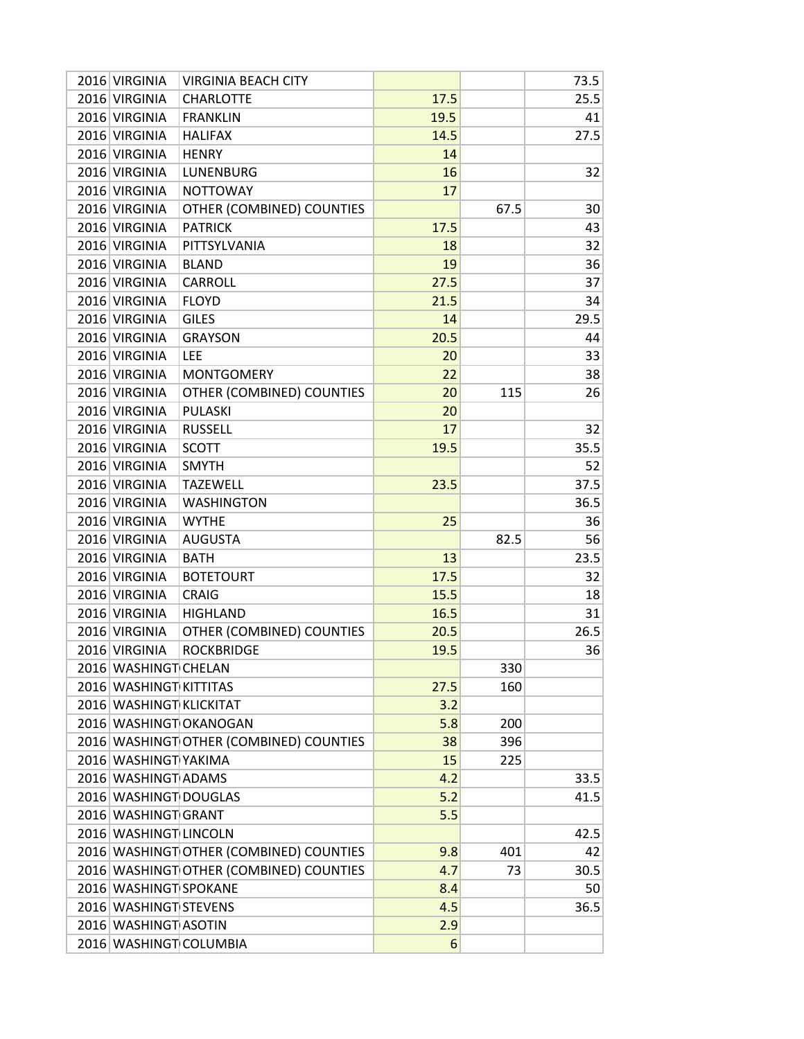| 2016 VIRGINIA           | <b>VIRGINIA BEACH CITY</b>              |      |      | 73.5 |
|-------------------------|-----------------------------------------|------|------|------|
| 2016 VIRGINIA           | <b>CHARLOTTE</b>                        | 17.5 |      | 25.5 |
| 2016 VIRGINIA           | <b>FRANKLIN</b>                         | 19.5 |      | 41   |
| 2016 VIRGINIA           | <b>HALIFAX</b>                          | 14.5 |      | 27.5 |
| 2016 VIRGINIA           | <b>HENRY</b>                            | 14   |      |      |
| 2016 VIRGINIA           | <b>LUNENBURG</b>                        | 16   |      | 32   |
| 2016 VIRGINIA           | <b>NOTTOWAY</b>                         | 17   |      |      |
| 2016 VIRGINIA           | OTHER (COMBINED) COUNTIES               |      | 67.5 | 30   |
| 2016 VIRGINIA           | <b>PATRICK</b>                          | 17.5 |      | 43   |
| 2016 VIRGINIA           | PITTSYLVANIA                            | 18   |      | 32   |
| 2016 VIRGINIA           | <b>BLAND</b>                            | 19   |      | 36   |
| 2016 VIRGINIA           | <b>CARROLL</b>                          | 27.5 |      | 37   |
| 2016 VIRGINIA           | <b>FLOYD</b>                            | 21.5 |      | 34   |
| 2016 VIRGINIA           | <b>GILES</b>                            | 14   |      | 29.5 |
| 2016 VIRGINIA           | <b>GRAYSON</b>                          | 20.5 |      | 44   |
| 2016 VIRGINIA           | LEE                                     | 20   |      | 33   |
| 2016 VIRGINIA           | <b>MONTGOMERY</b>                       | 22   |      | 38   |
| 2016 VIRGINIA           | OTHER (COMBINED) COUNTIES               | 20   | 115  | 26   |
| 2016 VIRGINIA           | <b>PULASKI</b>                          | 20   |      |      |
| 2016 VIRGINIA           | <b>RUSSELL</b>                          | 17   |      | 32   |
| 2016 VIRGINIA           | <b>SCOTT</b>                            | 19.5 |      | 35.5 |
| 2016 VIRGINIA           | <b>SMYTH</b>                            |      |      | 52   |
| 2016 VIRGINIA           | <b>TAZEWELL</b>                         | 23.5 |      | 37.5 |
| 2016 VIRGINIA           | <b>WASHINGTON</b>                       |      |      | 36.5 |
| 2016 VIRGINIA           | <b>WYTHE</b>                            | 25   |      | 36   |
| 2016 VIRGINIA           | <b>AUGUSTA</b>                          |      | 82.5 | 56   |
| 2016 VIRGINIA           | <b>BATH</b>                             | 13   |      | 23.5 |
| 2016 VIRGINIA           | <b>BOTETOURT</b>                        | 17.5 |      | 32   |
| 2016 VIRGINIA           | <b>CRAIG</b>                            | 15.5 |      | 18   |
| 2016 VIRGINIA           | <b>HIGHLAND</b>                         | 16.5 |      | 31   |
| 2016 VIRGINIA           | OTHER (COMBINED) COUNTIES               | 20.5 |      | 26.5 |
| 2016 VIRGINIA           | <b>ROCKBRIDGE</b>                       | 19.5 |      | 36   |
| 2016 WASHINGT CHELAN    |                                         |      | 330  |      |
| 2016 WASHINGT KITTITAS  |                                         | 27.5 | 160  |      |
| 2016 WASHINGT KLICKITAT |                                         | 3.2  |      |      |
|                         | 2016 WASHINGT OKANOGAN                  | 5.8  | 200  |      |
|                         | 2016 WASHINGT OTHER (COMBINED) COUNTIES | 38   | 396  |      |
| 2016 WASHINGT YAKIMA    |                                         | 15   | 225  |      |
| 2016 WASHINGT ADAMS     |                                         | 4.2  |      | 33.5 |
| 2016 WASHINGT DOUGLAS   |                                         | 5.2  |      | 41.5 |
| 2016 WASHINGT GRANT     |                                         | 5.5  |      |      |
| 2016 WASHINGT LINCOLN   |                                         |      |      | 42.5 |
|                         | 2016 WASHINGT OTHER (COMBINED) COUNTIES | 9.8  | 401  | 42   |
|                         | 2016 WASHINGT OTHER (COMBINED) COUNTIES | 4.7  | 73   | 30.5 |
| 2016 WASHINGT SPOKANE   |                                         | 8.4  |      | 50   |
| 2016 WASHINGT STEVENS   |                                         | 4.5  |      | 36.5 |
| 2016 WASHINGT ASOTIN    |                                         | 2.9  |      |      |
|                         | 2016 WASHINGT COLUMBIA                  | 6    |      |      |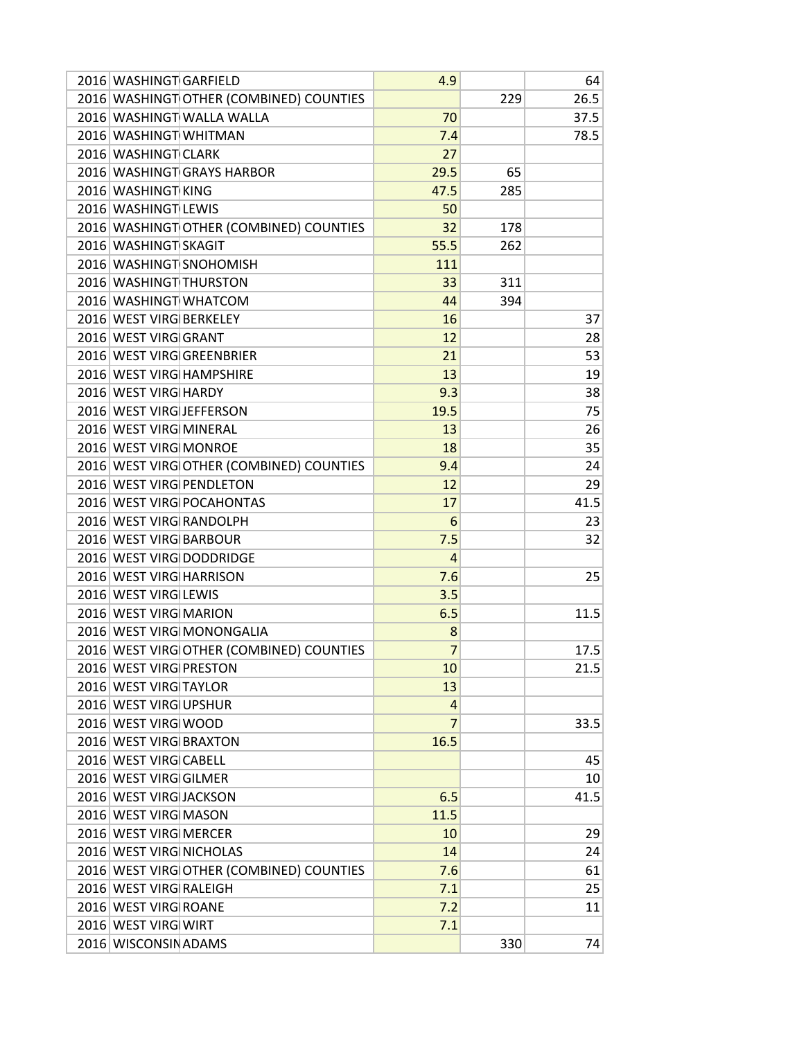| 2016 WASHINGT GARFIELD   |                                          | 4.9            |     | 64   |
|--------------------------|------------------------------------------|----------------|-----|------|
|                          | 2016 WASHINGT OTHER (COMBINED) COUNTIES  |                | 229 | 26.5 |
|                          | 2016 WASHINGT WALLA WALLA                | 70             |     | 37.5 |
| 2016 WASHINGT WHITMAN    |                                          | 7.4            |     | 78.5 |
| 2016 WASHINGT CLARK      |                                          | 27             |     |      |
|                          | 2016 WASHINGT GRAYS HARBOR               | 29.5           | 65  |      |
| 2016 WASHINGT KING       |                                          | 47.5           | 285 |      |
| 2016 WASHINGT LEWIS      |                                          | 50             |     |      |
|                          | 2016 WASHINGT OTHER (COMBINED) COUNTIES  | 32             | 178 |      |
| 2016 WASHINGT SKAGIT     |                                          | 55.5           | 262 |      |
|                          | 2016 WASHINGT SNOHOMISH                  | 111            |     |      |
| 2016 WASHINGT THURSTON   |                                          | 33             | 311 |      |
|                          | 2016 WASHINGT WHATCOM                    | 44             | 394 |      |
| 2016 WEST VIRG BERKELEY  |                                          | 16             |     | 37   |
| 2016 WEST VIRG GRANT     |                                          | 12             |     | 28   |
|                          | 2016 WEST VIRG GREENBRIER                | 21             |     | 53   |
|                          | 2016 WEST VIRG HAMPSHIRE                 | 13             |     | 19   |
| 2016 WEST VIRG HARDY     |                                          | 9.3            |     | 38   |
| 2016 WEST VIRG JEFFERSON |                                          | 19.5           |     | 75   |
| 2016 WEST VIRG MINERAL   |                                          | 13             |     | 26   |
| 2016 WEST VIRG MONROE    |                                          | 18             |     | 35   |
|                          | 2016 WEST VIRG OTHER (COMBINED) COUNTIES | 9.4            |     | 24   |
|                          | 2016 WEST VIRG PENDLETON                 | 12             |     | 29   |
|                          | 2016 WEST VIRG POCAHONTAS                | 17             |     | 41.5 |
| 2016 WEST VIRG RANDOLPH  |                                          | 6              |     | 23   |
| 2016 WEST VIRG BARBOUR   |                                          | 7.5            |     | 32   |
|                          | 2016 WEST VIRG DODDRIDGE                 | $\overline{4}$ |     |      |
| 2016 WEST VIRG HARRISON  |                                          | 7.6            |     | 25   |
| 2016 WEST VIRG LEWIS     |                                          | 3.5            |     |      |
| 2016 WEST VIRG MARION    |                                          | 6.5            |     | 11.5 |
|                          | 2016 WEST VIRG MONONGALIA                | 8              |     |      |
|                          | 2016 WEST VIRG OTHER (COMBINED) COUNTIES | $\overline{7}$ |     | 17.5 |
| 2016 WEST VIRG PRESTON   |                                          | 10             |     | 21.5 |
| 2016 WEST VIRG TAYLOR    |                                          | 13             |     |      |
| 2016 WEST VIRG UPSHUR    |                                          | $\overline{4}$ |     |      |
| 2016 WEST VIRG WOOD      |                                          | $\overline{7}$ |     | 33.5 |
| 2016 WEST VIRG BRAXTON   |                                          | 16.5           |     |      |
| 2016 WEST VIRG CABELL    |                                          |                |     | 45   |
| 2016 WEST VIRG GILMER    |                                          |                |     | 10   |
| 2016 WEST VIRG JACKSON   |                                          | 6.5            |     | 41.5 |
| 2016 WEST VIRG MASON     |                                          | 11.5           |     |      |
| 2016 WEST VIRG MERCER    |                                          | 10             |     | 29   |
| 2016 WEST VIRG NICHOLAS  |                                          | 14             |     | 24   |
|                          | 2016 WEST VIRG OTHER (COMBINED) COUNTIES | 7.6            |     | 61   |
| 2016 WEST VIRG RALEIGH   |                                          | 7.1            |     | 25   |
| 2016 WEST VIRG ROANE     |                                          | 7.2            |     | 11   |
| 2016 WEST VIRG WIRT      |                                          | 7.1            |     |      |
| 2016 WISCONSIN ADAMS     |                                          |                | 330 | 74   |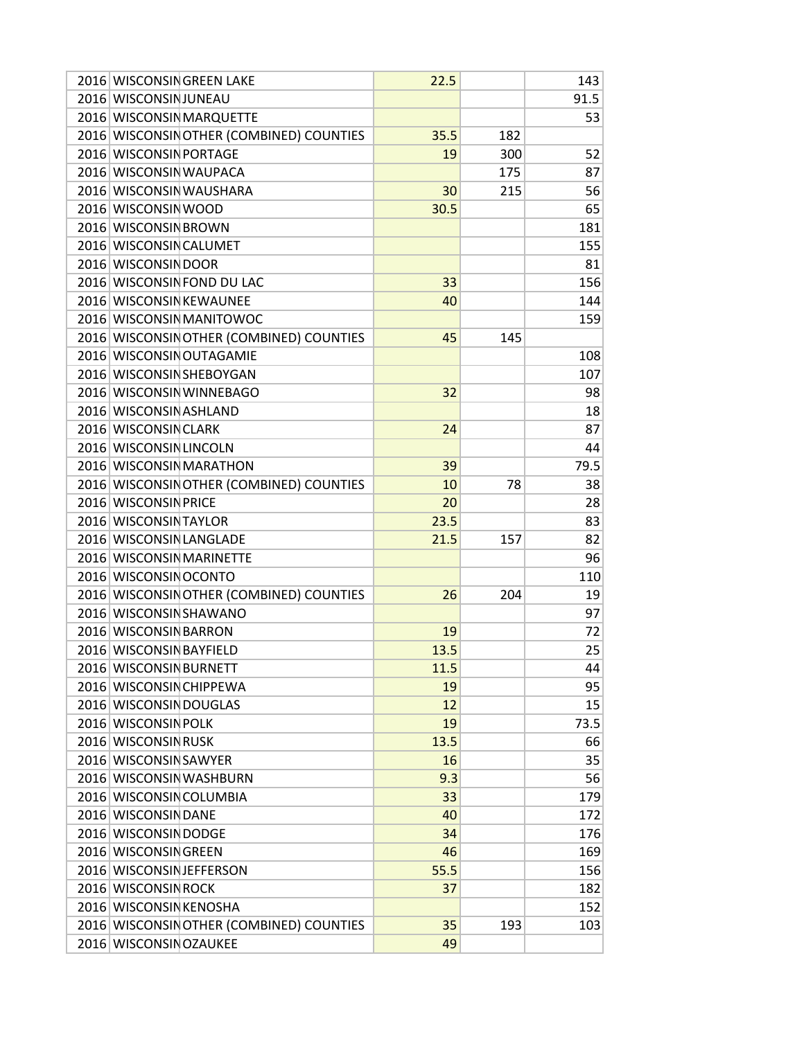|                          | 2016 WISCONSIN GREEN LAKE                | 22.5 |     | 143  |
|--------------------------|------------------------------------------|------|-----|------|
| 2016 WISCONSIN JUNEAU    |                                          |      |     | 91.5 |
|                          | 2016 WISCONSIN MARQUETTE                 |      |     | 53   |
|                          | 2016 WISCONSIN OTHER (COMBINED) COUNTIES | 35.5 | 182 |      |
| 2016 WISCONSIN PORTAGE   |                                          | 19   | 300 | 52   |
| 2016 WISCONSIN WAUPACA   |                                          |      | 175 | 87   |
|                          | 2016 WISCONSIN WAUSHARA                  | 30   | 215 | 56   |
| 2016 WISCONSIN WOOD      |                                          | 30.5 |     | 65   |
| 2016 WISCONSIN BROWN     |                                          |      |     | 181  |
| 2016 WISCONSIN CALUMET   |                                          |      |     | 155  |
| 2016 WISCONSIN DOOR      |                                          |      |     | 81   |
|                          | 2016 WISCONSIN FOND DU LAC               | 33   |     | 156  |
|                          | 2016 WISCONSIN KEWAUNEE                  | 40   |     | 144  |
|                          | 2016 WISCONSIN MANITOWOC                 |      |     | 159  |
|                          | 2016 WISCONSIN OTHER (COMBINED) COUNTIES | 45   | 145 |      |
|                          | 2016 WISCONSIN OUTAGAMIE                 |      |     | 108  |
|                          | 2016 WISCONSIN SHEBOYGAN                 |      |     | 107  |
|                          | 2016 WISCONSIN WINNEBAGO                 | 32   |     | 98   |
| 2016 WISCONSIN ASHLAND   |                                          |      |     | 18   |
|                          |                                          |      |     |      |
| 2016 WISCONSIN CLARK     |                                          | 24   |     | 87   |
| 2016 WISCONSIN LINCOLN   |                                          |      |     | 44   |
|                          | 2016 WISCONSIN MARATHON                  | 39   |     | 79.5 |
|                          | 2016 WISCONSIN OTHER (COMBINED) COUNTIES | 10   | 78  | 38   |
| 2016 WISCONSIN PRICE     |                                          | 20   |     | 28   |
| 2016 WISCONSIN TAYLOR    |                                          | 23.5 |     | 83   |
| 2016 WISCONSIN LANGLADE  |                                          | 21.5 | 157 | 82   |
|                          | 2016 WISCONSIN MARINETTE                 |      |     | 96   |
| 2016 WISCONSIN OCONTO    |                                          |      |     | 110  |
|                          | 2016 WISCONSIN OTHER (COMBINED) COUNTIES | 26   | 204 | 19   |
| 2016 WISCONSIN SHAWANO   |                                          |      |     | 97   |
| 2016 WISCONSIN BARRON    |                                          | 19   |     | 72   |
| 2016 WISCONSIN BAYFIELD  |                                          | 13.5 |     | 25   |
| 2016 WISCONSIN BURNETT   |                                          | 11.5 |     | 44   |
| 2016 WISCONSIN CHIPPEWA  |                                          | 19   |     | 95   |
| 2016 WISCONSIN DOUGLAS   |                                          | 12   |     | 15   |
| 2016 WISCONSIN POLK      |                                          | 19   |     | 73.5 |
| 2016 WISCONSIN RUSK      |                                          | 13.5 |     | 66   |
| 2016 WISCONSIN SAWYER    |                                          | 16   |     | 35   |
|                          | 2016 WISCONSIN WASHBURN                  | 9.3  |     | 56   |
| 2016 WISCONSIN COLUMBIA  |                                          | 33   |     | 179  |
| 2016 WISCONSIN DANE      |                                          | 40   |     | 172  |
| 2016 WISCONSIN DODGE     |                                          | 34   |     | 176  |
| 2016 WISCONSIN GREEN     |                                          | 46   |     | 169  |
| 2016 WISCONSIN JEFFERSON |                                          | 55.5 |     | 156  |
| 2016 WISCONSIN ROCK      |                                          | 37   |     | 182  |
| 2016 WISCONSIN KENOSHA   |                                          |      |     | 152  |
|                          | 2016 WISCONSIN OTHER (COMBINED) COUNTIES | 35   | 193 | 103  |
| 2016 WISCONSIN OZAUKEE   |                                          | 49   |     |      |
|                          |                                          |      |     |      |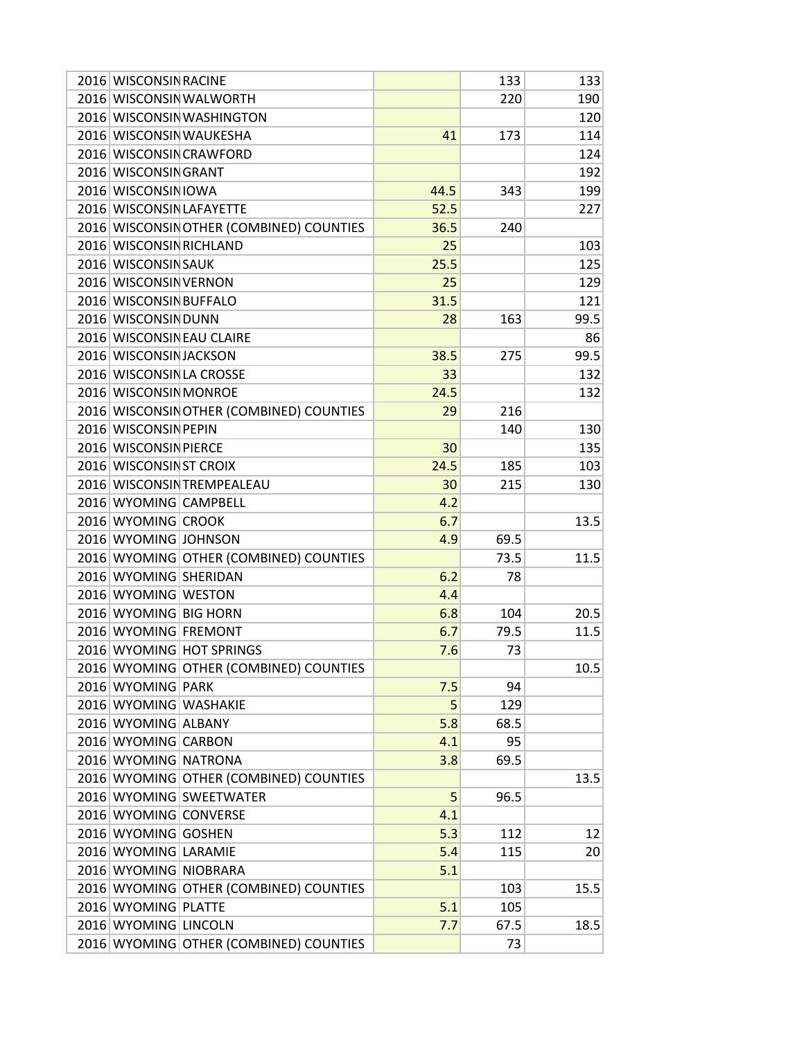| 2016 WISCONSIN RACINE                        |                                          |      | 133          | 133  |
|----------------------------------------------|------------------------------------------|------|--------------|------|
|                                              | 2016 WISCONSIN WALWORTH                  |      | 220          | 190  |
|                                              | 2016 WISCONSIN WASHINGTON                |      |              | 120  |
|                                              | 2016 WISCONSIN WAUKESHA                  | 41   | 173          | 114  |
|                                              | 2016 WISCONSIN CRAWFORD                  |      |              | 124  |
| 2016 WISCONSIN GRANT                         |                                          |      |              | 192  |
| 2016 WISCONSIN IOWA                          |                                          | 44.5 | 343          | 199  |
| 2016 WISCONSIN LAFAYETTE                     |                                          | 52.5 |              | 227  |
|                                              | 2016 WISCONSIN OTHER (COMBINED) COUNTIES | 36.5 | 240          |      |
| 2016 WISCONSIN RICHLAND                      |                                          | 25   |              | 103  |
| 2016 WISCONSIN SAUK                          |                                          | 25.5 |              | 125  |
| 2016 WISCONSIN VERNON                        |                                          | 25   |              | 129  |
| 2016 WISCONSIN BUFFALO                       |                                          | 31.5 |              | 121  |
| 2016 WISCONSIN DUNN                          |                                          | 28   | 163          | 99.5 |
|                                              | 2016 WISCONSIN EAU CLAIRE                |      |              | 86   |
| 2016 WISCONSIN JACKSON                       |                                          | 38.5 | 275          | 99.5 |
| 2016 WISCONSIN LA CROSSE                     |                                          | 33   |              | 132  |
| 2016 WISCONSIN MONROE                        |                                          | 24.5 |              | 132  |
|                                              | 2016 WISCONSIN OTHER (COMBINED) COUNTIES | 29   | 216          |      |
| 2016 WISCONSIN PEPIN                         |                                          |      | 140          | 130  |
| 2016 WISCONSIN PIERCE                        |                                          | 30   |              | 135  |
| 2016 WISCONSINST CROIX                       |                                          | 24.5 | 185          | 103  |
|                                              | 2016 WISCONSIN TREMPEALEAU               | 30   | 215          | 130  |
| 2016 WYOMING CAMPBELL                        |                                          | 4.2  |              |      |
| 2016 WYOMING CROOK                           |                                          | 6.7  |              | 13.5 |
| 2016 WYOMING JOHNSON                         |                                          | 4.9  |              |      |
|                                              | 2016 WYOMING OTHER (COMBINED) COUNTIES   |      | 69.5<br>73.5 | 11.5 |
| 2016 WYOMING SHERIDAN                        |                                          | 6.2  | 78           |      |
|                                              |                                          |      |              |      |
| 2016 WYOMING WESTON<br>2016 WYOMING BIG HORN |                                          | 4.4  |              |      |
|                                              |                                          | 6.8  | 104          | 20.5 |
| 2016 WYOMING FREMONT                         |                                          | 6.7  | 79.5         | 11.5 |
|                                              | 2016 WYOMING HOT SPRINGS                 | 7.6  | 73           |      |
|                                              | 2016 WYOMING OTHER (COMBINED) COUNTIES   |      |              | 10.5 |
| 2016 WYOMING PARK                            |                                          | 7.5  | 94           |      |
| 2016 WYOMING WASHAKIE                        |                                          | 5    | 129          |      |
| 2016 WYOMING ALBANY                          |                                          | 5.8  | 68.5         |      |
| 2016 WYOMING CARBON                          |                                          | 4.1  | 95           |      |
| 2016 WYOMING NATRONA                         |                                          | 3.8  | 69.5         |      |
|                                              | 2016 WYOMING OTHER (COMBINED) COUNTIES   |      |              | 13.5 |
|                                              | 2016 WYOMING SWEETWATER                  | 5    | 96.5         |      |
| 2016 WYOMING CONVERSE                        |                                          | 4.1  |              |      |
| 2016 WYOMING GOSHEN                          |                                          | 5.3  | 112          | 12   |
| 2016 WYOMING LARAMIE                         |                                          | 5.4  | 115          | 20   |
| 2016 WYOMING NIOBRARA                        |                                          | 5.1  |              |      |
|                                              | 2016 WYOMING OTHER (COMBINED) COUNTIES   |      | 103          | 15.5 |
| 2016 WYOMING PLATTE                          |                                          | 5.1  | 105          |      |
| 2016 WYOMING LINCOLN                         |                                          | 7.7  | 67.5         | 18.5 |
|                                              | 2016 WYOMING OTHER (COMBINED) COUNTIES   |      | 73           |      |